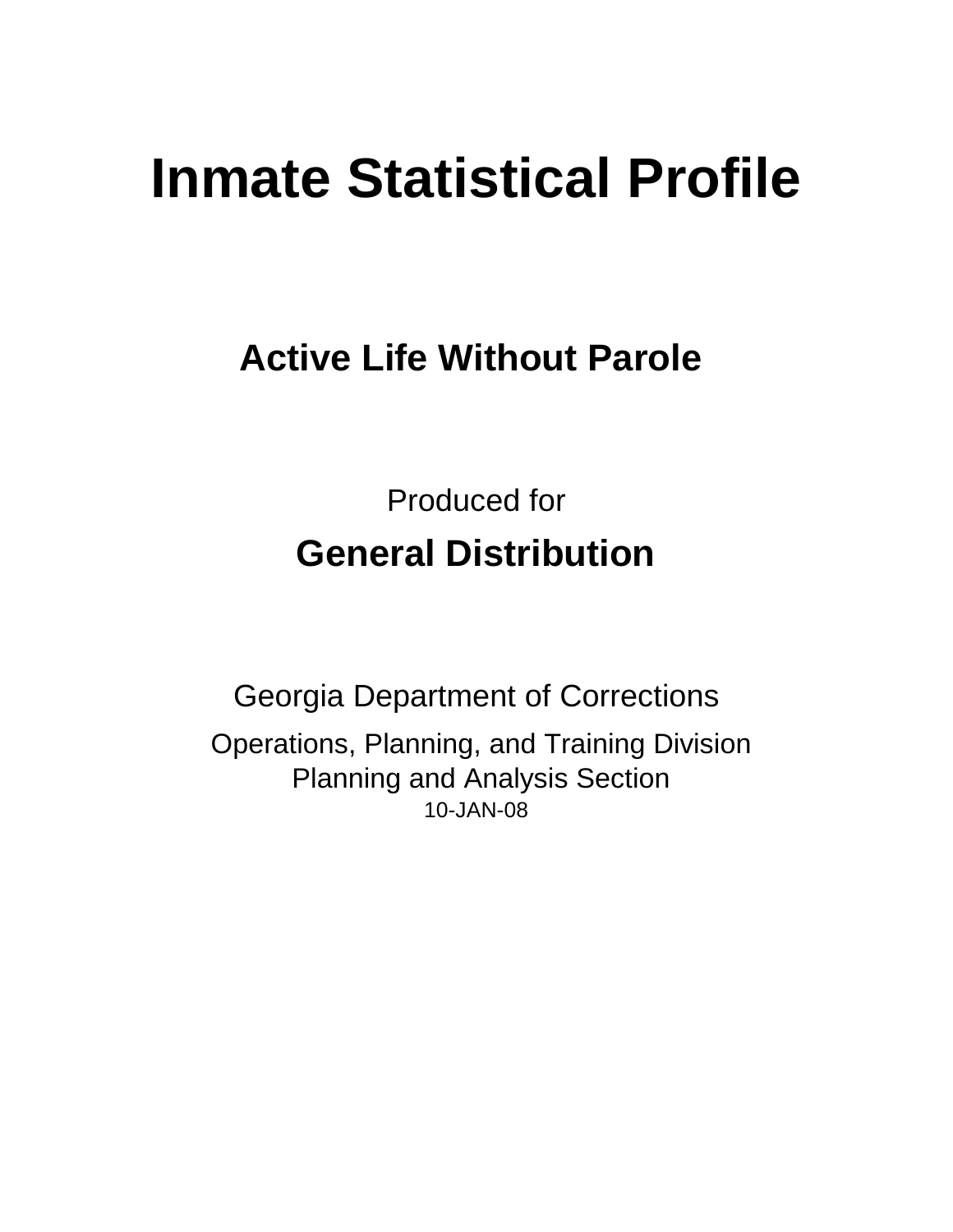# **Inmate Statistical Profile**

# **Active Life Without Parole**

Produced for **General Distribution**

10-JAN-08 Georgia Department of Corrections Operations, Planning, and Training Division Planning and Analysis Section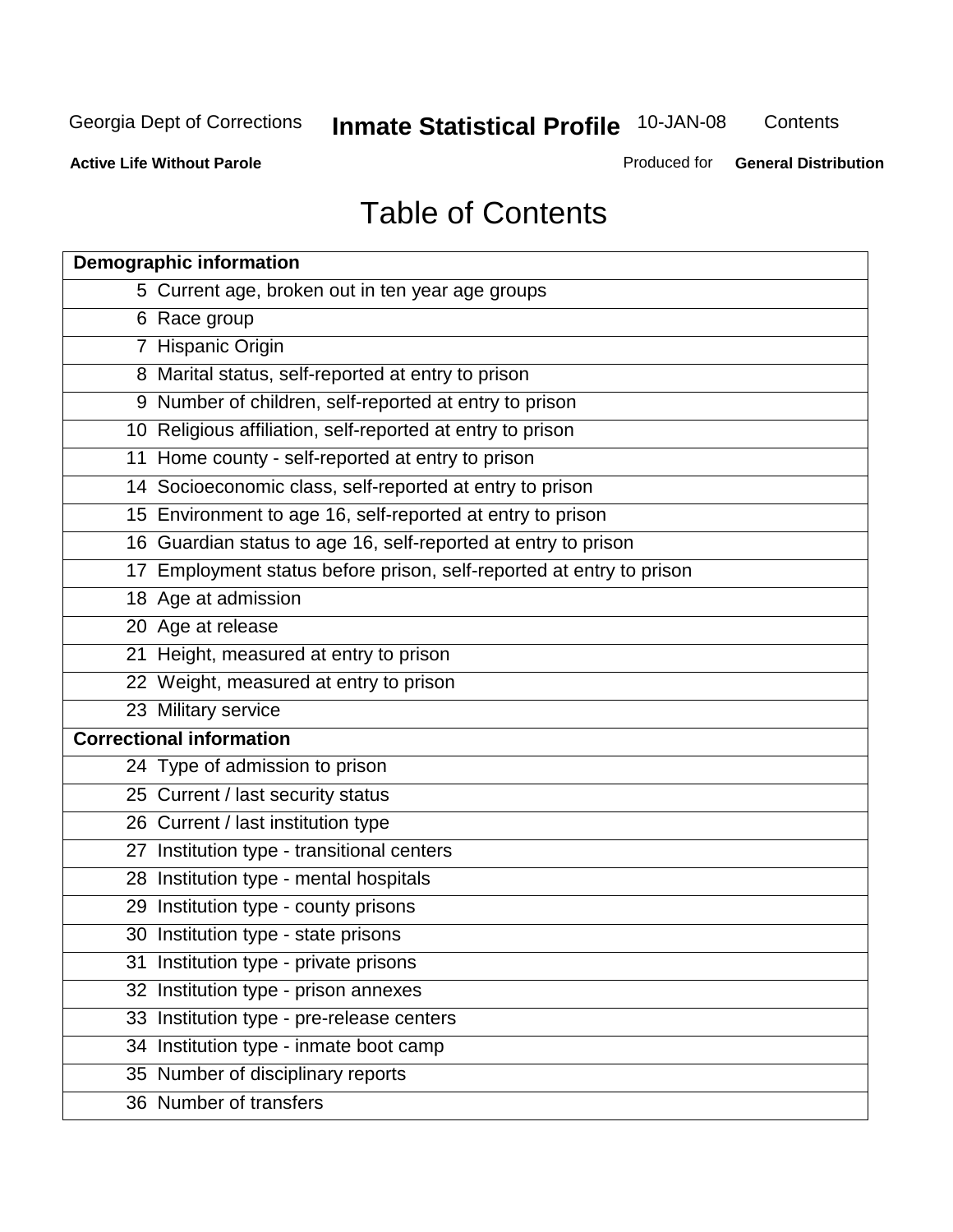**Contents** 

**Active Life Without Parole** 

Produced for **General Distribution**

# Table of Contents

| <b>Demographic information</b>                                       |
|----------------------------------------------------------------------|
| 5 Current age, broken out in ten year age groups                     |
| 6 Race group                                                         |
| 7 Hispanic Origin                                                    |
| 8 Marital status, self-reported at entry to prison                   |
| 9 Number of children, self-reported at entry to prison               |
| 10 Religious affiliation, self-reported at entry to prison           |
| 11 Home county - self-reported at entry to prison                    |
| 14 Socioeconomic class, self-reported at entry to prison             |
| 15 Environment to age 16, self-reported at entry to prison           |
| 16 Guardian status to age 16, self-reported at entry to prison       |
| 17 Employment status before prison, self-reported at entry to prison |
| 18 Age at admission                                                  |
| 20 Age at release                                                    |
| 21 Height, measured at entry to prison                               |
| 22 Weight, measured at entry to prison                               |
| 23 Military service                                                  |
| <b>Correctional information</b>                                      |
| 24 Type of admission to prison                                       |
| 25 Current / last security status                                    |
| 26 Current / last institution type                                   |
| 27 Institution type - transitional centers                           |
| 28 Institution type - mental hospitals                               |
| 29 Institution type - county prisons                                 |
| 30 Institution type - state prisons                                  |
| 31 Institution type - private prisons                                |
| 32 Institution type - prison annexes                                 |
| 33 Institution type - pre-release centers                            |
| 34 Institution type - inmate boot camp                               |
| 35 Number of disciplinary reports                                    |
| 36 Number of transfers                                               |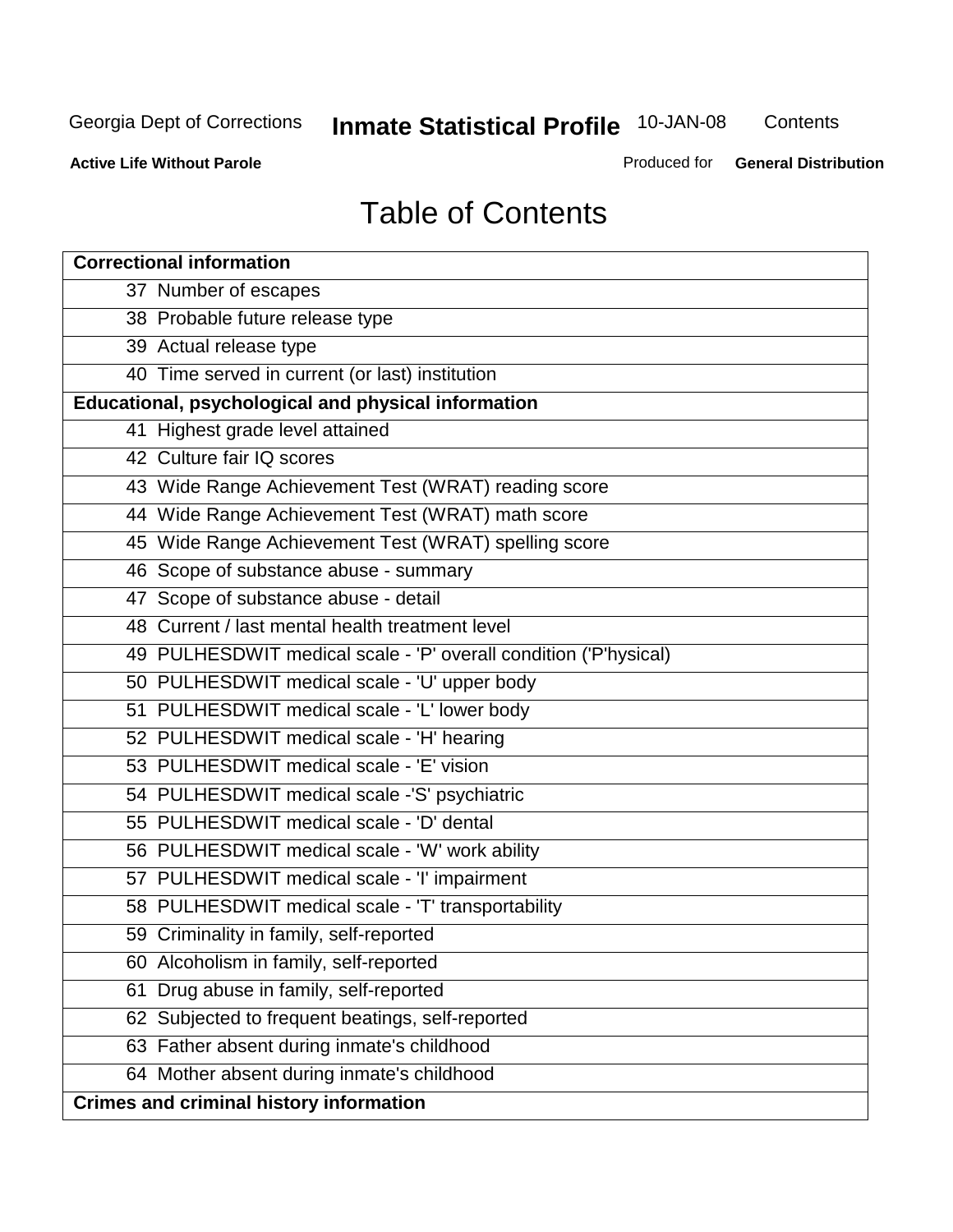**Contents** 

**Active Life Without Parole** 

Produced for **General Distribution**

# Table of Contents

| <b>Correctional information</b>                                  |
|------------------------------------------------------------------|
| 37 Number of escapes                                             |
| 38 Probable future release type                                  |
| 39 Actual release type                                           |
| 40 Time served in current (or last) institution                  |
| Educational, psychological and physical information              |
| 41 Highest grade level attained                                  |
| 42 Culture fair IQ scores                                        |
| 43 Wide Range Achievement Test (WRAT) reading score              |
| 44 Wide Range Achievement Test (WRAT) math score                 |
| 45 Wide Range Achievement Test (WRAT) spelling score             |
| 46 Scope of substance abuse - summary                            |
| 47 Scope of substance abuse - detail                             |
| 48 Current / last mental health treatment level                  |
| 49 PULHESDWIT medical scale - 'P' overall condition ('P'hysical) |
| 50 PULHESDWIT medical scale - 'U' upper body                     |
| 51 PULHESDWIT medical scale - 'L' lower body                     |
| 52 PULHESDWIT medical scale - 'H' hearing                        |
| 53 PULHESDWIT medical scale - 'E' vision                         |
| 54 PULHESDWIT medical scale -'S' psychiatric                     |
| 55 PULHESDWIT medical scale - 'D' dental                         |
| 56 PULHESDWIT medical scale - 'W' work ability                   |
| 57 PULHESDWIT medical scale - 'I' impairment                     |
| 58 PULHESDWIT medical scale - 'T' transportability               |
| 59 Criminality in family, self-reported                          |
| 60 Alcoholism in family, self-reported                           |
| Drug abuse in family, self-reported<br>61                        |
| 62 Subjected to frequent beatings, self-reported                 |
| 63 Father absent during inmate's childhood                       |
| 64 Mother absent during inmate's childhood                       |
| <b>Crimes and criminal history information</b>                   |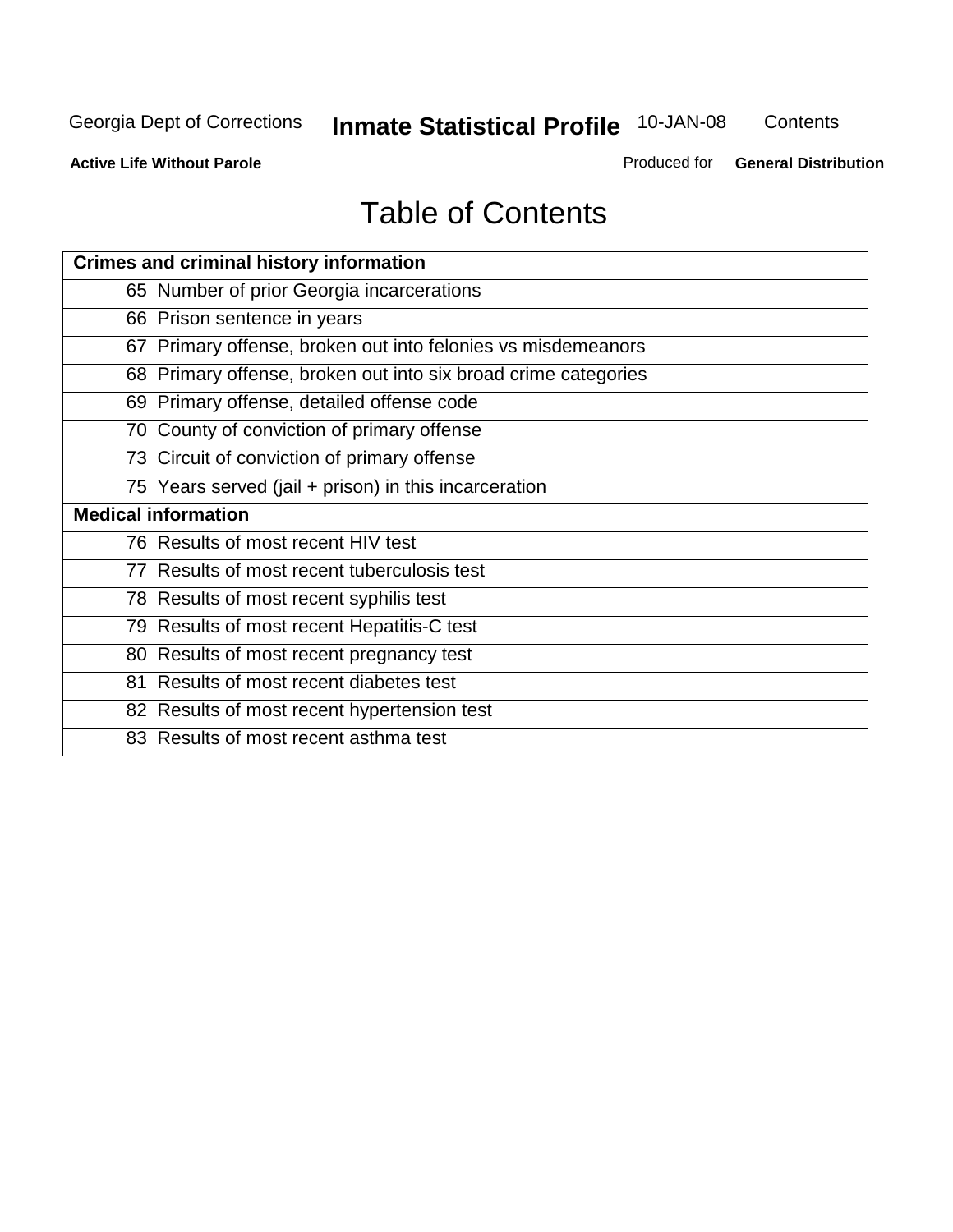**Contents** 

**Active Life Without Parole** 

Produced for **General Distribution**

# Table of Contents

| <b>Crimes and criminal history information</b>                 |
|----------------------------------------------------------------|
| 65 Number of prior Georgia incarcerations                      |
| 66 Prison sentence in years                                    |
| 67 Primary offense, broken out into felonies vs misdemeanors   |
| 68 Primary offense, broken out into six broad crime categories |
| 69 Primary offense, detailed offense code                      |
| 70 County of conviction of primary offense                     |
| 73 Circuit of conviction of primary offense                    |
| 75 Years served (jail + prison) in this incarceration          |
| <b>Medical information</b>                                     |
|                                                                |
| 76 Results of most recent HIV test                             |
| 77 Results of most recent tuberculosis test                    |
| 78 Results of most recent syphilis test                        |
| 79 Results of most recent Hepatitis-C test                     |
| 80 Results of most recent pregnancy test                       |
| 81 Results of most recent diabetes test                        |
| 82 Results of most recent hypertension test                    |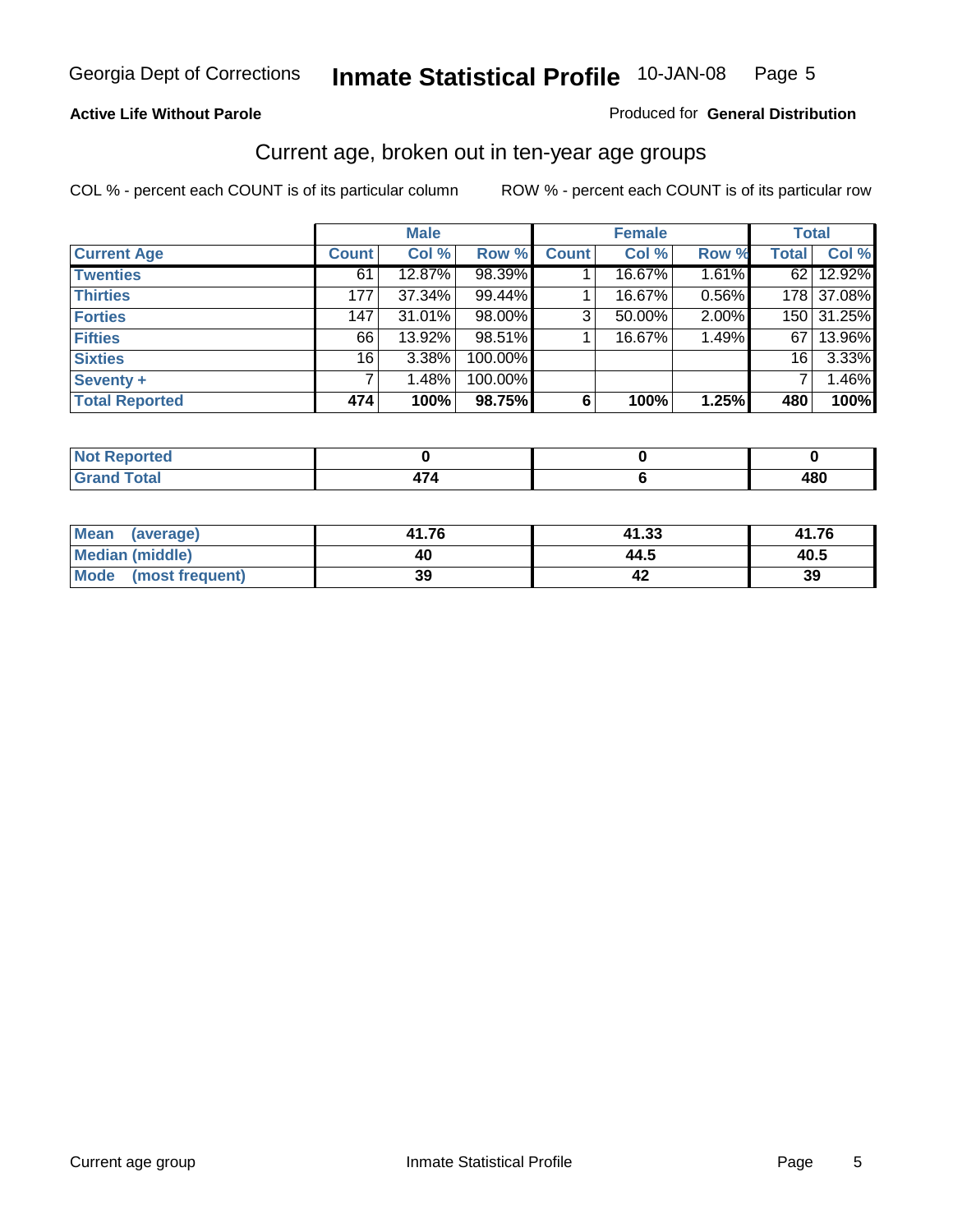#### **Active Life Without Parole**

#### Produced for **General Distribution**

#### Current age, broken out in ten-year age groups

|                       |              | <b>Male</b> |         |              | <b>Female</b> |       |                 | <b>Total</b> |
|-----------------------|--------------|-------------|---------|--------------|---------------|-------|-----------------|--------------|
| <b>Current Age</b>    | <b>Count</b> | Col %       | Row %   | <b>Count</b> | Col %         | Row % | <b>Total</b>    | Col %        |
| <b>Twenties</b>       | 61           | 12.87%      | 98.39%  |              | 16.67%        | 1.61% |                 | 62 12.92%    |
| <b>Thirties</b>       | 177          | 37.34%      | 99.44%  |              | 16.67%        | 0.56% |                 | 178 37.08%   |
| <b>Forties</b>        | 147          | 31.01%      | 98.00%  | 3            | 50.00%        | 2.00% |                 | 150 31.25%   |
| <b>Fifties</b>        | 66           | 13.92%      | 98.51%  |              | 16.67%        | 1.49% | 67              | 13.96%       |
| <b>Sixties</b>        | 16           | 3.38%       | 100.00% |              |               |       | 16 <sup>1</sup> | 3.33%        |
| <b>Seventy +</b>      |              | 1.48%       | 100.00% |              |               |       |                 | 1.46%        |
| <b>Total Reported</b> | 474          | 100%        | 98.75%  | 6            | 100%          | 1.25% | 480             | 100%         |

| <b>Not Reported</b> |                                 |            |
|---------------------|---------------------------------|------------|
| <b>Grand Total</b>  | $\overline{\phantom{a}}$<br>. . | ៱៱៱<br>40v |

| Mean (average)       | 41.76 | 41.33 | 41.76 |
|----------------------|-------|-------|-------|
| Median (middle)      | 40    | 44.5  | 40.5  |
| Mode (most frequent) | 39    |       | 39    |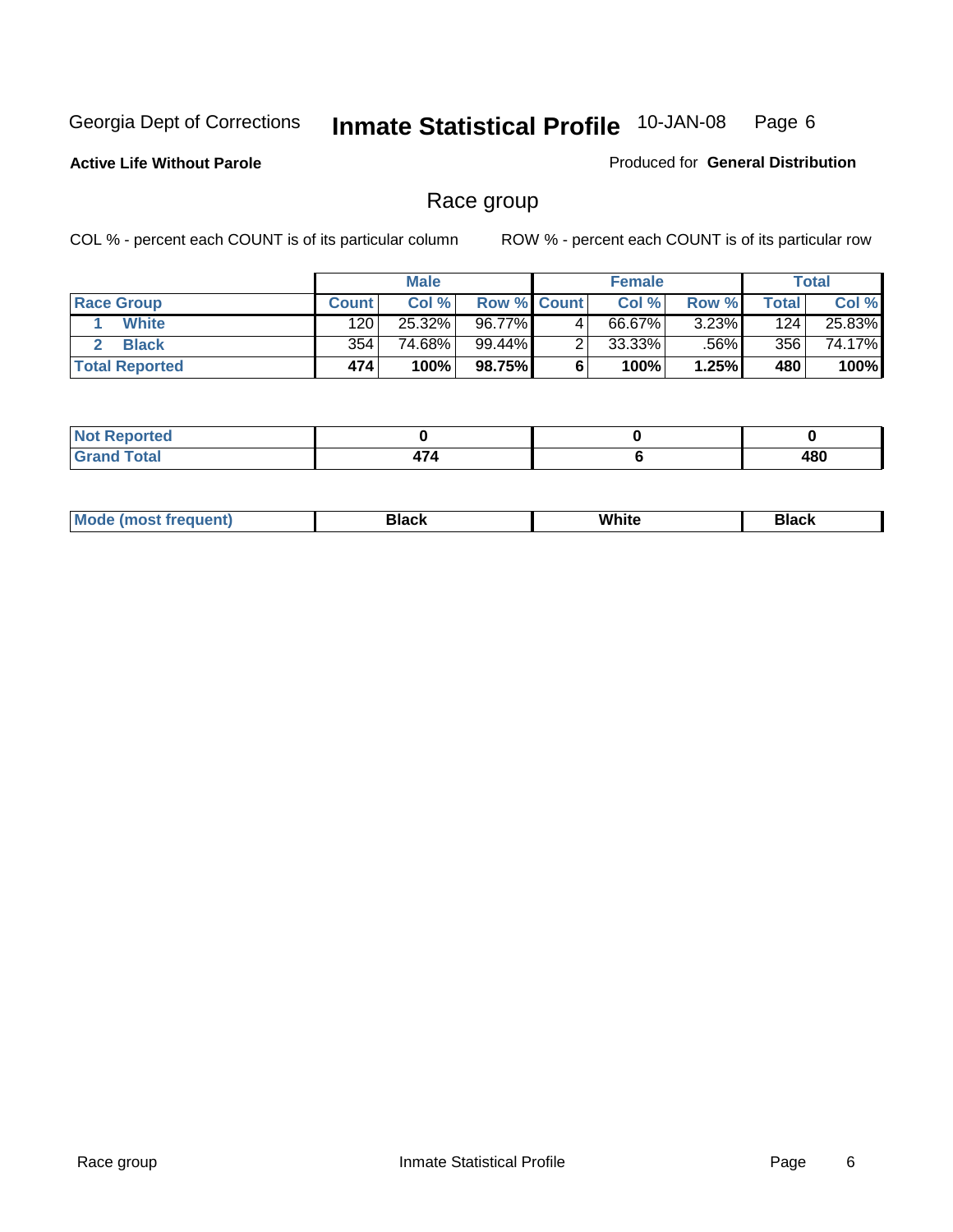**Active Life Without Parole** 

Produced for **General Distribution**

#### Race group

|                       |              | <b>Male</b> |             | <b>Female</b> |       |       | Total  |
|-----------------------|--------------|-------------|-------------|---------------|-------|-------|--------|
| <b>Race Group</b>     | <b>Count</b> | Col %       | Row % Count | Col %         | Row % | Total | Col %  |
| <b>White</b>          | 120          | 25.32%      | 96.77%      | 66.67%        | 3.23% | 124   | 25.83% |
| <b>Black</b>          | 354          | 74.68%      | 99.44%      | $33.33\%$     | .56%  | 356   | 74.17% |
| <b>Total Reported</b> | 474          | 100%        | 98.75%      | 100%          | 1.25% | 480   | 100%   |

| <b>rted</b><br>N |                    |           |
|------------------|--------------------|-----------|
| Total            | $\rightarrow$<br>. | 480<br>__ |

| $^1$ Mo. | Rlack | White | 3lack |
|----------|-------|-------|-------|
| .        |       |       |       |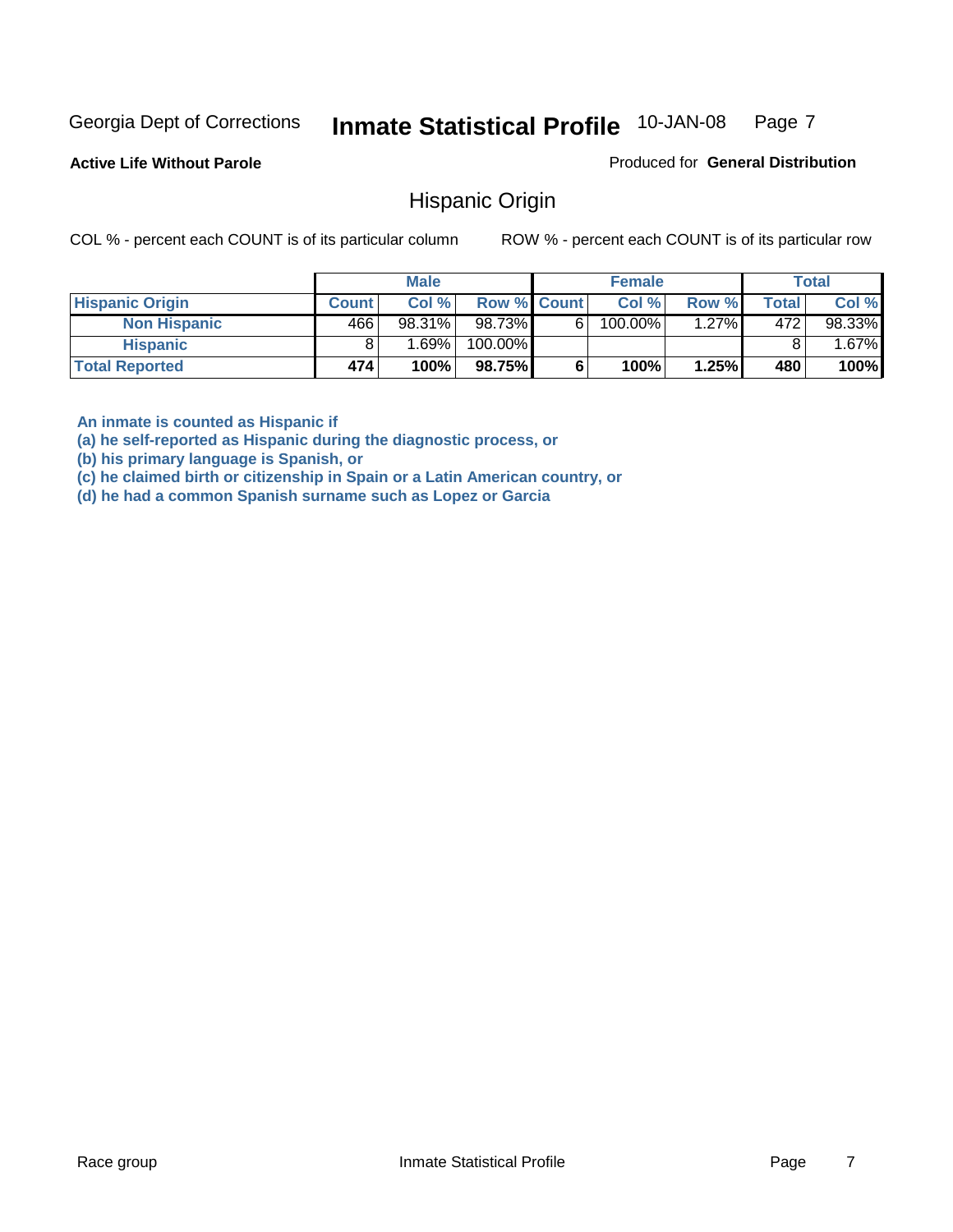**Active Life Without Parole** 

Produced for **General Distribution**

#### Hispanic Origin

COL % - percent each COUNT is of its particular column ROW % - percent each COUNT is of its particular row

|                        |              | <b>Male</b> |                    |    | <b>Female</b> |       |              | <b>Total</b> |
|------------------------|--------------|-------------|--------------------|----|---------------|-------|--------------|--------------|
| <b>Hispanic Origin</b> | <b>Count</b> | Col %       | <b>Row % Count</b> |    | Col %         | Row % | <b>Total</b> | Col %        |
| <b>Non Hispanic</b>    | 466          | 98.31%      | 98.73%             | 61 | $100.00\%$    | 1.27% | 472          | 98.33%       |
| <b>Hispanic</b>        |              | 1.69% l     | 100.00%            |    |               |       |              | $.67\%$      |
| <b>Total Reported</b>  | 474          | 100%        | 98.75%             |    | 100%          | 1.25% | 480          | 100%         |

**An inmate is counted as Hispanic if** 

**(a) he self-reported as Hispanic during the diagnostic process, or** 

**(b) his primary language is Spanish, or** 

**(c) he claimed birth or citizenship in Spain or a Latin American country, or** 

**(d) he had a common Spanish surname such as Lopez or Garcia**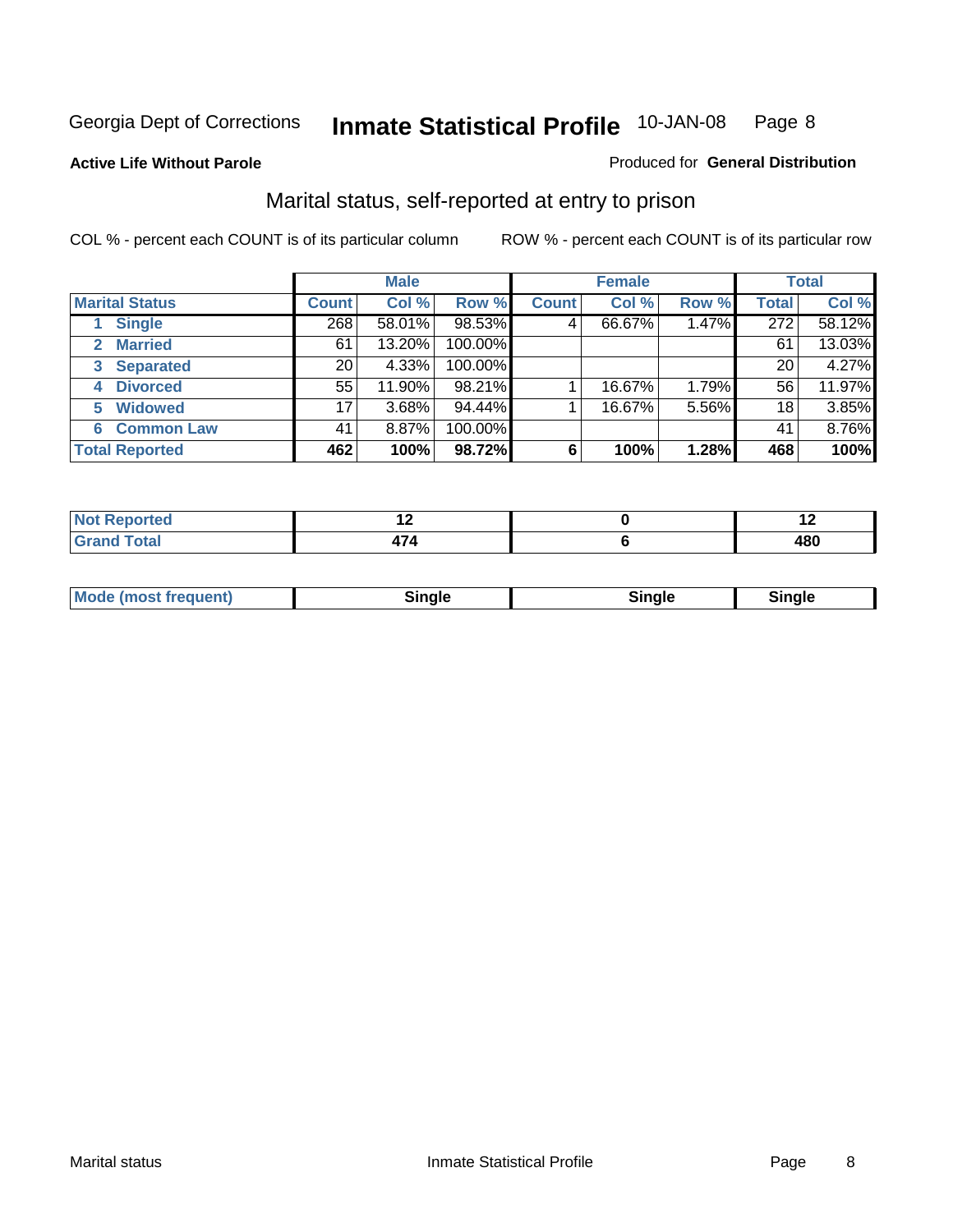#### **Active Life Without Parole**

#### Produced for **General Distribution**

#### Marital status, self-reported at entry to prison

|                                  | <b>Male</b>  |        |         | <b>Female</b> |        |       | <b>Total</b> |        |
|----------------------------------|--------------|--------|---------|---------------|--------|-------|--------------|--------|
| <b>Marital Status</b>            | <b>Count</b> | Col %  | Row %   | <b>Count</b>  | Col %  | Row % | <b>Total</b> | Col %  |
| <b>Single</b>                    | 268          | 58.01% | 98.53%  | 4'            | 66.67% | 1.47% | 272          | 58.12% |
| <b>Married</b><br>$\overline{2}$ | 61           | 13.20% | 100.00% |               |        |       | 61           | 13.03% |
| <b>Separated</b><br>3            | 20           | 4.33%  | 100.00% |               |        |       | 20           | 4.27%  |
| <b>Divorced</b><br>4             | 55           | 11.90% | 98.21%  |               | 16.67% | 1.79% | 56           | 11.97% |
| <b>Widowed</b><br>5              | 17           | 3.68%  | 94.44%  |               | 16.67% | 5.56% | 18           | 3.85%  |
| <b>Common Law</b><br>6           | 41           | 8.87%  | 100.00% |               |        |       | 41           | 8.76%  |
| <b>Total Reported</b>            | 462          | 100%   | 98.72%  | 6             | 100%   | 1.28% | 468          | 100%   |

| $\sim$ |     | $\sim$     |
|--------|-----|------------|
|        | . . | 101<br>- - |

|  | Moc<br>: (most frequent) | ли |  | <b>Rinale</b> |
|--|--------------------------|----|--|---------------|
|--|--------------------------|----|--|---------------|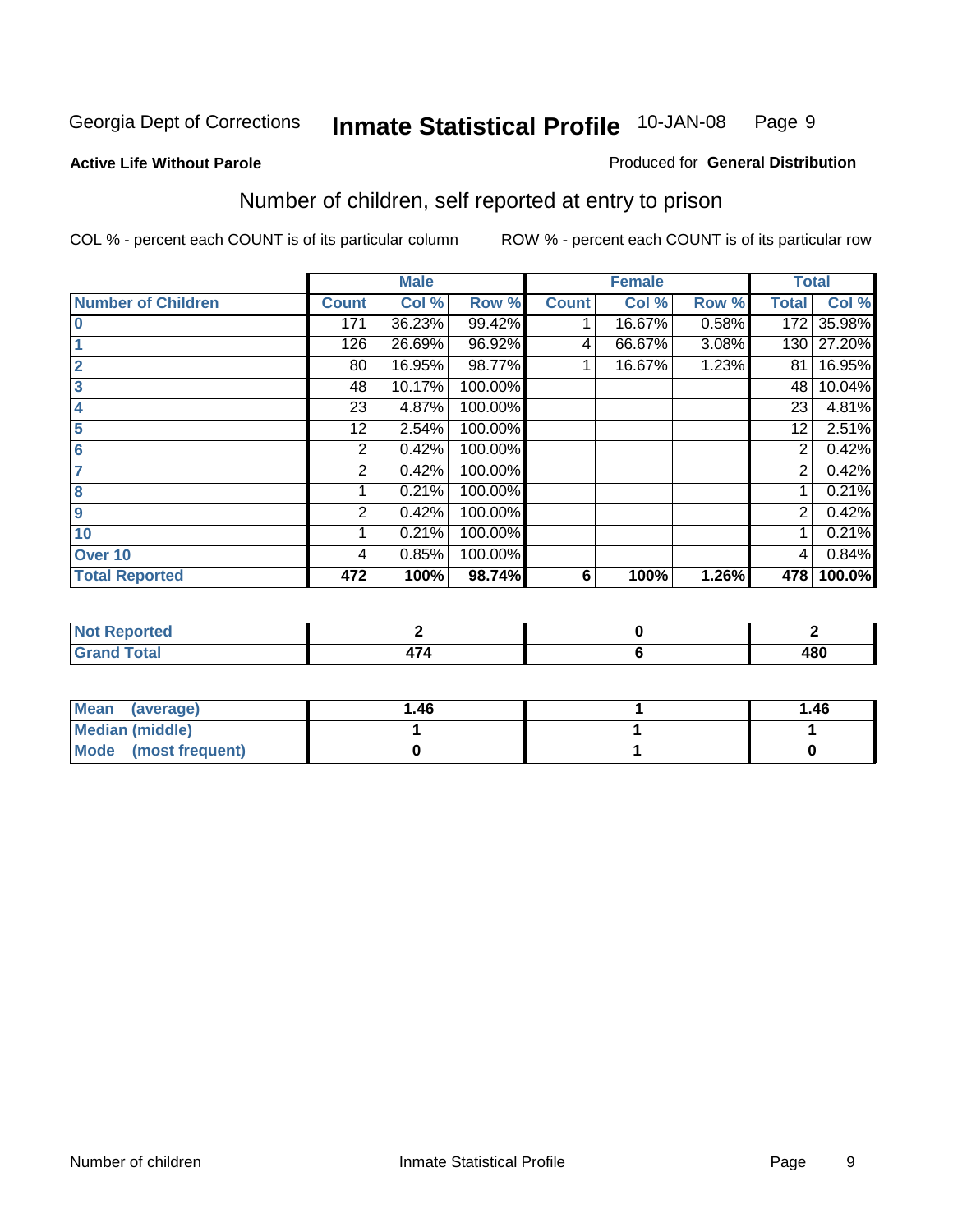#### **Active Life Without Parole**

#### Produced for **General Distribution**

### Number of children, self reported at entry to prison

|                           |              | <b>Male</b> |         |              | <b>Female</b> |       |              | <b>Total</b> |
|---------------------------|--------------|-------------|---------|--------------|---------------|-------|--------------|--------------|
| <b>Number of Children</b> | <b>Count</b> | Col %       | Row %   | <b>Count</b> | Col %         | Row % | <b>Total</b> | Col %        |
| $\bf{0}$                  | 171          | 36.23%      | 99.42%  |              | 16.67%        | 0.58% | 172          | 35.98%       |
|                           | 126          | 26.69%      | 96.92%  | 4            | 66.67%        | 3.08% | 130          | 27.20%       |
| $\overline{2}$            | 80           | 16.95%      | 98.77%  |              | 16.67%        | 1.23% | 81           | 16.95%       |
| 3                         | 48           | 10.17%      | 100.00% |              |               |       | 48           | 10.04%       |
| 4                         | 23           | 4.87%       | 100.00% |              |               |       | 23           | 4.81%        |
| 5                         | 12           | 2.54%       | 100.00% |              |               |       | 12           | 2.51%        |
| $6\phantom{a}$            | 2            | 0.42%       | 100.00% |              |               |       | 2            | 0.42%        |
|                           | 2            | 0.42%       | 100.00% |              |               |       | 2            | 0.42%        |
| 8                         |              | 0.21%       | 100.00% |              |               |       |              | 0.21%        |
| 9                         | 2            | 0.42%       | 100.00% |              |               |       | 2            | 0.42%        |
| 10                        |              | 0.21%       | 100.00% |              |               |       |              | 0.21%        |
| Over 10                   | 4            | 0.85%       | 100.00% |              |               |       | 4            | 0.84%        |
| <b>Total Reported</b>     | 472          | 100%        | 98.74%  | 6            | 100%          | 1.26% | 478          | 100.0%       |

| and an a<br>rtea<br>w<br>.<br>$\cdots$ |                          |           |
|----------------------------------------|--------------------------|-----------|
| $\sqrt{T}A^T$<br><b>Utal</b><br>---    | $\overline{\phantom{a}}$ | 400<br>טי |

| <b>Mean</b><br>(average) | 1.46 | 1.46 |
|--------------------------|------|------|
| Median (middle)          |      |      |
| Mode (most frequent)     |      |      |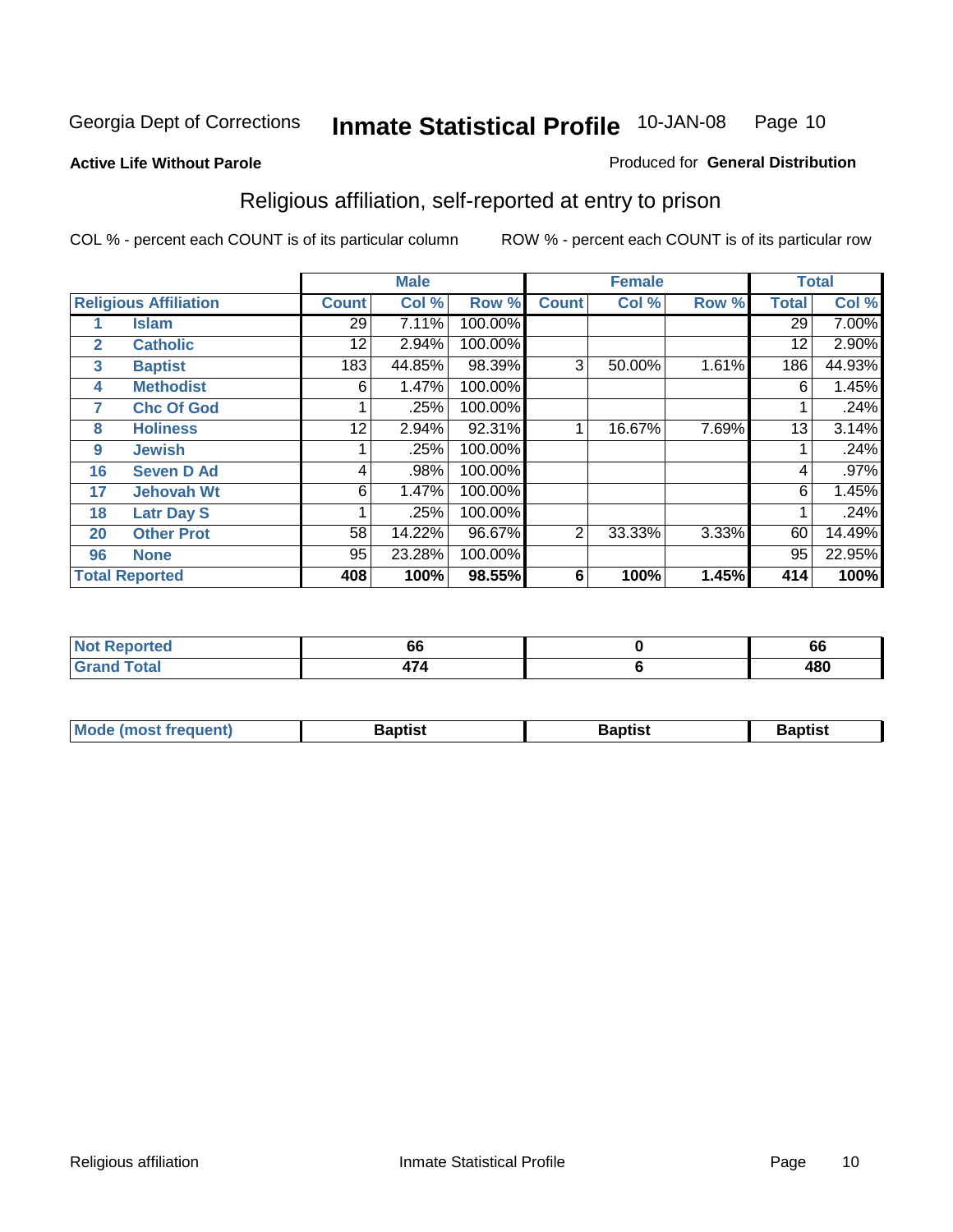#### **Active Life Without Parole**

#### Produced for **General Distribution**

### Religious affiliation, self-reported at entry to prison

|              |                              |              | <b>Male</b> |         |              | <b>Female</b> |       |              | <b>Total</b> |
|--------------|------------------------------|--------------|-------------|---------|--------------|---------------|-------|--------------|--------------|
|              | <b>Religious Affiliation</b> | <b>Count</b> | Col %       | Row %   | <b>Count</b> | Col %         | Row % | <b>Total</b> | Col %        |
|              | <b>Islam</b>                 | 29           | 7.11%       | 100.00% |              |               |       | 29           | $7.00\%$     |
| $\mathbf{2}$ | <b>Catholic</b>              | 12           | 2.94%       | 100.00% |              |               |       | 12           | 2.90%        |
| 3            | <b>Baptist</b>               | 183          | 44.85%      | 98.39%  | 3            | 50.00%        | 1.61% | 186          | 44.93%       |
| 4            | <b>Methodist</b>             | 6            | 1.47%       | 100.00% |              |               |       | 6            | 1.45%        |
| 7            | <b>Chc Of God</b>            |              | .25%        | 100.00% |              |               |       |              | .24%         |
| 8            | <b>Holiness</b>              | 12           | 2.94%       | 92.31%  |              | 16.67%        | 7.69% | 13           | 3.14%        |
| 9            | <b>Jewish</b>                |              | .25%        | 100.00% |              |               |       |              | .24%         |
| 16           | <b>Seven D Ad</b>            | 4            | .98%        | 100.00% |              |               |       | 4            | .97%         |
| 17           | <b>Jehovah Wt</b>            | 6            | 1.47%       | 100.00% |              |               |       | 6            | 1.45%        |
| 18           | <b>Latr Day S</b>            |              | .25%        | 100.00% |              |               |       |              | .24%         |
| 20           | <b>Other Prot</b>            | 58           | 14.22%      | 96.67%  | 2            | 33.33%        | 3.33% | 60           | 14.49%       |
| 96           | <b>None</b>                  | 95           | 23.28%      | 100.00% |              |               |       | 95           | 22.95%       |
|              | <b>Total Reported</b>        | 408          | 100%        | 98.55%  | 6            | 100%          | 1.45% | 414          | 100%         |

| τeα |   | $\ddot{\phantom{m}}$<br>юp |
|-----|---|----------------------------|
|     | - | ៱៰៱<br>40V                 |

| ' Mo<br>went | <b>}aptist</b> | Baptist<br>$ -$ | <b>Baptist</b> |
|--------------|----------------|-----------------|----------------|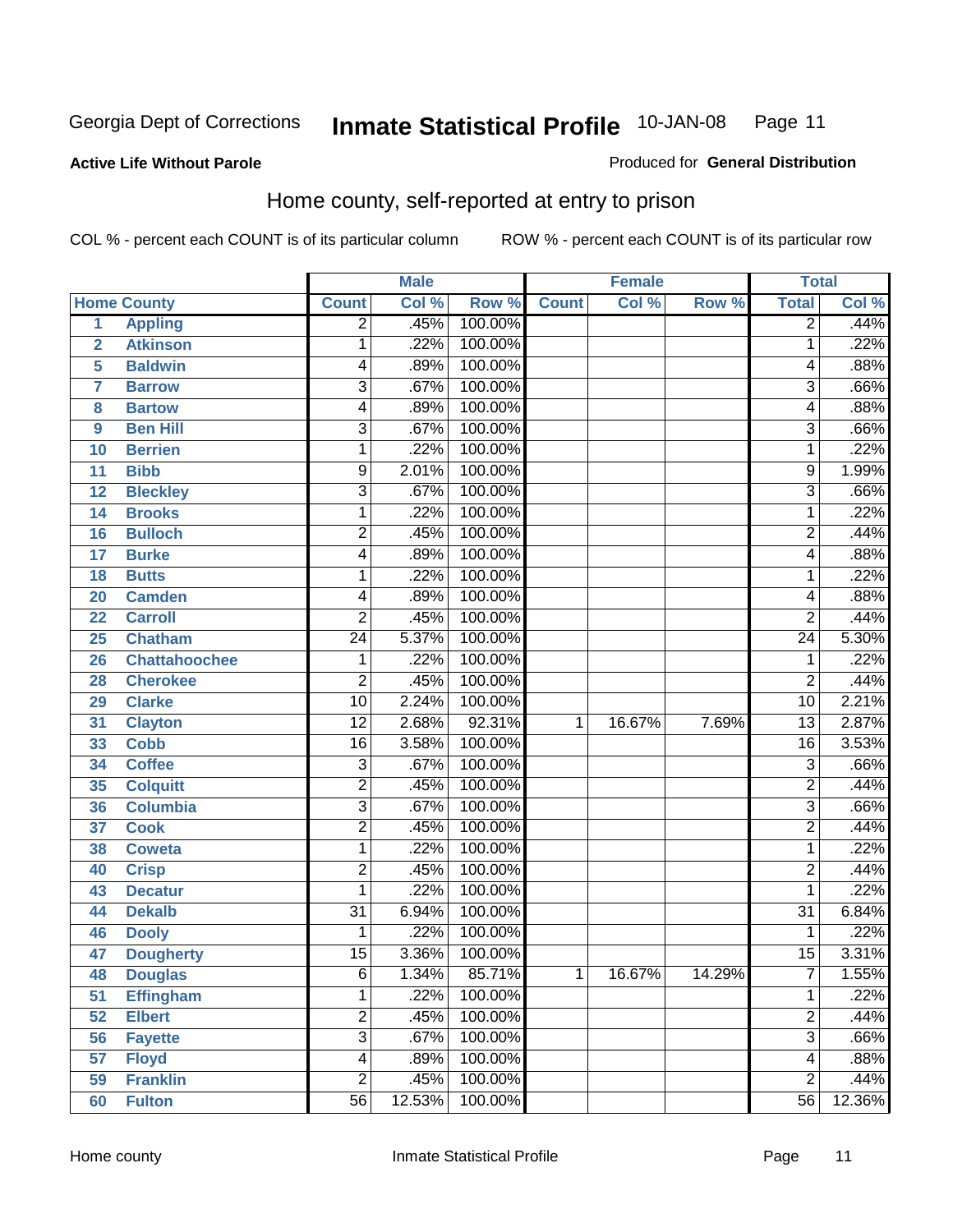Produced for **General Distribution**

#### **Active Life Without Parole**

#### Home county, self-reported at entry to prison

|                |                      |                 | <b>Male</b> |         |              | <b>Female</b> |        | <b>Total</b>    |        |
|----------------|----------------------|-----------------|-------------|---------|--------------|---------------|--------|-----------------|--------|
|                | <b>Home County</b>   | <b>Count</b>    | Col %       | Row %   | <b>Count</b> | Col %         | Row %  | <b>Total</b>    | Col %  |
| $\overline{1}$ | <b>Appling</b>       | $\overline{2}$  | .45%        | 100.00% |              |               |        | $\overline{2}$  | .44%   |
| $\overline{2}$ | <b>Atkinson</b>      | 1               | .22%        | 100.00% |              |               |        | 1               | .22%   |
| 5              | <b>Baldwin</b>       | 4               | .89%        | 100.00% |              |               |        | 4               | .88%   |
| 7              | <b>Barrow</b>        | 3               | .67%        | 100.00% |              |               |        | 3               | .66%   |
| 8              | <b>Bartow</b>        | 4               | .89%        | 100.00% |              |               |        | 4               | .88%   |
| 9              | <b>Ben Hill</b>      | 3               | .67%        | 100.00% |              |               |        | $\overline{3}$  | .66%   |
| 10             | <b>Berrien</b>       | 1               | .22%        | 100.00% |              |               |        | 1               | .22%   |
| 11             | <b>Bibb</b>          | 9               | 2.01%       | 100.00% |              |               |        | 9               | 1.99%  |
| 12             | <b>Bleckley</b>      | 3               | .67%        | 100.00% |              |               |        | 3               | .66%   |
| 14             | <b>Brooks</b>        | 1               | .22%        | 100.00% |              |               |        | 1               | .22%   |
| 16             | <b>Bulloch</b>       | 2               | .45%        | 100.00% |              |               |        | $\overline{c}$  | .44%   |
| 17             | <b>Burke</b>         | 4               | .89%        | 100.00% |              |               |        | 4               | .88%   |
| 18             | <b>Butts</b>         | 1               | .22%        | 100.00% |              |               |        | 1               | .22%   |
| 20             | <b>Camden</b>        | 4               | .89%        | 100.00% |              |               |        | 4               | .88%   |
| 22             | <b>Carroll</b>       | 2               | .45%        | 100.00% |              |               |        | $\overline{2}$  | .44%   |
| 25             | <b>Chatham</b>       | 24              | 5.37%       | 100.00% |              |               |        | 24              | 5.30%  |
| 26             | <b>Chattahoochee</b> | 1               | .22%        | 100.00% |              |               |        | 1               | .22%   |
| 28             | <b>Cherokee</b>      | $\overline{2}$  | .45%        | 100.00% |              |               |        | $\overline{2}$  | .44%   |
| 29             | <b>Clarke</b>        | $\overline{10}$ | 2.24%       | 100.00% |              |               |        | $\overline{10}$ | 2.21%  |
| 31             | <b>Clayton</b>       | $\overline{12}$ | 2.68%       | 92.31%  | 1            | 16.67%        | 7.69%  | 13              | 2.87%  |
| 33             | <b>Cobb</b>          | $\overline{16}$ | 3.58%       | 100.00% |              |               |        | $\overline{16}$ | 3.53%  |
| 34             | <b>Coffee</b>        | 3               | .67%        | 100.00% |              |               |        | 3               | .66%   |
| 35             | <b>Colquitt</b>      | $\overline{2}$  | .45%        | 100.00% |              |               |        | $\overline{2}$  | .44%   |
| 36             | <b>Columbia</b>      | $\overline{3}$  | .67%        | 100.00% |              |               |        | 3               | .66%   |
| 37             | <b>Cook</b>          | $\overline{2}$  | .45%        | 100.00% |              |               |        | $\overline{2}$  | .44%   |
| 38             | <b>Coweta</b>        | 1               | .22%        | 100.00% |              |               |        | 1               | .22%   |
| 40             | <b>Crisp</b>         | $\overline{c}$  | .45%        | 100.00% |              |               |        | $\overline{2}$  | .44%   |
| 43             | <b>Decatur</b>       | 1               | .22%        | 100.00% |              |               |        | 1               | .22%   |
| 44             | <b>Dekalb</b>        | $\overline{31}$ | 6.94%       | 100.00% |              |               |        | $\overline{31}$ | 6.84%  |
| 46             | <b>Dooly</b>         | 1               | .22%        | 100.00% |              |               |        | 1               | .22%   |
| 47             | <b>Dougherty</b>     | $\overline{15}$ | 3.36%       | 100.00% |              |               |        | $\overline{15}$ | 3.31%  |
| 48             | <b>Douglas</b>       | 6               | 1.34%       | 85.71%  | 1            | 16.67%        | 14.29% | ſ               | 1.55%  |
| 51             | <b>Effingham</b>     | $\mathbf{1}$    | .22%        | 100.00% |              |               |        | 1               | .22%   |
| 52             | <b>Elbert</b>        | $\overline{2}$  | .45%        | 100.00% |              |               |        | 2               | .44%   |
| 56             | <b>Fayette</b>       | $\overline{3}$  | .67%        | 100.00% |              |               |        | $\overline{3}$  | .66%   |
| 57             | <b>Floyd</b>         | 4               | .89%        | 100.00% |              |               |        | 4               | .88%   |
| 59             | <b>Franklin</b>      | $\overline{2}$  | .45%        | 100.00% |              |               |        | $\overline{2}$  | .44%   |
| 60             | <b>Fulton</b>        | $\overline{56}$ | 12.53%      | 100.00% |              |               |        | 56              | 12.36% |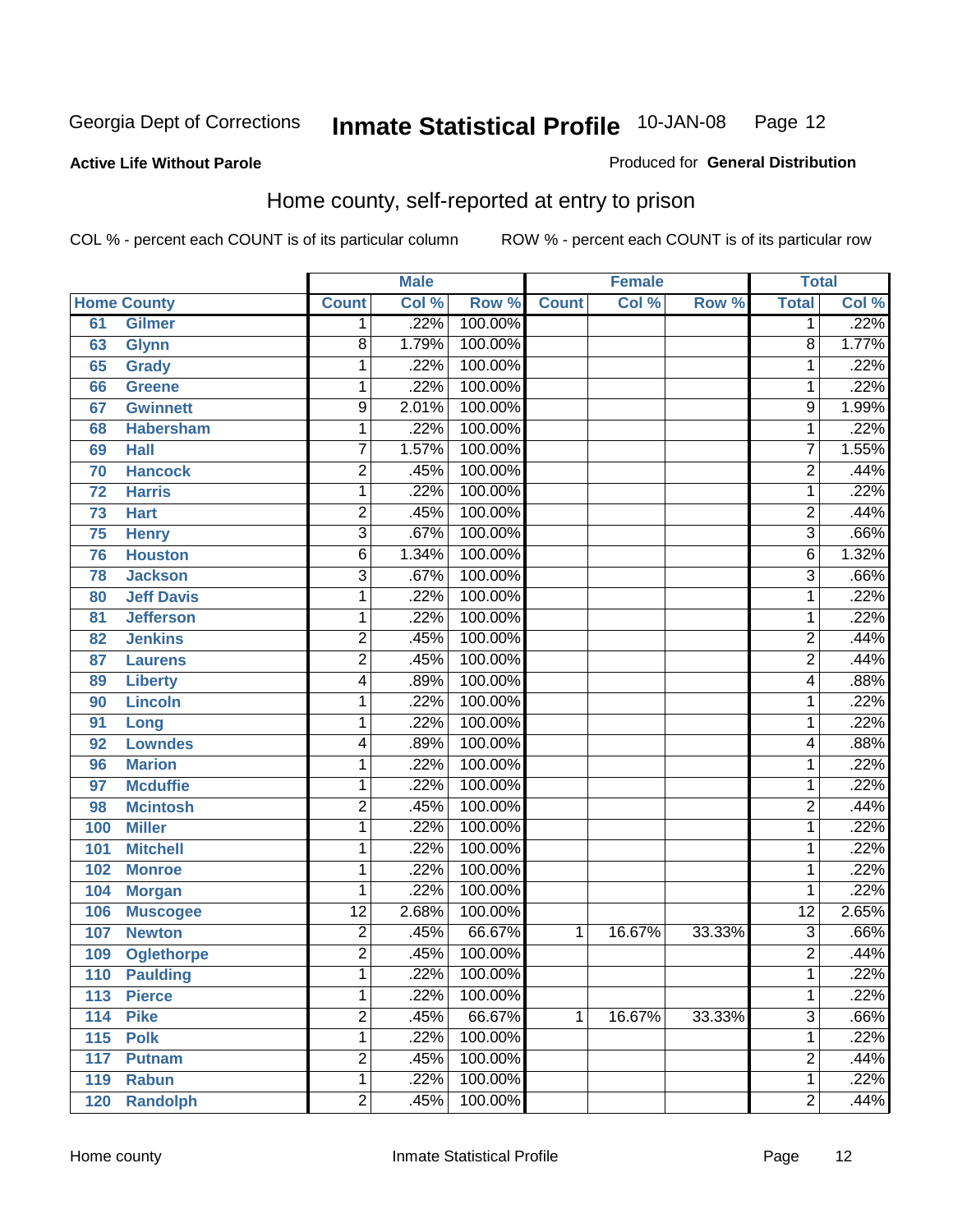#### **Active Life Without Parole**

#### Produced for **General Distribution**

#### Home county, self-reported at entry to prison

|     |                    |                 | <b>Male</b> |         |              | <b>Female</b> |        | <b>Total</b>            |       |
|-----|--------------------|-----------------|-------------|---------|--------------|---------------|--------|-------------------------|-------|
|     | <b>Home County</b> | <b>Count</b>    | Col %       | Row %   | <b>Count</b> | Col %         | Row %  | <b>Total</b>            | Col % |
| 61  | <b>Gilmer</b>      | 1               | .22%        | 100.00% |              |               |        | 1                       | .22%  |
| 63  | <b>Glynn</b>       | 8               | 1.79%       | 100.00% |              |               |        | 8                       | 1.77% |
| 65  | <b>Grady</b>       | 1               | .22%        | 100.00% |              |               |        | 1                       | .22%  |
| 66  | <b>Greene</b>      | 1               | .22%        | 100.00% |              |               |        | 1                       | .22%  |
| 67  | <b>Gwinnett</b>    | $\overline{9}$  | 2.01%       | 100.00% |              |               |        | $\overline{9}$          | 1.99% |
| 68  | <b>Habersham</b>   | 1               | .22%        | 100.00% |              |               |        | 1                       | .22%  |
| 69  | <b>Hall</b>        | $\overline{7}$  | 1.57%       | 100.00% |              |               |        | $\overline{7}$          | 1.55% |
| 70  | <b>Hancock</b>     | 2               | .45%        | 100.00% |              |               |        | $\overline{2}$          | .44%  |
| 72  | <b>Harris</b>      | 1               | .22%        | 100.00% |              |               |        | 1                       | .22%  |
| 73  | <b>Hart</b>        | 2               | .45%        | 100.00% |              |               |        | $\overline{2}$          | .44%  |
| 75  | <b>Henry</b>       | $\overline{3}$  | .67%        | 100.00% |              |               |        | $\overline{\mathbf{3}}$ | .66%  |
| 76  | <b>Houston</b>     | 6               | 1.34%       | 100.00% |              |               |        | 6                       | 1.32% |
| 78  | <b>Jackson</b>     | $\overline{3}$  | .67%        | 100.00% |              |               |        | $\overline{3}$          | .66%  |
| 80  | <b>Jeff Davis</b>  | 1               | .22%        | 100.00% |              |               |        | 1                       | .22%  |
| 81  | <b>Jefferson</b>   | 1               | .22%        | 100.00% |              |               |        | 1                       | .22%  |
| 82  | <b>Jenkins</b>     | 2               | .45%        | 100.00% |              |               |        | $\overline{2}$          | .44%  |
| 87  | <b>Laurens</b>     | $\overline{2}$  | .45%        | 100.00% |              |               |        | $\overline{2}$          | .44%  |
| 89  | <b>Liberty</b>     | 4               | .89%        | 100.00% |              |               |        | 4                       | .88%  |
| 90  | <b>Lincoln</b>     | 1               | .22%        | 100.00% |              |               |        | 1                       | .22%  |
| 91  | Long               | 1               | .22%        | 100.00% |              |               |        | 1                       | .22%  |
| 92  | <b>Lowndes</b>     | 4               | .89%        | 100.00% |              |               |        | 4                       | .88%  |
| 96  | <b>Marion</b>      | 1               | .22%        | 100.00% |              |               |        | 1                       | .22%  |
| 97  | <b>Mcduffie</b>    | 1               | .22%        | 100.00% |              |               |        | 1                       | .22%  |
| 98  | <b>Mcintosh</b>    | 2               | .45%        | 100.00% |              |               |        | $\overline{2}$          | .44%  |
| 100 | <b>Miller</b>      | $\mathbf{1}$    | .22%        | 100.00% |              |               |        | 1                       | .22%  |
| 101 | <b>Mitchell</b>    | 1               | .22%        | 100.00% |              |               |        | 1                       | .22%  |
| 102 | <b>Monroe</b>      | 1               | .22%        | 100.00% |              |               |        | 1                       | .22%  |
| 104 | <b>Morgan</b>      | 1               | .22%        | 100.00% |              |               |        | 1                       | .22%  |
| 106 | <b>Muscogee</b>    | $\overline{12}$ | 2.68%       | 100.00% |              |               |        | $\overline{12}$         | 2.65% |
| 107 | <b>Newton</b>      | 2               | .45%        | 66.67%  | 1            | 16.67%        | 33.33% | $\overline{3}$          | .66%  |
| 109 | <b>Oglethorpe</b>  | $\overline{2}$  | .45%        | 100.00% |              |               |        | $\overline{2}$          | .44%  |
| 110 | <b>Paulding</b>    | 1               | .22%        | 100.00% |              |               |        | 1                       | .22%  |
| 113 | <b>Pierce</b>      | $\mathbf{1}$    | .22%        | 100.00% |              |               |        | 1                       | .22%  |
| 114 | <b>Pike</b>        | $\overline{2}$  | .45%        | 66.67%  | 1            | 16.67%        | 33.33% | $\overline{3}$          | .66%  |
| 115 | <b>Polk</b>        | $\mathbf 1$     | .22%        | 100.00% |              |               |        | 1                       | .22%  |
| 117 | <b>Putnam</b>      | $\overline{2}$  | .45%        | 100.00% |              |               |        | $\overline{2}$          | .44%  |
| 119 | <b>Rabun</b>       | 1               | .22%        | 100.00% |              |               |        | 1                       | .22%  |
| 120 | <b>Randolph</b>    | $\overline{2}$  | .45%        | 100.00% |              |               |        | $\overline{2}$          | .44%  |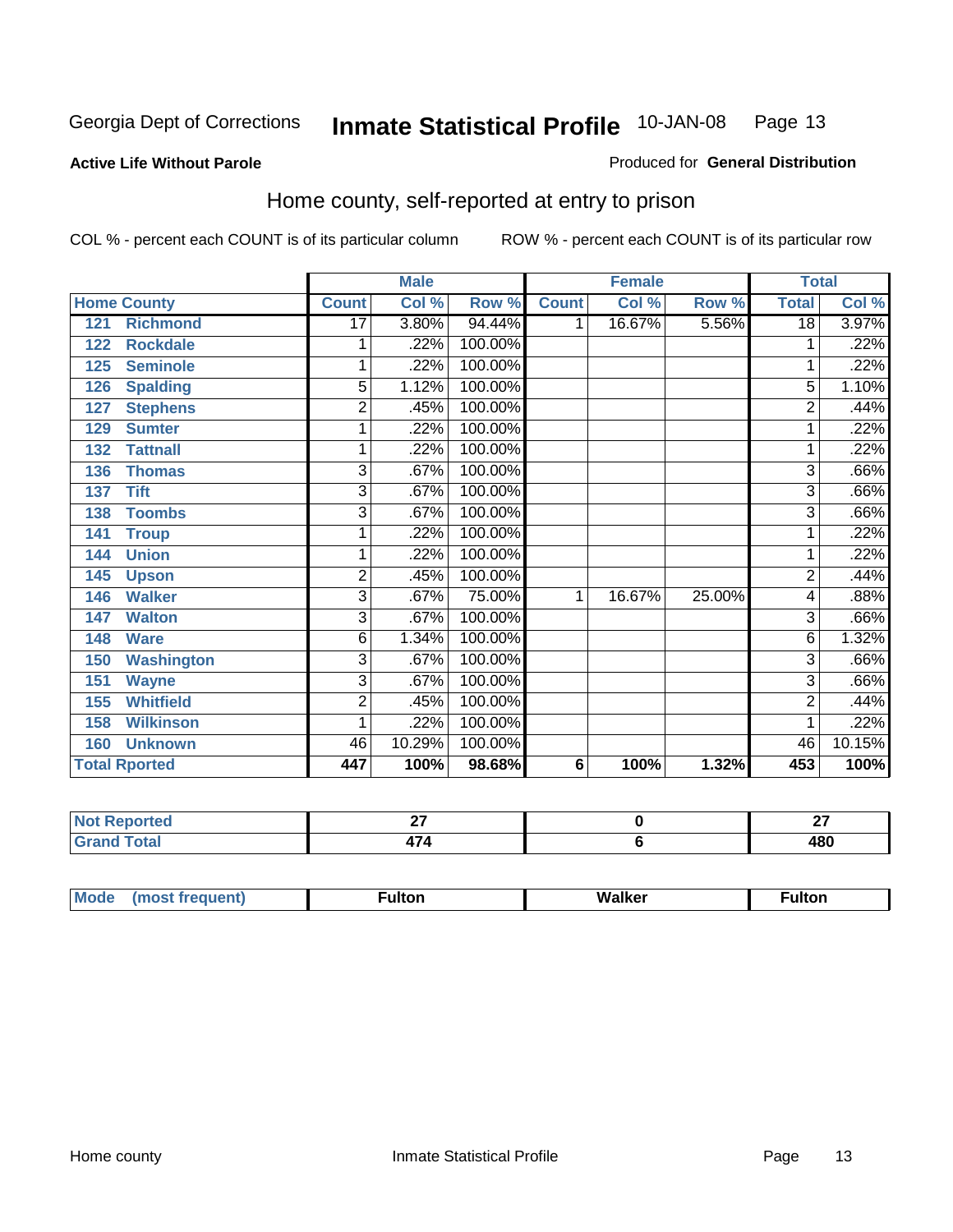#### **Active Life Without Parole**

#### Produced for **General Distribution**

#### Home county, self-reported at entry to prison

|                          |                         | <b>Male</b> |         |                 | <b>Female</b> |        | <b>Total</b>    |        |
|--------------------------|-------------------------|-------------|---------|-----------------|---------------|--------|-----------------|--------|
| <b>Home County</b>       | <b>Count</b>            | Col %       | Row %   | <b>Count</b>    | Col %         | Row %  | <b>Total</b>    | Col %  |
| <b>Richmond</b><br>121   | 17                      | 3.80%       | 94.44%  | 1               | 16.67%        | 5.56%  | $\overline{18}$ | 3.97%  |
| <b>Rockdale</b><br>122   | 1                       | .22%        | 100.00% |                 |               |        | 1               | .22%   |
| <b>Seminole</b><br>125   | 1                       | .22%        | 100.00% |                 |               |        | 1               | .22%   |
| <b>Spalding</b><br>126   | 5                       | 1.12%       | 100.00% |                 |               |        | 5               | 1.10%  |
| <b>Stephens</b><br>127   | $\overline{\mathbf{c}}$ | .45%        | 100.00% |                 |               |        | $\overline{2}$  | .44%   |
| 129<br><b>Sumter</b>     | 1                       | .22%        | 100.00% |                 |               |        | 1               | .22%   |
| <b>Tattnall</b><br>132   | 1                       | .22%        | 100.00% |                 |               |        |                 | .22%   |
| <b>Thomas</b><br>136     | 3                       | .67%        | 100.00% |                 |               |        | 3               | .66%   |
| <b>Tift</b><br>137       | 3                       | .67%        | 100.00% |                 |               |        | 3               | .66%   |
| <b>Toombs</b><br>138     | 3                       | .67%        | 100.00% |                 |               |        | $\overline{3}$  | .66%   |
| 141<br><b>Troup</b>      | 1                       | .22%        | 100.00% |                 |               |        | 1               | .22%   |
| <b>Union</b><br>144      | 1                       | .22%        | 100.00% |                 |               |        | 1               | .22%   |
| 145<br><b>Upson</b>      | $\overline{2}$          | .45%        | 100.00% |                 |               |        | $\overline{2}$  | .44%   |
| <b>Walker</b><br>146     | 3                       | .67%        | 75.00%  | 1               | 16.67%        | 25.00% | 4               | .88%   |
| <b>Walton</b><br>147     | 3                       | .67%        | 100.00% |                 |               |        | 3               | .66%   |
| <b>Ware</b><br>148       | 6                       | 1.34%       | 100.00% |                 |               |        | 6               | 1.32%  |
| <b>Washington</b><br>150 | 3                       | .67%        | 100.00% |                 |               |        | 3               | .66%   |
| 151<br><b>Wayne</b>      | 3                       | .67%        | 100.00% |                 |               |        | 3               | .66%   |
| <b>Whitfield</b><br>155  | $\overline{2}$          | .45%        | 100.00% |                 |               |        | $\overline{c}$  | .44%   |
| <b>Wilkinson</b><br>158  | 1                       | .22%        | 100.00% |                 |               |        | 1               | .22%   |
| <b>Unknown</b><br>160    | 46                      | 10.29%      | 100.00% |                 |               |        | 46              | 10.15% |
| <b>Total Rported</b>     | 447                     | 100%        | 98.68%  | $6\phantom{1}6$ | 100%          | 1.32%  | 453             | 100%   |

| orted<br>N<br> | --<br>. . | ^¬<br>-- |
|----------------|-----------|----------|
| <b>cotal</b>   |           | 480      |

| Moo | . . 14.<br>uiton | .<br>.<br><b>Nalker</b><br>w.<br>______ | <b>Fulton</b> |
|-----|------------------|-----------------------------------------|---------------|
|     |                  |                                         |               |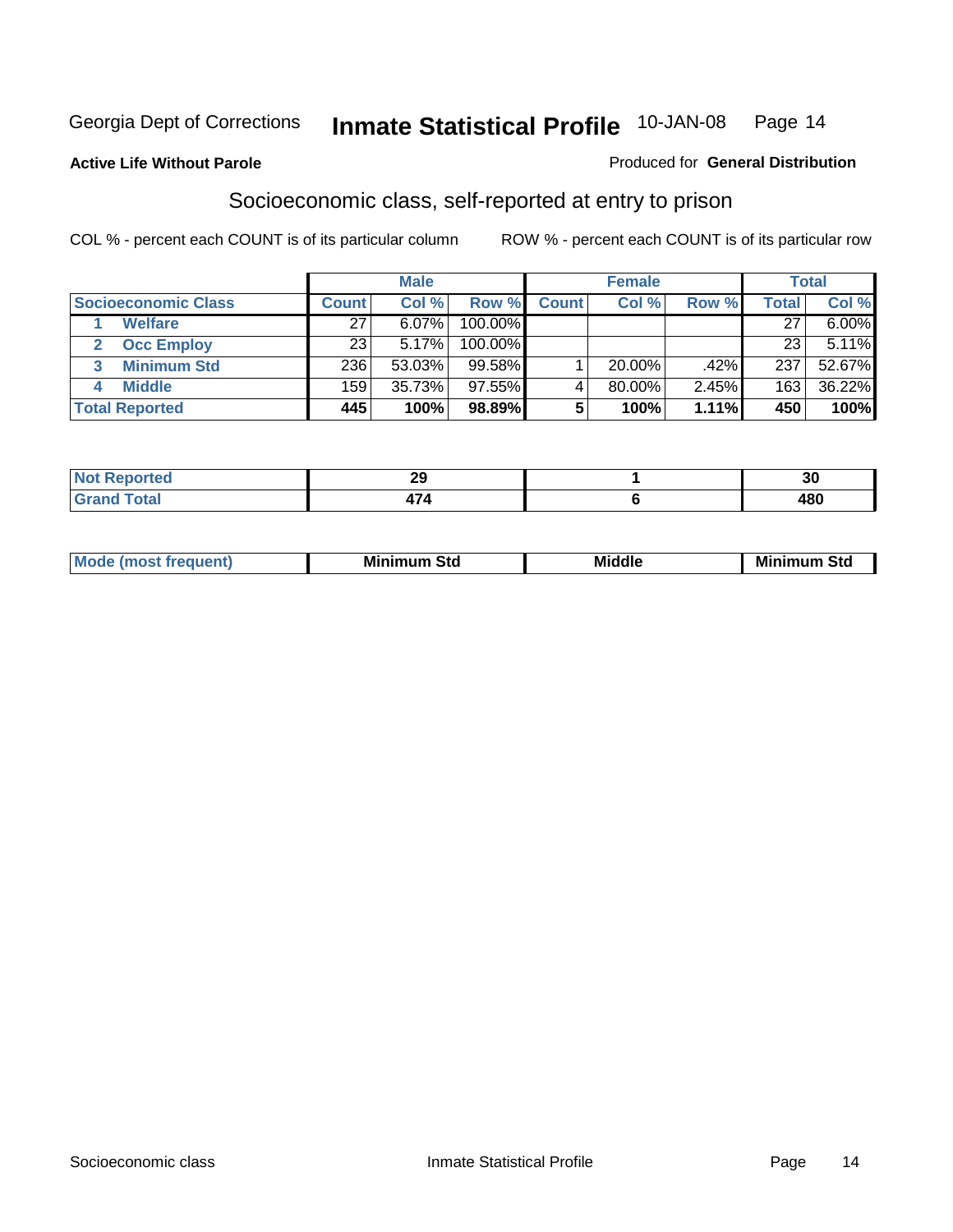#### **Active Life Without Parole**

#### Produced for **General Distribution**

#### Socioeconomic class, self-reported at entry to prison

|                                   |              | <b>Male</b> |            |              | <b>Female</b> |       |       | <b>Total</b> |
|-----------------------------------|--------------|-------------|------------|--------------|---------------|-------|-------|--------------|
| <b>Socioeconomic Class</b>        | <b>Count</b> | Col %       | Row %      | <b>Count</b> | Col %         | Row % | Total | Col %        |
| <b>Welfare</b>                    | 27           | $6.07\%$    | 100.00%    |              |               |       | 27    | 6.00%        |
| <b>Occ Employ</b><br>$\mathbf{2}$ | 23           | 5.17%       | $100.00\%$ |              |               |       | 23    | 5.11%        |
| <b>Minimum Std</b><br>3           | 236          | 53.03%      | $99.58\%$  |              | $20.00\%$     | .42%  | 237   | 52.67%       |
| <b>Middle</b>                     | 159          | 35.73%      | $97.55\%$  |              | 80.00%        | 2.45% | 163   | 36.22%       |
| <b>Total Reported</b>             | 445          | 100%        | 98.89%     |              | 100%          | 1.11% | 450   | 100%         |

| وتراتب بالمنادر<br>N<br>тес | nr.<br>20 | $\sim$<br>.JU |
|-----------------------------|-----------|---------------|
| $f \wedge f \wedge f$<br>-- |           | 400           |

| .<br>___ |
|----------|
|----------|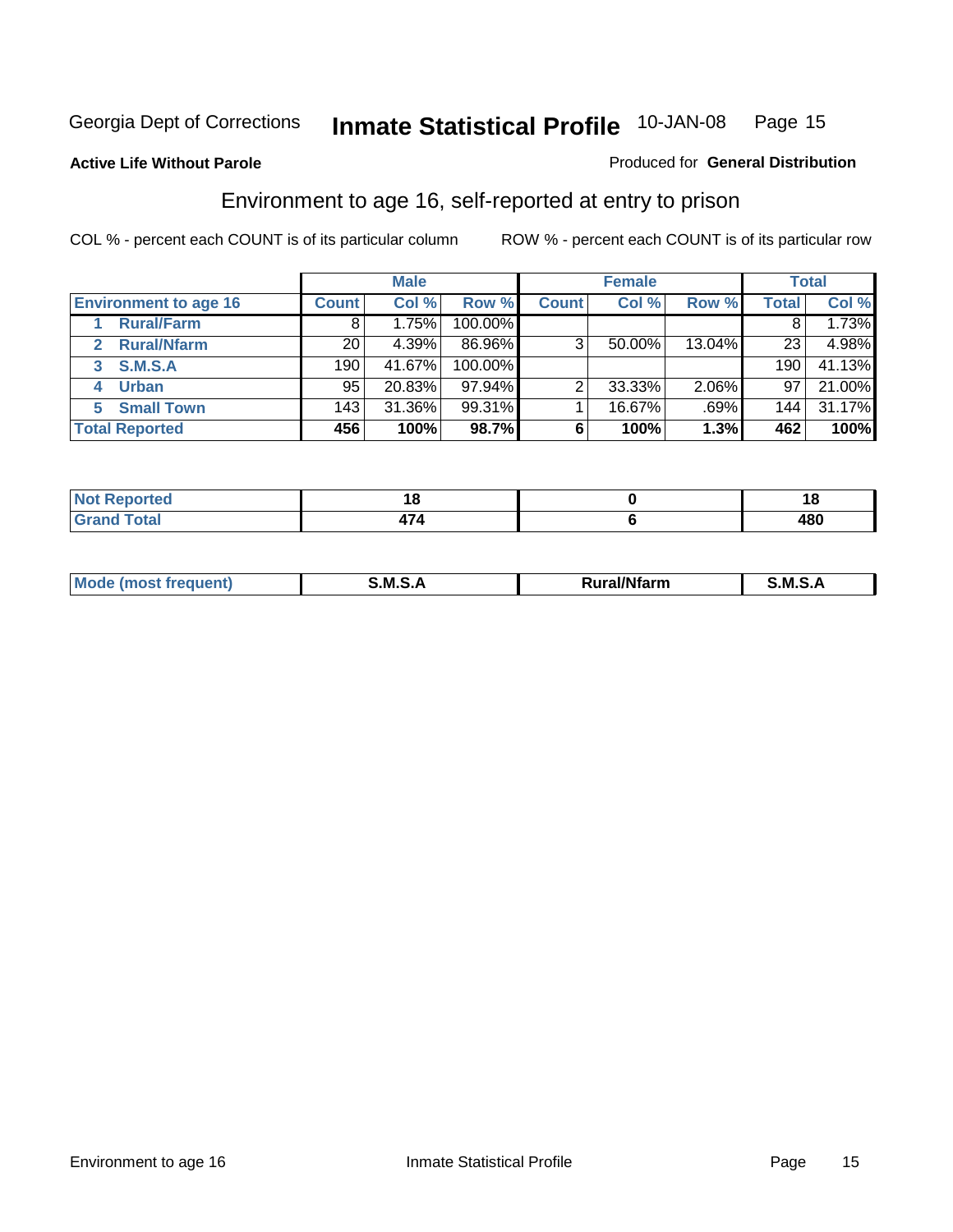Produced for **General Distribution**

#### **Active Life Without Parole**

#### Environment to age 16, self-reported at entry to prison

|                                      |                 | <b>Male</b> |           |              | <b>Female</b> |        |              | <b>Total</b> |
|--------------------------------------|-----------------|-------------|-----------|--------------|---------------|--------|--------------|--------------|
| <b>Environment to age 16</b>         | <b>Count</b>    | Col %       | Row %     | <b>Count</b> | Col %         | Row %  | <b>Total</b> | Col %        |
| <b>Rural/Farm</b>                    | 8               | 1.75%       | 100.00%   |              |               |        |              | 1.73%        |
| <b>Rural/Nfarm</b><br>$\overline{2}$ | 20              | 4.39%       | 86.96%    | 3            | 50.00%        | 13.04% | 23           | 4.98%        |
| <b>S.M.S.A</b><br>3                  | 190             | 41.67%      | 100.00%   |              |               |        | 190          | 41.13%       |
| <b>Urban</b><br>4                    | 95 <sub>1</sub> | 20.83%      | $97.94\%$ |              | 33.33%        | 2.06%  | 97           | 21.00%       |
| <b>Small Town</b>                    | 143             | 31.36%      | 99.31%    |              | 16.67%        | .69%   | 144          | 31.17%       |
| <b>Total Reported</b>                | 456             | 100%        | 98.7%     | 6            | 100%          | 1.3%   | 462          | 100%         |

| Reported<br>Not<br>. <b>.</b> . |  | ıo         |
|---------------------------------|--|------------|
| <b>Total</b><br>Grand           |  | 100<br>40L |

| Mo<br><b>CONTRACTOR</b><br>. M S<br>M<br>---<br>Nfarn<br>.<br>_____<br>______ |  |  |
|-------------------------------------------------------------------------------|--|--|
|                                                                               |  |  |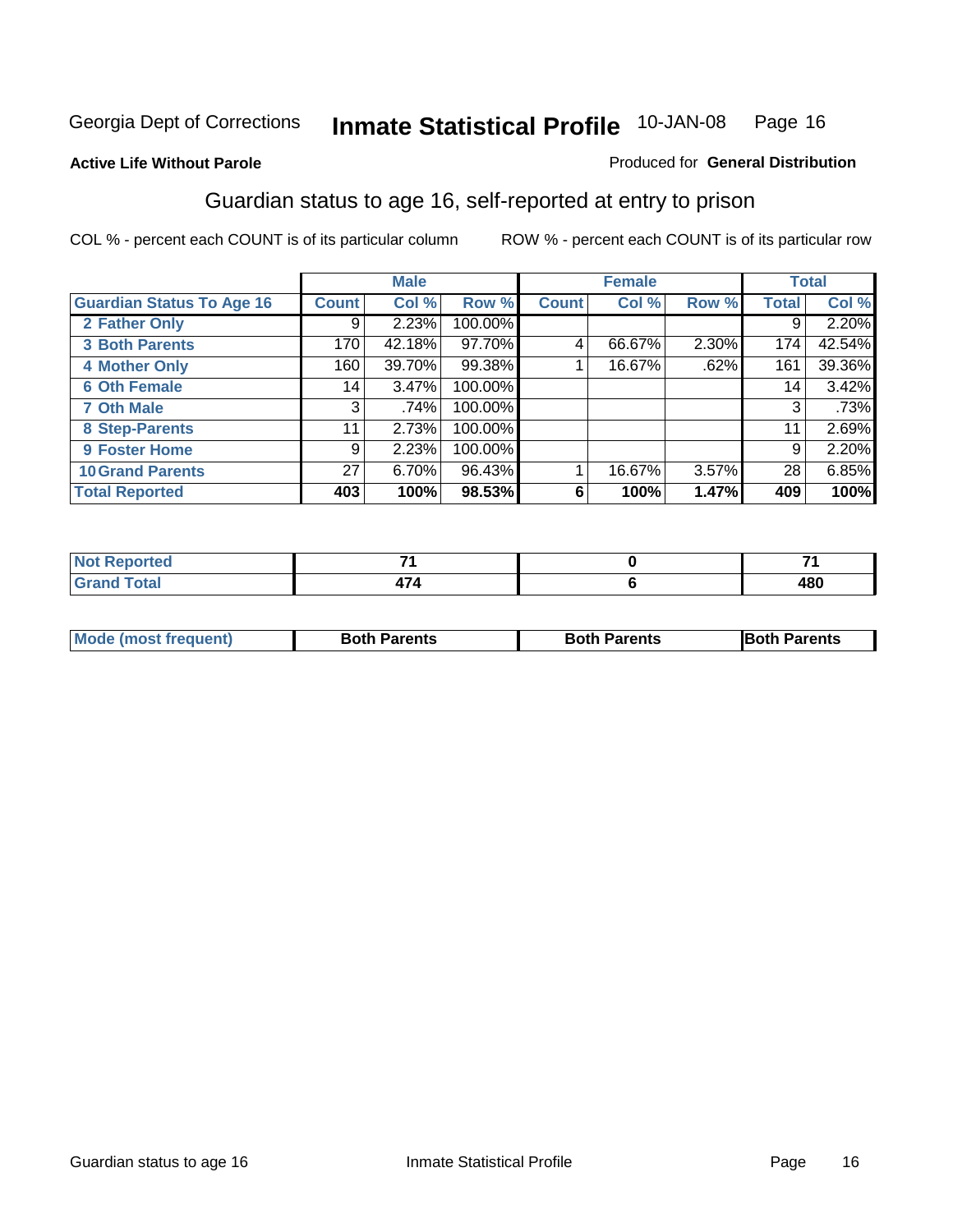Produced for **General Distribution**

#### **Active Life Without Parole**

### Guardian status to age 16, self-reported at entry to prison

|                                  |                 | <b>Male</b> |         |              | <b>Female</b> |       |              | <b>Total</b> |
|----------------------------------|-----------------|-------------|---------|--------------|---------------|-------|--------------|--------------|
| <b>Guardian Status To Age 16</b> | <b>Count</b>    | Col %       | Row %   | <b>Count</b> | Col %         | Row % | <b>Total</b> | Col %        |
| 2 Father Only                    | 9               | 2.23%       | 100.00% |              |               |       | 9            | 2.20%        |
| <b>3 Both Parents</b>            | 170             | 42.18%      | 97.70%  | 4            | 66.67%        | 2.30% | 174          | 42.54%       |
| <b>4 Mother Only</b>             | 160             | 39.70%      | 99.38%  |              | 16.67%        | .62%  | 161          | 39.36%       |
| <b>6 Oth Female</b>              | 14              | $3.47\%$    | 100.00% |              |               |       | 14           | 3.42%        |
| <b>7 Oth Male</b>                | 3               | .74%        | 100.00% |              |               |       | 3            | .73%         |
| 8 Step-Parents                   | 11              | 2.73%       | 100.00% |              |               |       | 11           | 2.69%        |
| 9 Foster Home                    | 9               | 2.23%       | 100.00% |              |               |       | 9            | 2.20%        |
| <b>10 Grand Parents</b>          | 27 <sup>1</sup> | 6.70%       | 96.43%  |              | 16.67%        | 3.57% | 28           | 6.85%        |
| <b>Total Reported</b>            | 403             | 100%        | 98.53%  | 6            | 100%          | 1.47% | 409          | 100%         |

| тео      |  | _<br>- |
|----------|--|--------|
| $F$ atal |  | 480    |

| <b>Mode (most frequent)</b> | <b>Both Parents</b> | <b>Both Parents</b> | <b>IBoth I</b><br>Parents |
|-----------------------------|---------------------|---------------------|---------------------------|
|                             |                     |                     |                           |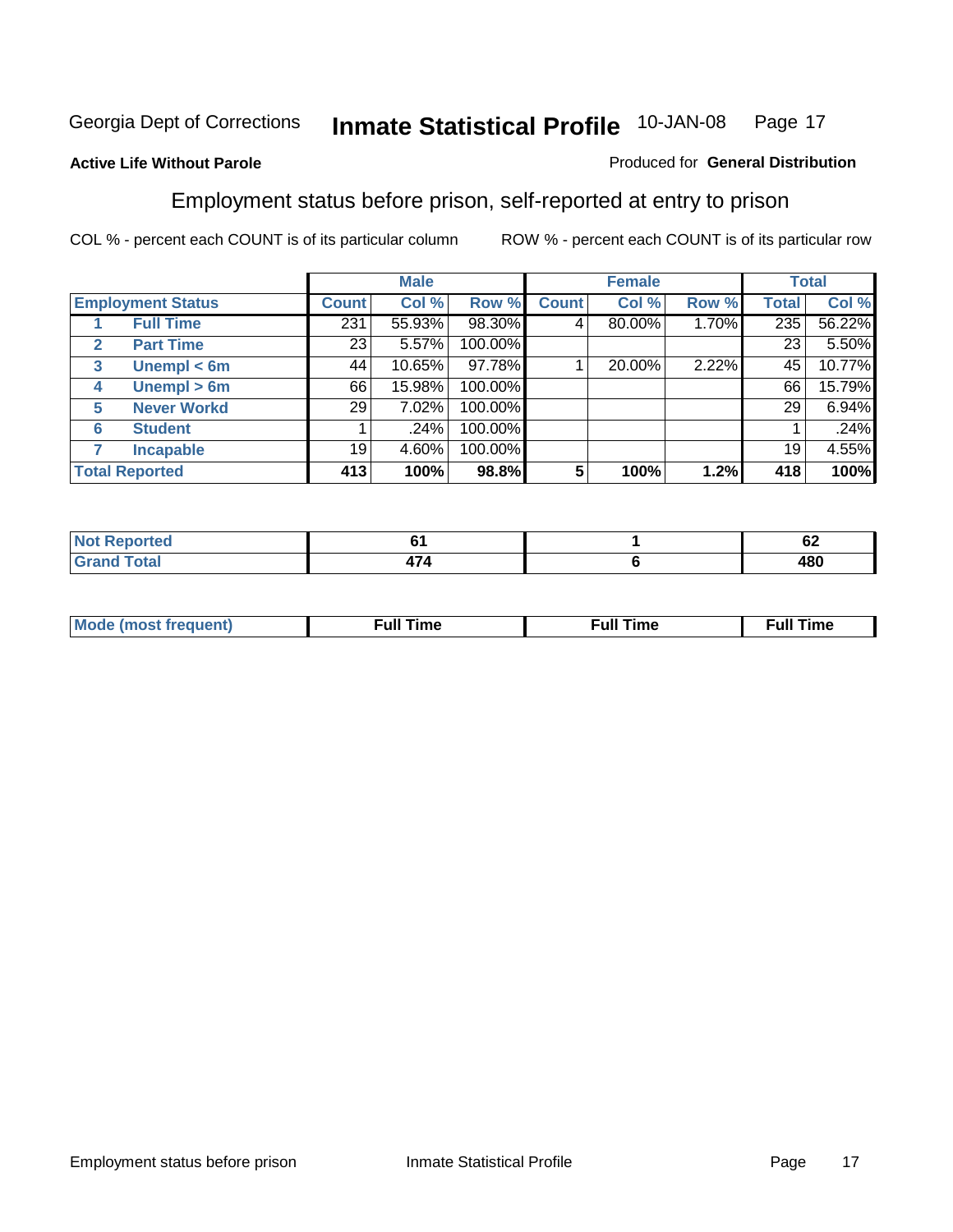#### **Active Life Without Parole**

#### Produced for **General Distribution**

#### Employment status before prison, self-reported at entry to prison

|              |                          |                 | <b>Male</b> |         |              | <b>Female</b> |       |              | <b>Total</b> |
|--------------|--------------------------|-----------------|-------------|---------|--------------|---------------|-------|--------------|--------------|
|              | <b>Employment Status</b> | <b>Count</b>    | Col %       | Row %   | <b>Count</b> | Col %         | Row % | <b>Total</b> | Col %        |
|              | <b>Full Time</b>         | 231             | 55.93%      | 98.30%  | 4            | 80.00%        | 1.70% | 235          | 56.22%       |
| $\mathbf{2}$ | <b>Part Time</b>         | 23              | 5.57%       | 100.00% |              |               |       | 23           | 5.50%        |
| 3            | Unempl $<$ 6m            | 44              | 10.65%      | 97.78%  |              | 20.00%        | 2.22% | 45           | 10.77%       |
| 4            | Unempl $> 6m$            | 66              | 15.98%      | 100.00% |              |               |       | 66           | 15.79%       |
| 5            | <b>Never Workd</b>       | 29 <sub>1</sub> | 7.02%       | 100.00% |              |               |       | 29           | 6.94%        |
| 6            | <b>Student</b>           |                 | .24%        | 100.00% |              |               |       |              | .24%         |
|              | <b>Incapable</b>         | 19              | 4.60%       | 100.00% |              |               |       | 19           | 4.55%        |
|              | <b>Total Reported</b>    | 413             | 100%        | 98.8%   | 5            | 100%          | 1.2%  | 418          | 100%         |

| тео.         |   | $\overline{ }$<br>V4 |
|--------------|---|----------------------|
| <b>Cotor</b> | ┑ | 400                  |
| _______      |   | 40U                  |

| <b>M</b> ດ | the contract of the contract of the contract of the contract of the contract of the contract of the contract of | , ull i<br>ıme | ïme<br>uı<br>$\sim$ $\sim$ $\sim$ $\sim$ $\sim$ |
|------------|-----------------------------------------------------------------------------------------------------------------|----------------|-------------------------------------------------|
|            |                                                                                                                 |                |                                                 |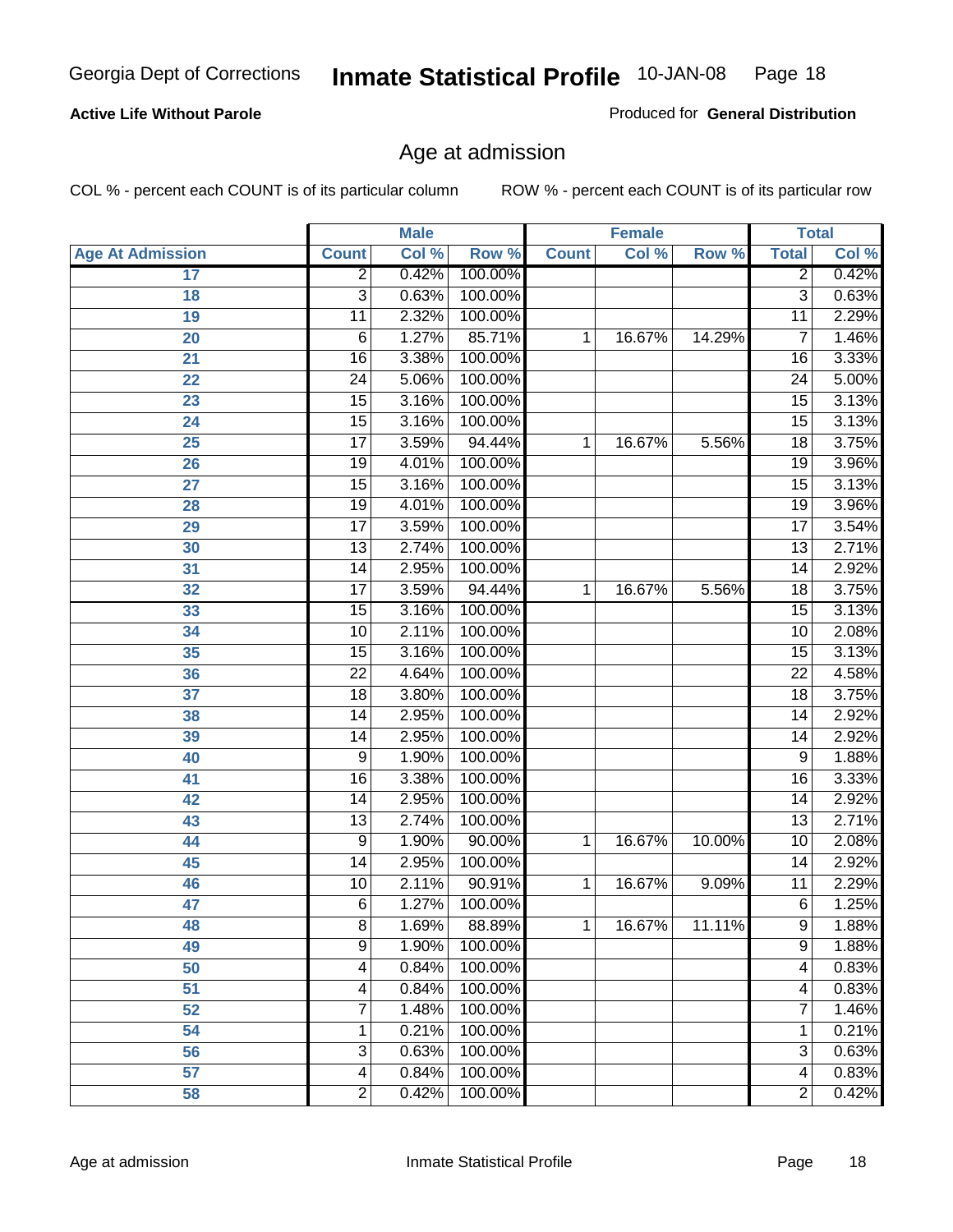#### **Active Life Without Parole**

Produced for **General Distribution**

#### Age at admission

|                         |                 | <b>Male</b> |         |              | <b>Female</b> |        | <b>Total</b>    |       |
|-------------------------|-----------------|-------------|---------|--------------|---------------|--------|-----------------|-------|
| <b>Age At Admission</b> | <b>Count</b>    | Col %       | Row %   | <b>Count</b> | Col %         | Row %  | <b>Total</b>    | Col % |
| 17                      | $\overline{2}$  | 0.42%       | 100.00% |              |               |        | 2               | 0.42% |
| 18                      | $\overline{3}$  | 0.63%       | 100.00% |              |               |        | $\overline{3}$  | 0.63% |
| 19                      | $\overline{11}$ | 2.32%       | 100.00% |              |               |        | $\overline{11}$ | 2.29% |
| 20                      | 6               | 1.27%       | 85.71%  | 1            | 16.67%        | 14.29% | 7               | 1.46% |
| 21                      | $\overline{16}$ | 3.38%       | 100.00% |              |               |        | 16              | 3.33% |
| 22                      | $\overline{24}$ | 5.06%       | 100.00% |              |               |        | $\overline{24}$ | 5.00% |
| 23                      | $\overline{15}$ | 3.16%       | 100.00% |              |               |        | $\overline{15}$ | 3.13% |
| 24                      | $\overline{15}$ | 3.16%       | 100.00% |              |               |        | 15              | 3.13% |
| 25                      | $\overline{17}$ | 3.59%       | 94.44%  | 1            | 16.67%        | 5.56%  | $\overline{18}$ | 3.75% |
| 26                      | 19              | 4.01%       | 100.00% |              |               |        | 19              | 3.96% |
| 27                      | $\overline{15}$ | 3.16%       | 100.00% |              |               |        | $\overline{15}$ | 3.13% |
| 28                      | 19              | 4.01%       | 100.00% |              |               |        | 19              | 3.96% |
| 29                      | $\overline{17}$ | 3.59%       | 100.00% |              |               |        | $\overline{17}$ | 3.54% |
| 30                      | $\overline{13}$ | 2.74%       | 100.00% |              |               |        | $\overline{13}$ | 2.71% |
| 31                      | $\overline{14}$ | 2.95%       | 100.00% |              |               |        | $\overline{14}$ | 2.92% |
| 32                      | $\overline{17}$ | 3.59%       | 94.44%  | 1            | 16.67%        | 5.56%  | 18              | 3.75% |
| 33                      | $\overline{15}$ | 3.16%       | 100.00% |              |               |        | 15              | 3.13% |
| 34                      | 10              | 2.11%       | 100.00% |              |               |        | 10              | 2.08% |
| 35                      | $\overline{15}$ | 3.16%       | 100.00% |              |               |        | 15              | 3.13% |
| 36                      | $\overline{22}$ | 4.64%       | 100.00% |              |               |        | $\overline{22}$ | 4.58% |
| 37                      | $\overline{18}$ | 3.80%       | 100.00% |              |               |        | $\overline{18}$ | 3.75% |
| 38                      | $\overline{14}$ | 2.95%       | 100.00% |              |               |        | 14              | 2.92% |
| 39                      | 14              | 2.95%       | 100.00% |              |               |        | 14              | 2.92% |
| 40                      | 9               | 1.90%       | 100.00% |              |               |        | 9               | 1.88% |
| 41                      | 16              | 3.38%       | 100.00% |              |               |        | 16              | 3.33% |
| 42                      | 14              | 2.95%       | 100.00% |              |               |        | 14              | 2.92% |
| 43                      | $\overline{13}$ | 2.74%       | 100.00% |              |               |        | $\overline{13}$ | 2.71% |
| 44                      | 9               | 1.90%       | 90.00%  | 1            | 16.67%        | 10.00% | 10              | 2.08% |
| 45                      | 14              | 2.95%       | 100.00% |              |               |        | 14              | 2.92% |
| 46                      | 10              | 2.11%       | 90.91%  | 1            | 16.67%        | 9.09%  | $\overline{11}$ | 2.29% |
| 47                      | $\overline{6}$  | 1.27%       | 100.00% |              |               |        | 6               | 1.25% |
| 48                      | 8               | 1.69%       | 88.89%  | 1            | 16.67%        | 11.11% | 9               | 1.88% |
| 49                      | 9               | 1.90%       | 100.00% |              |               |        | 9               | 1.88% |
| 50                      | 4               | 0.84%       | 100.00% |              |               |        | 4               | 0.83% |
| 51                      | 4               | 0.84%       | 100.00% |              |               |        | 4               | 0.83% |
| 52                      | 7               | 1.48%       | 100.00% |              |               |        | 7               | 1.46% |
| 54                      | 1               | 0.21%       | 100.00% |              |               |        | 1               | 0.21% |
| 56                      | 3               | 0.63%       | 100.00% |              |               |        | $\overline{3}$  | 0.63% |
| 57                      | 4               | 0.84%       | 100.00% |              |               |        | $\overline{4}$  | 0.83% |
| 58                      | $\overline{2}$  | 0.42%       | 100.00% |              |               |        | $\overline{2}$  | 0.42% |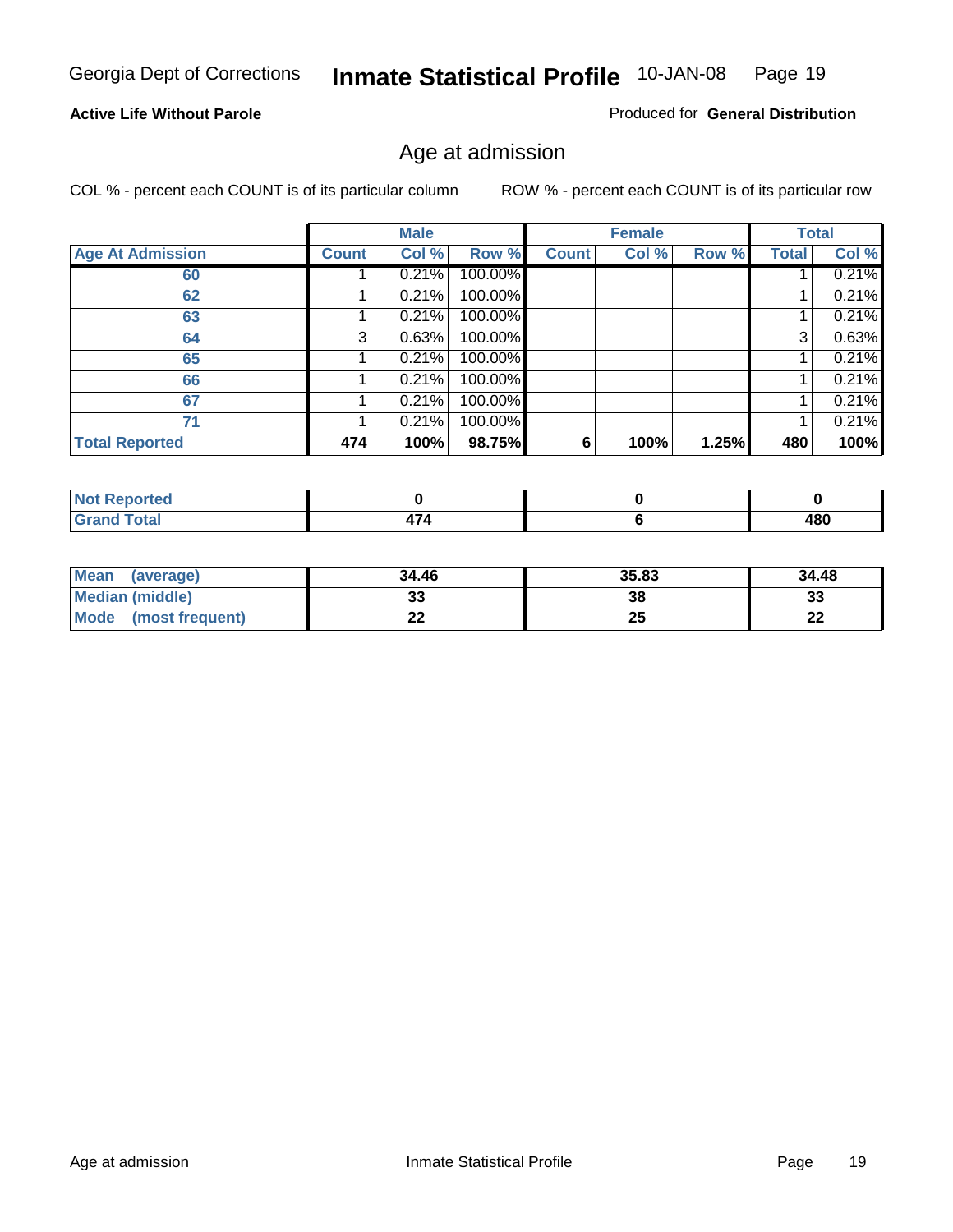#### **Active Life Without Parole**

Produced for **General Distribution**

#### Age at admission

|                         |              | <b>Male</b> |         |              | <b>Female</b> |       |       | <b>Total</b> |
|-------------------------|--------------|-------------|---------|--------------|---------------|-------|-------|--------------|
| <b>Age At Admission</b> | <b>Count</b> | Col %       | Row %   | <b>Count</b> | Col %         | Row % | Total | Col %        |
| 60                      |              | 0.21%       | 100.00% |              |               |       |       | 0.21%        |
| 62                      |              | 0.21%       | 100.00% |              |               |       |       | 0.21%        |
| 63                      |              | 0.21%       | 100.00% |              |               |       |       | 0.21%        |
| 64                      | 3            | 0.63%       | 100.00% |              |               |       | 3     | 0.63%        |
| 65                      |              | 0.21%       | 100.00% |              |               |       |       | 0.21%        |
| 66                      |              | 0.21%       | 100.00% |              |               |       |       | 0.21%        |
| 67                      |              | 0.21%       | 100.00% |              |               |       |       | 0.21%        |
| 71                      |              | 0.21%       | 100.00% |              |               |       |       | 0.21%        |
| <b>Total Reported</b>   | 474          | 100%        | 98.75%  | 6            | 100%          | 1.25% | 480   | 100%         |

| <b>Reported</b>      |                                          |     |
|----------------------|------------------------------------------|-----|
| <b>Total</b><br>Grar | $\overline{\phantom{0}}$<br>$\mathbf{r}$ | 480 |

| Mean<br>(average)              | 34.46 | 35.83 | 34.48 |
|--------------------------------|-------|-------|-------|
| Median (middle)                |       | 38    | 33    |
| <b>Mode</b><br>(most frequent) | - -   | 25    | n.    |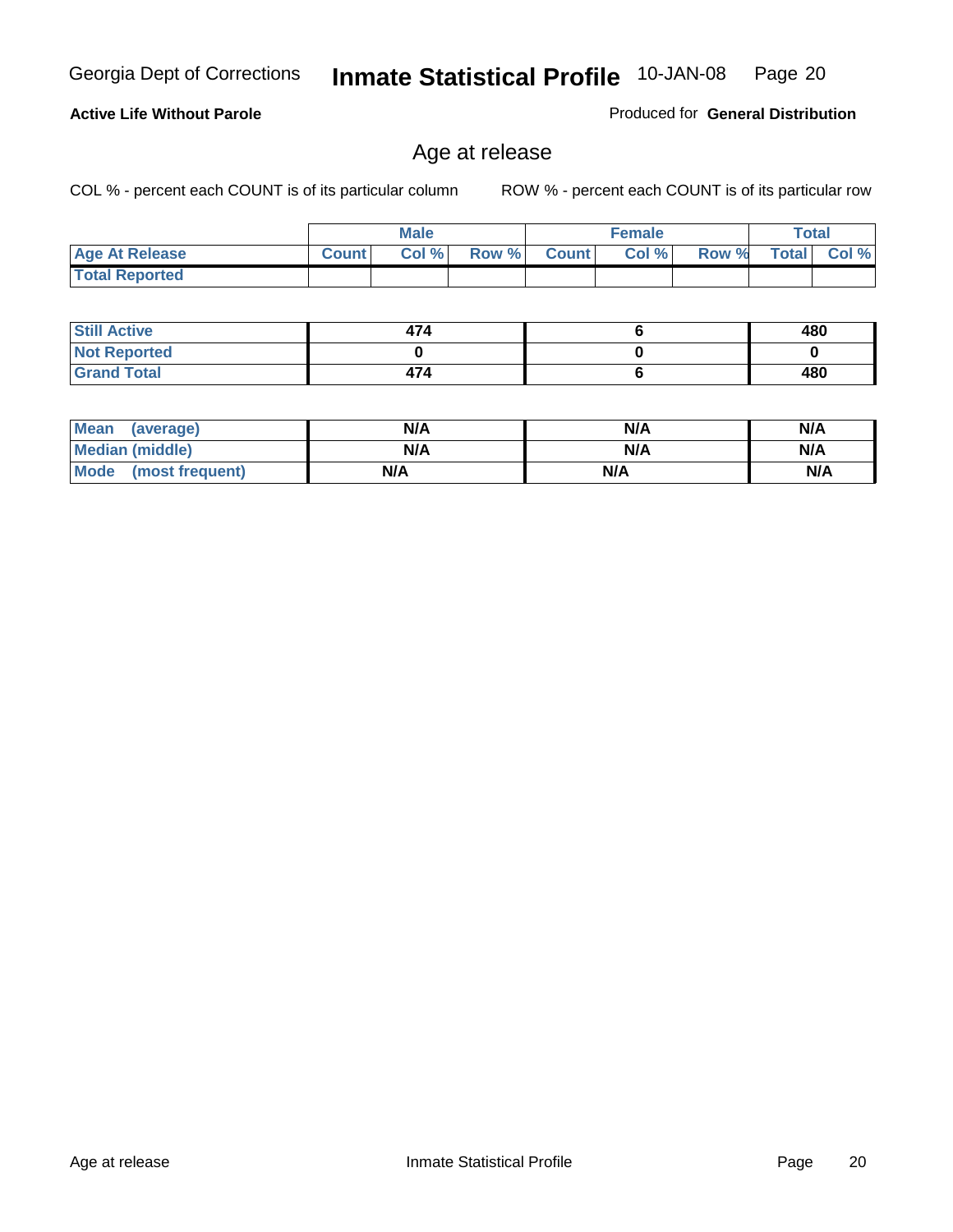COL % - percent each COUNT is of its particular column ROW % - percent each COUNT is of its particular row

|                       |              | <b>Male</b> |       |              | <b>Female</b> |       |              | Total |
|-----------------------|--------------|-------------|-------|--------------|---------------|-------|--------------|-------|
| <b>Age At Release</b> | <b>Count</b> | Col %       | Row % | <b>Count</b> | Col %         | Row % | <b>Total</b> | Col % |
| <b>Total Reported</b> |              |             |       |              |               |       |              |       |

Age at release

| <b>Still Active</b> | 474 | 480 |
|---------------------|-----|-----|
| <b>Not Reported</b> |     |     |
| <b>Grand Total</b>  | 474 | 480 |

| Mean (average)         | N/A | N/A | N/A |
|------------------------|-----|-----|-----|
| <b>Median (middle)</b> | N/A | N/A | N/A |
| Mode (most frequent)   | N/A | N/A | N/A |

#### **Active Life Without Parole**

Produced for **General Distribution**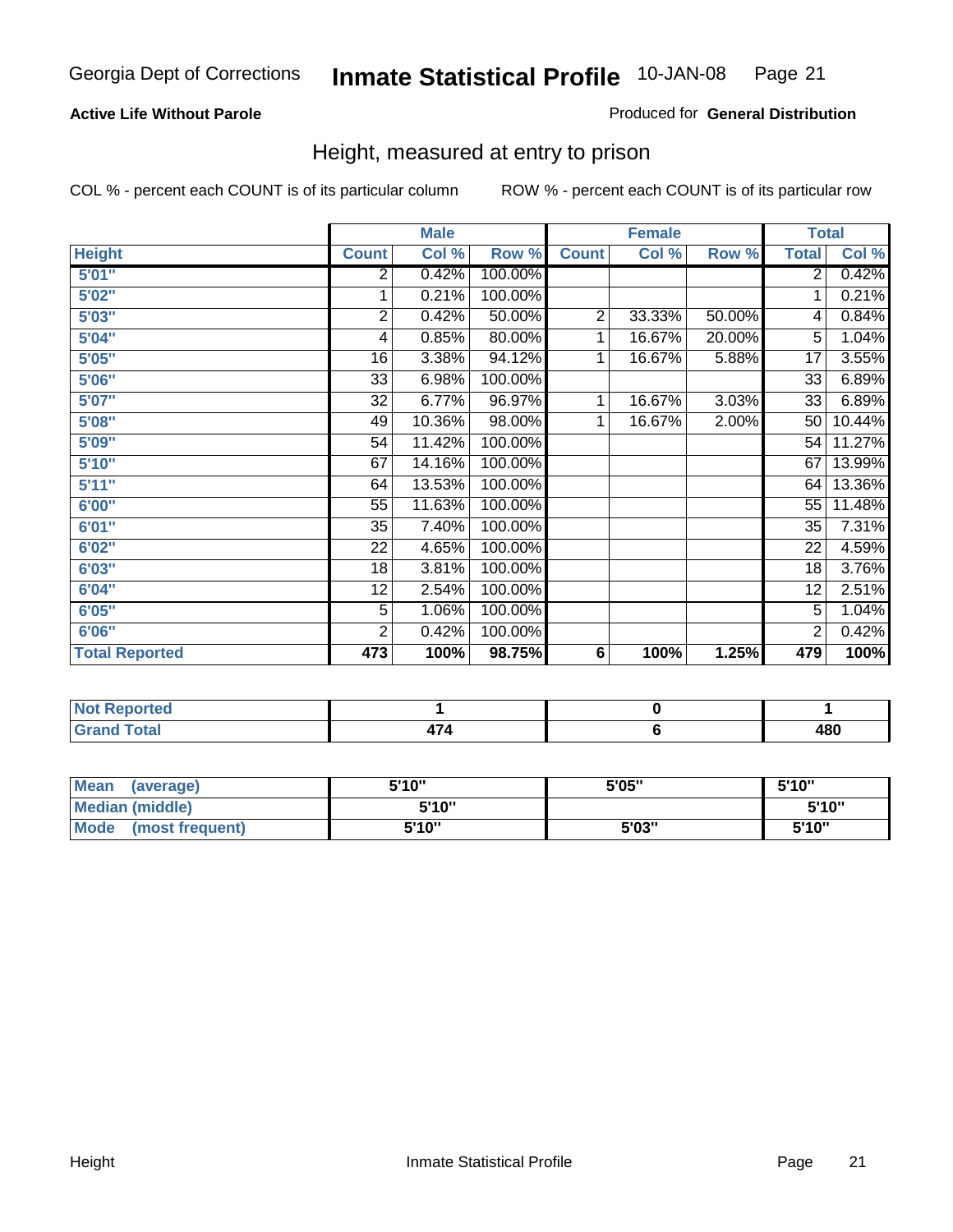#### **Active Life Without Parole**

#### Produced for **General Distribution**

#### Height, measured at entry to prison

|                       |                | <b>Male</b> |         |                | <b>Female</b> |        |                 | <b>Total</b> |
|-----------------------|----------------|-------------|---------|----------------|---------------|--------|-----------------|--------------|
| <b>Height</b>         | <b>Count</b>   | Col %       | Row %   | <b>Count</b>   | Col %         | Row %  | <b>Total</b>    | Col %        |
| 5'01''                | 2              | 0.42%       | 100.00% |                |               |        | $\overline{2}$  | 0.42%        |
| 5'02"                 | 1              | 0.21%       | 100.00% |                |               |        | 1               | 0.21%        |
| 5'03"                 | $\overline{2}$ | 0.42%       | 50.00%  | $\overline{2}$ | 33.33%        | 50.00% | 4               | 0.84%        |
| 5'04"                 | 4              | 0.85%       | 80.00%  | 1              | 16.67%        | 20.00% | $\overline{5}$  | 1.04%        |
| 5'05"                 | 16             | 3.38%       | 94.12%  | 1              | 16.67%        | 5.88%  | 17              | 3.55%        |
| 5'06"                 | 33             | 6.98%       | 100.00% |                |               |        | $\overline{33}$ | 6.89%        |
| 5'07''                | 32             | 6.77%       | 96.97%  | 1              | 16.67%        | 3.03%  | 33              | 6.89%        |
| 5'08"                 | 49             | 10.36%      | 98.00%  | 1              | 16.67%        | 2.00%  | 50              | 10.44%       |
| <b>5'09"</b>          | 54             | 11.42%      | 100.00% |                |               |        | 54              | 11.27%       |
| 5'10''                | 67             | 14.16%      | 100.00% |                |               |        | 67              | 13.99%       |
| 5'11''                | 64             | 13.53%      | 100.00% |                |               |        | 64              | 13.36%       |
| 6'00"                 | 55             | 11.63%      | 100.00% |                |               |        | 55              | 11.48%       |
| 6'01''                | 35             | 7.40%       | 100.00% |                |               |        | 35              | 7.31%        |
| 6'02"                 | 22             | 4.65%       | 100.00% |                |               |        | 22              | 4.59%        |
| 6'03"                 | 18             | 3.81%       | 100.00% |                |               |        | 18              | 3.76%        |
| 6'04"                 | 12             | 2.54%       | 100.00% |                |               |        | 12              | 2.51%        |
| 6'05"                 | 5              | 1.06%       | 100.00% |                |               |        | 5               | 1.04%        |
| 6'06"                 | $\overline{2}$ | 0.42%       | 100.00% |                |               |        | 2               | 0.42%        |
| <b>Total Reported</b> | 473            | 100%        | 98.75%  | 6              | 100%          | 1.25%  | 479             | 100%         |

| oorted<br>TV 6<br>.                |                       |     |
|------------------------------------|-----------------------|-----|
| $int^{\bullet}$<br>$\sim$<br>_____ | $\rightarrow$<br>71 T | 480 |

| <b>Mean</b><br>(average) | 5'10" | 5'05" | 5'10" |
|--------------------------|-------|-------|-------|
| <b>Median (middle)</b>   | 5'10" |       | 5'10" |
| Mode<br>(most frequent)  | 5'10" | 5'03" | 5'10" |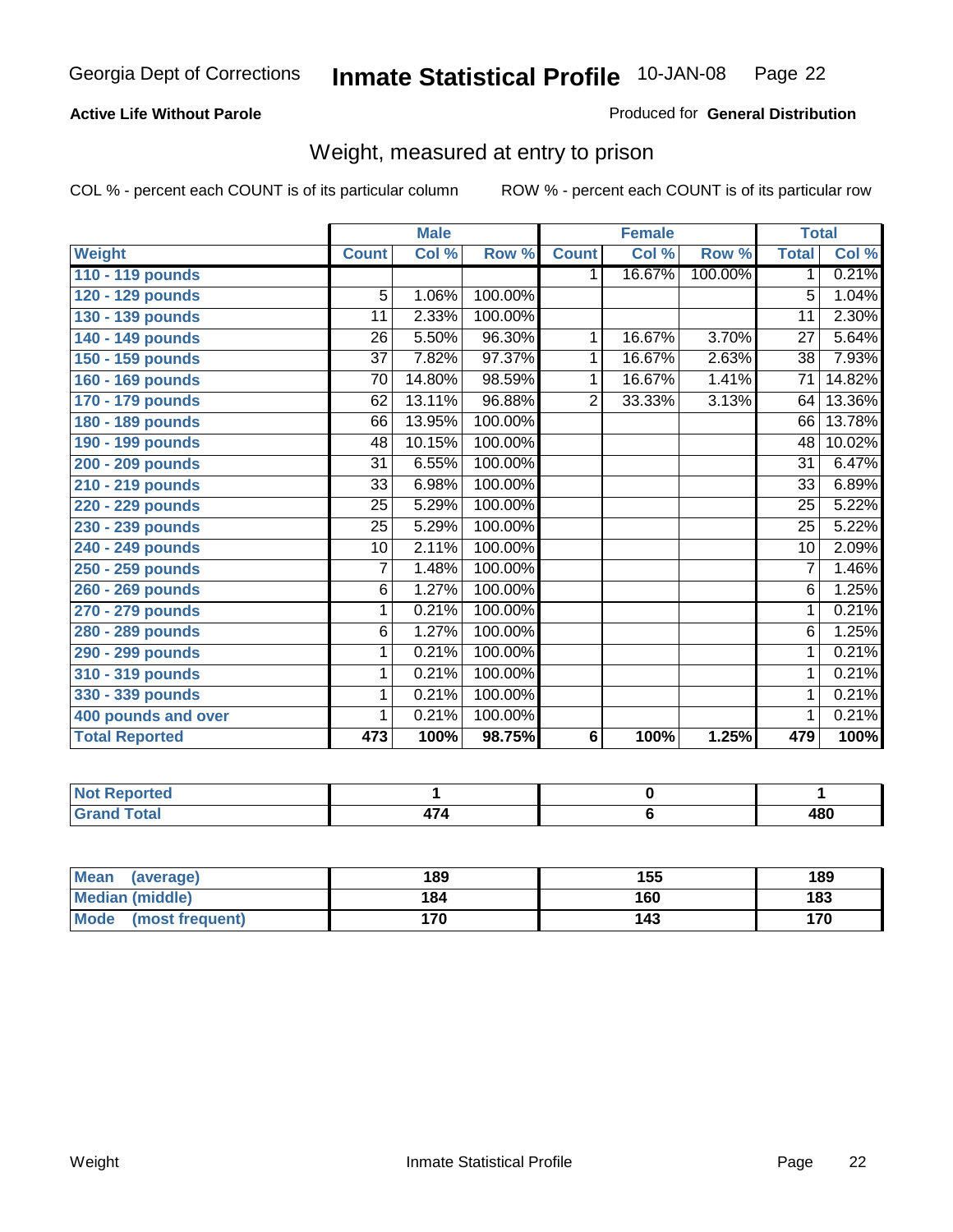#### **Active Life Without Parole**

#### Produced for **General Distribution**

#### Weight, measured at entry to prison

|                       |                 | <b>Male</b> |         |                | <b>Female</b> |         | <b>Total</b>    |        |
|-----------------------|-----------------|-------------|---------|----------------|---------------|---------|-----------------|--------|
| <b>Weight</b>         | <b>Count</b>    | Col %       | Row %   | <b>Count</b>   | Col %         | Row %   | <b>Total</b>    | Col %  |
| 110 - 119 pounds      |                 |             |         | 1.             | 16.67%        | 100.00% | 1               | 0.21%  |
| 120 - 129 pounds      | 5               | 1.06%       | 100.00% |                |               |         | 5               | 1.04%  |
| 130 - 139 pounds      | 11              | 2.33%       | 100.00% |                |               |         | 11              | 2.30%  |
| 140 - 149 pounds      | 26              | 5.50%       | 96.30%  | 1.             | 16.67%        | 3.70%   | $\overline{27}$ | 5.64%  |
| 150 - 159 pounds      | 37              | 7.82%       | 97.37%  | 1              | 16.67%        | 2.63%   | 38              | 7.93%  |
| 160 - 169 pounds      | 70              | 14.80%      | 98.59%  | 1              | 16.67%        | 1.41%   | $\overline{71}$ | 14.82% |
| 170 - 179 pounds      | 62              | 13.11%      | 96.88%  | $\overline{2}$ | 33.33%        | 3.13%   | 64              | 13.36% |
| 180 - 189 pounds      | 66              | 13.95%      | 100.00% |                |               |         | 66              | 13.78% |
| 190 - 199 pounds      | 48              | 10.15%      | 100.00% |                |               |         | 48              | 10.02% |
| 200 - 209 pounds      | $\overline{31}$ | 6.55%       | 100.00% |                |               |         | $\overline{31}$ | 6.47%  |
| 210 - 219 pounds      | 33              | 6.98%       | 100.00% |                |               |         | 33              | 6.89%  |
| 220 - 229 pounds      | 25              | 5.29%       | 100.00% |                |               |         | $\overline{25}$ | 5.22%  |
| 230 - 239 pounds      | 25              | 5.29%       | 100.00% |                |               |         | 25              | 5.22%  |
| 240 - 249 pounds      | 10              | 2.11%       | 100.00% |                |               |         | 10              | 2.09%  |
| 250 - 259 pounds      | 7               | 1.48%       | 100.00% |                |               |         | 7               | 1.46%  |
| 260 - 269 pounds      | 6               | 1.27%       | 100.00% |                |               |         | 6               | 1.25%  |
| 270 - 279 pounds      | 1               | 0.21%       | 100.00% |                |               |         | 1               | 0.21%  |
| 280 - 289 pounds      | 6               | 1.27%       | 100.00% |                |               |         | $\overline{6}$  | 1.25%  |
| 290 - 299 pounds      | 1               | 0.21%       | 100.00% |                |               |         | 1               | 0.21%  |
| 310 - 319 pounds      | 1               | 0.21%       | 100.00% |                |               |         | 1               | 0.21%  |
| 330 - 339 pounds      | 1               | 0.21%       | 100.00% |                |               |         | 1               | 0.21%  |
| 400 pounds and over   | 1               | 0.21%       | 100.00% |                |               |         | 1               | 0.21%  |
| <b>Total Reported</b> | 473             | 100%        | 98.75%  | 6              | 100%          | 1.25%   | 479             | 100%   |

| <b>Not Reported</b>             |   |     |
|---------------------------------|---|-----|
| <b>otal</b><br>$\mathbf{v}$ and | . | 480 |

| <b>Mean</b><br>(average)       | 189 | 155 | 189 |
|--------------------------------|-----|-----|-----|
| <b>Median (middle)</b>         | 184 | 160 | 183 |
| <b>Mode</b><br>(most frequent) | 170 | 143 | 170 |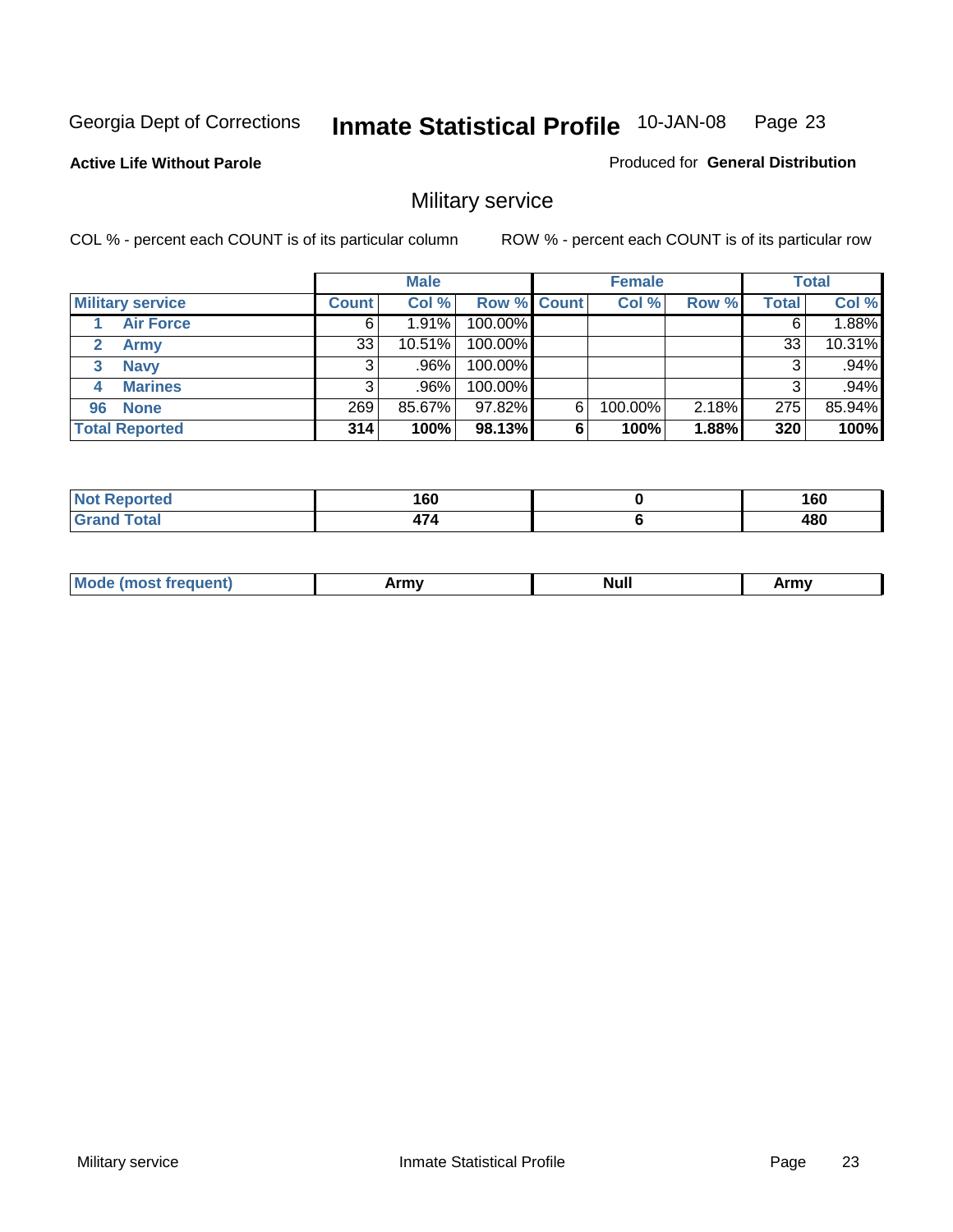**Active Life Without Parole** 

Produced for **General Distribution**

### Military service

|                         |              | <b>Male</b> |                    |   | <b>Female</b> |          |       | <b>Total</b> |
|-------------------------|--------------|-------------|--------------------|---|---------------|----------|-------|--------------|
| <b>Military service</b> | <b>Count</b> | Col %       | <b>Row % Count</b> |   | Col %         | Row %    | Total | Col %        |
| <b>Air Force</b>        | 6            | 1.91%       | 100.00%            |   |               |          |       | 1.88%        |
| <b>Army</b>             | 33           | $10.51\%$   | 100.00%            |   |               |          | 33    | 10.31%       |
| <b>Navy</b><br>3        |              | .96%        | 100.00%            |   |               |          |       | .94%         |
| <b>Marines</b><br>4     | 3            | .96%        | 100.00%            |   |               |          | 3     | .94%         |
| 96 None                 | 269          | 85.67%      | 97.82%             | 6 | 100.00%       | $2.18\%$ | 275   | 85.94%       |
| <b>Total Reported</b>   | 314          | 100%        | 98.13%             | 6 | 100%          | 1.88%    | 320   | 100%         |

| orted | A CO<br>∣ vu<br>__ | 160<br>- - |
|-------|--------------------|------------|
| Coto! |                    | 480        |

| M<br><b>IVUII</b><br>.<br>. |
|-----------------------------|
|-----------------------------|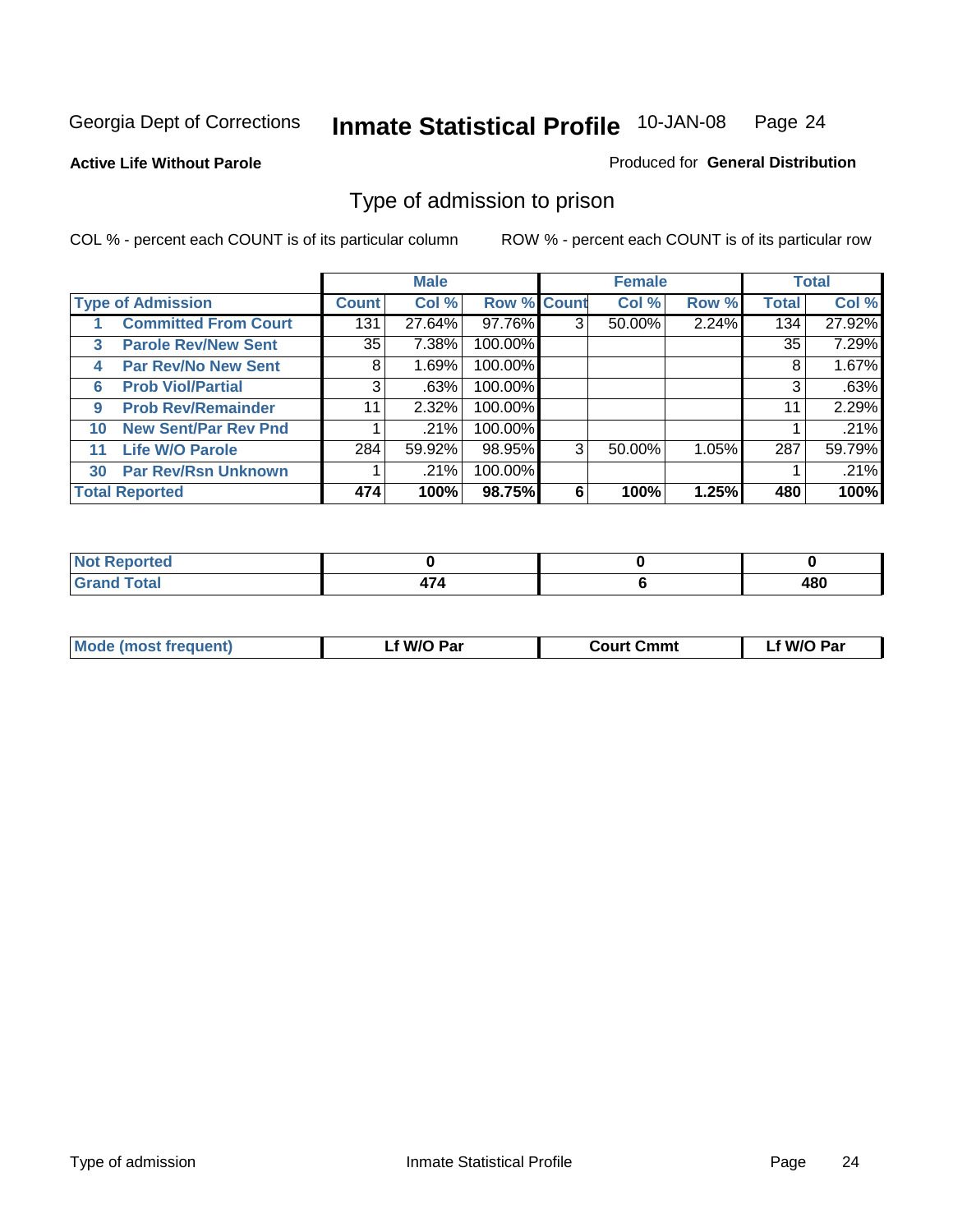#### **Active Life Without Parole**

#### Produced for **General Distribution**

#### Type of admission to prison

|    |                             |              | <b>Male</b> |                    |   | <b>Female</b> |       |              | <b>Total</b> |
|----|-----------------------------|--------------|-------------|--------------------|---|---------------|-------|--------------|--------------|
|    | <b>Type of Admission</b>    | <b>Count</b> | Col %       | <b>Row % Count</b> |   | Col %         | Row % | <b>Total</b> | Col %        |
|    | <b>Committed From Court</b> | 131          | 27.64%      | 97.76%             | 3 | 50.00%        | 2.24% | 134          | 27.92%       |
| 3  | <b>Parole Rev/New Sent</b>  | 35           | 7.38%       | 100.00%            |   |               |       | 35           | 7.29%        |
| 4  | <b>Par Rev/No New Sent</b>  | 8            | 1.69%       | 100.00%            |   |               |       | 8            | 1.67%        |
| 6  | <b>Prob Viol/Partial</b>    | 3            | .63%        | 100.00%            |   |               |       |              | .63%         |
| 9  | <b>Prob Rev/Remainder</b>   | 11           | 2.32%       | 100.00%            |   |               |       | 11           | 2.29%        |
| 10 | <b>New Sent/Par Rev Pnd</b> |              | .21%        | 100.00%            |   |               |       |              | .21%         |
| 11 | <b>Life W/O Parole</b>      | 284          | 59.92%      | 98.95%             | 3 | 50.00%        | 1.05% | 287          | 59.79%       |
| 30 | <b>Par Rev/Rsn Unknown</b>  |              | .21%        | 100.00%            |   |               |       |              | .21%         |
|    | <b>Total Reported</b>       | 474          | 100%        | 98.75%             | 6 | 100%          | 1.25% | 480          | 100%         |

| <b>eported</b>                                  |        |     |
|-------------------------------------------------|--------|-----|
| <b>Total</b><br><b>C.A.A</b><br><b>UI di Iu</b> | $\sim$ | 480 |

| <b>Mode (most frequent)</b> | <b>W/O Par</b> | <b>Court Cmmt</b> | M/O Par |
|-----------------------------|----------------|-------------------|---------|
|                             |                |                   |         |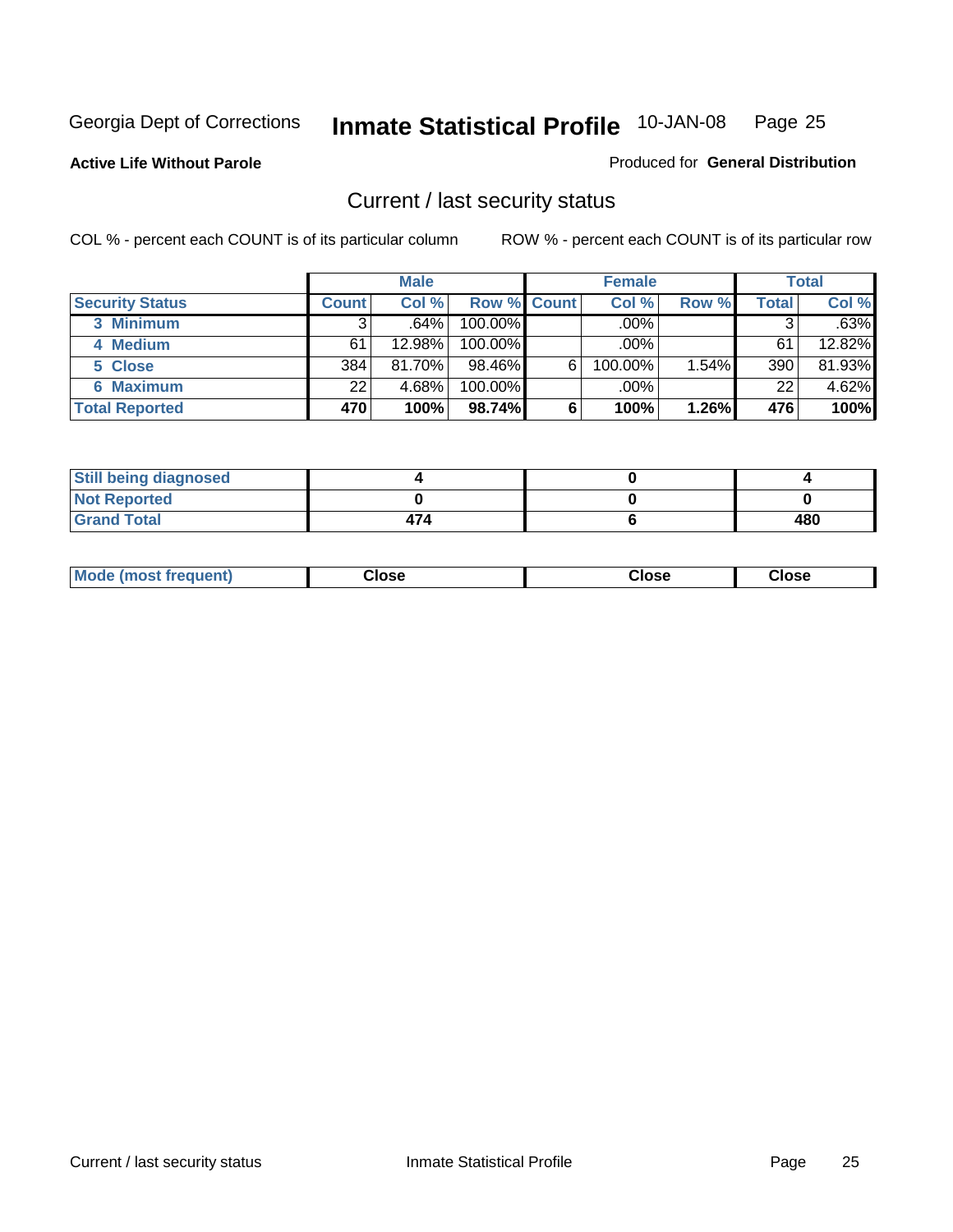**Active Life Without Parole** 

Produced for **General Distribution**

#### Current / last security status

|                        |              | <b>Male</b> |                    |   | <b>Female</b> |       |       | <b>Total</b> |
|------------------------|--------------|-------------|--------------------|---|---------------|-------|-------|--------------|
| <b>Security Status</b> | <b>Count</b> | Col %       | <b>Row % Count</b> |   | Col %         | Row % | Total | Col %        |
| 3 Minimum              | 3            | $.64\%$     | $100.00\%$         |   | .00%          |       |       | .63%         |
| 4 Medium               | 61           | 12.98%      | $100.00\%$         |   | $.00\%$       |       | 61    | 12.82%       |
| 5 Close                | 384          | 81.70%      | $98.46\%$          | 6 | 100.00%       | 1.54% | 390   | 81.93%       |
| 6 Maximum              | 22           | 4.68%       | 100.00%            |   | .00%          |       | 22    | 4.62%        |
| <b>Total Reported</b>  | 470          | 100%        | 98.74%             | 6 | 100%          | 1.26% | 476   | 100%         |

| <b>Still being diagnosed</b> |     |     |
|------------------------------|-----|-----|
| <b>Not Reported</b>          |     |     |
| <b>Grand Total</b>           | 474 | 480 |

|  | Mo<br>frequent)<br>ww | Close<br>. | ાose<br>. | <b>OSE</b><br>. |
|--|-----------------------|------------|-----------|-----------------|
|--|-----------------------|------------|-----------|-----------------|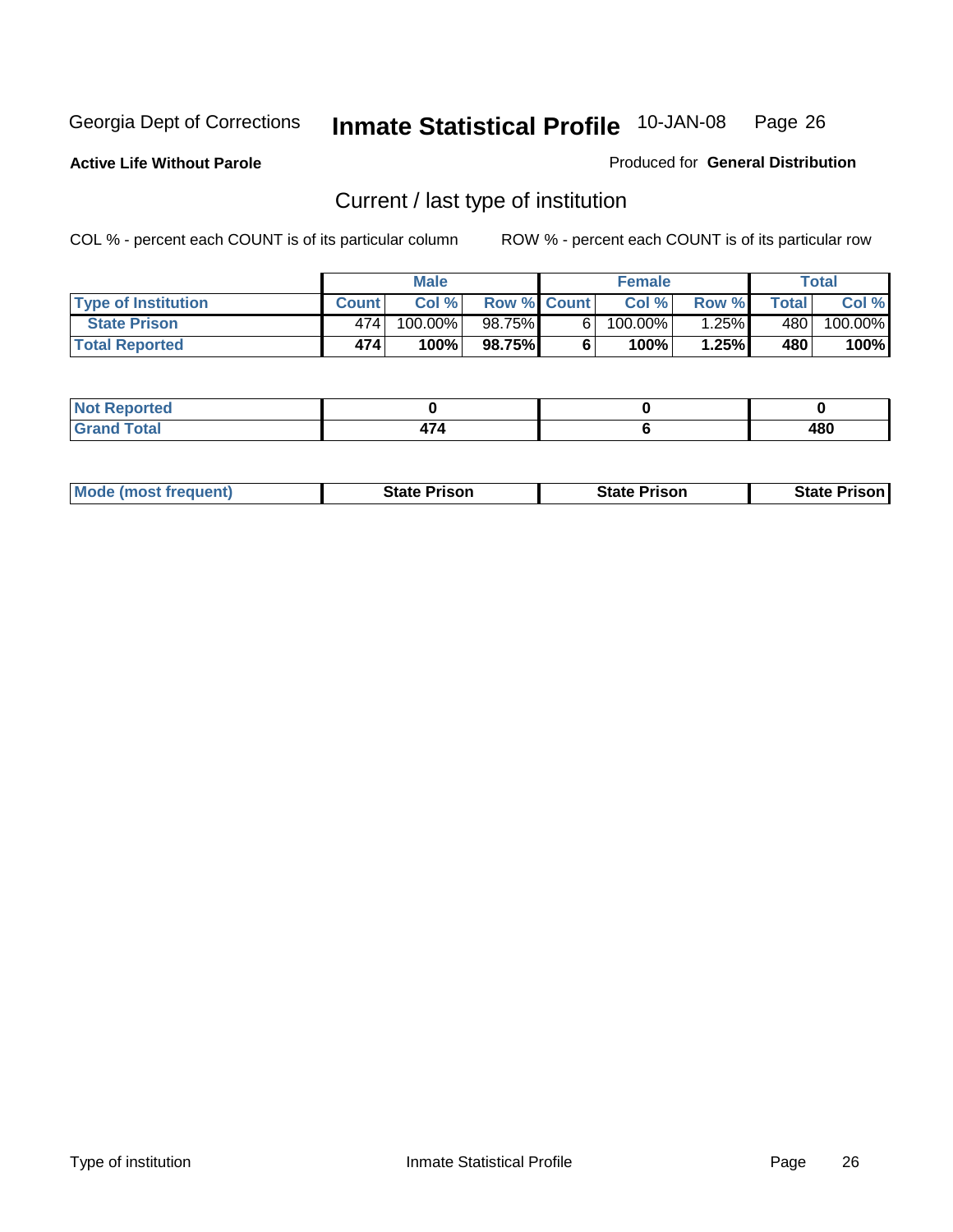**Active Life Without Parole** 

Produced for **General Distribution**

### Current / last type of institution

|                            |              | <b>Male</b> |                    | <b>Female</b> |          |        | Total   |
|----------------------------|--------------|-------------|--------------------|---------------|----------|--------|---------|
| <b>Type of Institution</b> | <b>Count</b> | Col%        | <b>Row % Count</b> | Col %         | Row %I   | Totall | Col %   |
| <b>State Prison</b>        | 474          | 100.00%」    | 98.75%             | $100.00\%$    | $1.25\%$ | 480    | 100.00% |
| <b>Total Reported</b>      | 474          | 100%        | 98.75%             | 100%          | 1.25%    | 480    | 100%    |

| <b>rted</b><br>. |    |     |
|------------------|----|-----|
| $\sim$<br>$ -$   | -- | 480 |

| <b>Mode (most frequent)</b> | <b>State Prison</b> | <b>State Prison</b> | <b>State Prison I</b> |
|-----------------------------|---------------------|---------------------|-----------------------|
|                             |                     |                     |                       |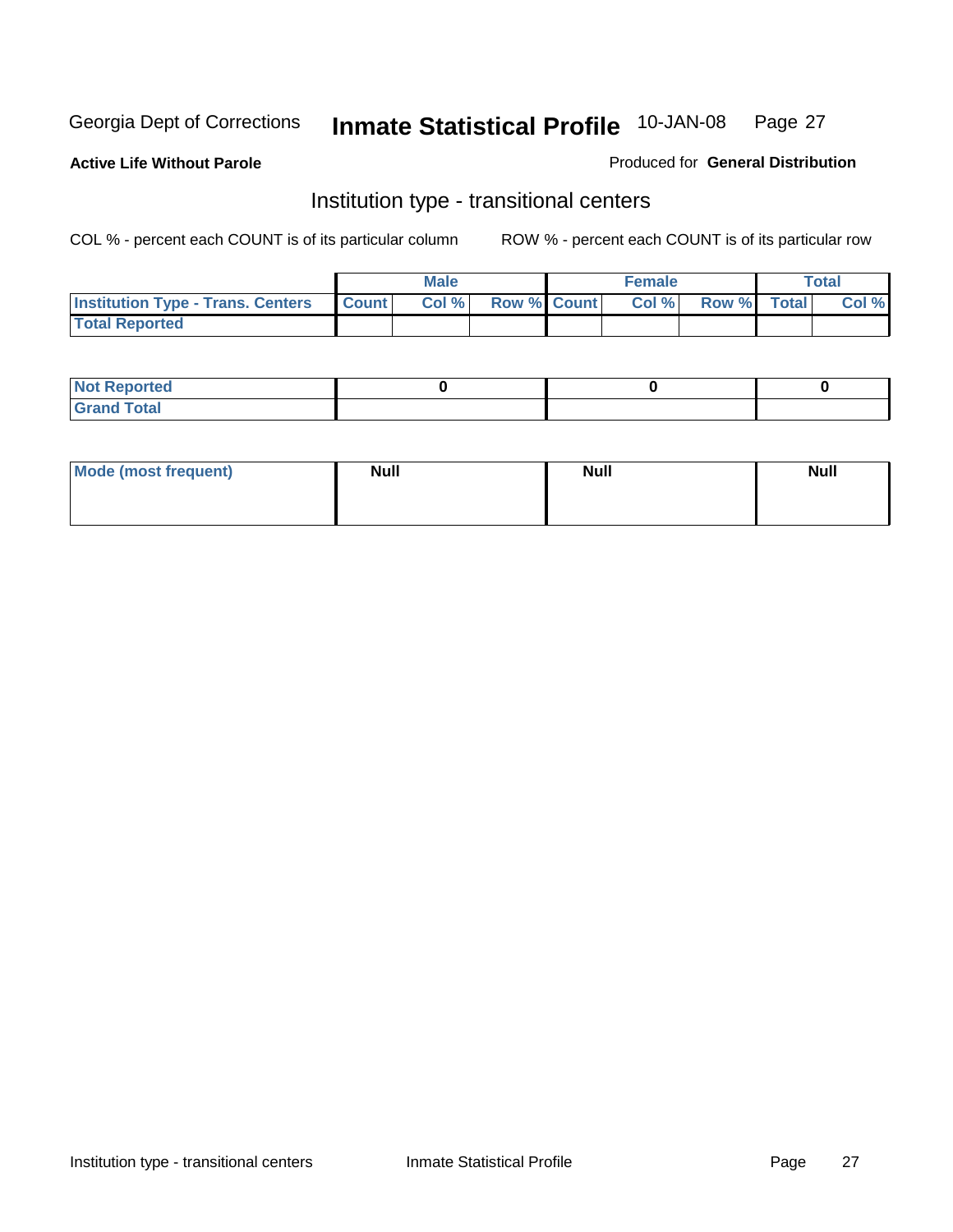**Active Life Without Parole** 

Produced for **General Distribution**

#### Institution type - transitional centers

|                                                | Male  |                    | <b>Female</b> |                   | Total |
|------------------------------------------------|-------|--------------------|---------------|-------------------|-------|
| <b>Institution Type - Trans. Centers Count</b> | Col % | <b>Row % Count</b> |               | Col % Row % Total | Col % |
| <b>Total Reported</b>                          |       |                    |               |                   |       |

| rtea<br>20 NGL 2<br>  |  |  |
|-----------------------|--|--|
| into!<br>---<br>_____ |  |  |

| Mode (most frequent) | <b>Null</b> | <b>Null</b> | <b>Null</b> |
|----------------------|-------------|-------------|-------------|
|                      |             |             |             |
|                      |             |             |             |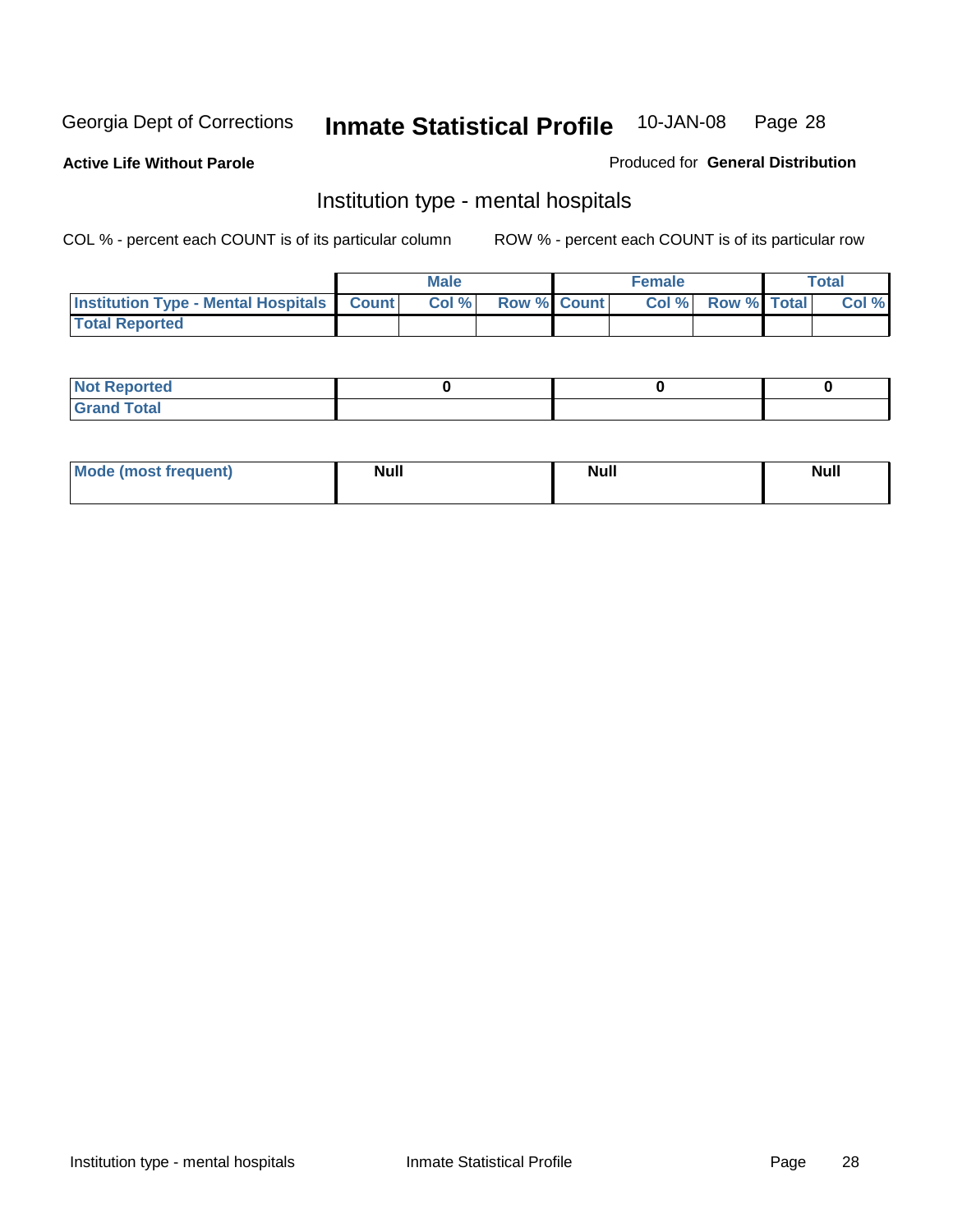**Active Life Without Parole** 

Produced for **General Distribution**

#### Institution type - mental hospitals

|                                                  | <b>Male</b> |                    | <b>Female</b> |                   | <b>Total</b> |
|--------------------------------------------------|-------------|--------------------|---------------|-------------------|--------------|
| <b>Institution Type - Mental Hospitals Count</b> | Col%        | <b>Row % Count</b> |               | Col % Row % Total | Col %        |
| <b>Total Reported</b>                            |             |                    |               |                   |              |

| <b>Not Reported</b> |  |  |
|---------------------|--|--|
| <b>Fotal</b><br>Cro |  |  |

| Mode (most frequent) | <b>Null</b> | <b>Null</b> | <b>Null</b> |
|----------------------|-------------|-------------|-------------|
|                      |             |             |             |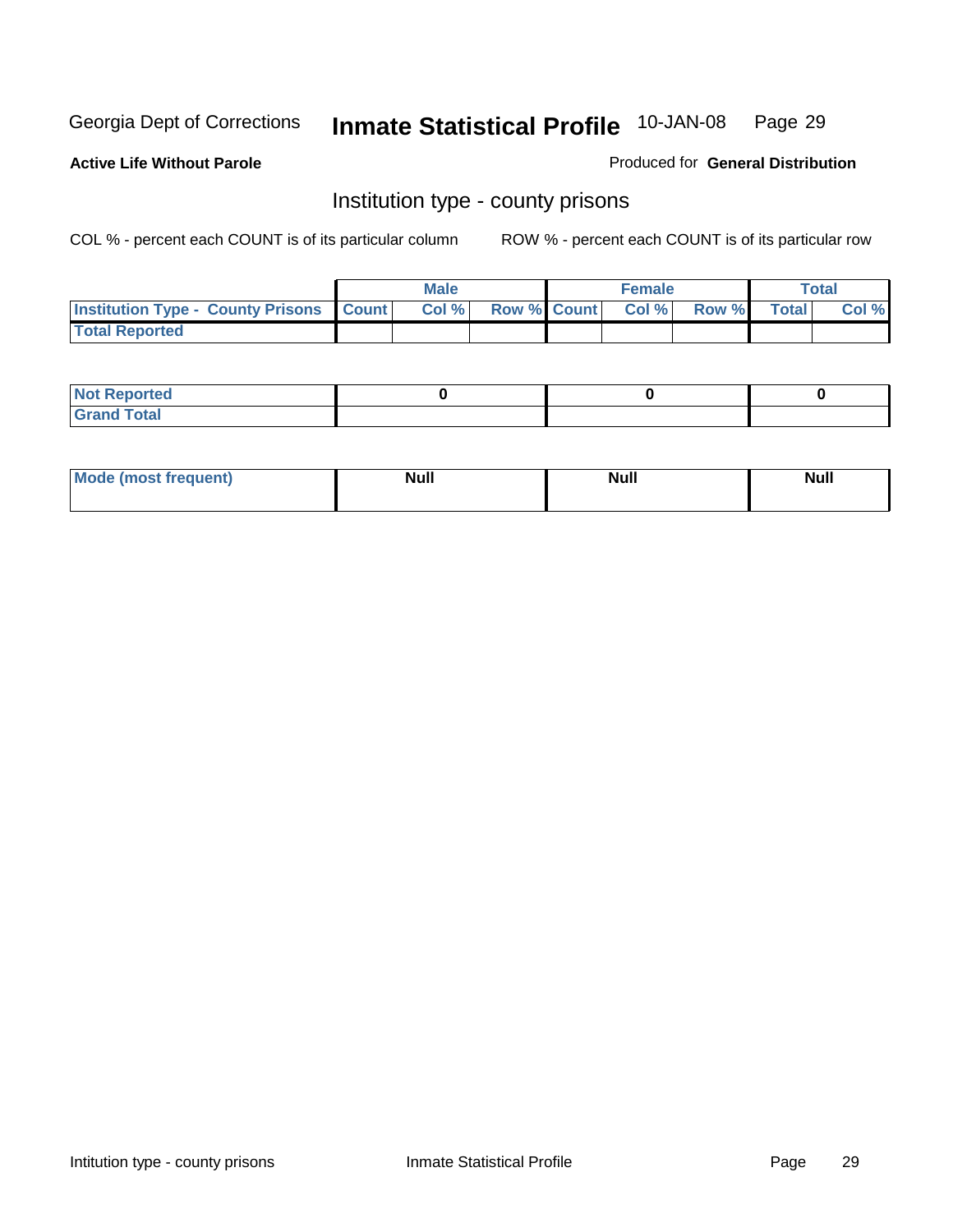**Active Life Without Parole** 

Produced for **General Distribution**

#### Institution type - county prisons

|                                                    | <b>Male</b> |  | <b>Female</b>            |             | Total |
|----------------------------------------------------|-------------|--|--------------------------|-------------|-------|
| <b>Institution Type - County Prisons   Count  </b> | Col%        |  | <b>Row % Count Col %</b> | Row % Total | Col % |
| <b>Total Reported</b>                              |             |  |                          |             |       |

| <b>Not Reported</b>        |  |  |
|----------------------------|--|--|
| <b>Total</b><br>.Grar<br>_ |  |  |

| <b>Mo</b><br>frequent) | NI. . II<br>1u 11 | <b>Moll</b> | <b>Null</b> |
|------------------------|-------------------|-------------|-------------|
|                        |                   |             |             |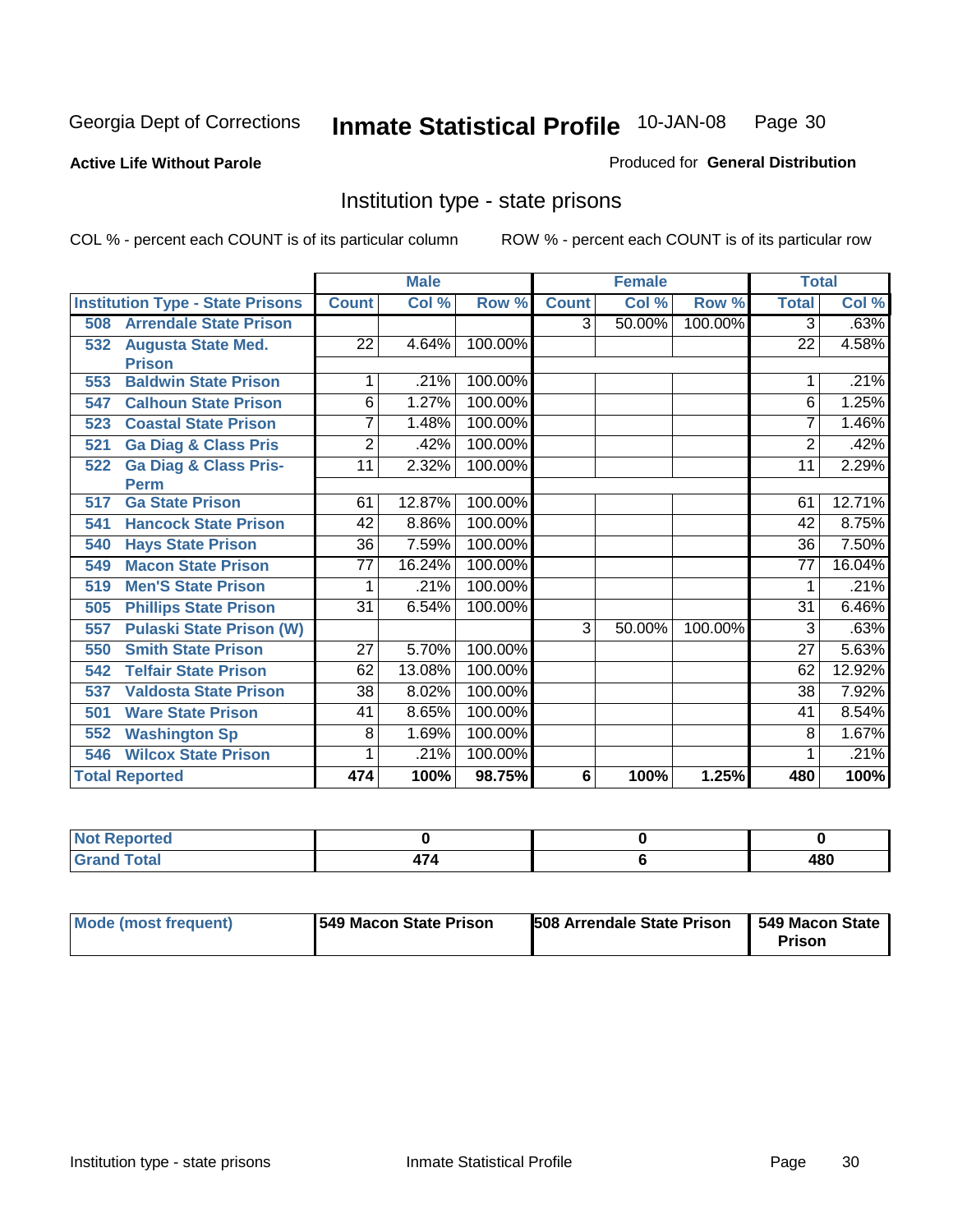#### **Active Life Without Parole**

#### Produced for **General Distribution**

#### Institution type - state prisons

|     |                                         | <b>Male</b>     |        | <b>Female</b> |                |        | <b>Total</b> |                 |        |
|-----|-----------------------------------------|-----------------|--------|---------------|----------------|--------|--------------|-----------------|--------|
|     | <b>Institution Type - State Prisons</b> | <b>Count</b>    | Col %  | Row %         | <b>Count</b>   | Col %  | Row %        | <b>Total</b>    | Col %  |
| 508 | <b>Arrendale State Prison</b>           |                 |        |               | 3              | 50.00% | 100.00%      | 3               | .63%   |
| 532 | <b>Augusta State Med.</b>               | 22              | 4.64%  | 100.00%       |                |        |              | 22              | 4.58%  |
|     | <b>Prison</b>                           |                 |        |               |                |        |              |                 |        |
| 553 | <b>Baldwin State Prison</b>             | 1               | .21%   | 100.00%       |                |        |              |                 | .21%   |
| 547 | <b>Calhoun State Prison</b>             | 6               | 1.27%  | 100.00%       |                |        |              | 6               | 1.25%  |
| 523 | <b>Coastal State Prison</b>             | 7               | 1.48%  | 100.00%       |                |        |              | 7               | 1.46%  |
| 521 | <b>Ga Diag &amp; Class Pris</b>         | $\overline{2}$  | .42%   | 100.00%       |                |        |              | $\overline{2}$  | .42%   |
| 522 | <b>Ga Diag &amp; Class Pris-</b>        | 11              | 2.32%  | 100.00%       |                |        |              | 11              | 2.29%  |
|     | <b>Perm</b>                             |                 |        |               |                |        |              |                 |        |
| 517 | <b>Ga State Prison</b>                  | 61              | 12.87% | 100.00%       |                |        |              | 61              | 12.71% |
| 541 | <b>Hancock State Prison</b>             | 42              | 8.86%  | 100.00%       |                |        |              | 42              | 8.75%  |
| 540 | <b>Hays State Prison</b>                | 36              | 7.59%  | 100.00%       |                |        |              | $\overline{36}$ | 7.50%  |
| 549 | <b>Macon State Prison</b>               | $\overline{77}$ | 16.24% | 100.00%       |                |        |              | $\overline{77}$ | 16.04% |
| 519 | <b>Men'S State Prison</b>               |                 | .21%   | 100.00%       |                |        |              |                 | .21%   |
| 505 | <b>Phillips State Prison</b>            | 31              | 6.54%  | 100.00%       |                |        |              | 31              | 6.46%  |
| 557 | <b>Pulaski State Prison (W)</b>         |                 |        |               | $\overline{3}$ | 50.00% | 100.00%      | 3               | .63%   |
| 550 | <b>Smith State Prison</b>               | 27              | 5.70%  | 100.00%       |                |        |              | 27              | 5.63%  |
| 542 | <b>Telfair State Prison</b>             | 62              | 13.08% | 100.00%       |                |        |              | 62              | 12.92% |
| 537 | <b>Valdosta State Prison</b>            | 38              | 8.02%  | 100.00%       |                |        |              | 38              | 7.92%  |
| 501 | <b>Ware State Prison</b>                | 41              | 8.65%  | 100.00%       |                |        |              | 41              | 8.54%  |
| 552 | <b>Washington Sp</b>                    | 8               | 1.69%  | 100.00%       |                |        |              | 8               | 1.67%  |
| 546 | <b>Wilcox State Prison</b>              |                 | .21%   | 100.00%       |                |        |              |                 | .21%   |
|     | <b>Total Reported</b>                   | 474             | 100%   | 98.75%        | 6              | 100%   | 1.25%        | 480             | 100%   |

| ported:<br>N<br>.                |  |     |
|----------------------------------|--|-----|
| <b>Total</b><br>C <sub>ucu</sub> |  | 480 |

| Mode (most frequent) | 1549 Macon State Prison | <b>508 Arrendale State Prison</b> | 1549 Macon State 1<br>Prison |
|----------------------|-------------------------|-----------------------------------|------------------------------|
|----------------------|-------------------------|-----------------------------------|------------------------------|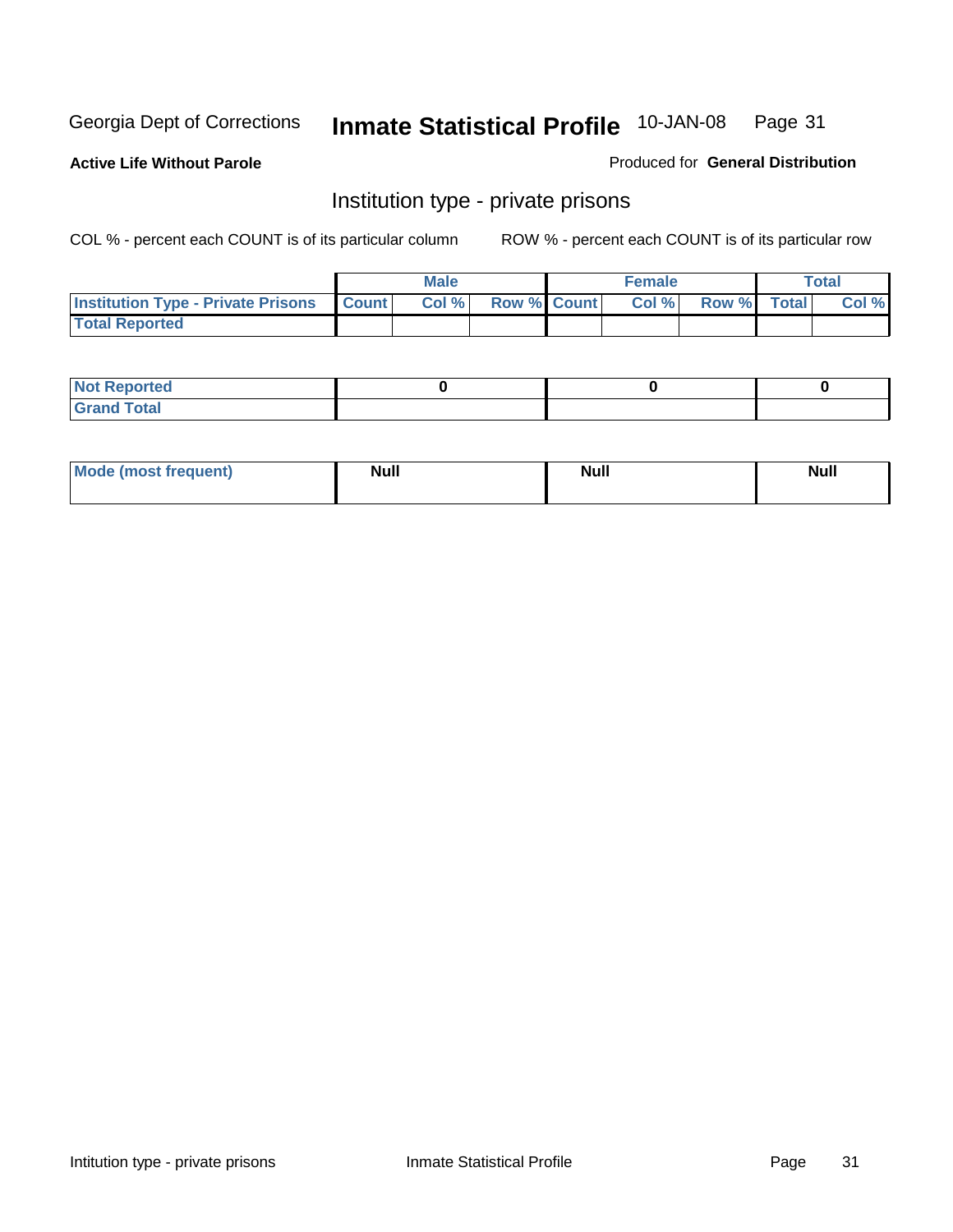**Active Life Without Parole** 

Produced for **General Distribution**

#### Institution type - private prisons

|                                                     | <b>Male</b> |                    | <b>Female</b> |             | Total |
|-----------------------------------------------------|-------------|--------------------|---------------|-------------|-------|
| <b>Institution Type - Private Prisons   Count  </b> | Col %       | <b>Row % Count</b> | Col %         | Row % Total | Col % |
| <b>Total Reported</b>                               |             |                    |               |             |       |

| <b>Not Reported</b> |  |  |
|---------------------|--|--|
| <b>Total</b><br>Cro |  |  |

| Mode (most frequent) | <b>Null</b> | <b>Null</b> | <b>Null</b> |
|----------------------|-------------|-------------|-------------|
|                      |             |             |             |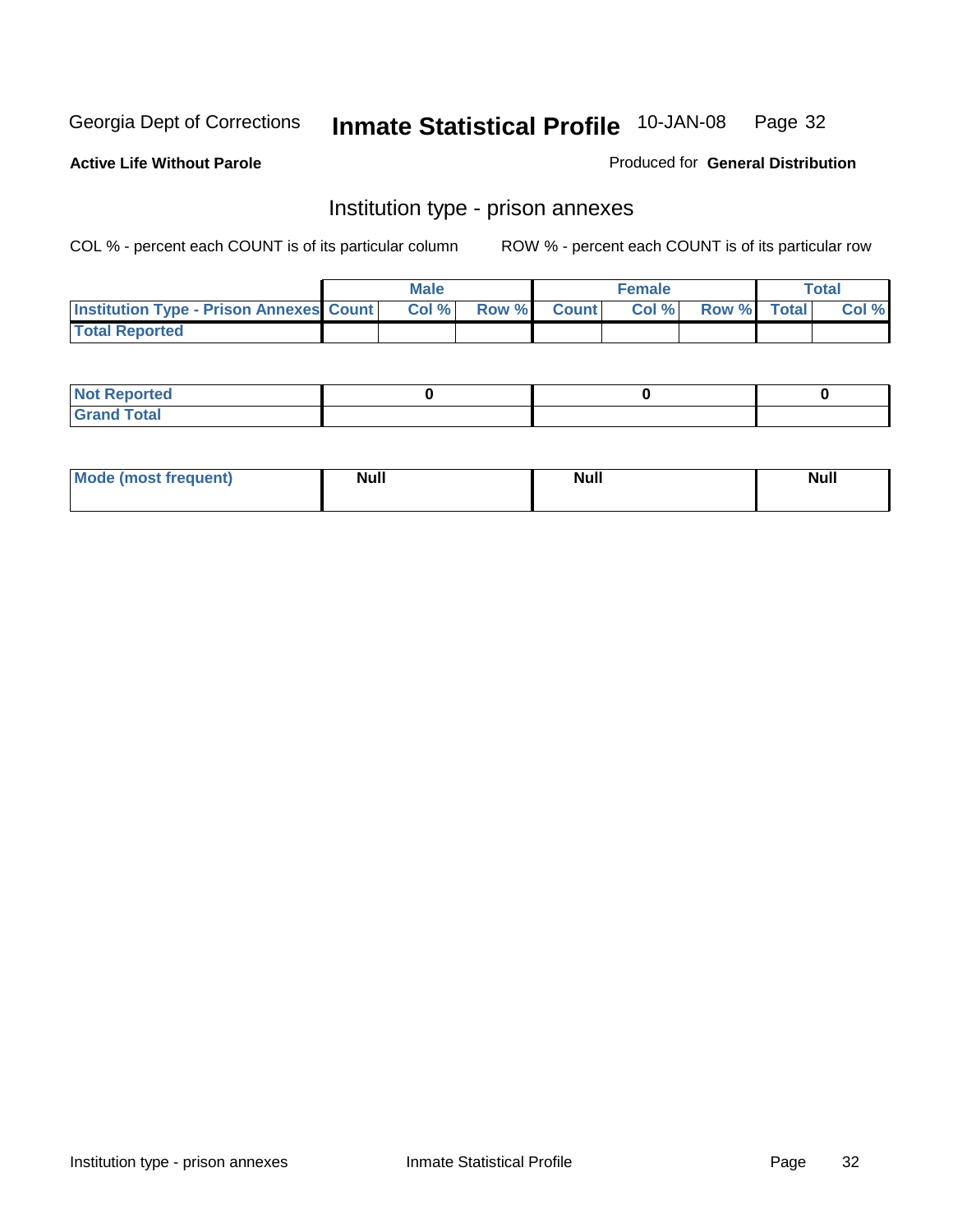**Active Life Without Parole** 

Produced for **General Distribution**

#### Institution type - prison annexes

|                                                | <b>Male</b> |       |              | Female |             | <b>Total</b> |
|------------------------------------------------|-------------|-------|--------------|--------|-------------|--------------|
| <b>Institution Type - Prison Annexes Count</b> | Col %       | Row % | <b>Count</b> | Col%   | Row % Total | Col %        |
| <b>Total Reported</b>                          |             |       |              |        |             |              |

| <b>Not Reported</b>            |  |  |
|--------------------------------|--|--|
| <b>Total</b><br>Croi<br>$\sim$ |  |  |

| Mode (most frequent) | <b>Null</b> | <b>Null</b> | <b>Null</b> |
|----------------------|-------------|-------------|-------------|
|                      |             |             |             |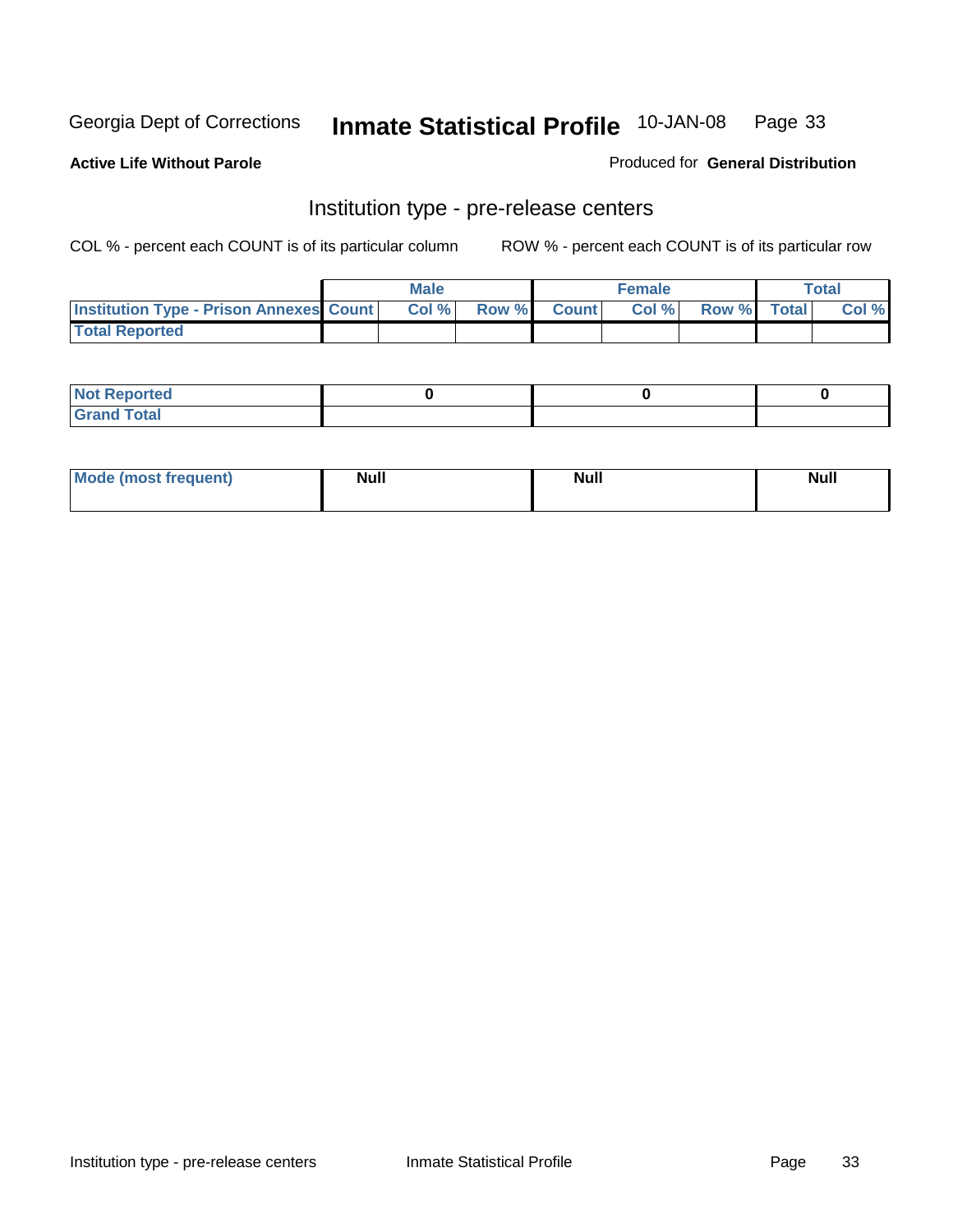**Active Life Without Parole** 

Produced for **General Distribution**

#### Institution type - pre-release centers

|                                                | <b>Male</b> |              |                | <b>Female</b> |             | <b>Total</b> |
|------------------------------------------------|-------------|--------------|----------------|---------------|-------------|--------------|
| <b>Institution Type - Prison Annexes Count</b> | Col %       | <b>Row %</b> | <b>Count</b> Ⅰ | Col%          | Row % Total | Col %        |
| <b>Total Reported</b>                          |             |              |                |               |             |              |

| <b>Not</b><br><b>Reported</b>    |  |  |
|----------------------------------|--|--|
| <b>Total</b><br>Gran<br>$\sim$ . |  |  |

| Mode (most frequent) | <b>Null</b> | <b>Null</b> | <b>Null</b> |
|----------------------|-------------|-------------|-------------|
|                      |             |             |             |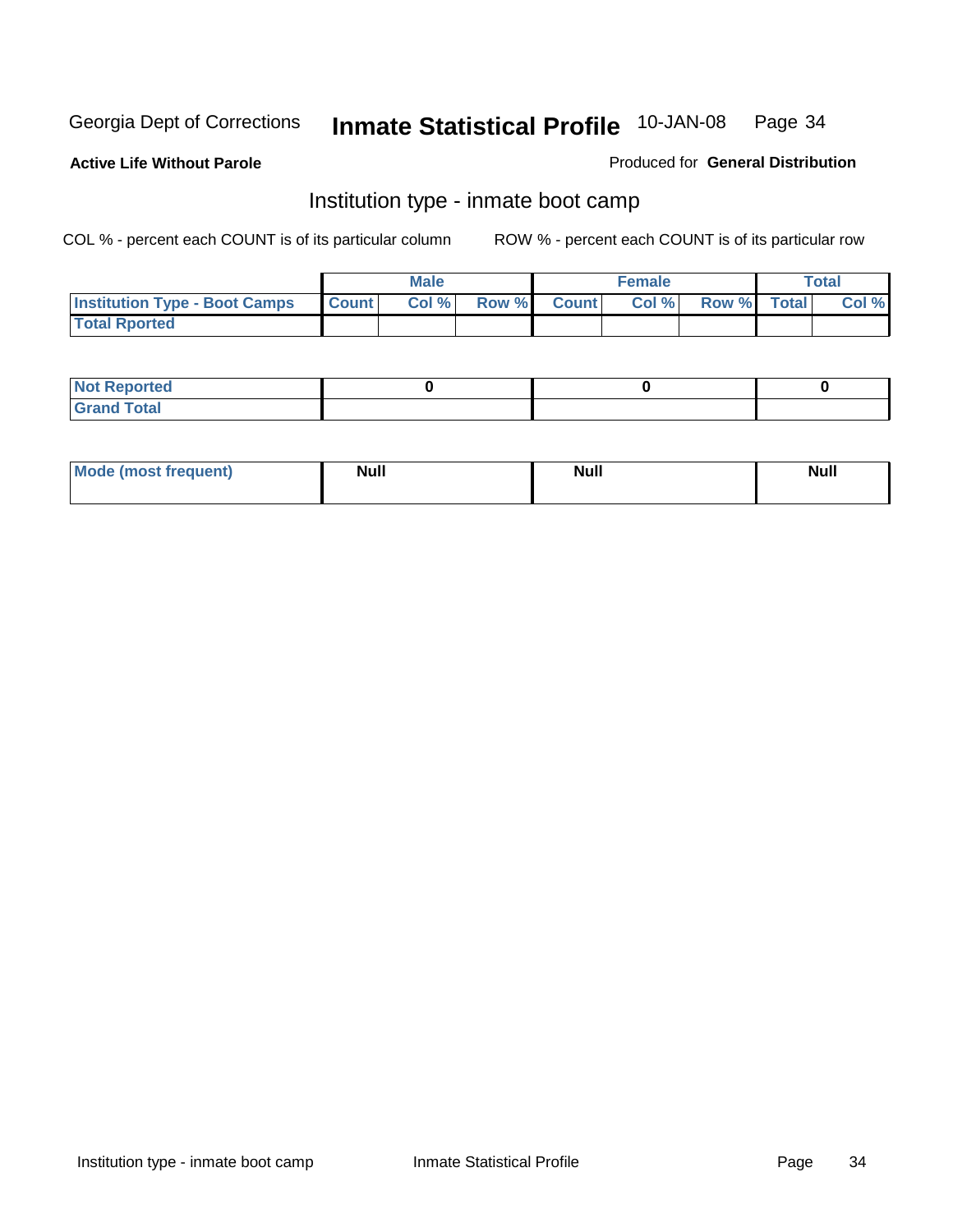**Active Life Without Parole** 

Produced for **General Distribution**

#### Institution type - inmate boot camp

|                                      |              | Male  |             | <b>Female</b> |             | <b>Total</b> |
|--------------------------------------|--------------|-------|-------------|---------------|-------------|--------------|
| <b>Institution Type - Boot Camps</b> | <b>Count</b> | Col % | Row % Count | Col %         | Row % Total | Col %        |
| <b>Total Rported</b>                 |              |       |             |               |             |              |

| <b>Not Reported</b>  |  |  |
|----------------------|--|--|
| <b>Total</b><br>Croy |  |  |

| Mode (most frequent) | <b>Null</b> | <b>Null</b> | <b>Null</b> |
|----------------------|-------------|-------------|-------------|
|                      |             |             |             |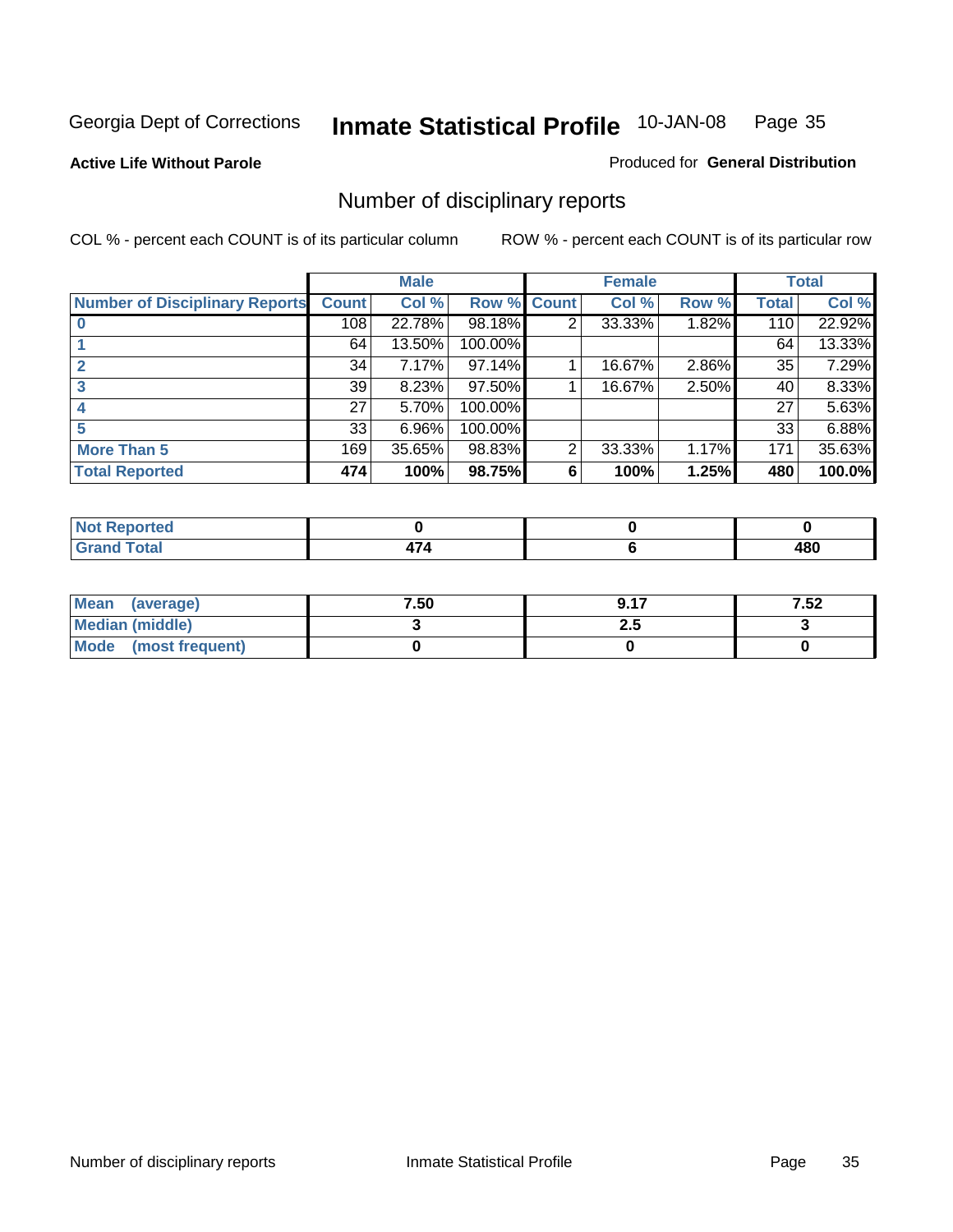**Active Life Without Parole** 

Produced for **General Distribution**

### Number of disciplinary reports

|                                       |              | <b>Male</b> |             |   | <b>Female</b> |       |              | <b>Total</b> |
|---------------------------------------|--------------|-------------|-------------|---|---------------|-------|--------------|--------------|
| <b>Number of Disciplinary Reports</b> | <b>Count</b> | Col %       | Row % Count |   | Col %         | Row % | <b>Total</b> | Col %        |
|                                       | 108          | 22.78%      | 98.18%      | 2 | 33.33%        | 1.82% | 110          | 22.92%       |
|                                       | 64           | 13.50%      | 100.00%     |   |               |       | 64           | 13.33%       |
|                                       | 34           | 7.17%       | 97.14%      |   | 16.67%        | 2.86% | 35           | 7.29%        |
|                                       | 39           | 8.23%       | 97.50%      |   | 16.67%        | 2.50% | 40           | 8.33%        |
|                                       | 27           | 5.70%       | 100.00%     |   |               |       | 27           | 5.63%        |
|                                       | 33           | 6.96%       | 100.00%     |   |               |       | 33           | 6.88%        |
| <b>More Than 5</b>                    | 169          | 35.65%      | 98.83%      | 2 | 33.33%        | 1.17% | 171          | 35.63%       |
| <b>Total Reported</b>                 | 474          | 100%        | 98.75%      | 6 | 100%          | 1.25% | 480          | 100.0%       |

| .<br>N<br>нео  |  |                   |
|----------------|--|-------------------|
| T <sub>1</sub> |  | 101<br>40 U<br>__ |

| Mean (average)       | 7.50 | 0.17 | 7.52 |
|----------------------|------|------|------|
| Median (middle)      |      | 2.J  |      |
| Mode (most frequent) |      |      |      |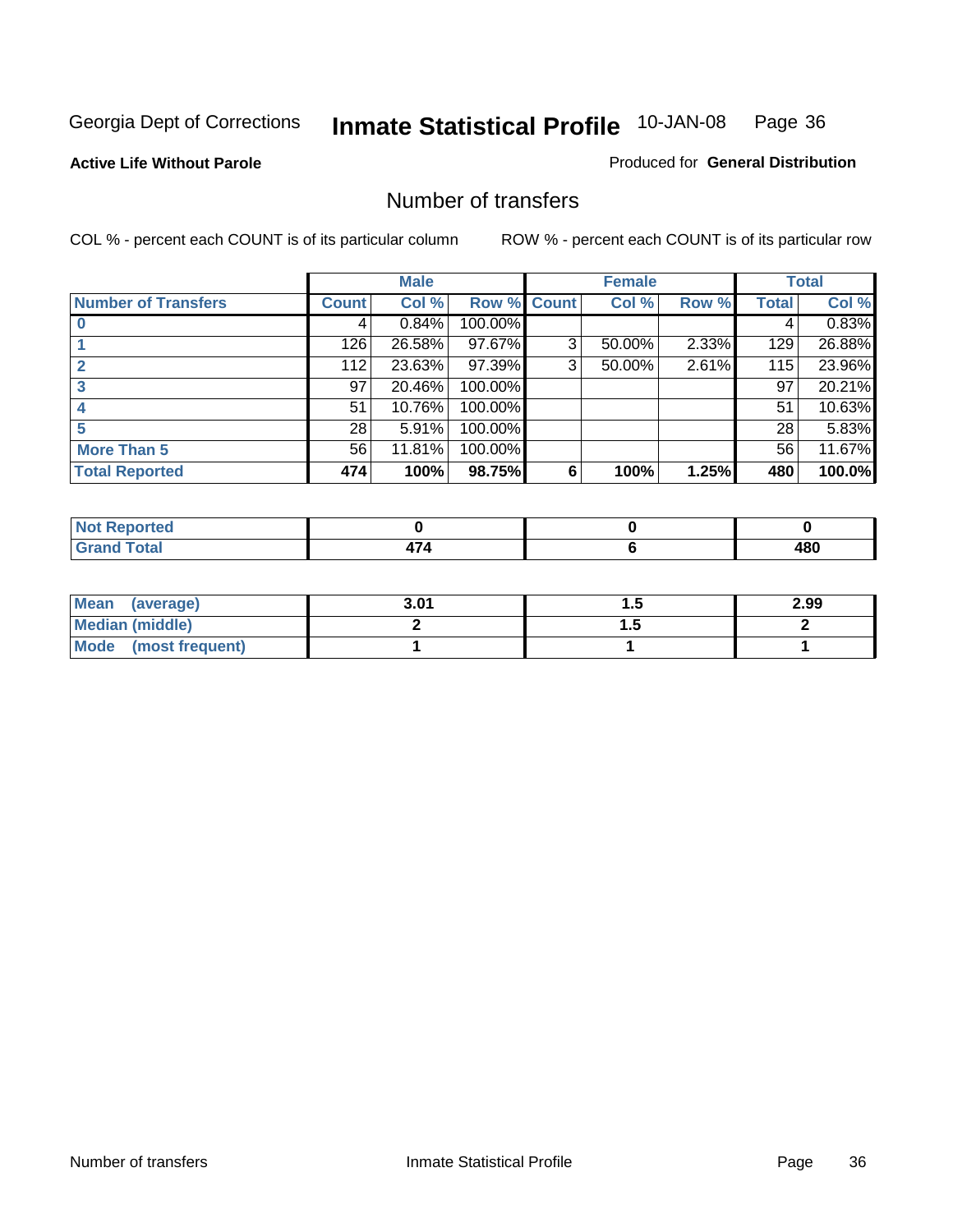#### **Active Life Without Parole**

#### Produced for **General Distribution**

#### Number of transfers

|                            |                 | <b>Male</b> |         |              | <b>Female</b> |       |              | <b>Total</b> |
|----------------------------|-----------------|-------------|---------|--------------|---------------|-------|--------------|--------------|
| <b>Number of Transfers</b> | Count l         | Col %       | Row %   | <b>Count</b> | Col %         | Row % | <b>Total</b> | Col %        |
|                            | 4               | 0.84%       | 100.00% |              |               |       | 4            | 0.83%        |
|                            | 126             | 26.58%      | 97.67%  | 3            | 50.00%        | 2.33% | 129          | 26.88%       |
| $\mathbf{c}$               | 112             | 23.63%      | 97.39%  | 3            | 50.00%        | 2.61% | 115          | 23.96%       |
| 3                          | 97              | 20.46%      | 100.00% |              |               |       | 97           | 20.21%       |
|                            | 51              | 10.76%      | 100.00% |              |               |       | 51           | 10.63%       |
|                            | 28 <sup>1</sup> | 5.91%       | 100.00% |              |               |       | 28           | 5.83%        |
| <b>More Than 5</b>         | 56              | 11.81%      | 100.00% |              |               |       | 56           | 11.67%       |
| <b>Total Reported</b>      | 474             | 100%        | 98.75%  | 6            | 100%          | 1.25% | 480          | 100.0%       |

| .<br>N<br>нео  |  |                   |
|----------------|--|-------------------|
| T <sub>1</sub> |  | 101<br>40 U<br>__ |

| Mean (average)       | 3.01 |   | 2.99 |
|----------------------|------|---|------|
| Median (middle)      |      | . |      |
| Mode (most frequent) |      |   |      |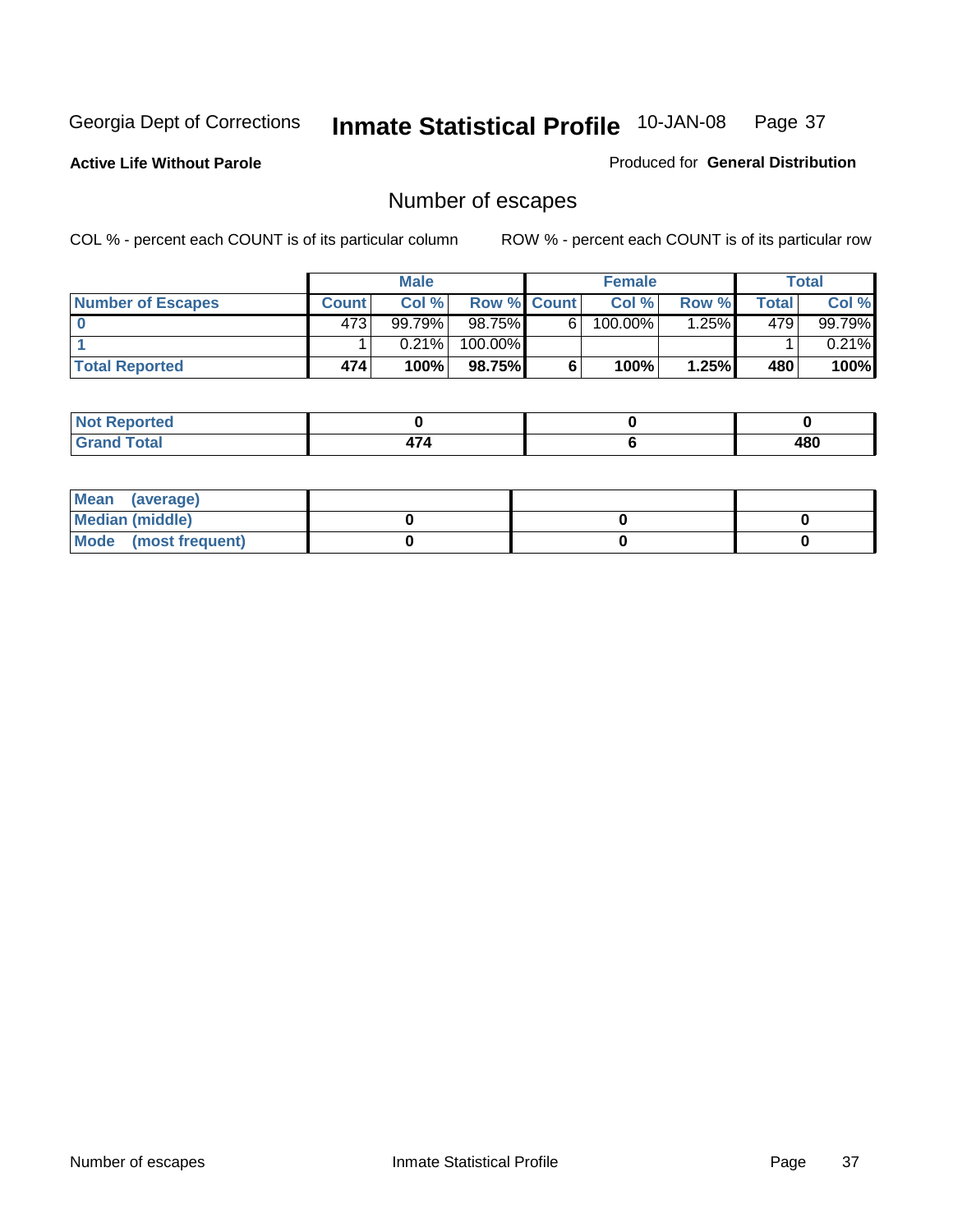**Active Life Without Parole** 

Produced for **General Distribution**

# Number of escapes

|                       |              | <b>Male</b> |                    |   | <b>Female</b> |         |       | <b>Total</b> |
|-----------------------|--------------|-------------|--------------------|---|---------------|---------|-------|--------------|
| Number of Escapes     | <b>Count</b> | Col%        | <b>Row % Count</b> |   | Col %         | Row %   | Total | Col %        |
|                       | 473'         | 99.79%      | 98.75%             | 6 | 100.00%       | $.25\%$ | 479'  | 99.79%       |
|                       |              | 0.21%       | 100.00%            |   |               |         |       | $0.21\%$     |
| <b>Total Reported</b> | 474          | 100%        | 98.75%I            |   | 100%          | 1.25%   | 480   | 100%         |

| rteo                            |  |     |
|---------------------------------|--|-----|
| <b>otal</b><br>$\mathbf{v}$ and |  | 480 |

| Mean (average)       |  |  |
|----------------------|--|--|
| Median (middle)      |  |  |
| Mode (most frequent) |  |  |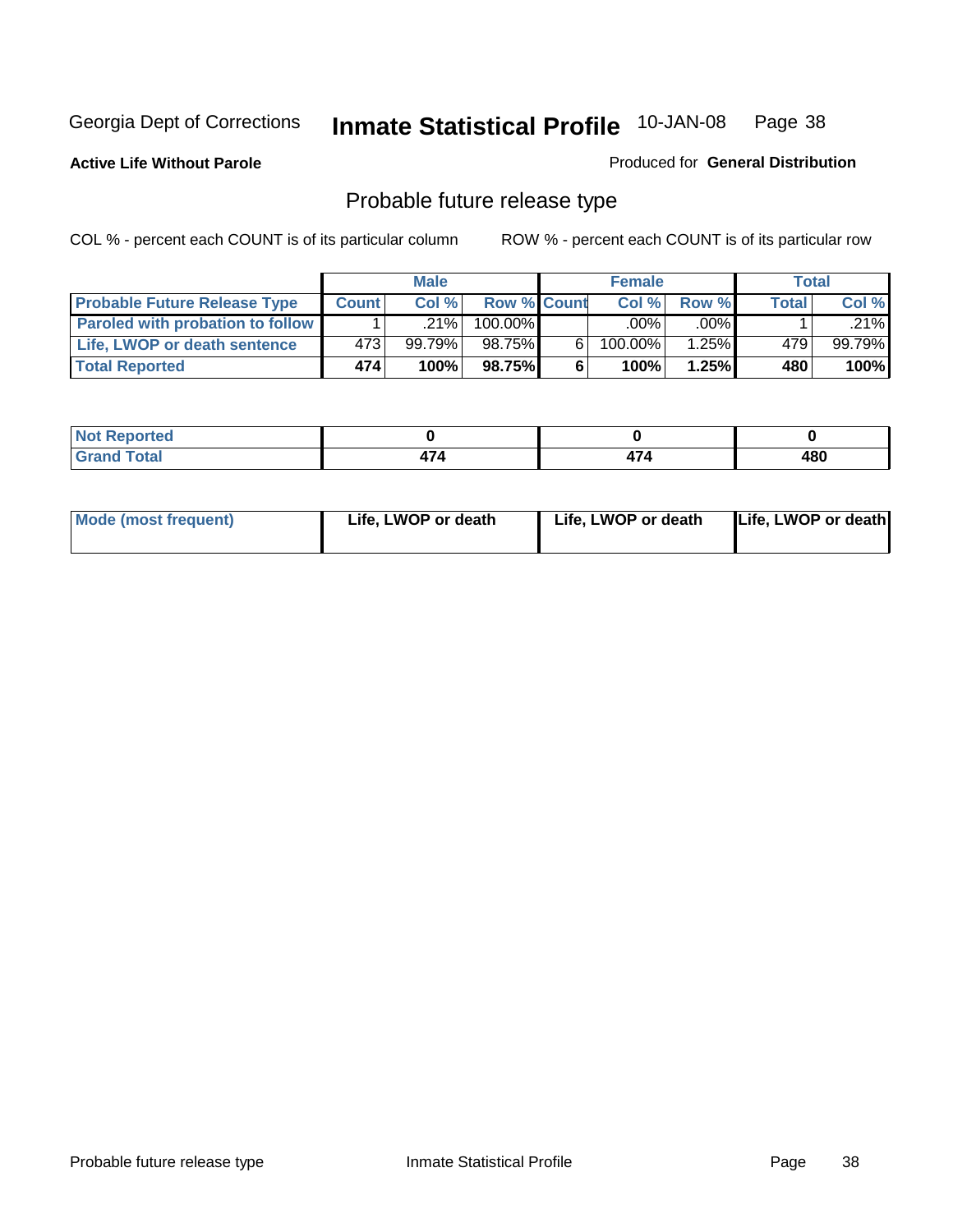**Active Life Without Parole** 

Produced for **General Distribution**

# Probable future release type

|                                         |              | <b>Male</b> |                    |   | <b>Female</b> |          |              | Total  |
|-----------------------------------------|--------------|-------------|--------------------|---|---------------|----------|--------------|--------|
| <b>Probable Future Release Type</b>     | <b>Count</b> | Col %       | <b>Row % Count</b> |   | Col%          | Row %    | <b>Total</b> | Col %  |
| <b>Paroled with probation to follow</b> |              | $.21\%$     | 100.00%            |   | $.00\%$       | $.00\%$  |              | .21%   |
| Life, LWOP or death sentence            | 4731         | 99.79%      | 98.75%             | 6 | 100.00%       | $1.25\%$ | 479          | 99.79% |
| <b>Total Reported</b>                   | 474          | 100%        | 98.75%             | 6 | 100%          | 1.25%    | 480          | 100%   |

| <b>prted</b><br>. <b>.</b> . |      |   |             |
|------------------------------|------|---|-------------|
| <b>otal</b><br><b>COMPA</b>  | - 11 | . | 1 R N<br>טט |

| Mode (most frequent) | Life, LWOP or death |
|----------------------|---------------------|
| Life, LWOP or death  | Life, LWOP or death |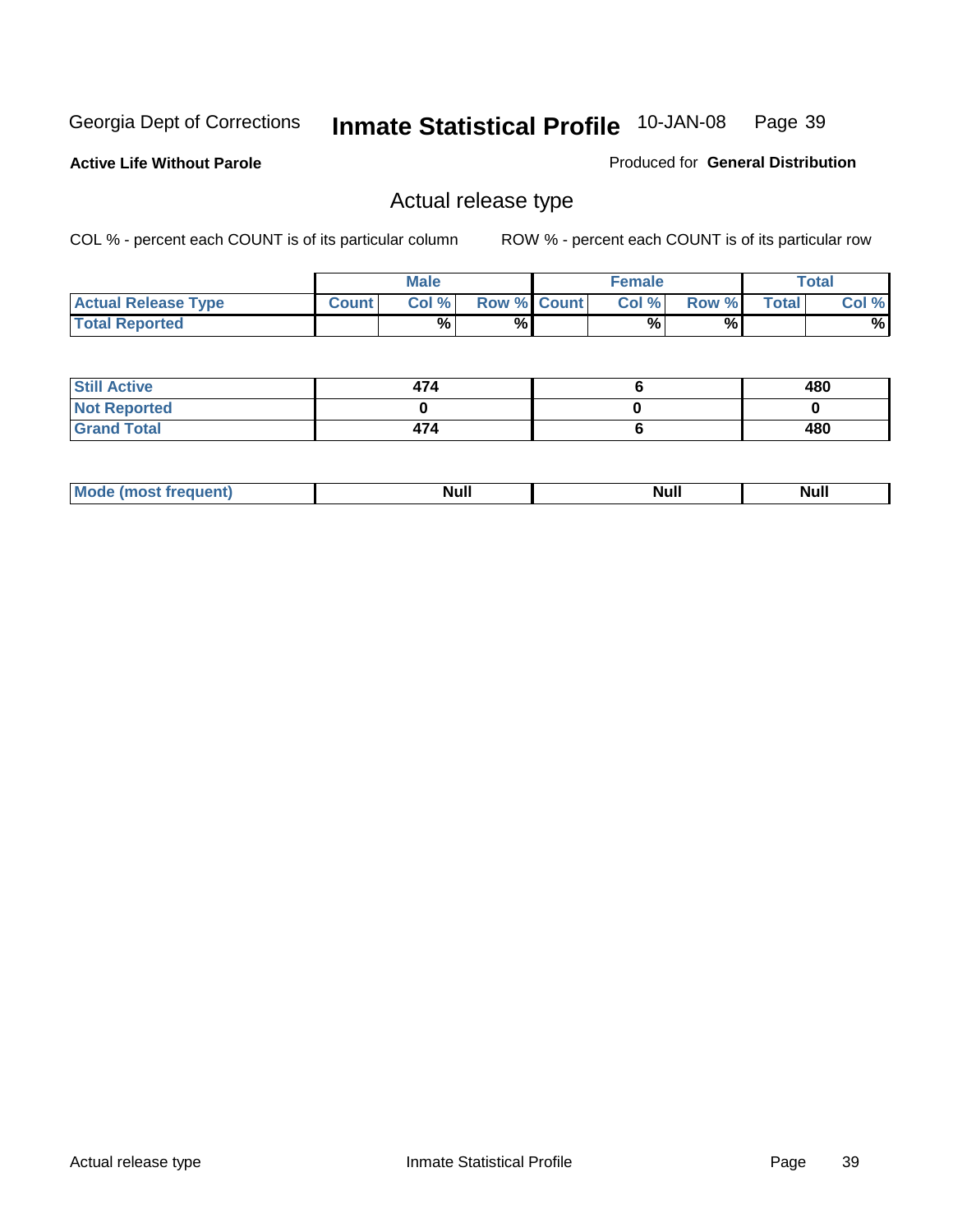**Active Life Without Parole** 

Produced for **General Distribution**

### Actual release type

|                            |              | <b>Male</b> |                    | <b>Female</b> |        |       | $\tau$ otal |
|----------------------------|--------------|-------------|--------------------|---------------|--------|-------|-------------|
| <b>Actual Release Type</b> | <b>Count</b> | Col %       | <b>Row % Count</b> | Col %         | Row %I | Total | Col %       |
| <b>Total Reported</b>      |              | $\%$        | %                  | %             | %      |       | %           |

| <b>Still Active</b> | 474 | 480 |
|---------------------|-----|-----|
| <b>Not Reported</b> |     |     |
| <b>Grand Total</b>  | 474 | 480 |

| M<br>____<br>_____ | NI | Null | $\cdots$ |
|--------------------|----|------|----------|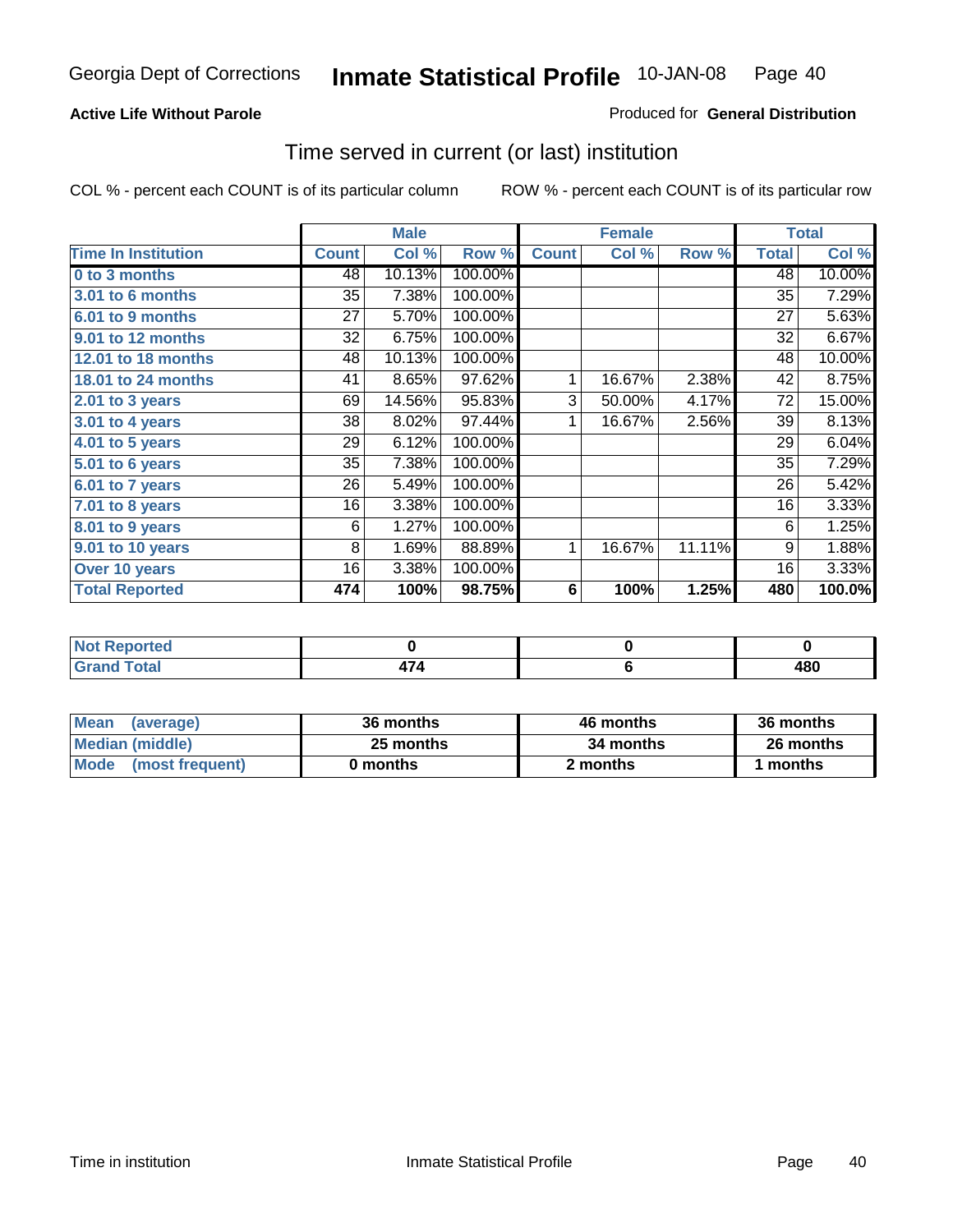#### **Active Life Without Parole**

#### Produced for **General Distribution**

### Time served in current (or last) institution

|                            |              | <b>Male</b> |         |              | <b>Female</b> |        |              | <b>Total</b> |
|----------------------------|--------------|-------------|---------|--------------|---------------|--------|--------------|--------------|
| <b>Time In Institution</b> | <b>Count</b> | Col %       | Row %   | <b>Count</b> | Col %         | Row %  | <b>Total</b> | Col %        |
| 0 to 3 months              | 48           | 10.13%      | 100.00% |              |               |        | 48           | 10.00%       |
| 3.01 to 6 months           | 35           | 7.38%       | 100.00% |              |               |        | 35           | 7.29%        |
| 6.01 to 9 months           | 27           | 5.70%       | 100.00% |              |               |        | 27           | 5.63%        |
| 9.01 to 12 months          | 32           | 6.75%       | 100.00% |              |               |        | 32           | 6.67%        |
| 12.01 to 18 months         | 48           | 10.13%      | 100.00% |              |               |        | 48           | 10.00%       |
| 18.01 to 24 months         | 41           | 8.65%       | 97.62%  | 1            | 16.67%        | 2.38%  | 42           | 8.75%        |
| $2.01$ to 3 years          | 69           | 14.56%      | 95.83%  | 3            | 50.00%        | 4.17%  | 72           | 15.00%       |
| $3.01$ to 4 years          | 38           | 8.02%       | 97.44%  | 1            | 16.67%        | 2.56%  | 39           | 8.13%        |
| 4.01 to 5 years            | 29           | 6.12%       | 100.00% |              |               |        | 29           | 6.04%        |
| 5.01 to 6 years            | 35           | 7.38%       | 100.00% |              |               |        | 35           | 7.29%        |
| 6.01 to 7 years            | 26           | 5.49%       | 100.00% |              |               |        | 26           | 5.42%        |
| 7.01 to 8 years            | 16           | 3.38%       | 100.00% |              |               |        | 16           | 3.33%        |
| 8.01 to 9 years            | 6            | 1.27%       | 100.00% |              |               |        | 6            | 1.25%        |
| 9.01 to 10 years           | 8            | 1.69%       | 88.89%  | 1            | 16.67%        | 11.11% | 9            | 1.88%        |
| Over 10 years              | 16           | 3.38%       | 100.00% |              |               |        | 16           | 3.33%        |
| <b>Total Reported</b>      | 474          | 100%        | 98.75%  | 6            | 100%          | 1.25%  | 480          | 100.0%       |

| <b>Reported</b><br><b>Not</b> |               |            |
|-------------------------------|---------------|------------|
| <b>Total</b>                  | $\rightarrow$ | ៱៰៱<br>40U |

| <b>Mean</b><br>(average) | 36 months | 46 months | 36 months |  |
|--------------------------|-----------|-----------|-----------|--|
| Median (middle)          | 25 months | 34 months | 26 months |  |
| Mode<br>(most frequent)  | 0 months  | 2 months  | months    |  |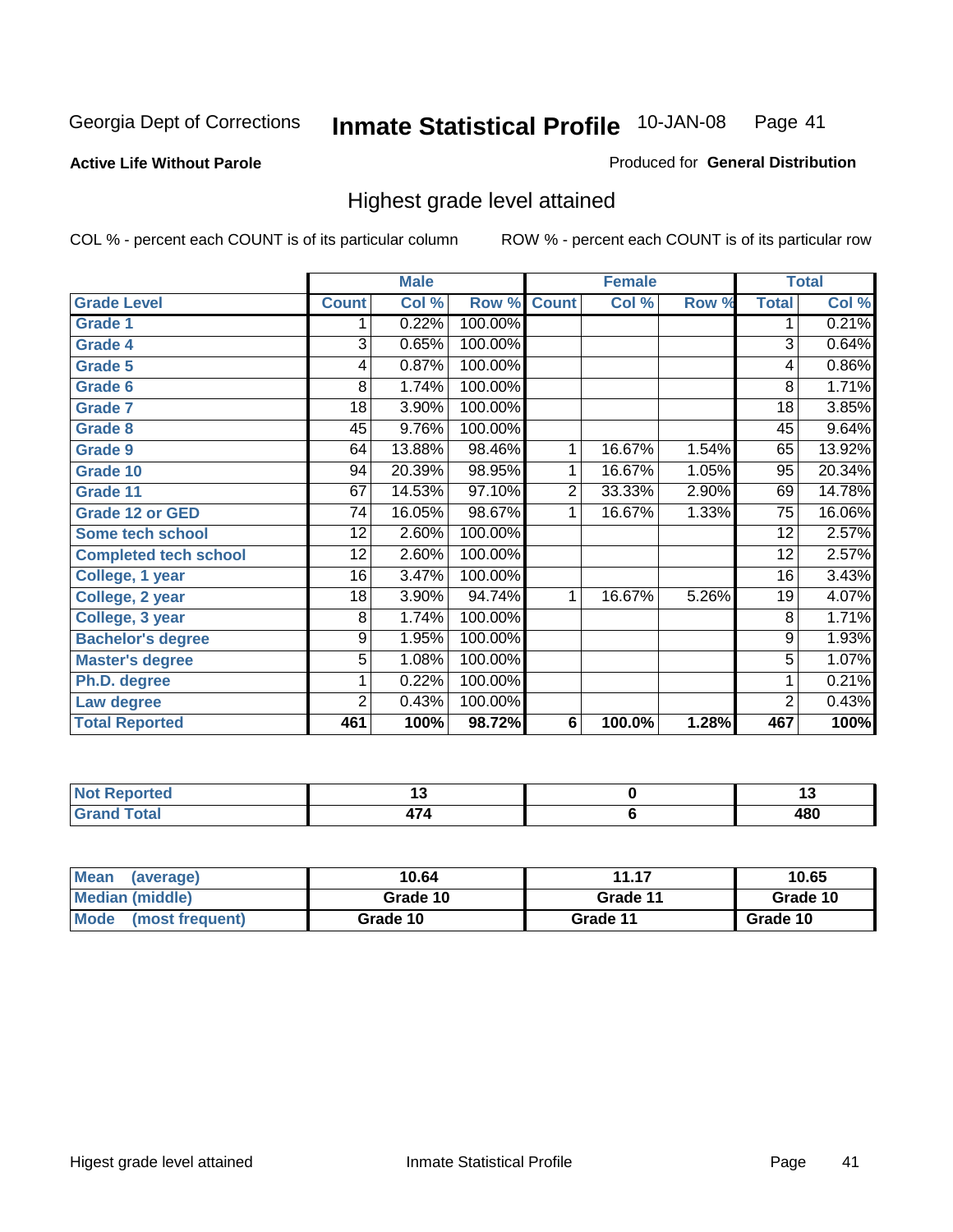**Active Life Without Parole** 

Produced for **General Distribution**

### Highest grade level attained

|                              |                | <b>Male</b> |         |                | <b>Female</b> |       |                 | <b>Total</b> |
|------------------------------|----------------|-------------|---------|----------------|---------------|-------|-----------------|--------------|
| <b>Grade Level</b>           | <b>Count</b>   | Col %       | Row %   | <b>Count</b>   | Col %         | Row % | <b>Total</b>    | Col %        |
| <b>Grade 1</b>               | 1              | 0.22%       | 100.00% |                |               |       | 1               | 0.21%        |
| <b>Grade 4</b>               | 3              | 0.65%       | 100.00% |                |               |       | 3               | 0.64%        |
| Grade 5                      | 4              | 0.87%       | 100.00% |                |               |       | 4               | $0.86\%$     |
| Grade 6                      | 8              | 1.74%       | 100.00% |                |               |       | 8               | 1.71%        |
| <b>Grade 7</b>               | 18             | 3.90%       | 100.00% |                |               |       | $\overline{18}$ | 3.85%        |
| <b>Grade 8</b>               | 45             | 9.76%       | 100.00% |                |               |       | 45              | 9.64%        |
| <b>Grade 9</b>               | 64             | 13.88%      | 98.46%  | 1              | 16.67%        | 1.54% | 65              | 13.92%       |
| Grade 10                     | 94             | 20.39%      | 98.95%  | 1              | 16.67%        | 1.05% | 95              | 20.34%       |
| Grade 11                     | 67             | 14.53%      | 97.10%  | $\overline{2}$ | 33.33%        | 2.90% | 69              | 14.78%       |
| <b>Grade 12 or GED</b>       | 74             | 16.05%      | 98.67%  | 1              | 16.67%        | 1.33% | 75              | 16.06%       |
| <b>Some tech school</b>      | 12             | 2.60%       | 100.00% |                |               |       | 12              | 2.57%        |
| <b>Completed tech school</b> | 12             | 2.60%       | 100.00% |                |               |       | 12              | 2.57%        |
| College, 1 year              | 16             | 3.47%       | 100.00% |                |               |       | 16              | 3.43%        |
| College, 2 year              | 18             | 3.90%       | 94.74%  | 1              | 16.67%        | 5.26% | 19              | 4.07%        |
| College, 3 year              | 8              | 1.74%       | 100.00% |                |               |       | 8               | 1.71%        |
| <b>Bachelor's degree</b>     | 9              | 1.95%       | 100.00% |                |               |       | $\overline{9}$  | 1.93%        |
| <b>Master's degree</b>       | 5              | 1.08%       | 100.00% |                |               |       | $\overline{5}$  | 1.07%        |
| Ph.D. degree                 | 1              | 0.22%       | 100.00% |                |               |       | 1               | 0.21%        |
| Law degree                   | $\overline{2}$ | 0.43%       | 100.00% |                |               |       | $\overline{2}$  | 0.43%        |
| <b>Total Reported</b>        | 461            | 100%        | 98.72%  | 6              | 100.0%        | 1.28% | 467             | 100%         |

| i Alban<br>المناسب<br>rtea<br>NI.<br>. | . . | יי          |
|----------------------------------------|-----|-------------|
| Total<br><b>C.A.A</b>                  | .   | 10 N<br>40u |

| <b>Mean</b><br>(average) | 10.64    | 11.17    | 10.65    |
|--------------------------|----------|----------|----------|
| Median (middle)          | Grade 10 | Grade 11 | Grade 10 |
| Mode<br>(most frequent)  | Grade 10 | Grade 11 | Grade 10 |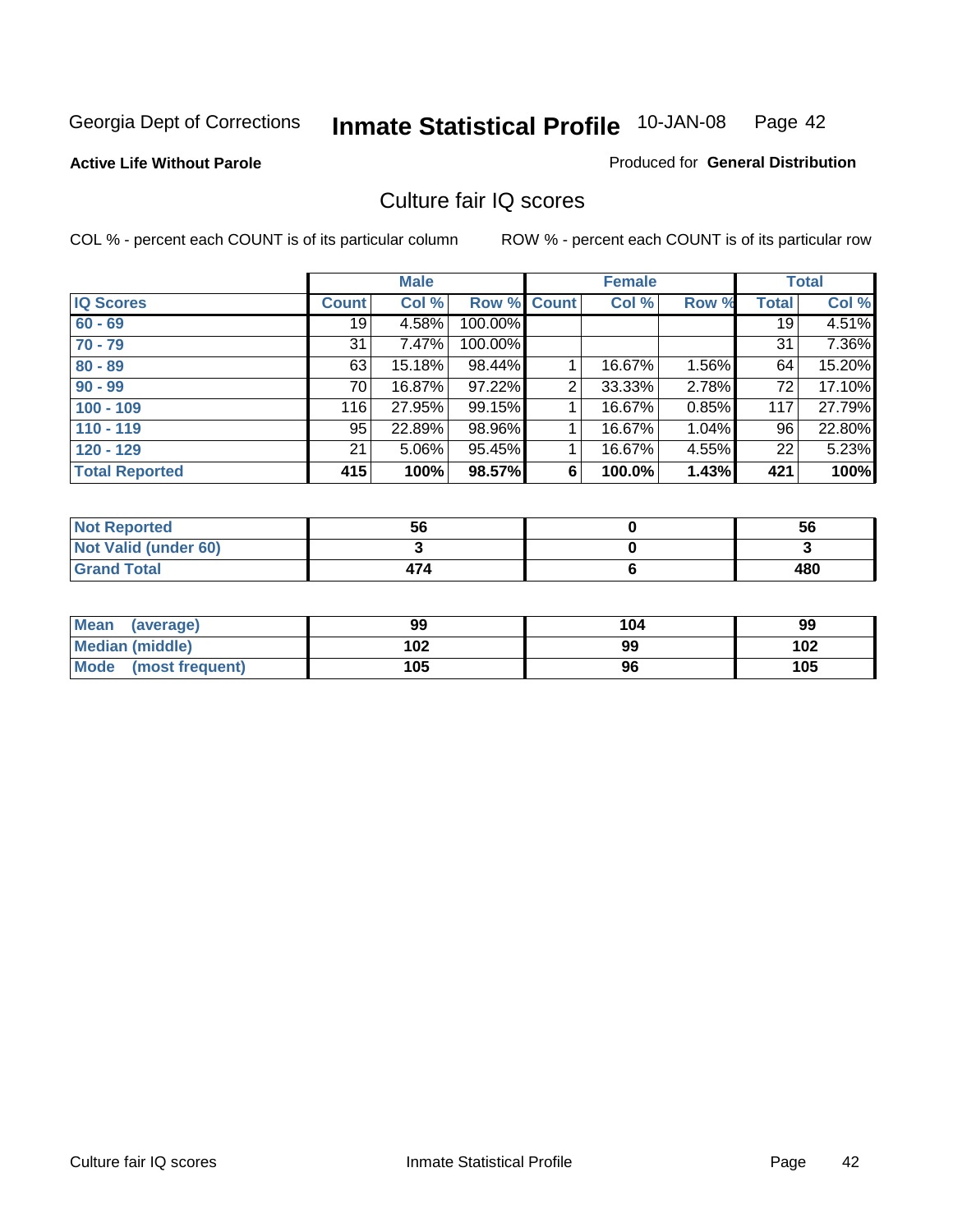#### **Active Life Without Parole**

### Produced for **General Distribution**

### Culture fair IQ scores

|                       |              | <b>Male</b> |             |   | <b>Female</b> |          |              | <b>Total</b> |
|-----------------------|--------------|-------------|-------------|---|---------------|----------|--------------|--------------|
| <b>IQ Scores</b>      | <b>Count</b> | Col %       | Row % Count |   | Col %         | Row %    | <b>Total</b> | Col %        |
| $60 - 69$             | 19           | 4.58%       | 100.00%     |   |               |          | 19           | 4.51%        |
| $70 - 79$             | 31           | 7.47%       | 100.00%     |   |               |          | 31           | 7.36%        |
| $80 - 89$             | 63           | 15.18%      | 98.44%      |   | 16.67%        | $1.56\%$ | 64           | 15.20%       |
| $90 - 99$             | 70           | 16.87%      | 97.22%      | 2 | 33.33%        | 2.78%    | 72           | 17.10%       |
| $100 - 109$           | 116          | 27.95%      | 99.15%      |   | 16.67%        | 0.85%    | 117          | 27.79%       |
| $110 - 119$           | 95           | 22.89%      | 98.96%      |   | 16.67%        | 1.04%    | 96           | 22.80%       |
| $120 - 129$           | 21           | 5.06%       | 95.45%      |   | 16.67%        | 4.55%    | 22           | 5.23%        |
| <b>Total Reported</b> | 415          | 100%        | 98.57%      | 6 | 100.0%        | 1.43%    | 421          | 100%         |

| <b>Not Reported</b>         | 56  | 56  |
|-----------------------------|-----|-----|
| <b>Not Valid (under 60)</b> |     |     |
| <b>Grand Total</b>          | 474 | 480 |

| <b>Mean</b><br>(average) | 99  | 104 | 99  |
|--------------------------|-----|-----|-----|
| Median (middle)          | 102 | 99  | 102 |
| Mode (most frequent)     | 105 | 96  | 105 |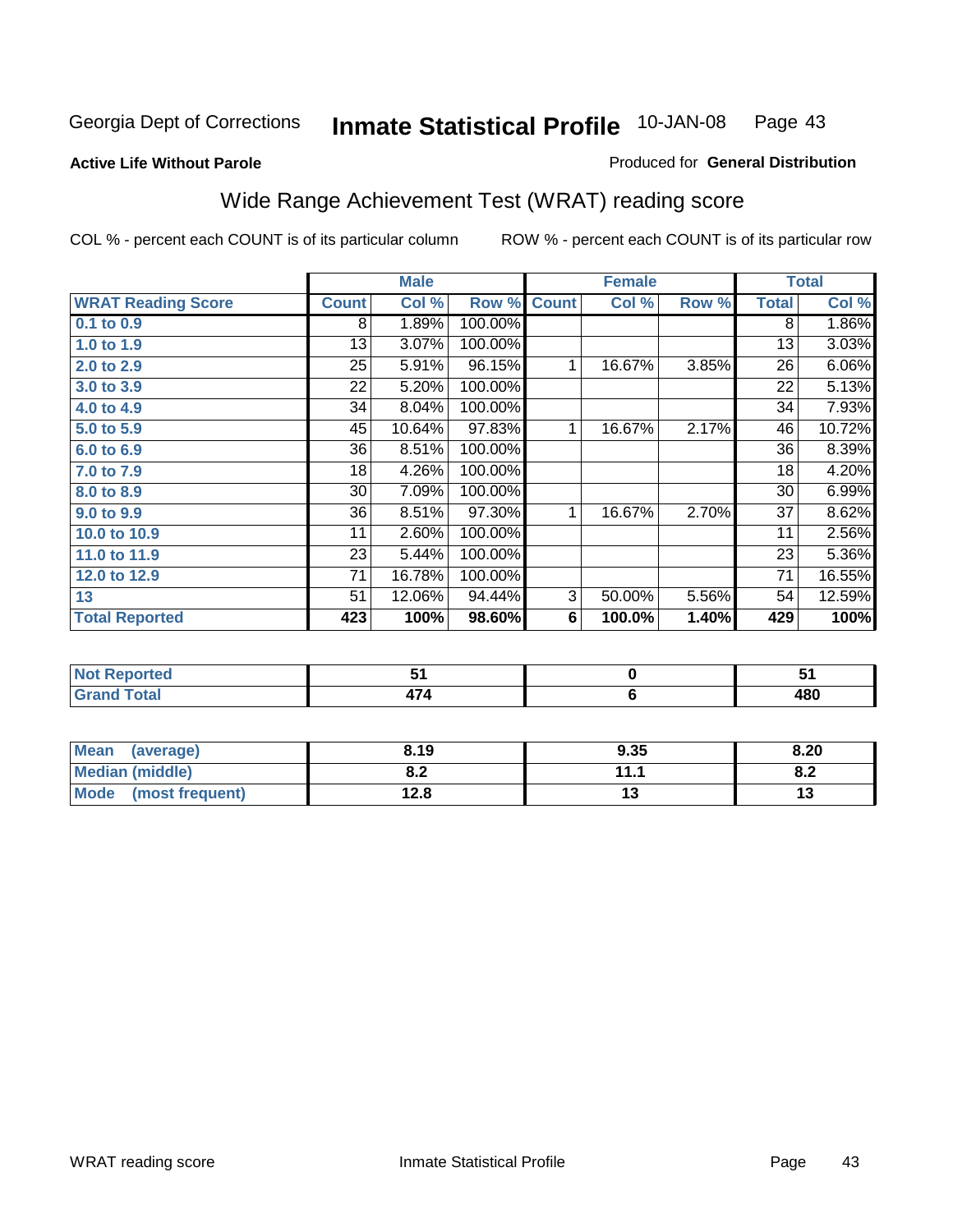#### **Active Life Without Parole**

#### Produced for **General Distribution**

# Wide Range Achievement Test (WRAT) reading score

|                           |              | <b>Male</b> |         |              | <b>Female</b> |       |              | <b>Total</b> |
|---------------------------|--------------|-------------|---------|--------------|---------------|-------|--------------|--------------|
| <b>WRAT Reading Score</b> | <b>Count</b> | Col %       | Row %   | <b>Count</b> | Col %         | Row % | <b>Total</b> | Col %        |
| 0.1 to 0.9                | 8            | 1.89%       | 100.00% |              |               |       | 8            | 1.86%        |
| 1.0 to 1.9                | 13           | 3.07%       | 100.00% |              |               |       | 13           | 3.03%        |
| 2.0 to 2.9                | 25           | 5.91%       | 96.15%  | 1            | 16.67%        | 3.85% | 26           | 6.06%        |
| 3.0 to 3.9                | 22           | 5.20%       | 100.00% |              |               |       | 22           | 5.13%        |
| 4.0 to 4.9                | 34           | 8.04%       | 100.00% |              |               |       | 34           | 7.93%        |
| 5.0 to 5.9                | 45           | 10.64%      | 97.83%  | 1            | 16.67%        | 2.17% | 46           | 10.72%       |
| 6.0 to 6.9                | 36           | 8.51%       | 100.00% |              |               |       | 36           | 8.39%        |
| 7.0 to 7.9                | 18           | 4.26%       | 100.00% |              |               |       | 18           | 4.20%        |
| 8.0 to 8.9                | 30           | 7.09%       | 100.00% |              |               |       | 30           | 6.99%        |
| 9.0 to 9.9                | 36           | 8.51%       | 97.30%  | 1            | 16.67%        | 2.70% | 37           | 8.62%        |
| 10.0 to 10.9              | 11           | 2.60%       | 100.00% |              |               |       | 11           | 2.56%        |
| 11.0 to 11.9              | 23           | 5.44%       | 100.00% |              |               |       | 23           | 5.36%        |
| 12.0 to 12.9              | 71           | 16.78%      | 100.00% |              |               |       | 71           | 16.55%       |
| 13                        | 51           | 12.06%      | 94.44%  | 3            | 50.00%        | 5.56% | 54           | 12.59%       |
| <b>Total Reported</b>     | 423          | 100%        | 98.60%  | 6            | 100.0%        | 1.40% | 429          | 100%         |
|                           |              |             |         |              |               |       |              |              |
| <b>Not Reported</b>       |              | 51          |         |              | $\pmb{0}$     |       |              | 51           |
| <b>Grand Total</b>        |              | 474         |         |              | $\bf 6$       |       |              | 480          |

| Mean (average)       | 8.19       | 9.35 | 8.20      |
|----------------------|------------|------|-----------|
| Median (middle)      | ה ה<br>o.z | 11.1 | ററ<br>o.z |
| Mode (most frequent) | 12.8       | ט ו  |           |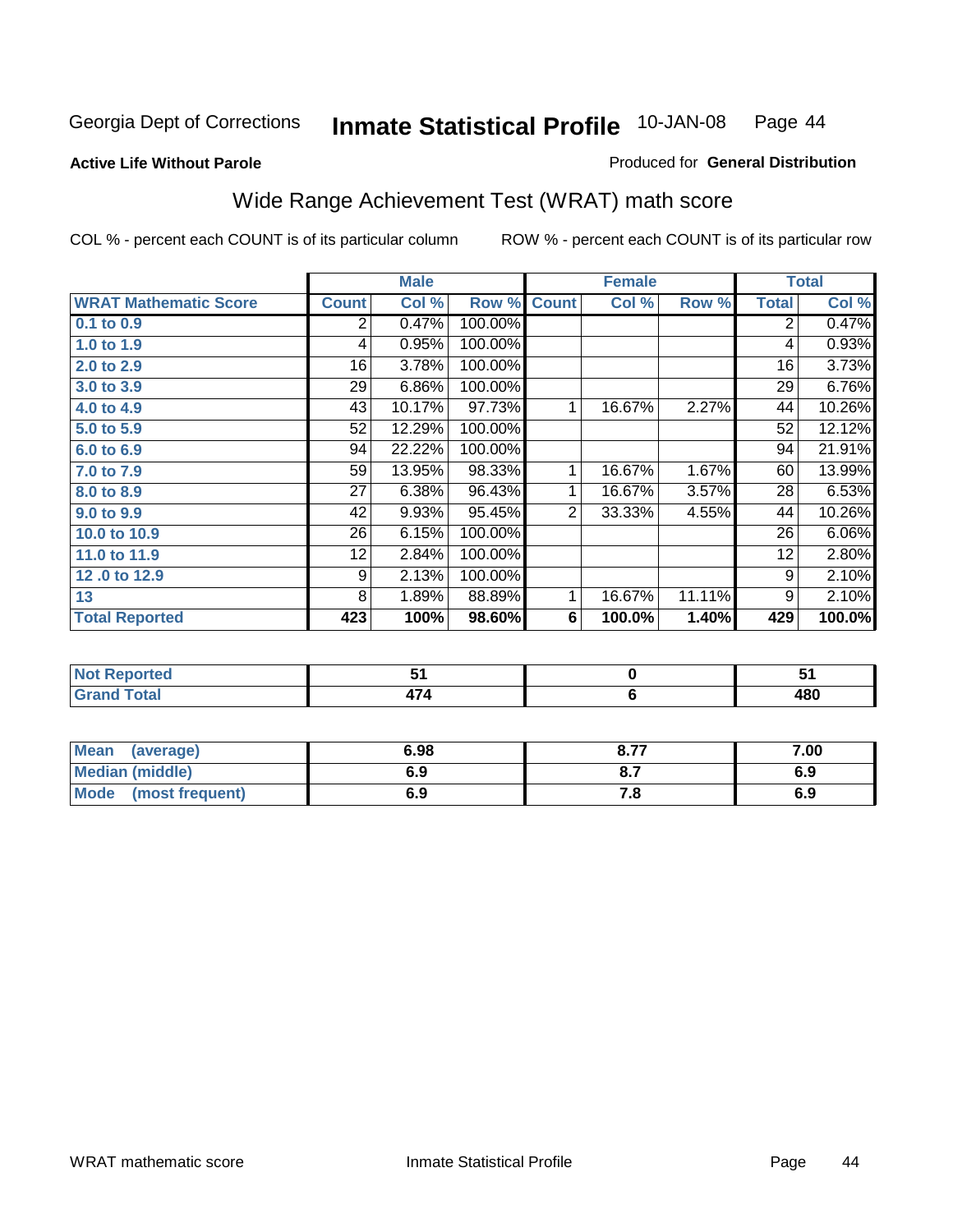**Active Life Without Parole** 

#### Produced for **General Distribution**

# Wide Range Achievement Test (WRAT) math score

|                              |              | <b>Male</b> |         |                | <b>Female</b>  |        | <b>Total</b>    |        |
|------------------------------|--------------|-------------|---------|----------------|----------------|--------|-----------------|--------|
| <b>WRAT Mathematic Score</b> | <b>Count</b> | Col %       | Row %   | <b>Count</b>   | Col %          | Row %  | <b>Total</b>    | Col %  |
| 0.1 to 0.9                   | 2            | 0.47%       | 100.00% |                |                |        | 2               | 0.47%  |
| 1.0 to 1.9                   | 4            | 0.95%       | 100.00% |                |                |        | 4               | 0.93%  |
| 2.0 to 2.9                   | 16           | 3.78%       | 100.00% |                |                |        | 16              | 3.73%  |
| 3.0 to 3.9                   | 29           | 6.86%       | 100.00% |                |                |        | $\overline{29}$ | 6.76%  |
| 4.0 to 4.9                   | 43           | 10.17%      | 97.73%  | 1              | 16.67%         | 2.27%  | 44              | 10.26% |
| 5.0 to 5.9                   | 52           | 12.29%      | 100.00% |                |                |        | 52              | 12.12% |
| 6.0 to 6.9                   | 94           | 22.22%      | 100.00% |                |                |        | 94              | 21.91% |
| 7.0 to 7.9                   | 59           | 13.95%      | 98.33%  | 1              | 16.67%         | 1.67%  | 60              | 13.99% |
| 8.0 to 8.9                   | 27           | 6.38%       | 96.43%  | 1              | 16.67%         | 3.57%  | 28              | 6.53%  |
| 9.0 to 9.9                   | 42           | 9.93%       | 95.45%  | $\overline{2}$ | 33.33%         | 4.55%  | 44              | 10.26% |
| 10.0 to 10.9                 | 26           | 6.15%       | 100.00% |                |                |        | 26              | 6.06%  |
| 11.0 to 11.9                 | 12           | 2.84%       | 100.00% |                |                |        | 12              | 2.80%  |
| 12.0 to 12.9                 | 9            | 2.13%       | 100.00% |                |                |        | 9               | 2.10%  |
| 13                           | 8            | 1.89%       | 88.89%  | 1              | 16.67%         | 11.11% | 9               | 2.10%  |
| <b>Total Reported</b>        | 423          | 100%        | 98.60%  | 6              | 100.0%         | 1.40%  | 429             | 100.0% |
|                              |              |             |         |                |                |        |                 |        |
| <b>Not Reported</b>          |              | 51          |         |                | $\pmb{0}$      |        |                 | 51     |
| <b>Grand Total</b>           |              | 474         |         |                | $6\phantom{1}$ |        |                 | 480    |

| <b>Mean</b><br>(average) | 6.98 | o 77<br>O.I | 7.00 |
|--------------------------|------|-------------|------|
| Median (middle)          | 6.9  |             | 6.9  |
| Mode<br>(most frequent)  | 6.9  | . о         | 6.9  |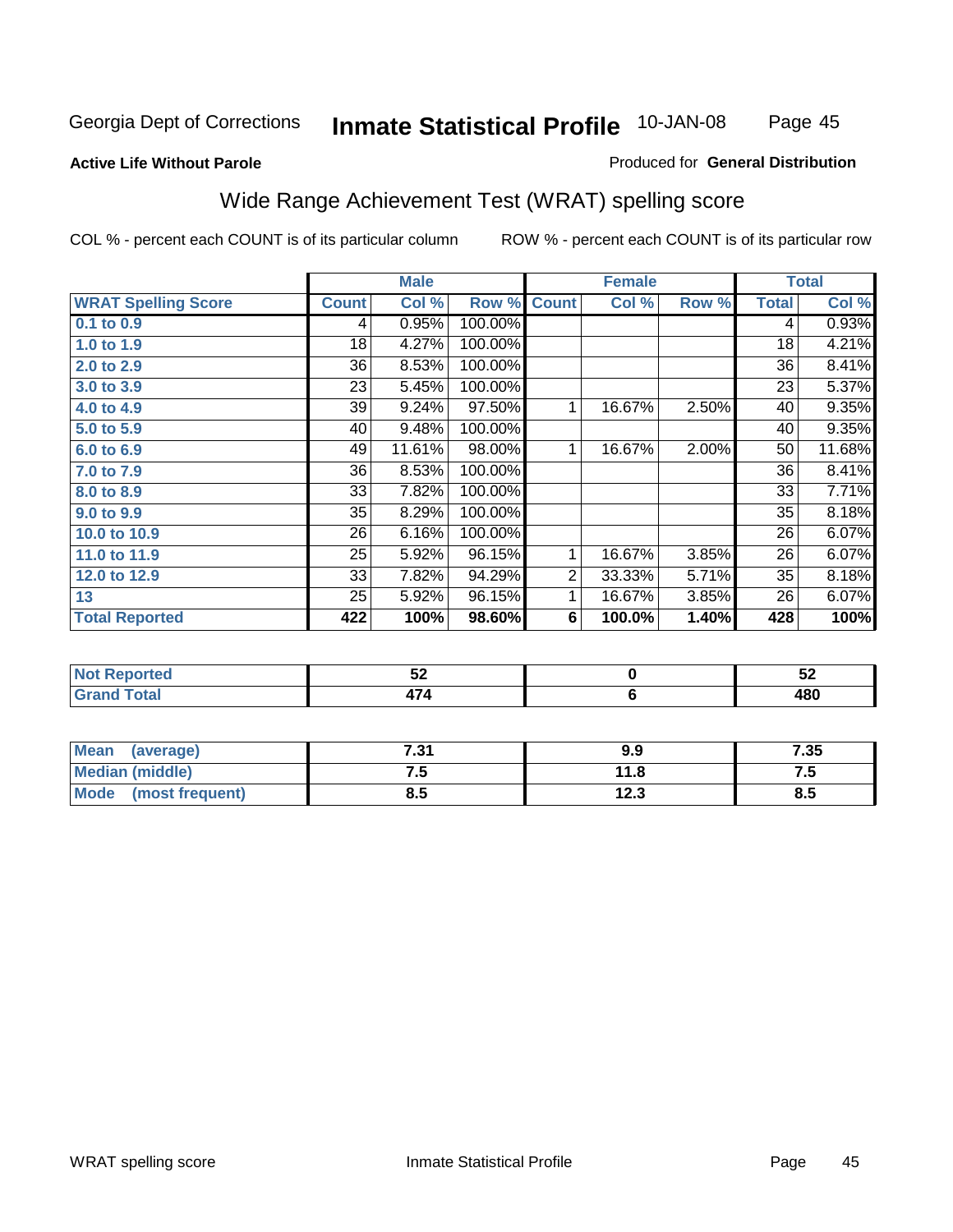Page 45

#### **Active Life Without Parole**

#### Produced for **General Distribution**

# Wide Range Achievement Test (WRAT) spelling score

|                            |              | <b>Male</b> |                      |                | <b>Female</b> |       |                 | <b>Total</b> |
|----------------------------|--------------|-------------|----------------------|----------------|---------------|-------|-----------------|--------------|
| <b>WRAT Spelling Score</b> | <b>Count</b> | Col %       | Row %                | <b>Count</b>   | Col %         | Row % | <b>Total</b>    | Col %        |
| $0.1$ to $0.9$             | 4            | 0.95%       | 100.00%              |                |               |       | 4               | 0.93%        |
| 1.0 to 1.9                 | 18           | 4.27%       | 100.00%              |                |               |       | 18              | 4.21%        |
| 2.0 to 2.9                 | 36           | 8.53%       | 100.00%              |                |               |       | 36              | 8.41%        |
| 3.0 to 3.9                 | 23           | 5.45%       | 100.00%              |                |               |       | 23              | 5.37%        |
| 4.0 to 4.9                 | 39           | 9.24%       | 97.50%               | 1              | 16.67%        | 2.50% | 40              | 9.35%        |
| 5.0 to 5.9                 | 40           | 9.48%       | 100.00%              |                |               |       | 40              | 9.35%        |
| 6.0 to 6.9                 | 49           | 11.61%      | 98.00%               | 1              | 16.67%        | 2.00% | 50              | 11.68%       |
| 7.0 to 7.9                 | 36           | 8.53%       | 100.00%              |                |               |       | 36              | 8.41%        |
| 8.0 to 8.9                 | 33           | 7.82%       | 100.00%              |                |               |       | 33              | 7.71%        |
| 9.0 to 9.9                 | 35           | 8.29%       | 100.00%              |                |               |       | $\overline{35}$ | 8.18%        |
| 10.0 to 10.9               | 26           | 6.16%       | 100.00%              |                |               |       | 26              | 6.07%        |
| 11.0 to 11.9               | 25           | 5.92%       | 96.15%               | 1              | 16.67%        | 3.85% | 26              | 6.07%        |
| 12.0 to 12.9               | 33           | 7.82%       | 94.29%               | $\overline{2}$ | 33.33%        | 5.71% | 35              | 8.18%        |
| 13                         | 25           | 5.92%       | $\overline{96.15\%}$ | 1              | 16.67%        | 3.85% | 26              | 6.07%        |
| <b>Total Reported</b>      | 422          | 100%        | 98.60%               | 6              | 100.0%        | 1.40% | 428             | 100%         |
|                            |              |             |                      |                |               |       |                 |              |
| <b>Not Reported</b>        |              | 52          |                      |                | $\pmb{0}$     |       |                 | 52           |
| <b>Grand Total</b>         |              | 474         |                      |                | $\bf 6$       |       |                 | 480          |
|                            |              |             |                      |                |               |       |                 |              |
| $\overline{a}$             |              |             |                      |                |               |       |                 |              |

| <b>Mean</b><br>(average) | 7.31 | 9.9  | 7.35 |
|--------------------------|------|------|------|
| <b>Median (middle)</b>   | ن. ا | 11.8 |      |
| Mode<br>(most frequent)  | ၓ.ͻ  | 12.3 | 8.5  |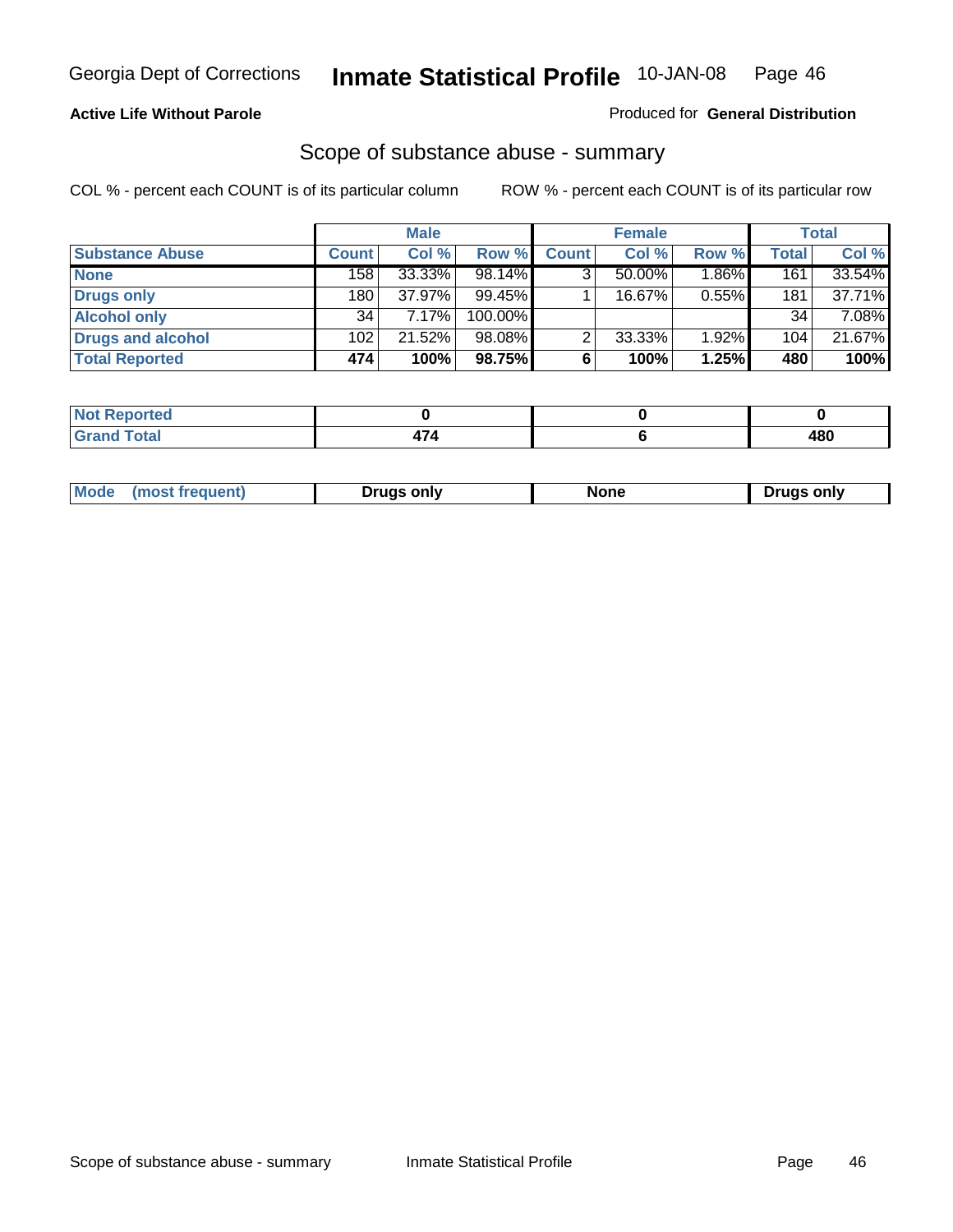#### **Active Life Without Parole**

#### Produced for **General Distribution**

### Scope of substance abuse - summary

|                        |              | <b>Male</b> |            |              | <b>Female</b> |          |                  | Total  |
|------------------------|--------------|-------------|------------|--------------|---------------|----------|------------------|--------|
| <b>Substance Abuse</b> | <b>Count</b> | Col %       | Row %      | <b>Count</b> | Col %         | Row %    | <b>Total</b>     | Col %  |
| <b>None</b>            | 158          | 33.33%      | 98.14%     | ◠            | $50.00\%$     | $1.86\%$ | $\overline{161}$ | 33.54% |
| Drugs only             | 180          | 37.97%      | 99.45%     |              | 16.67%        | 0.55%    | 181              | 37.71% |
| <b>Alcohol only</b>    | 34           | 7.17%       | $100.00\%$ |              |               |          | 34               | 7.08%  |
| Drugs and alcohol      | 102          | 21.52%      | 98.08%     | ົ            | 33.33%        | $1.92\%$ | 104              | 21.67% |
| <b>Total Reported</b>  | 474          | 100%        | 98.75%     | 6            | 100%          | 1.25%    | 480              | 100%   |

| <b>Not</b><br>Reported         |  |     |
|--------------------------------|--|-----|
| <b>Total</b><br><b>'</b> Gran⊾ |  | 480 |

|  | Mode | Druas onlv | None | only<br><u>Iruc</u> |
|--|------|------------|------|---------------------|
|--|------|------------|------|---------------------|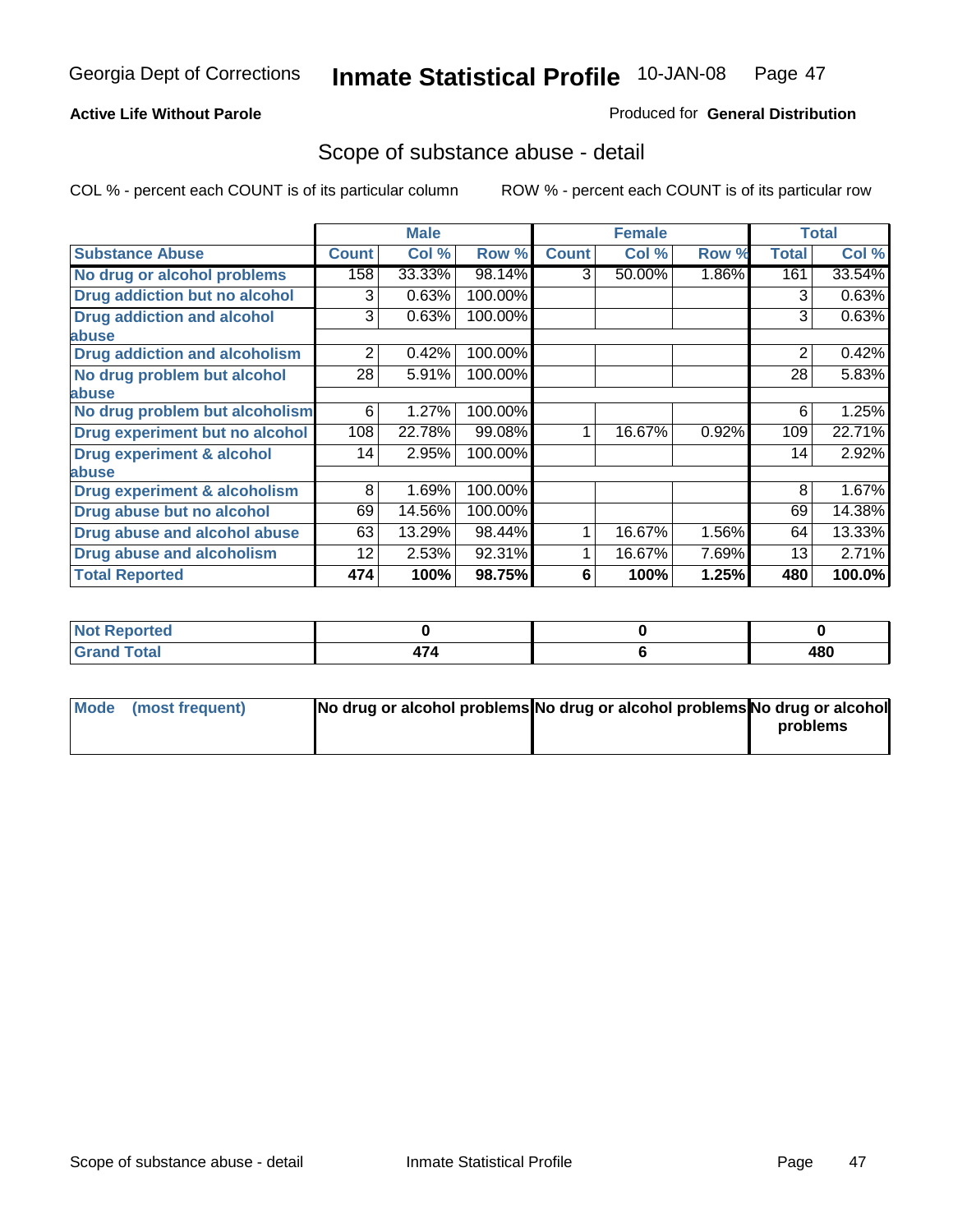### **Active Life Without Parole**

### Produced for **General Distribution**

### Scope of substance abuse - detail

|                                         |              | <b>Male</b> |         |              | <b>Female</b> |          |              | <b>Total</b> |
|-----------------------------------------|--------------|-------------|---------|--------------|---------------|----------|--------------|--------------|
| <b>Substance Abuse</b>                  | <b>Count</b> | Col %       | Row %   | <b>Count</b> | Col %         | Row %    | <b>Total</b> | Col %        |
| No drug or alcohol problems             | 158          | 33.33%      | 98.14%  | 3            | 50.00%        | $1.86\%$ | 161          | 33.54%       |
| Drug addiction but no alcohol           | 3            | 0.63%       | 100.00% |              |               |          | 3            | 0.63%        |
| <b>Drug addiction and alcohol</b>       | 3            | 0.63%       | 100.00% |              |               |          | 3            | 0.63%        |
| abuse                                   |              |             |         |              |               |          |              |              |
| <b>Drug addiction and alcoholism</b>    | 2            | 0.42%       | 100.00% |              |               |          | 2            | 0.42%        |
| No drug problem but alcohol             | 28           | 5.91%       | 100.00% |              |               |          | 28           | 5.83%        |
| abuse                                   |              |             |         |              |               |          |              |              |
| No drug problem but alcoholism          | 6            | 1.27%       | 100.00% |              |               |          | 6            | 1.25%        |
| Drug experiment but no alcohol          | 108          | 22.78%      | 99.08%  |              | 16.67%        | 0.92%    | 109          | 22.71%       |
| <b>Drug experiment &amp; alcohol</b>    | 14           | 2.95%       | 100.00% |              |               |          | 14           | 2.92%        |
| abuse                                   |              |             |         |              |               |          |              |              |
| <b>Drug experiment &amp; alcoholism</b> | 8            | 1.69%       | 100.00% |              |               |          | 8            | 1.67%        |
| Drug abuse but no alcohol               | 69           | 14.56%      | 100.00% |              |               |          | 69           | 14.38%       |
| Drug abuse and alcohol abuse            | 63           | 13.29%      | 98.44%  |              | 16.67%        | 1.56%    | 64           | 13.33%       |
| <b>Drug abuse and alcoholism</b>        | 12           | 2.53%       | 92.31%  |              | 16.67%        | 7.69%    | 13           | 2.71%        |
| <b>Total Reported</b>                   | 474          | 100%        | 98.75%  | 6            | 100%          | 1.25%    | 480          | 100.0%       |

| <b>Not Reported</b>          |  |     |
|------------------------------|--|-----|
| <b>Total</b><br><b>Grano</b> |  | 480 |

| Mode (most frequent) | No drug or alcohol problems No drug or alcohol problems No drug or alcohol |          |
|----------------------|----------------------------------------------------------------------------|----------|
|                      |                                                                            | problems |
|                      |                                                                            |          |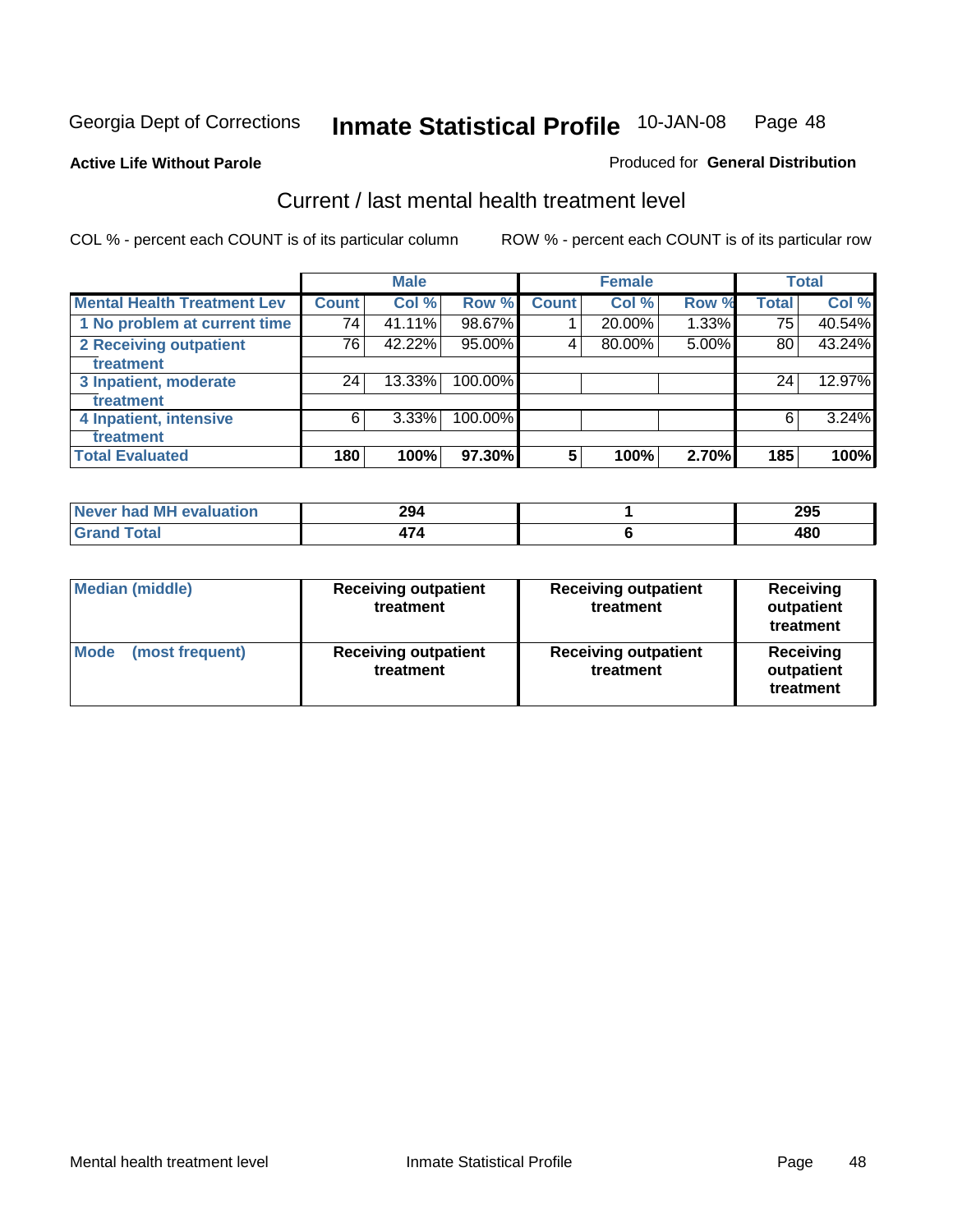#### **Active Life Without Parole**

#### Produced for **General Distribution**

### Current / last mental health treatment level

|                                    |       | <b>Male</b> |         |                 | <b>Female</b> |       |              | <b>Total</b> |
|------------------------------------|-------|-------------|---------|-----------------|---------------|-------|--------------|--------------|
| <b>Mental Health Treatment Lev</b> | Count | Col %       | Row %   | <b>Count</b>    | Col %         | Row % | <b>Total</b> | Col %        |
| 1 No problem at current time       | 74    | 41.11%      | 98.67%  |                 | 20.00%        | 1.33% | 75           | 40.54%       |
| 2 Receiving outpatient             | 76    | 42.22%      | 95.00%  | 4               | 80.00%        | 5.00% | 80           | 43.24%       |
| treatment                          |       |             |         |                 |               |       |              |              |
| 3 Inpatient, moderate              | 24    | 13.33%      | 100.00% |                 |               |       | 24           | 12.97%       |
| treatment                          |       |             |         |                 |               |       |              |              |
| 4 Inpatient, intensive             | 6     | $3.33\%$    | 100.00% |                 |               |       | 6            | 3.24%        |
| treatment                          |       |             |         |                 |               |       |              |              |
| <b>Total Evaluated</b>             | 180   | 100%        | 97.30%  | $5\phantom{.0}$ | 100%          | 2.70% | 185          | 100%         |

| Never had MH evaluation | 294  | 295 |
|-------------------------|------|-----|
| $F = F$                 | $-1$ | 480 |

| <b>Median (middle)</b>         | <b>Receiving outpatient</b><br>treatment | <b>Receiving outpatient</b><br>treatment | <b>Receiving</b><br>outpatient<br>treatment |  |  |
|--------------------------------|------------------------------------------|------------------------------------------|---------------------------------------------|--|--|
| <b>Mode</b><br>(most frequent) | <b>Receiving outpatient</b><br>treatment | <b>Receiving outpatient</b><br>treatment | Receiving<br>outpatient<br>treatment        |  |  |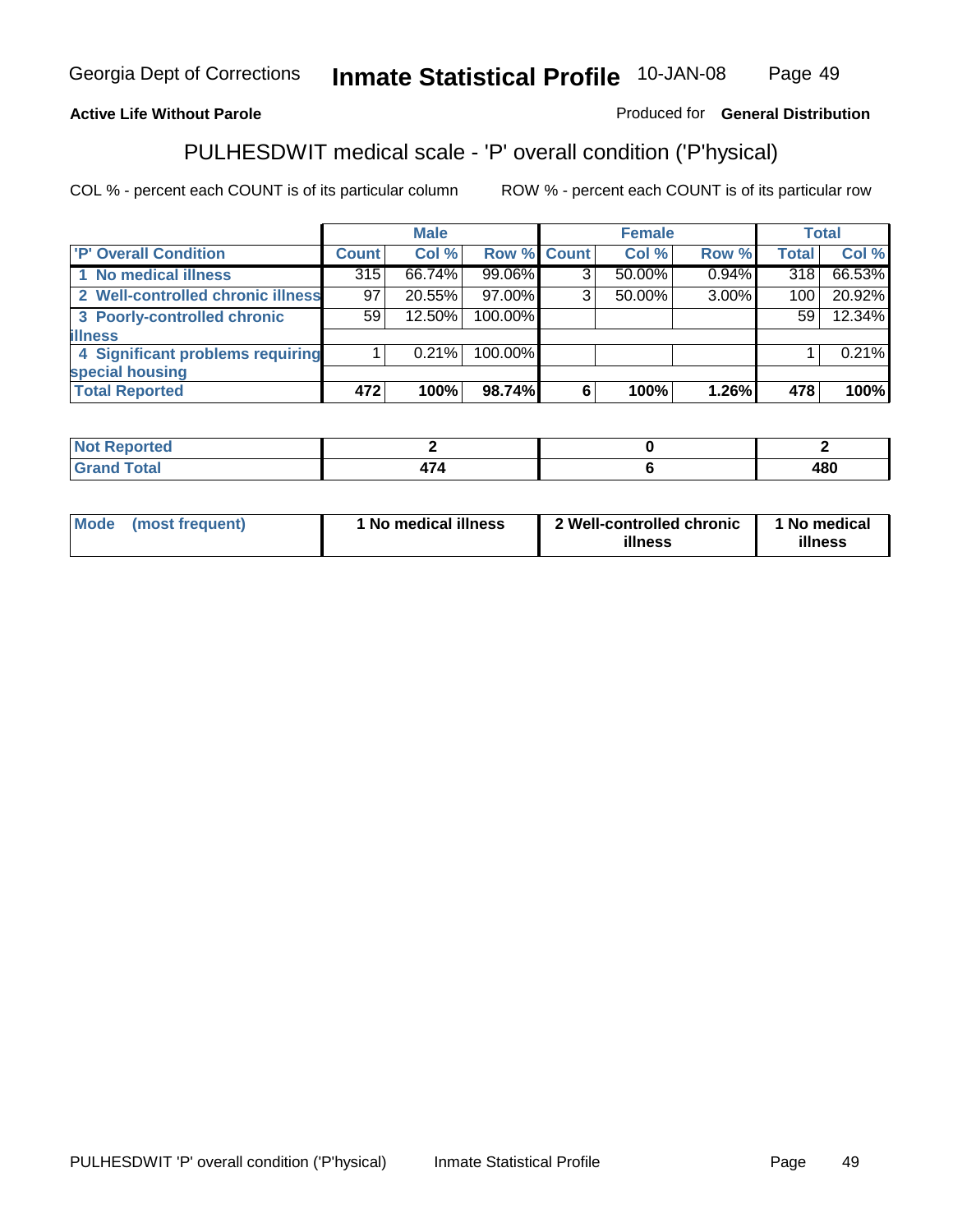### **Active Life Without Parole**

### Produced for **General Distribution**

# PULHESDWIT medical scale - 'P' overall condition ('P'hysical)

|                                   |                 | <b>Male</b> |             |   | <b>Female</b> |          |              | <b>Total</b> |
|-----------------------------------|-----------------|-------------|-------------|---|---------------|----------|--------------|--------------|
| 'P' Overall Condition             | Count l         | Col %       | Row % Count |   | Col %         | Row %    | <b>Total</b> | Col %        |
| 1 No medical illness              | 315             | 66.74%      | 99.06%      |   | 50.00%        | $0.94\%$ | 318          | 66.53%       |
| 2 Well-controlled chronic illness | 97              | 20.55%      | 97.00%      | ◠ | 50.00%        | 3.00%    | 100          | 20.92%       |
| 3 Poorly-controlled chronic       | 59 <sub>1</sub> | 12.50%      | 100.00%     |   |               |          | 59           | 12.34%       |
| <b>illness</b>                    |                 |             |             |   |               |          |              |              |
| 4 Significant problems requiring  |                 | 0.21%       | 100.00%     |   |               |          |              | 0.21%        |
| special housing                   |                 |             |             |   |               |          |              |              |
| <b>Total Reported</b>             | 472             | 100%        | 98.74%      |   | 100%          | 1.26%    | 478          | 100%         |

| Not Reported |                          |     |
|--------------|--------------------------|-----|
| <b>otal</b>  | $\overline{\phantom{0}}$ | 480 |

| <b>Mode</b>     | ' No medical illness | 2 Well-controlled chronic | 1 No medical |
|-----------------|----------------------|---------------------------|--------------|
| (most frequent) |                      | illness                   | illness      |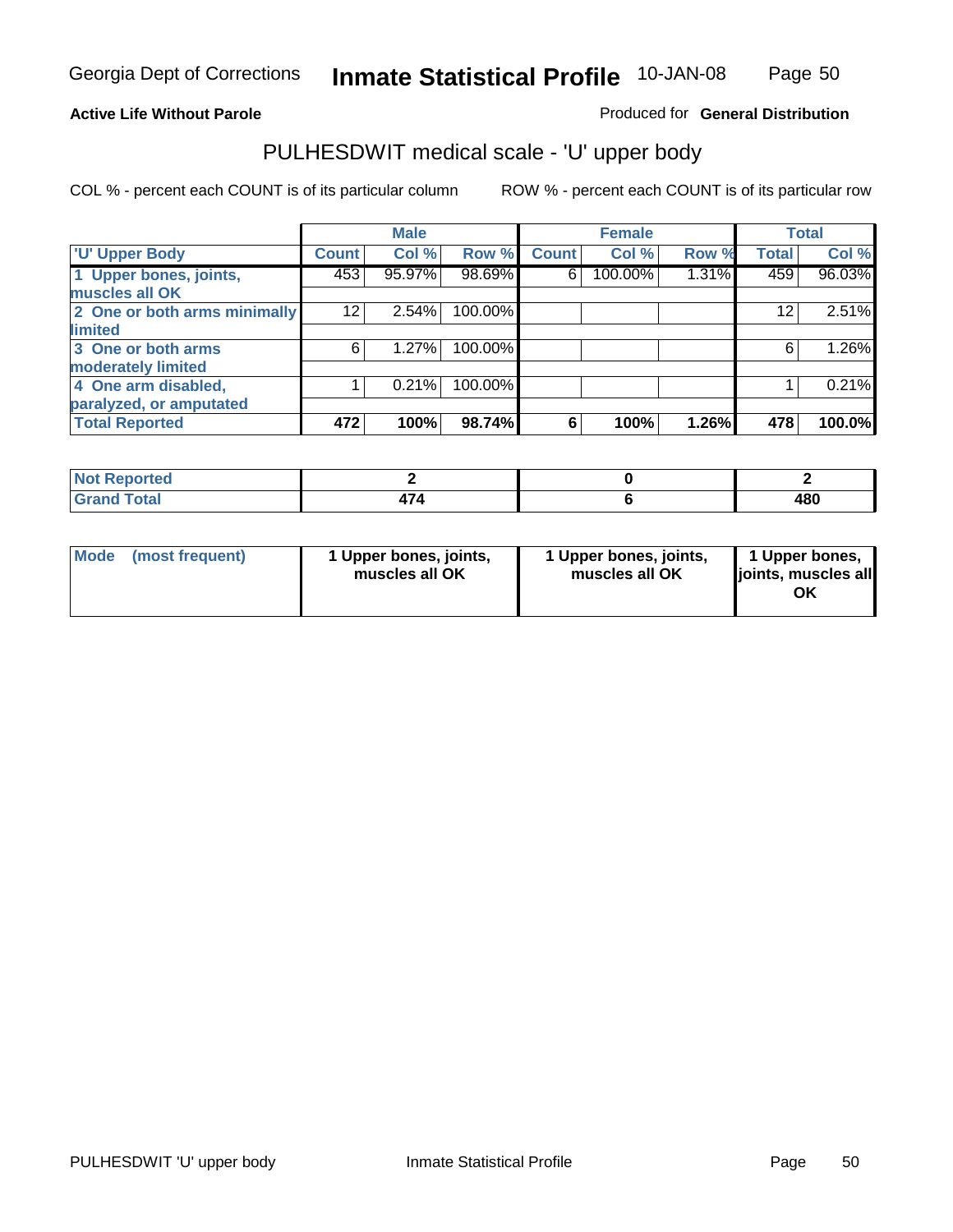### **Active Life Without Parole**

### Produced for **General Distribution**

# PULHESDWIT medical scale - 'U' upper body

|                              |                    | <b>Male</b> |         |              | <b>Female</b> |       |                 | <b>Total</b> |
|------------------------------|--------------------|-------------|---------|--------------|---------------|-------|-----------------|--------------|
| <b>U' Upper Body</b>         | Count <sup>1</sup> | Col %       | Row %   | <b>Count</b> | Col %         | Row % | <b>Total</b>    | Col %        |
| 1 Upper bones, joints,       | 453                | 95.97%      | 98.69%  | 6            | 100.00%       | 1.31% | 459             | 96.03%       |
| muscles all OK               |                    |             |         |              |               |       |                 |              |
| 2 One or both arms minimally | 12                 | 2.54%       | 100.00% |              |               |       | 12 <sup>2</sup> | 2.51%        |
| limited                      |                    |             |         |              |               |       |                 |              |
| 3 One or both arms           | 6                  | 1.27%       | 100.00% |              |               |       | 6               | 1.26%        |
| moderately limited           |                    |             |         |              |               |       |                 |              |
| 4 One arm disabled,          |                    | 0.21%       | 100.00% |              |               |       |                 | 0.21%        |
| paralyzed, or amputated      |                    |             |         |              |               |       |                 |              |
| <b>Total Reported</b>        | 472                | 100%        | 98.74%  | 6            | 100%          | 1.26% | 478             | 100.0%       |

| the said that the<br>rteo               |     |     |
|-----------------------------------------|-----|-----|
| $C = 4 - 7$<br>νιαι<br>$\mathbf{v}$ and | . . | 480 |

| <b>Mode</b> | (most frequent) | 1 Upper bones, joints,<br>muscles all OK | 1 Upper bones, joints,<br>muscles all OK | 1 Upper bones,<br>joints, muscles all<br>OK |
|-------------|-----------------|------------------------------------------|------------------------------------------|---------------------------------------------|
|-------------|-----------------|------------------------------------------|------------------------------------------|---------------------------------------------|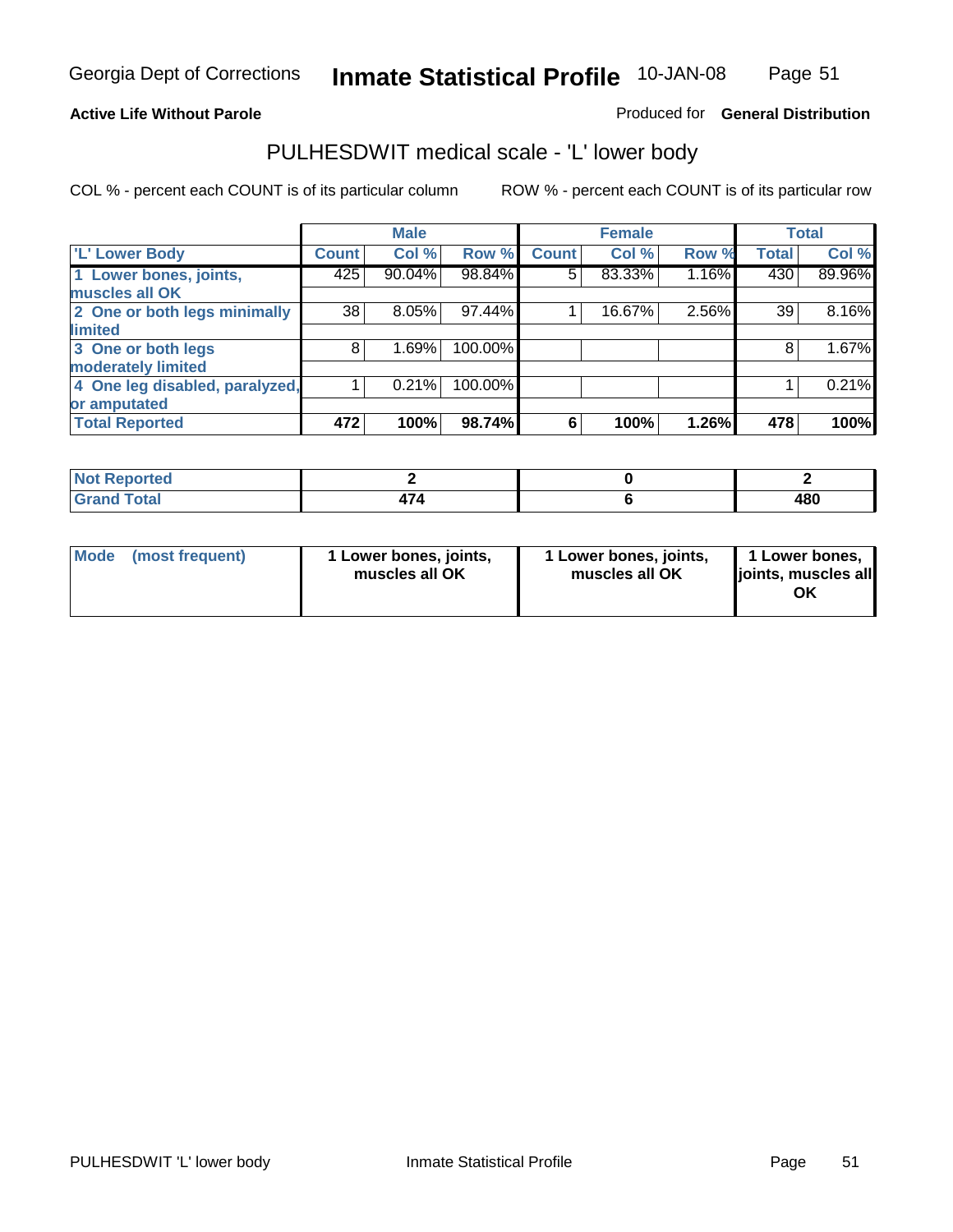#### **Active Life Without Parole**

Produced for **General Distribution**

### PULHESDWIT medical scale - 'L' lower body

|                                |       | <b>Male</b> |         |              | <b>Female</b> |       |              | <b>Total</b> |
|--------------------------------|-------|-------------|---------|--------------|---------------|-------|--------------|--------------|
| 'L' Lower Body                 | Count | Col %       | Row %   | <b>Count</b> | Col %         | Row % | <b>Total</b> | Col %        |
| 1 Lower bones, joints,         | 425   | 90.04%      | 98.84%  | 5            | 83.33%        | 1.16% | 430          | 89.96%       |
| muscles all OK                 |       |             |         |              |               |       |              |              |
| 2 One or both legs minimally   | 38    | 8.05%       | 97.44%  |              | 16.67%        | 2.56% | 39           | 8.16%        |
| limited                        |       |             |         |              |               |       |              |              |
| 3 One or both legs             | 8     | 1.69%       | 100.00% |              |               |       | 8            | 1.67%        |
| moderately limited             |       |             |         |              |               |       |              |              |
| 4 One leg disabled, paralyzed, |       | 0.21%       | 100.00% |              |               |       |              | 0.21%        |
| or amputated                   |       |             |         |              |               |       |              |              |
| <b>Total Reported</b>          | 472   | 100%        | 98.74%  | 6            | 100%          | 1.26% | 478          | 100%         |

| <b>rted</b><br>N                    |   |     |
|-------------------------------------|---|-----|
| $f \wedge f \wedge f$<br>TOldi<br>. | . | 480 |

|  | Mode (most frequent) | 1 Lower bones, joints,<br>muscles all OK | 1 Lower bones, joints,<br>muscles all OK | 1 Lower bones,<br>joints, muscles all<br>OK |
|--|----------------------|------------------------------------------|------------------------------------------|---------------------------------------------|
|--|----------------------|------------------------------------------|------------------------------------------|---------------------------------------------|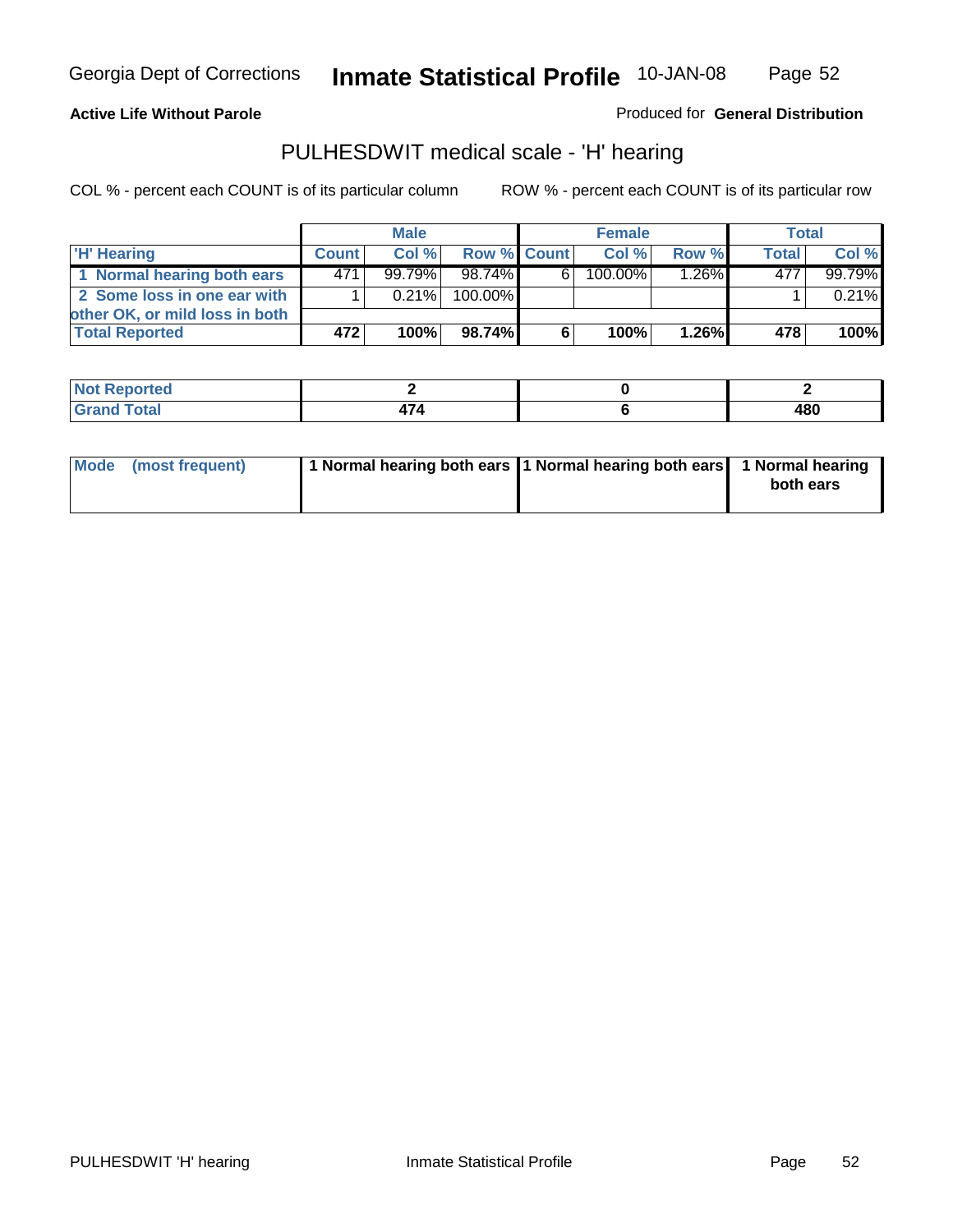Page 52

#### **Active Life Without Parole**

Produced for **General Distribution**

### PULHESDWIT medical scale - 'H' hearing

|                                |              | <b>Male</b> |             |    | <b>Female</b> |          | <b>Total</b> |         |
|--------------------------------|--------------|-------------|-------------|----|---------------|----------|--------------|---------|
| 'H' Hearing                    | <b>Count</b> | Col%        | Row % Count |    | Col%          | Row %    | <b>Total</b> | Col %   |
| 1 Normal hearing both ears     | 471          | $99.79\%$   | 98.74%      | 61 | 100.00%       | $1.26\%$ | 477          | 99.79%  |
| 2 Some loss in one ear with    |              | $0.21\%$    | 100.00%     |    |               |          |              | 0.21%   |
| other OK, or mild loss in both |              |             |             |    |               |          |              |         |
| <b>Total Reported</b>          | 472          | 100%        | 98.74%I     | 6. | 100%          | $1.26\%$ | 478          | $100\%$ |

| тео                               |  |             |
|-----------------------------------|--|-------------|
| $-1$ . $-1$ . $-1$<br>----- ----- |  | 480<br>$ -$ |

| Mode (most frequent) | 1 Normal hearing both ears 1 Normal hearing both ears 1 Normal hearing | both ears |
|----------------------|------------------------------------------------------------------------|-----------|
|                      |                                                                        |           |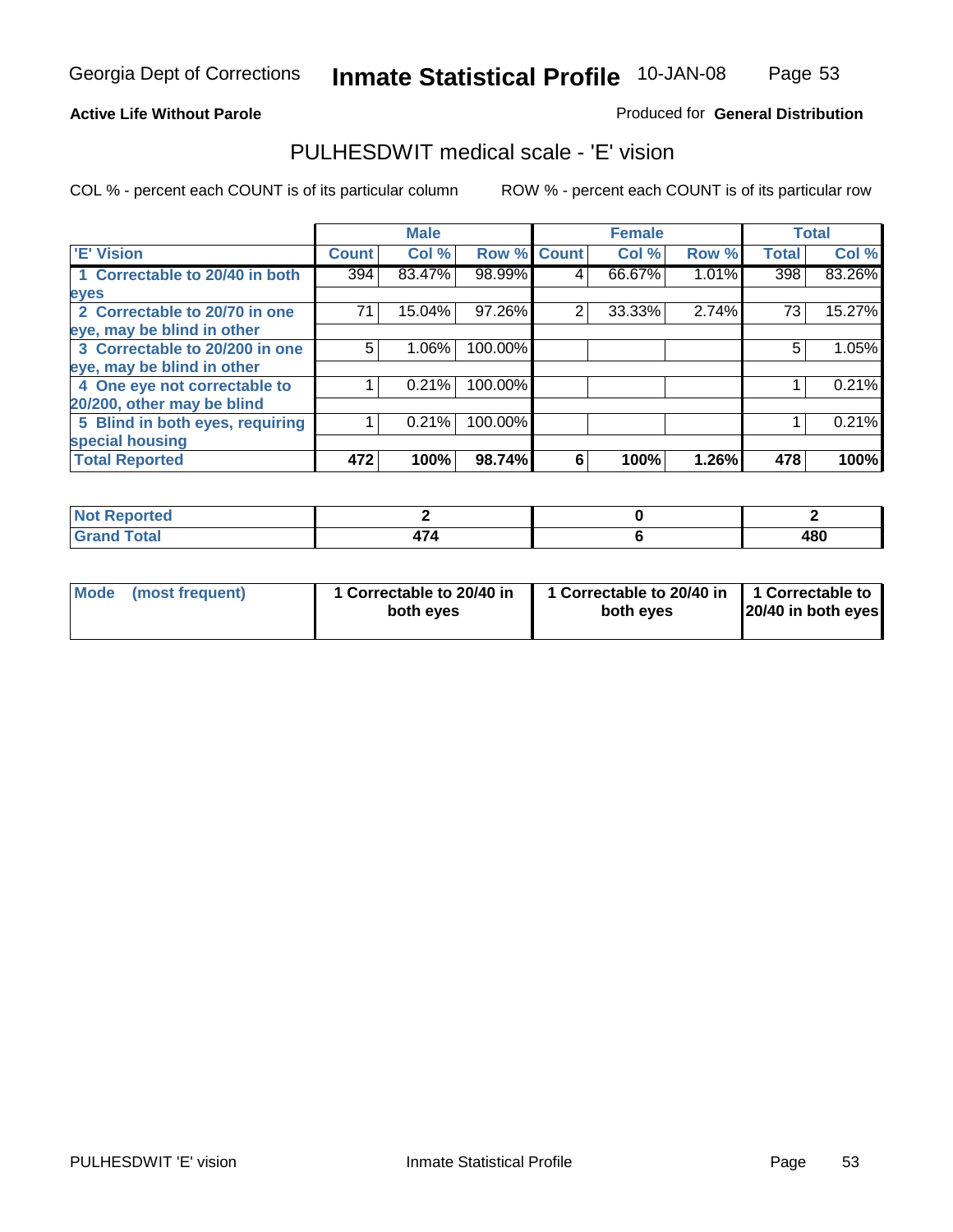Page 53

#### **Active Life Without Parole**

#### Produced for **General Distribution**

### PULHESDWIT medical scale - 'E' vision

|                                 |              | <b>Male</b> |                    |   | <b>Female</b> |       |              | <b>Total</b> |
|---------------------------------|--------------|-------------|--------------------|---|---------------|-------|--------------|--------------|
| 'E' Vision                      | <b>Count</b> | Col %       | <b>Row % Count</b> |   | Col %         | Row % | <b>Total</b> | Col %        |
| 1 Correctable to 20/40 in both  | 394          | 83.47%      | 98.99%             | 4 | 66.67%        | 1.01% | 398          | 83.26%       |
| eyes                            |              |             |                    |   |               |       |              |              |
| 2 Correctable to 20/70 in one   | 71           | 15.04%      | 97.26%             | 2 | 33.33%        | 2.74% | 73           | 15.27%       |
| eye, may be blind in other      |              |             |                    |   |               |       |              |              |
| 3 Correctable to 20/200 in one  | 5            | $1.06\%$    | 100.00%            |   |               |       | 5            | 1.05%        |
| eye, may be blind in other      |              |             |                    |   |               |       |              |              |
| 4 One eye not correctable to    |              | 0.21%       | 100.00%            |   |               |       |              | 0.21%        |
| 20/200, other may be blind      |              |             |                    |   |               |       |              |              |
| 5 Blind in both eyes, requiring |              | 0.21%       | 100.00%            |   |               |       |              | 0.21%        |
| special housing                 |              |             |                    |   |               |       |              |              |
| <b>Total Reported</b>           | 472          | 100%        | 98.74%             | 6 | 100%          | 1.26% | 478          | 100%         |

| rtea                |          |     |
|---------------------|----------|-----|
| $^{\sim}$<br>------ | - -<br>- | 480 |

| <b>Mode</b>     | 1 Correctable to 20/40 in | 1 Correctable to 20/40 in   1 Correctable to | 20/40 in both eyes |
|-----------------|---------------------------|----------------------------------------------|--------------------|
| (most frequent) | both eyes                 | both eves                                    |                    |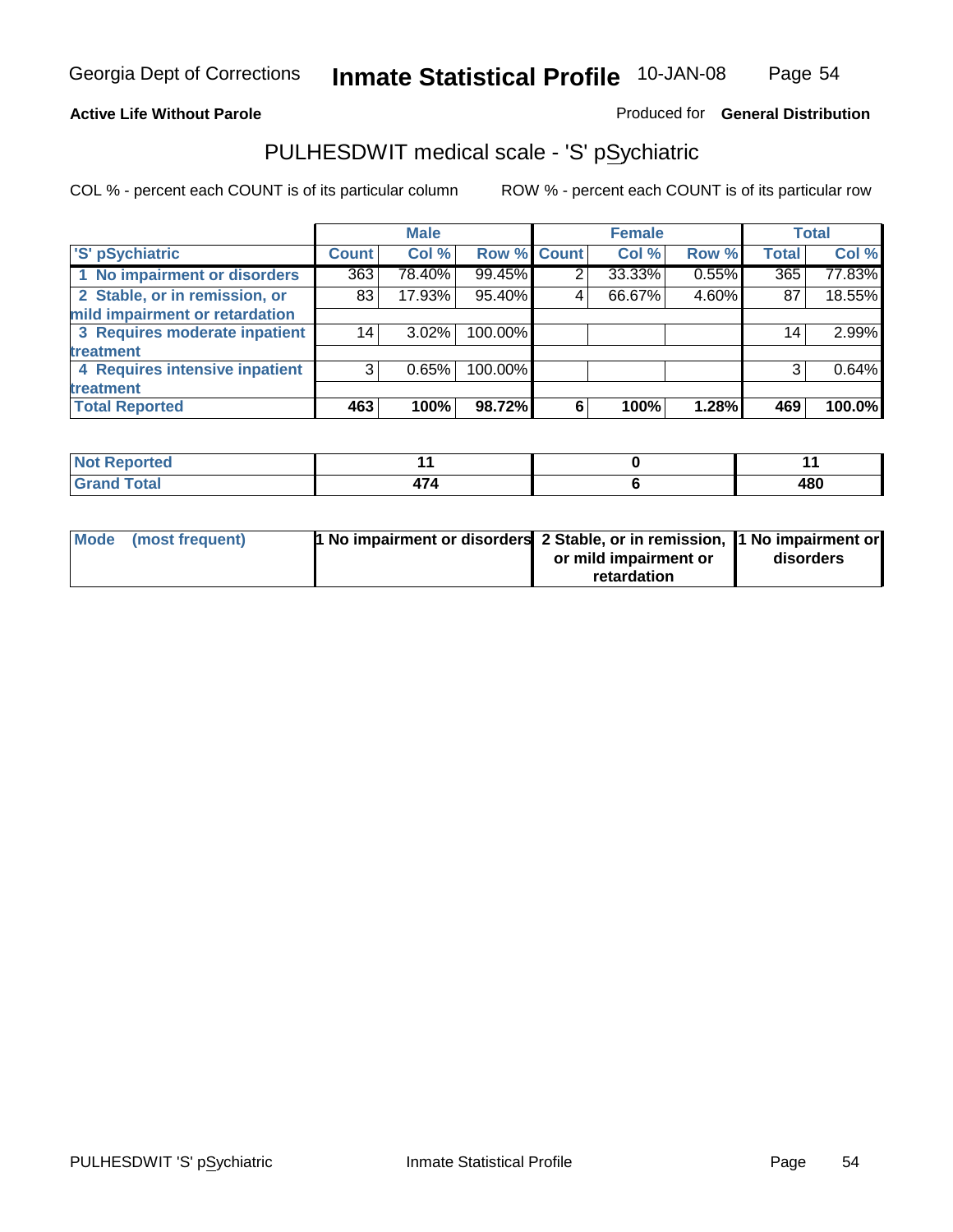#### **Active Life Without Parole**

Produced for **General Distribution**

### PULHESDWIT medical scale - 'S' pSychiatric

|                                |              | <b>Male</b> |                    |   | <b>Female</b> |       |                 | <b>Total</b> |
|--------------------------------|--------------|-------------|--------------------|---|---------------|-------|-----------------|--------------|
| 'S' pSychiatric                | <b>Count</b> | Col %       | <b>Row % Count</b> |   | Col %         | Row % | <b>Total</b>    | Col %        |
| 1 No impairment or disorders   | 363          | 78.40%      | 99.45%             | 2 | 33.33%        | 0.55% | 365             | 77.83%       |
| 2 Stable, or in remission, or  | 83           | 17.93%      | 95.40%             | 4 | 66.67%        | 4.60% | 87              | 18.55%       |
| mild impairment or retardation |              |             |                    |   |               |       |                 |              |
| 3 Requires moderate inpatient  | 14           | $3.02\%$    | 100.00%            |   |               |       | 14 <sub>1</sub> | 2.99%        |
| treatment                      |              |             |                    |   |               |       |                 |              |
| 4 Requires intensive inpatient | 3            | 0.65%       | 100.00%            |   |               |       | 3               | 0.64%        |
| treatment                      |              |             |                    |   |               |       |                 |              |
| <b>Total Reported</b>          | 463          | 100%        | 98.72%             | 6 | 100%          | 1.28% | 469             | 100.0%       |

| orted        |      |     |
|--------------|------|-----|
| <b>Total</b> | TI T | 480 |

| Mode (most frequent) | 1 No impairment or disorders 2 Stable, or in remission, 11 No impairment or |                       |           |
|----------------------|-----------------------------------------------------------------------------|-----------------------|-----------|
|                      |                                                                             | or mild impairment or | disorders |
|                      |                                                                             | retardation           |           |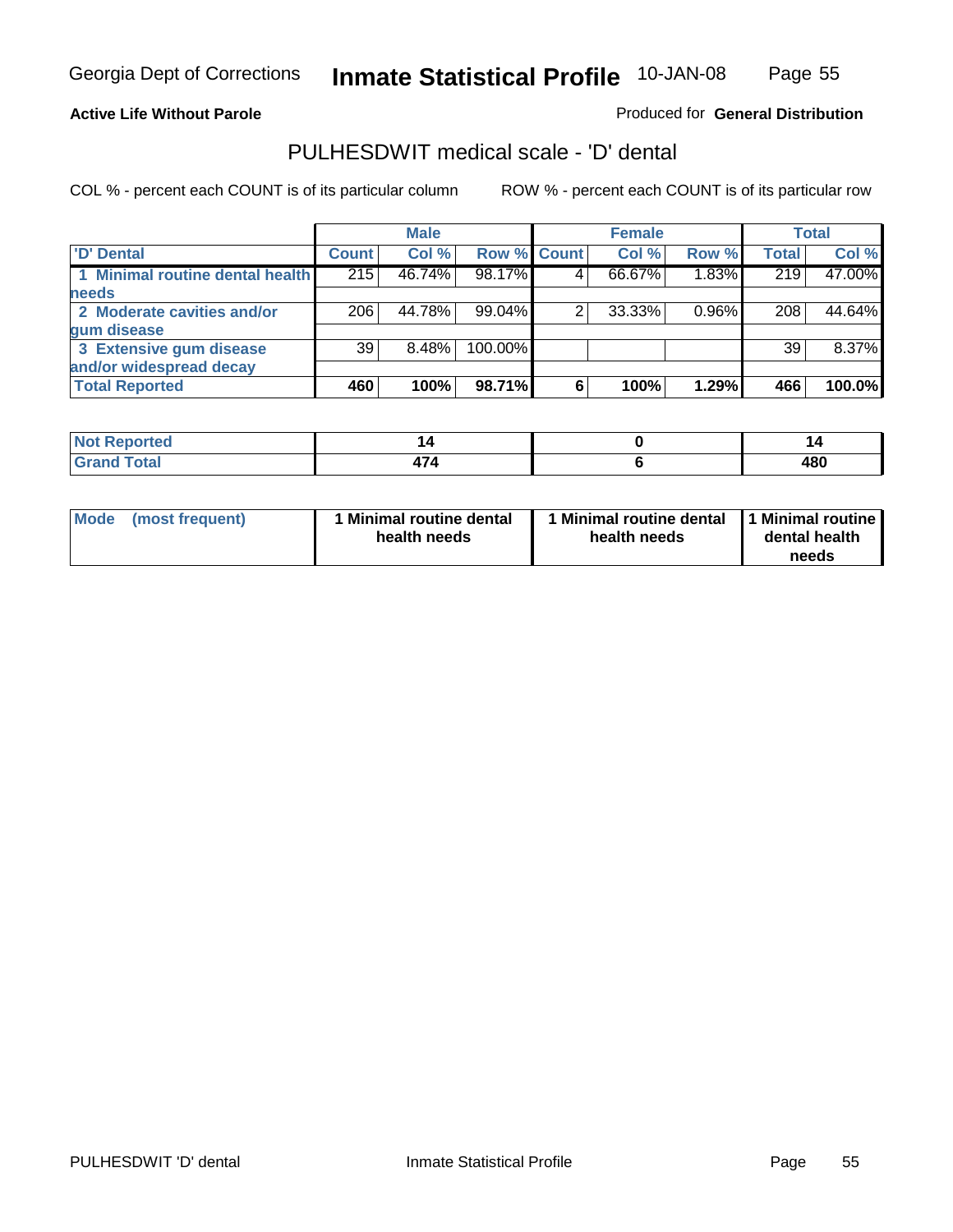Page 55

#### **Active Life Without Parole**

#### Produced for **General Distribution**

### PULHESDWIT medical scale - 'D' dental

|                                 |              | <b>Male</b> |             |   | <b>Female</b> |       |              | <b>Total</b> |
|---------------------------------|--------------|-------------|-------------|---|---------------|-------|--------------|--------------|
| <b>D' Dental</b>                | <b>Count</b> | Col %       | Row % Count |   | Col %         | Row % | <b>Total</b> | Col %        |
| 1 Minimal routine dental health | 215          | 46.74%      | 98.17%      |   | 66.67%        | 1.83% | 219          | 47.00%       |
| needs                           |              |             |             |   |               |       |              |              |
| 2 Moderate cavities and/or      | 206          | 44.78%      | 99.04%      |   | 33.33%        | 0.96% | 208          | 44.64%       |
| gum disease                     |              |             |             |   |               |       |              |              |
| 3 Extensive gum disease         | 39           | $8.48\%$    | 100.00%     |   |               |       | 39           | 8.37%        |
| and/or widespread decay         |              |             |             |   |               |       |              |              |
| <b>Total Reported</b>           | 460          | 100%        | 98.71%      | 6 | 100%          | 1.29% | 466          | 100.0%       |

| N<br>тео |              | P                 |
|----------|--------------|-------------------|
| .        | $-1$<br>71 T | 100<br>40U<br>- - |

| Mode (most frequent) | <b>Minimal routine dental</b><br>health needs | 1 Minimal routine dental<br>health needs | 1 Minimal routine<br>dental health<br>needs |
|----------------------|-----------------------------------------------|------------------------------------------|---------------------------------------------|
|----------------------|-----------------------------------------------|------------------------------------------|---------------------------------------------|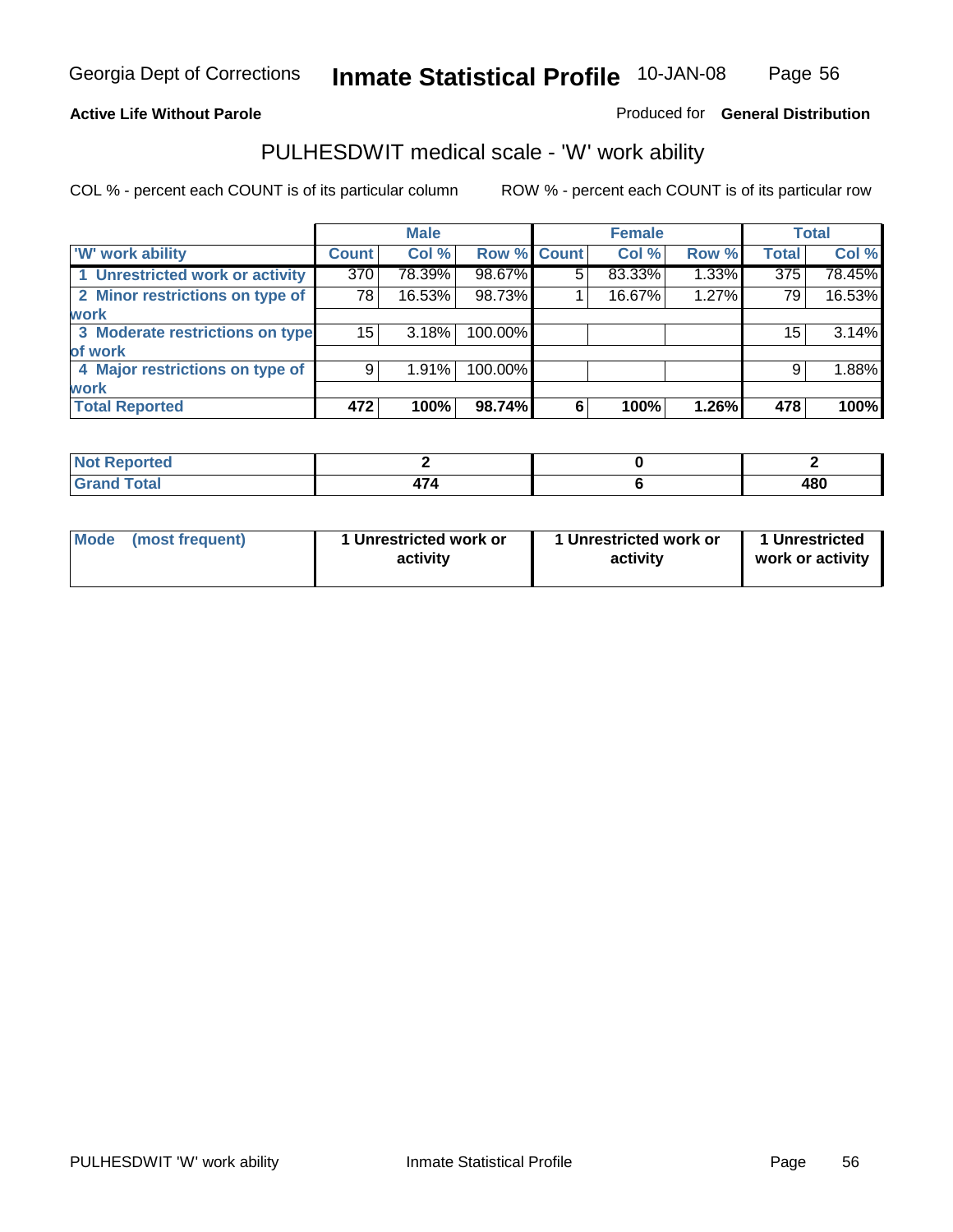**Active Life Without Parole** 

Produced for **General Distribution**

### PULHESDWIT medical scale - 'W' work ability

|                                 |                 | <b>Male</b> |             |   | <b>Female</b> |       |              | <b>Total</b> |
|---------------------------------|-----------------|-------------|-------------|---|---------------|-------|--------------|--------------|
| <b>W' work ability</b>          | <b>Count</b>    | Col %       | Row % Count |   | Col %         | Row % | <b>Total</b> | Col %        |
| 1 Unrestricted work or activity | 370             | 78.39%      | 98.67%      | 5 | 83.33%        | 1.33% | 375          | 78.45%       |
| 2 Minor restrictions on type of | 78              | 16.53%      | 98.73%      |   | 16.67%        | 1.27% | 79           | 16.53%       |
| <b>work</b>                     |                 |             |             |   |               |       |              |              |
| 3 Moderate restrictions on type | 15 <sup>1</sup> | 3.18%       | 100.00%     |   |               |       | 15           | 3.14%        |
| of work                         |                 |             |             |   |               |       |              |              |
| 4 Major restrictions on type of | 9               | 1.91%       | 100.00%     |   |               |       | 9            | 1.88%        |
| <b>work</b>                     |                 |             |             |   |               |       |              |              |
| <b>Total Reported</b>           | 472             | 100%        | 98.74%      | 6 | 100%          | 1.26% | 478          | 100%         |

| اد د قس<br>וחשו<br>rtea     |                          |     |
|-----------------------------|--------------------------|-----|
| $f \circ f \circ f$<br>υιαι | $\overline{\phantom{a}}$ | 480 |

| Mode | (most frequent) | 1 Unrestricted work or<br>activity | 1 Unrestricted work or<br>activity | 1 Unrestricted<br>work or activity |  |
|------|-----------------|------------------------------------|------------------------------------|------------------------------------|--|
|      |                 |                                    |                                    |                                    |  |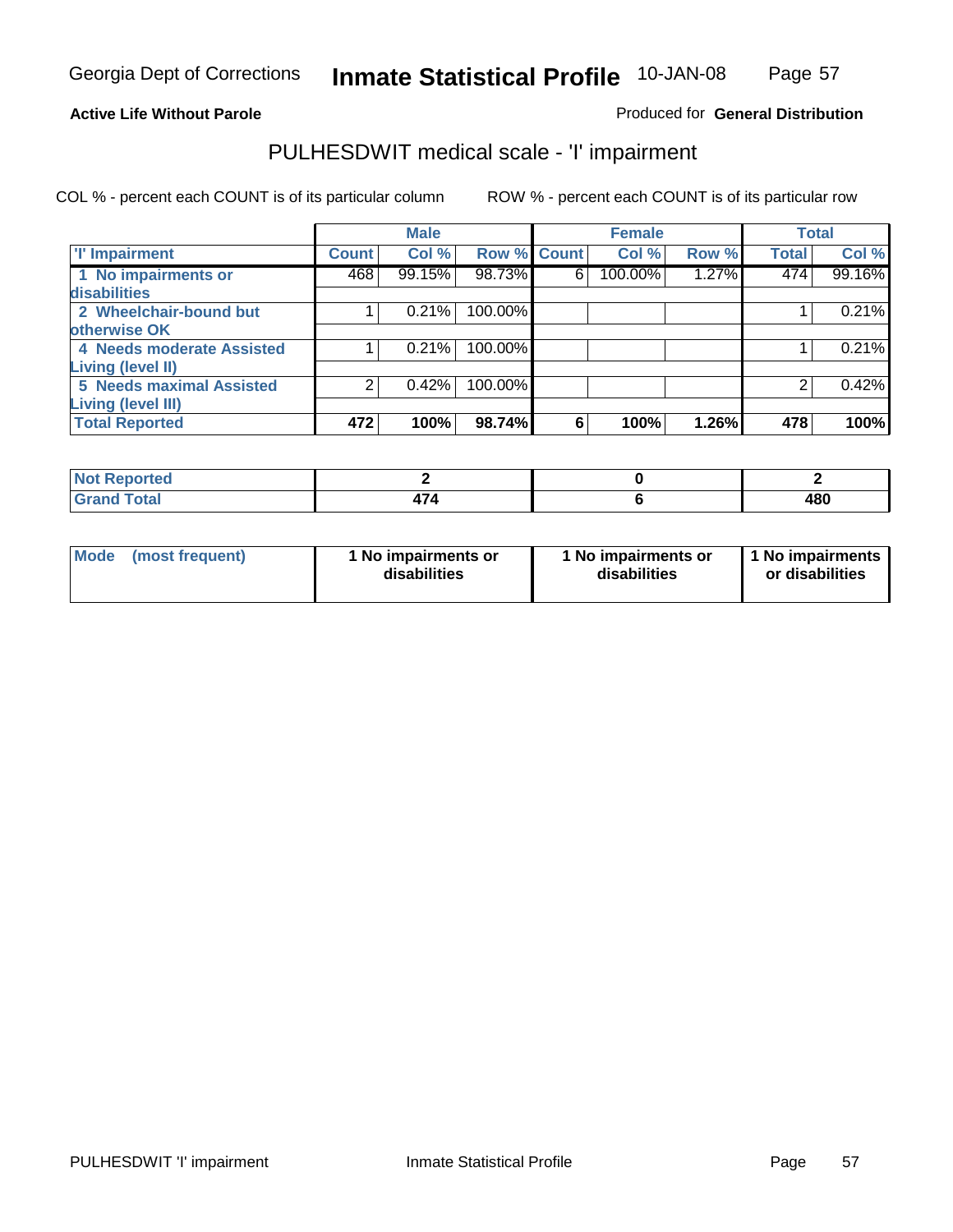### Page 57

#### **Active Life Without Parole**

#### Produced for **General Distribution**

### PULHESDWIT medical scale - 'I' impairment

|                                            |              | <b>Male</b> |                    |   | <b>Female</b> |       |              | <b>Total</b> |
|--------------------------------------------|--------------|-------------|--------------------|---|---------------|-------|--------------|--------------|
| <b>T' Impairment</b>                       | <b>Count</b> | Col %       | <b>Row % Count</b> |   | Col %         | Row % | <b>Total</b> | Col %        |
| 1 No impairments or<br><b>disabilities</b> | 468          | 99.15%      | 98.73%             | 6 | 100.00%       | 1.27% | 474          | 99.16%       |
| 2 Wheelchair-bound but                     |              | 0.21%       | 100.00%            |   |               |       |              | 0.21%        |
| otherwise OK                               |              |             |                    |   |               |       |              |              |
| 4 Needs moderate Assisted                  |              | 0.21%       | 100.00%            |   |               |       |              | 0.21%        |
| <b>Living (level II)</b>                   |              |             |                    |   |               |       |              |              |
| <b>5 Needs maximal Assisted</b>            |              | 0.42%       | 100.00%            |   |               |       |              | 0.42%        |
| <b>Living (level III)</b>                  |              |             |                    |   |               |       |              |              |
| <b>Total Reported</b>                      | 472          | 100%        | 98.74%             | 6 | 100%          | 1.26% | 478          | 100%         |

| Reported               |     |     |
|------------------------|-----|-----|
| <b>Total</b><br>∴Gran⊾ | . . | 480 |

| Mode | (most frequent) | 1 No impairments or<br>disabilities | 1 No impairments or<br>disabilities | 1 No impairments<br>or disabilities |
|------|-----------------|-------------------------------------|-------------------------------------|-------------------------------------|
|------|-----------------|-------------------------------------|-------------------------------------|-------------------------------------|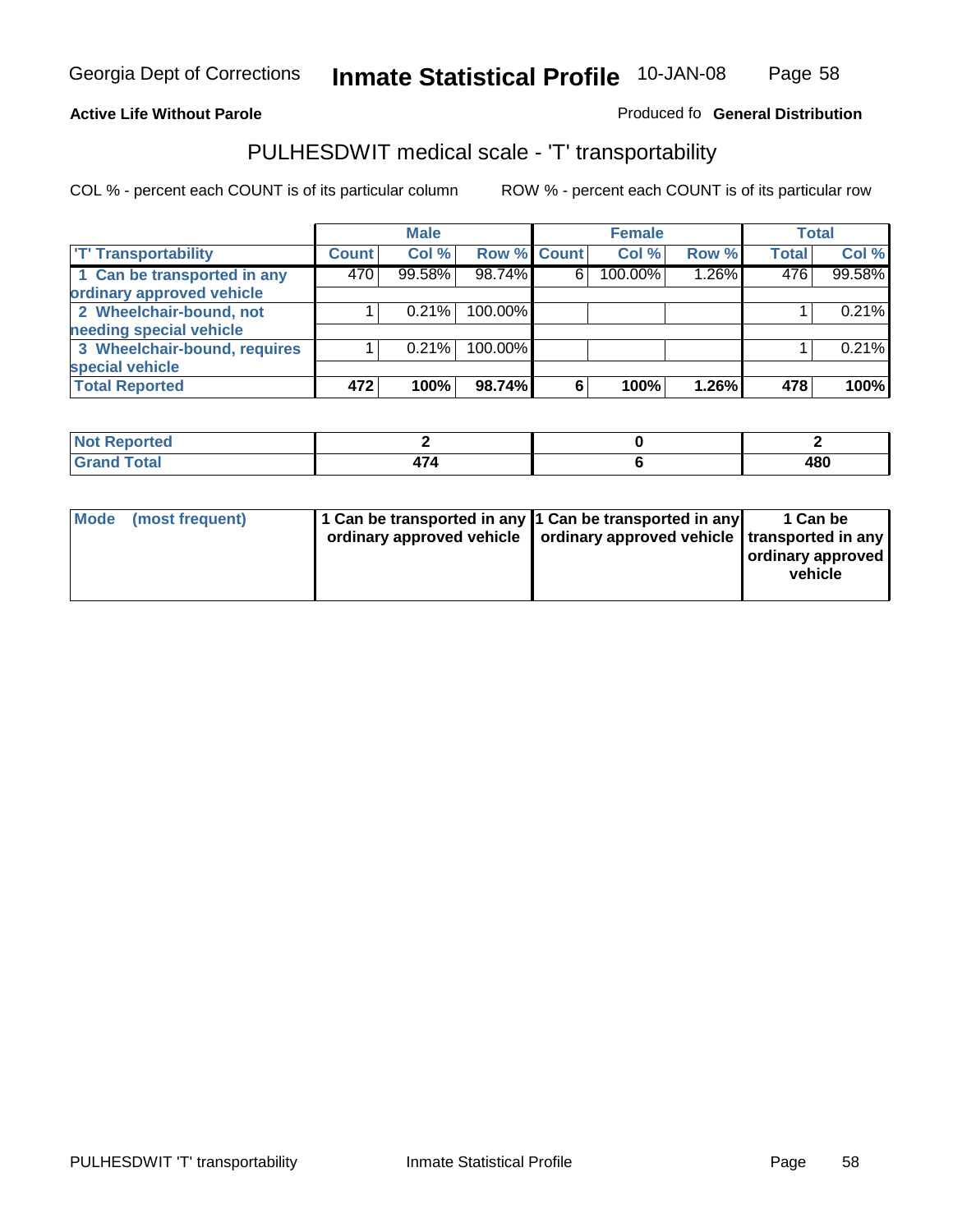#### **Inmate Statistical Profile** 10-JAN-08 Page Page 58

**Active Life Without Parole Produced fo Seneral Distribution** 

### PULHESDWIT medical scale - 'T' transportability

|                              |              | <b>Male</b> |             |   | <b>Female</b> |       |              | <b>Total</b> |
|------------------------------|--------------|-------------|-------------|---|---------------|-------|--------------|--------------|
| <b>T' Transportability</b>   | <b>Count</b> | Col %       | Row % Count |   | Col %         | Row % | <b>Total</b> | Col %        |
| 1 Can be transported in any  | 470          | 99.58%      | 98.74%      | 6 | 100.00%       | 1.26% | 476          | 99.58%       |
| ordinary approved vehicle    |              |             |             |   |               |       |              |              |
| 2 Wheelchair-bound, not      |              | 0.21%       | 100.00%     |   |               |       |              | 0.21%        |
| needing special vehicle      |              |             |             |   |               |       |              |              |
| 3 Wheelchair-bound, requires |              | 0.21%       | 100.00%     |   |               |       |              | 0.21%        |
| special vehicle              |              |             |             |   |               |       |              |              |
| <b>Total Reported</b>        | 472          | 100%        | 98.74%      | 6 | 100%          | 1.26% | 478          | 100%         |

| orted<br>. N/<br>.          |  |                                        |
|-----------------------------|--|----------------------------------------|
| $\sim$ $\sim$ $\sim$ $\sim$ |  | 101<br>4ou<br>$\overline{\phantom{a}}$ |

| Mode (most frequent) |  | 1 Can be transported in any 1 Can be transported in any<br>ordinary approved vehicle   ordinary approved vehicle   transported in any | 1 Can be<br>ordinary approved<br>vehicle |
|----------------------|--|---------------------------------------------------------------------------------------------------------------------------------------|------------------------------------------|
|----------------------|--|---------------------------------------------------------------------------------------------------------------------------------------|------------------------------------------|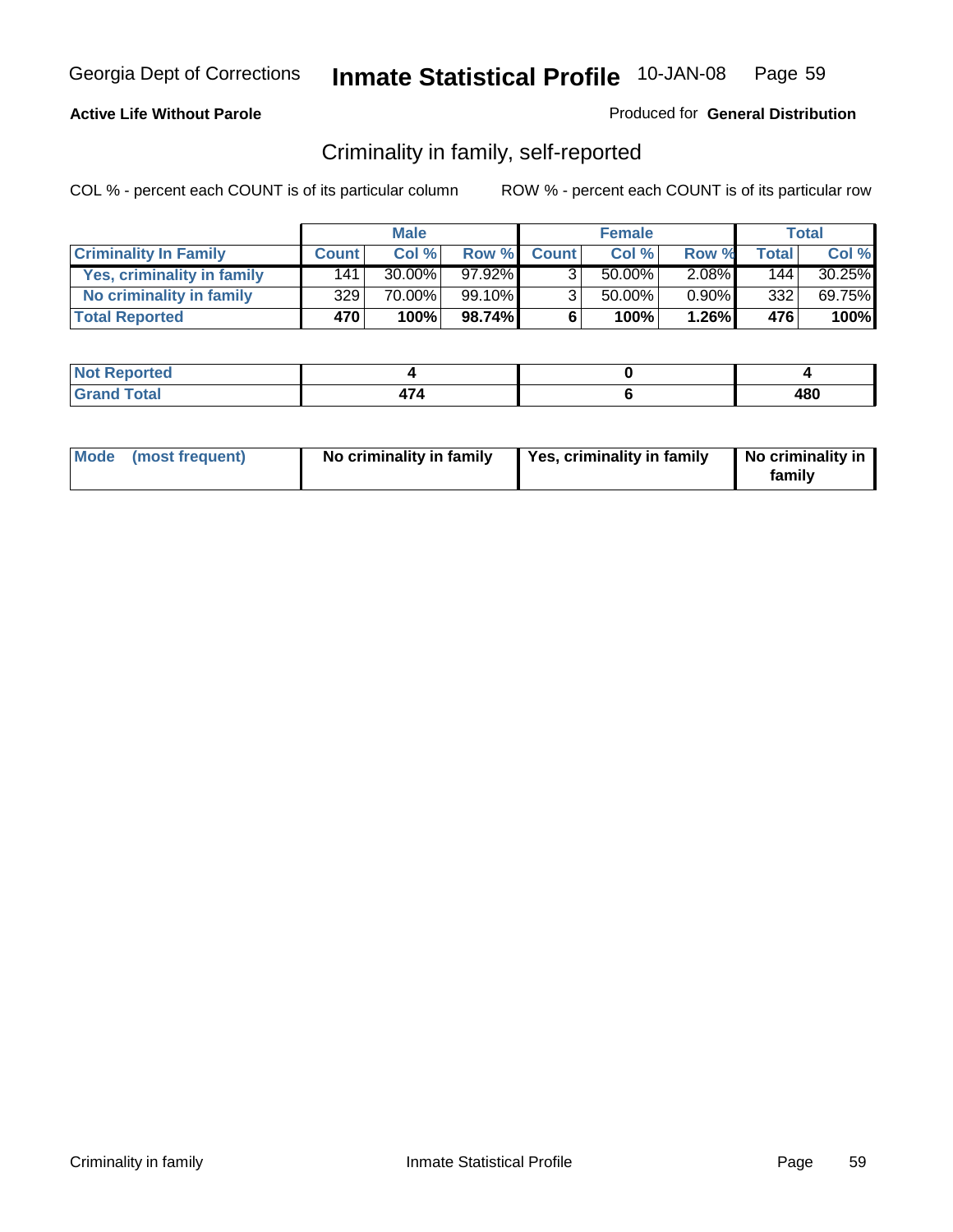#### **Active Life Without Parole**

#### Produced for **General Distribution**

### Criminality in family, self-reported

|                              |              | <b>Male</b> |           |              | <b>Female</b> |          |       | <b>Total</b> |
|------------------------------|--------------|-------------|-----------|--------------|---------------|----------|-------|--------------|
| <b>Criminality In Family</b> | <b>Count</b> | Col %       | Row %     | <b>Count</b> | Col %         | Row %    | Total | Col %        |
| Yes, criminality in family   | 141          | $30.00\%$   | $97.92\%$ | 3            | 50.00%        | $2.08\%$ | 144   | 30.25%       |
| No criminality in family     | 329          | 70.00%      | 99.10%    | 3            | 50.00%        | $0.90\%$ | 332   | 69.75%       |
| <b>Total Reported</b>        | 470'         | 100%        | 98.74%    | 6            | 100%          | $1.26\%$ | 476   | 100%         |

| oorted<br><b>NOT</b><br><b>IVGI</b> |   |              |
|-------------------------------------|---|--------------|
| Total<br>Gran<br>---                | . | 1 o r<br>40u |

| Mode (most frequent) |  | No criminality in family | Yes, criminality in family | No criminality in<br>family |
|----------------------|--|--------------------------|----------------------------|-----------------------------|
|----------------------|--|--------------------------|----------------------------|-----------------------------|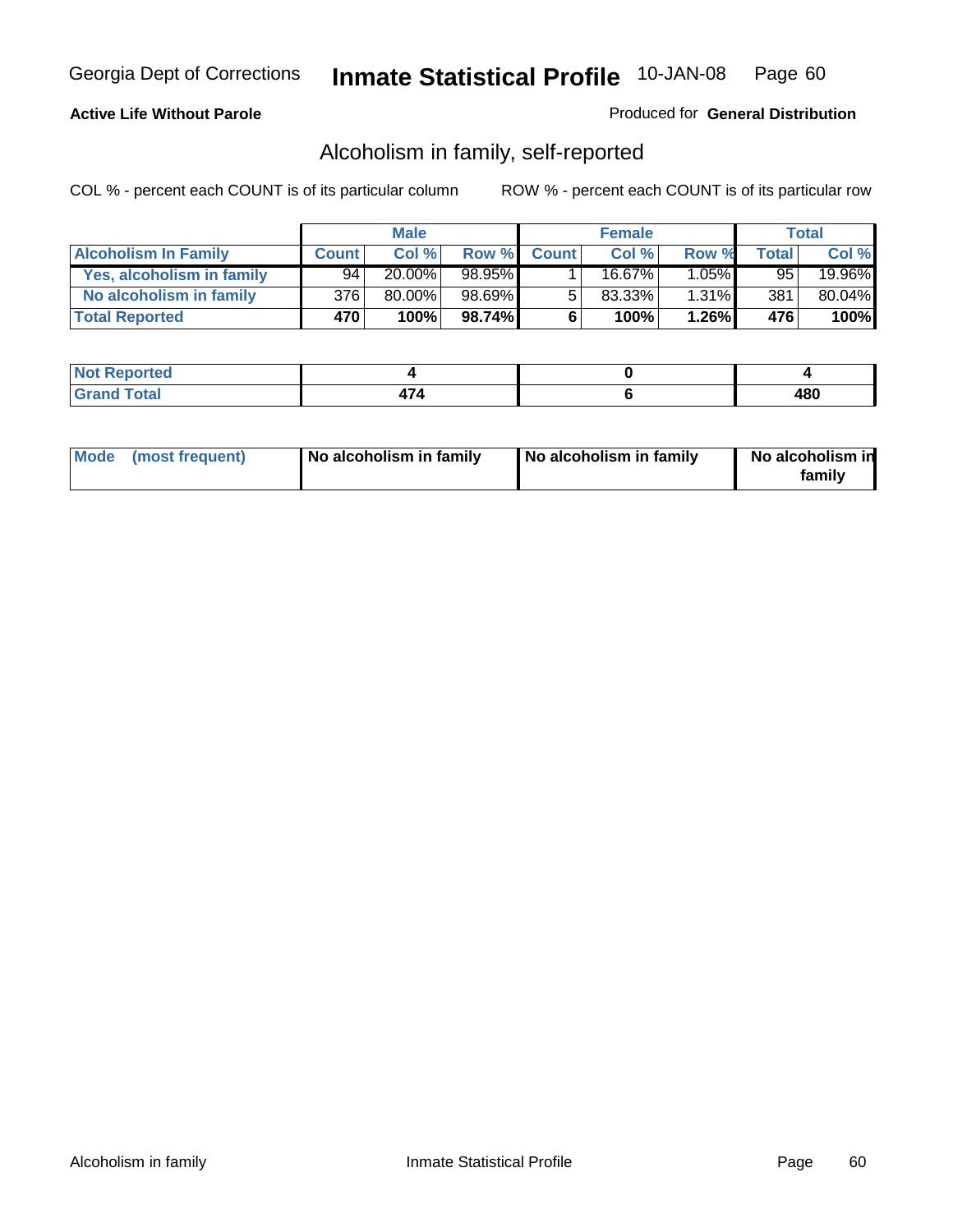#### **Active Life Without Parole**

#### Produced for **General Distribution**

### Alcoholism in family, self-reported

|                             |              | <b>Male</b> |        |              | <b>Female</b> |          |       | Total  |
|-----------------------------|--------------|-------------|--------|--------------|---------------|----------|-------|--------|
| <b>Alcoholism In Family</b> | <b>Count</b> | Col %       | Row %  | <b>Count</b> | Col %         | Row %    | Total | Col %  |
| Yes, alcoholism in family   | 94           | 20.00%      | 98.95% |              | 16.67%        | $1.05\%$ | 95    | 19.96% |
| No alcoholism in family     | 376          | 80.00%      | 98.69% | 5            | 83.33%        | $1.31\%$ | 381   | 80.04% |
| <b>Total Reported</b>       | 470          | 100%        | 98.74% | 6            | 100%          | $1.26\%$ | 476   | 100%   |

| oorted<br><b>NOT</b><br><b>IVGI</b> |   |              |
|-------------------------------------|---|--------------|
| Total<br>Gran<br>---                | . | 1 o r<br>40u |

|  | Mode (most frequent) | No alcoholism in family | No alcoholism in family | No alcoholism in<br>family |
|--|----------------------|-------------------------|-------------------------|----------------------------|
|--|----------------------|-------------------------|-------------------------|----------------------------|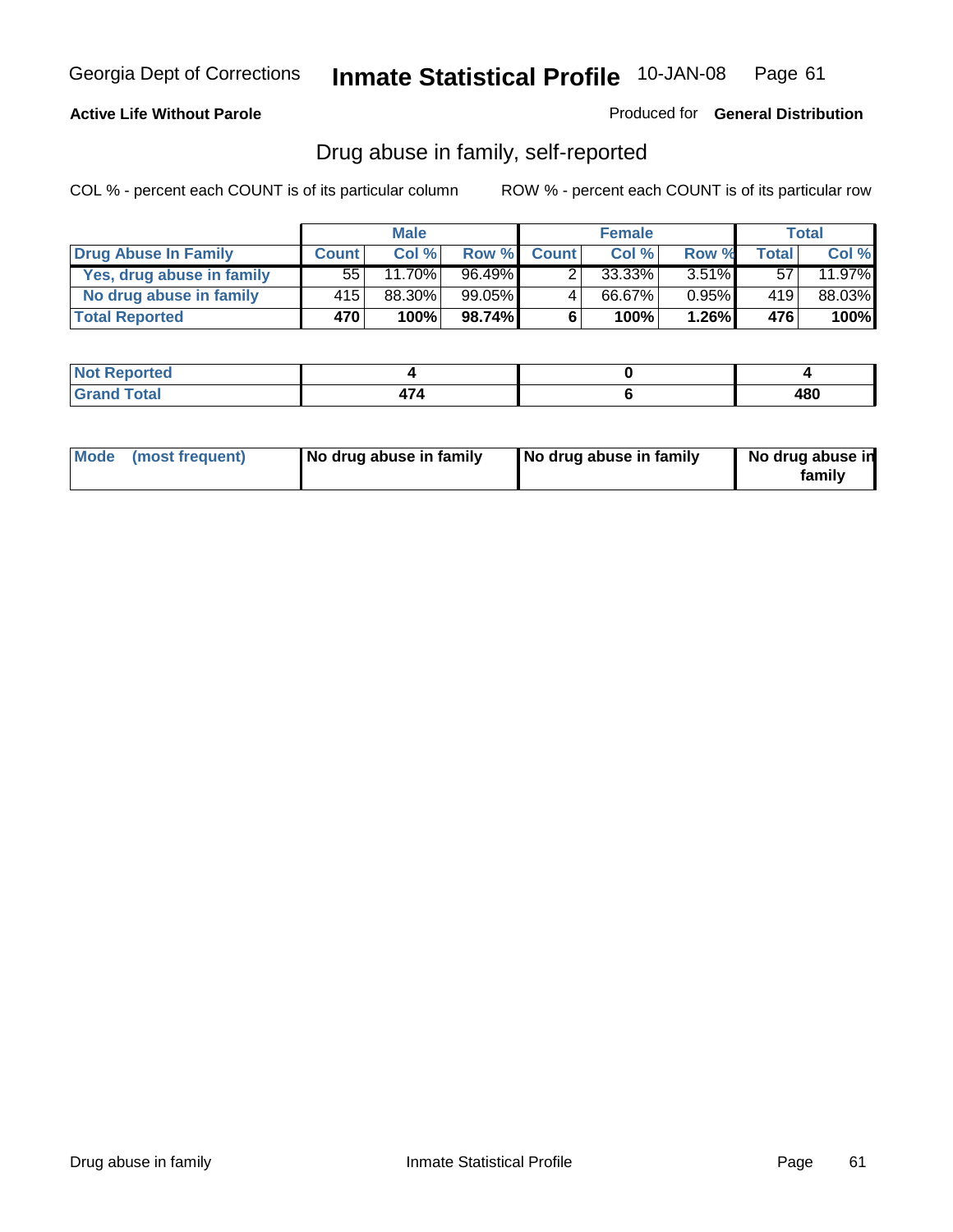#### **Active Life Without Parole**

Produced for **General Distribution**

### Drug abuse in family, self-reported

|                           |                  | <b>Male</b> |           |              | <b>Female</b> |          |       | <b>Total</b> |
|---------------------------|------------------|-------------|-----------|--------------|---------------|----------|-------|--------------|
| Drug Abuse In Family      | <b>Count</b>     | Col %       | Row %     | <b>Count</b> | Col %         | Row %    | Total | Col %        |
| Yes, drug abuse in family | 55               | $11.70\%$   | 96.49%    | າ            | 33.33%        | $3.51\%$ | 57    | 11.97%       |
| No drug abuse in family   | 415'             | 88.30%      | $99.05\%$ | 4            | 66.67%        | $0.95\%$ | 419   | 88.03%       |
| <b>Total Reported</b>     | 470 <sup>'</sup> | 100%        | 98.74%    | 6            | 100%          | $1.26\%$ | 476   | 100%         |

| oorted<br><b>NOT</b><br><b>IVGI</b> |   |              |
|-------------------------------------|---|--------------|
| Total<br>Gran<br>---                | . | 1 o r<br>40u |

|  | Mode (most frequent) | No drug abuse in family | No drug abuse in family | No drug abuse in<br>family |
|--|----------------------|-------------------------|-------------------------|----------------------------|
|--|----------------------|-------------------------|-------------------------|----------------------------|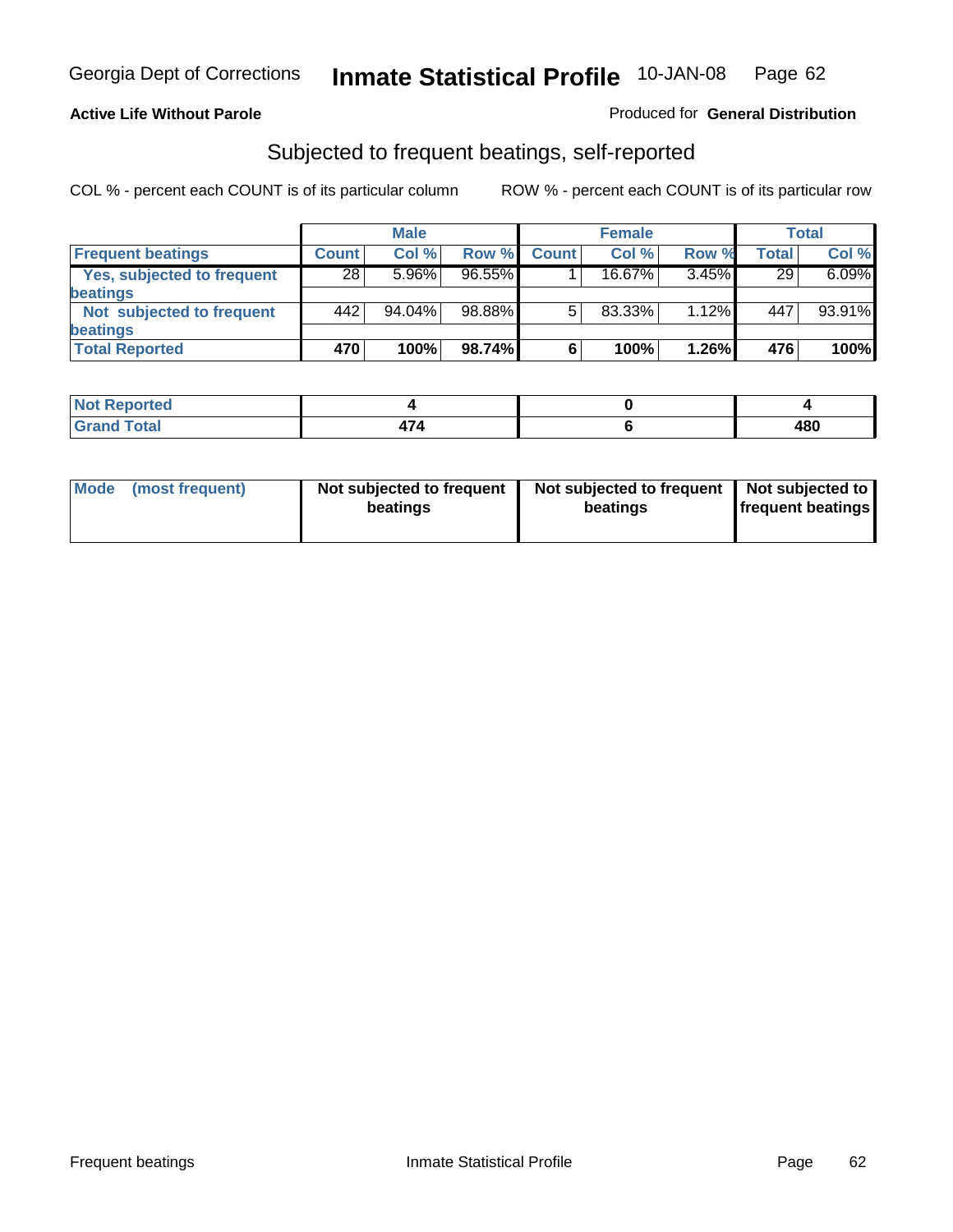#### **Active Life Without Parole**

#### Produced for **General Distribution**

### Subjected to frequent beatings, self-reported

|                            |              | <b>Male</b> |           |              | <b>Female</b> |          |              | Total  |
|----------------------------|--------------|-------------|-----------|--------------|---------------|----------|--------------|--------|
| <b>Frequent beatings</b>   | <b>Count</b> | Col%        | Row %     | <b>Count</b> | Col%          | Row %    | <b>Total</b> | Col %  |
| Yes, subjected to frequent | 28           | 5.96%       | $96.55\%$ |              | 16.67%        | 3.45%    | 29           | 6.09%  |
| <b>beatings</b>            |              |             |           |              |               |          |              |        |
| Not subjected to frequent  | 442          | 94.04%      | 98.88%    | 5            | 83.33%        | $1.12\%$ | 447          | 93.91% |
| <b>beatings</b>            |              |             |           |              |               |          |              |        |
| <b>Total Reported</b>      | 470          | 100%        | 98.74%    | 6            | 100%          | 1.26%    | 476          | 100%   |

| <b>Not Reported</b>      |  |     |
|--------------------------|--|-----|
| Total<br>$C$ ror<br>υιαι |  | 480 |

| Mode (most frequent) | Not subjected to frequent<br>beatings | Not subjected to frequent<br>beatings | Not subjected to<br><b>frequent beatings</b> |  |
|----------------------|---------------------------------------|---------------------------------------|----------------------------------------------|--|
|                      |                                       |                                       |                                              |  |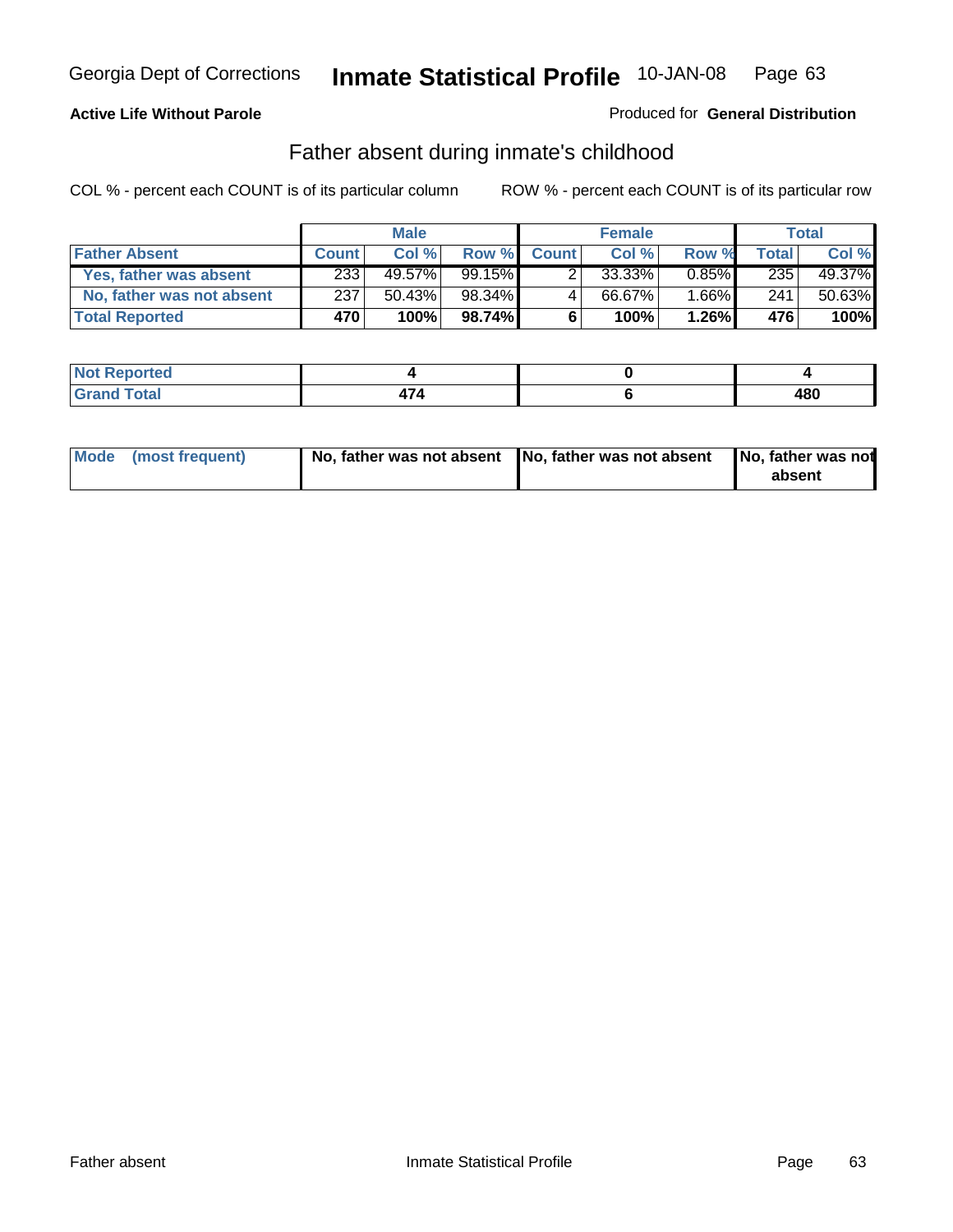### **Active Life Without Parole**

#### Produced for **General Distribution**

### Father absent during inmate's childhood

|                           |              | <b>Male</b> |           |              | <b>Female</b> |          |       | Total  |
|---------------------------|--------------|-------------|-----------|--------------|---------------|----------|-------|--------|
| <b>Father Absent</b>      | <b>Count</b> | Col %       | Row %     | <b>Count</b> | Col %         | Row %    | Total | Col %  |
| Yes, father was absent    | 233          | 49.57%      | $99.15\%$ |              | 33.33%        | $0.85\%$ | 235   | 49.37% |
| No, father was not absent | 237          | 50.43%      | 98.34%    | 4            | 66.67%        | $1.66\%$ | 241   | 50.63% |
| <b>Total Reported</b>     | 470          | 100%        | 98.74%    | 6            | 100%          | $1.26\%$ | 476   | 100%   |

| oorted<br><b>NOT</b><br><b>IJCI</b> |     |     |
|-------------------------------------|-----|-----|
| $\sim$<br>Grar<br>-----             | . . | 480 |

| Mode (most frequent) |  | 「No, father was not absent ┃No, father was not absent ┃No, father was not | absent |
|----------------------|--|---------------------------------------------------------------------------|--------|
|----------------------|--|---------------------------------------------------------------------------|--------|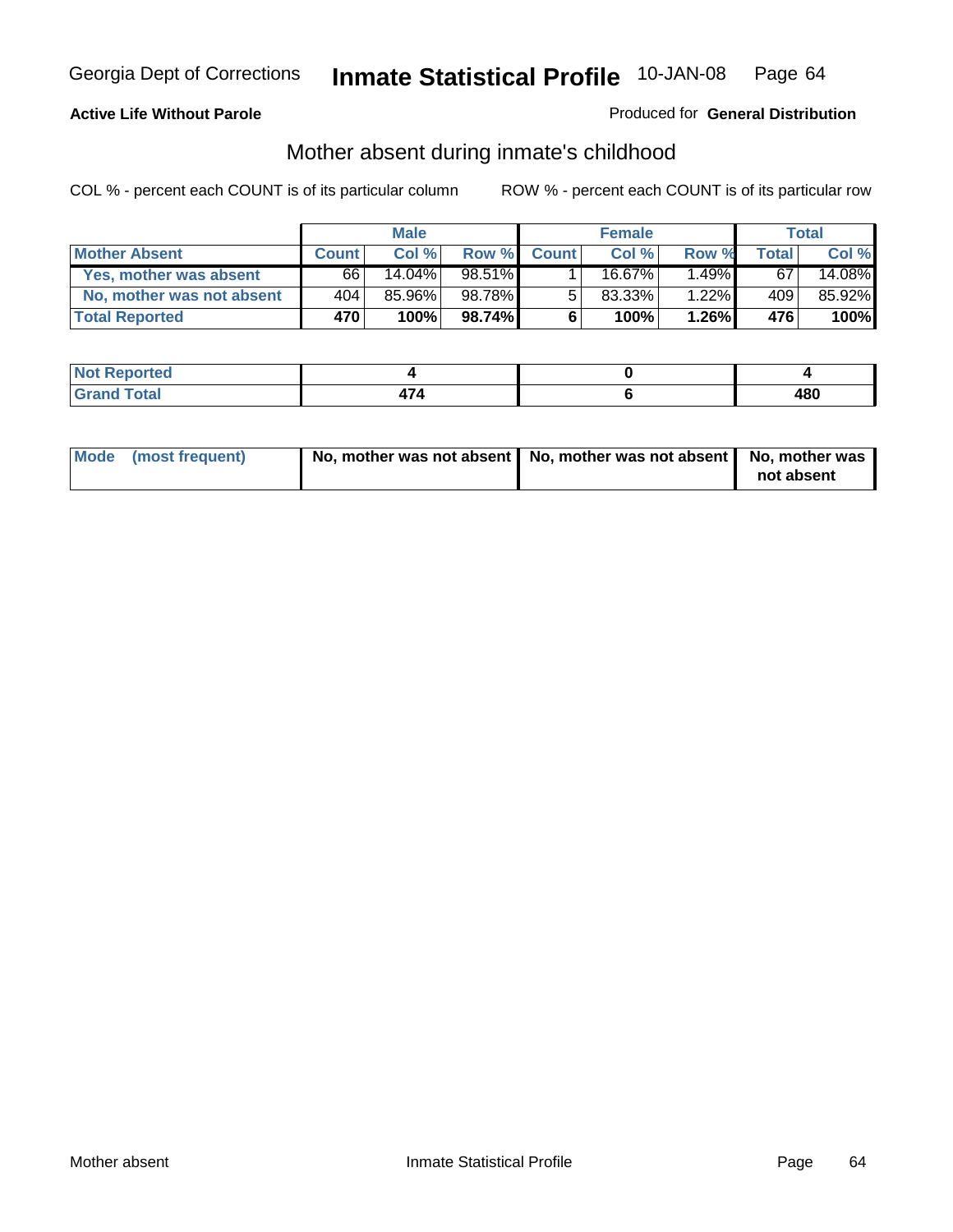### **Active Life Without Parole**

#### Produced for **General Distribution**

# Mother absent during inmate's childhood

|                           |                  | <b>Male</b> |        |              | <b>Female</b> |          |              | Total  |
|---------------------------|------------------|-------------|--------|--------------|---------------|----------|--------------|--------|
| <b>Mother Absent</b>      | <b>Count</b>     | Col %       | Row %  | <b>Count</b> | Col %         | Row %    | <b>Total</b> | Col %  |
| Yes, mother was absent    | 66 I             | $14.04\%$   | 98.51% |              | 16.67%        | $1.49\%$ | 67           | 14.08% |
| No, mother was not absent | 404              | 85.96%      | 98.78% | 5            | $83.33\%$     | 1.22%    | 409          | 85.92% |
| <b>Total Reported</b>     | 470 <sup>'</sup> | 100%        | 98.74% | 6            | 100%          | $1.26\%$ | 476          | 100%   |

| <b>Not Reported</b>   |  |            |
|-----------------------|--|------------|
| <b>Total</b><br>Grano |  | 100<br>40U |

| Mode (most frequent) | No, mother was not absent $\vert$ No, mother was not absent $\vert$ No, mother was | not absent |
|----------------------|------------------------------------------------------------------------------------|------------|
|                      |                                                                                    |            |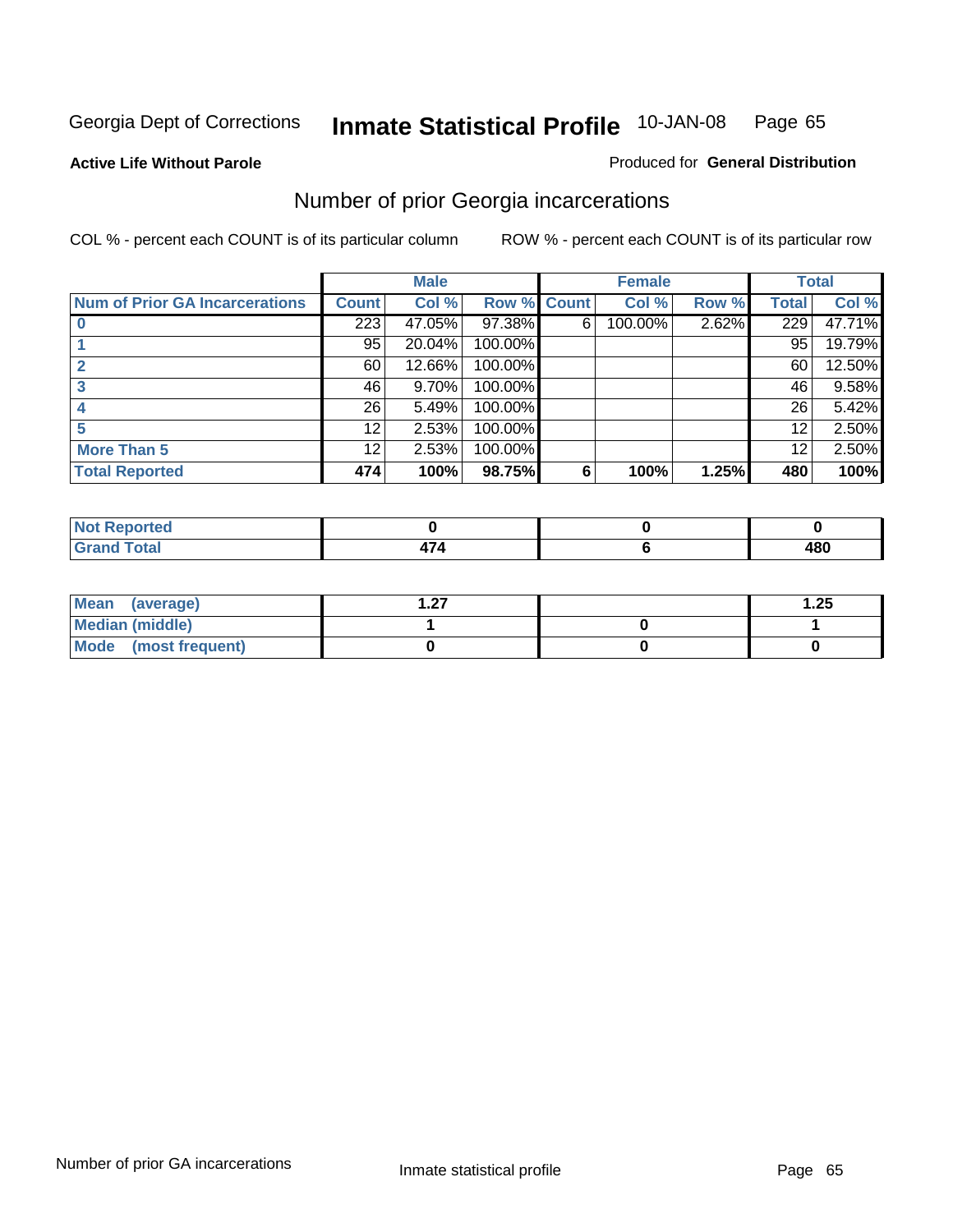**Active Life Without Parole** 

#### Produced for **General Distribution**

# Number of prior Georgia incarcerations

|                                |                  | <b>Male</b> |                    |   | <b>Female</b> |       |       | <b>Total</b> |
|--------------------------------|------------------|-------------|--------------------|---|---------------|-------|-------|--------------|
| Num of Prior GA Incarcerations | <b>Count</b>     | Col %       | <b>Row % Count</b> |   | Col %         | Row % | Total | Col %        |
|                                | $\overline{223}$ | 47.05%      | 97.38%             | 6 | 100.00%       | 2.62% | 229   | 47.71%       |
|                                | 95               | 20.04%      | 100.00%            |   |               |       | 95    | 19.79%       |
|                                | 60               | 12.66%      | 100.00%            |   |               |       | 60    | 12.50%       |
|                                | 46               | 9.70%       | 100.00%            |   |               |       | 46    | 9.58%        |
|                                | 26               | 5.49%       | 100.00%            |   |               |       | 26    | 5.42%        |
|                                | 12               | 2.53%       | 100.00%            |   |               |       | 12    | 2.50%        |
| <b>More Than 5</b>             | 12               | 2.53%       | 100.00%            |   |               |       | 12    | 2.50%        |
| <b>Total Reported</b>          | 474              | 100%        | 98.75%             | 6 | 100%          | 1.25% | 480   | 100%         |

| Reported<br>NG                  |  |            |
|---------------------------------|--|------------|
| <b>otal</b><br>$\mathbf{v}$ and |  | ៱៰៱<br>40U |

| Mean (average)       | - 27 | 1.25 |
|----------------------|------|------|
| Median (middle)      |      |      |
| Mode (most frequent) |      |      |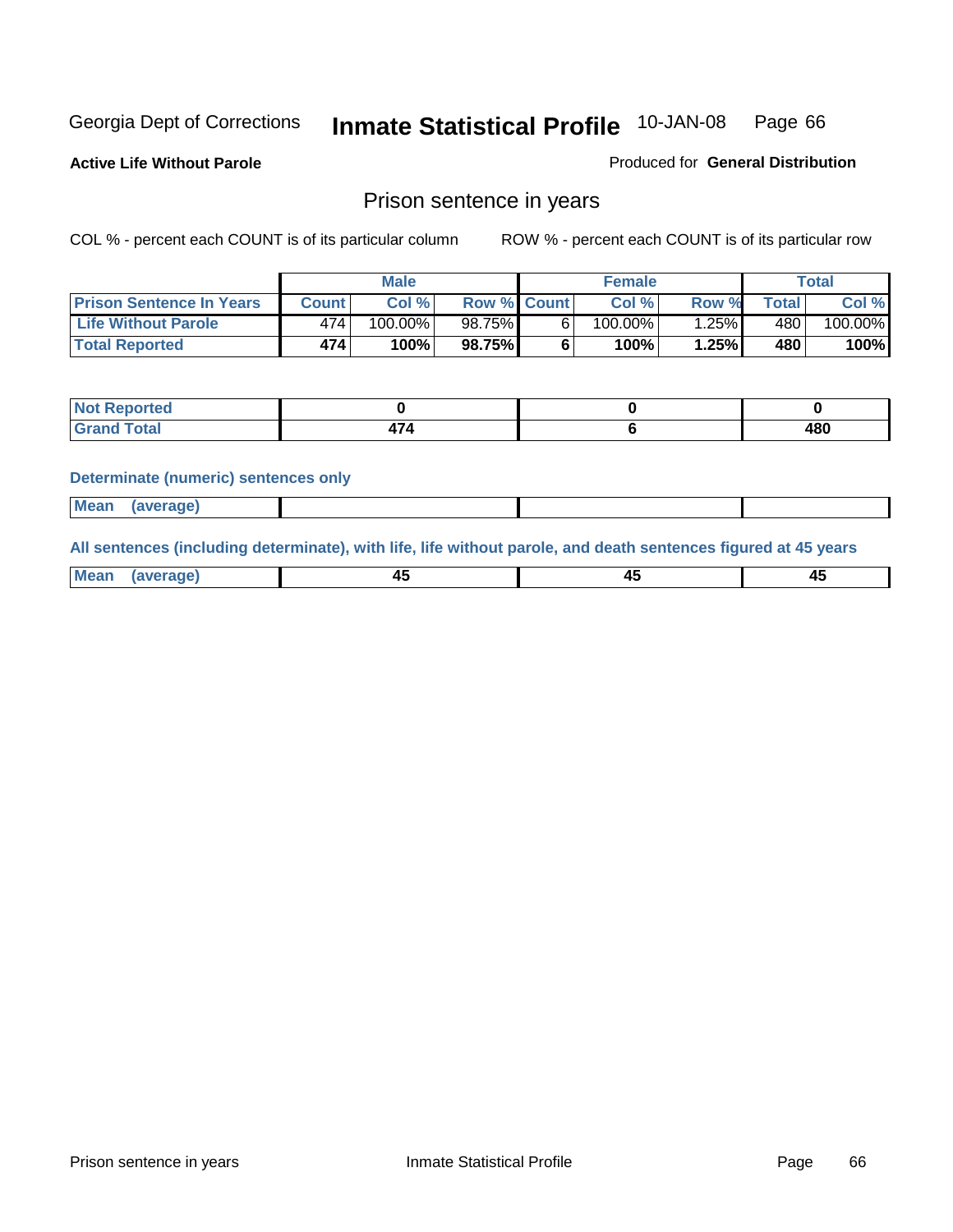**Active Life Without Parole** 

Produced for **General Distribution**

### Prison sentence in years

COL % - percent each COUNT is of its particular column ROW % - percent each COUNT is of its particular row

|                                 | <b>Male</b>  |            |                    | <b>Female</b> |            |       | Total           |         |
|---------------------------------|--------------|------------|--------------------|---------------|------------|-------|-----------------|---------|
| <b>Prison Sentence In Years</b> | <b>Count</b> | Col %      | <b>Row % Count</b> |               | Col %      | Row % | $\tau$ otal     | Col %   |
| <b>Life Without Parole</b>      | 474          | $100.00\%$ | 98.75%             |               | $100.00\%$ | ا25%. | 480             | 100.00% |
| <b>Total Reported</b>           | 474          | 100%       | 98.75%             |               | 100%       | 1.25% | 480 <sup></sup> | 100%    |

| <b>Reported</b>             |  |     |
|-----------------------------|--|-----|
| <b>Total</b><br>$\sim$ nand |  | 480 |

#### **Determinate (numeric) sentences only**

| <b>Mean</b> | (average) |  |  |
|-------------|-----------|--|--|

**All sentences (including determinate), with life, life without parole, and death sentences figured at 45 years**

| Me           |         |        |              |
|--------------|---------|--------|--------------|
| mе<br>.<br>. | ᠇<br>__ | $\sim$ | т.<br>$\sim$ |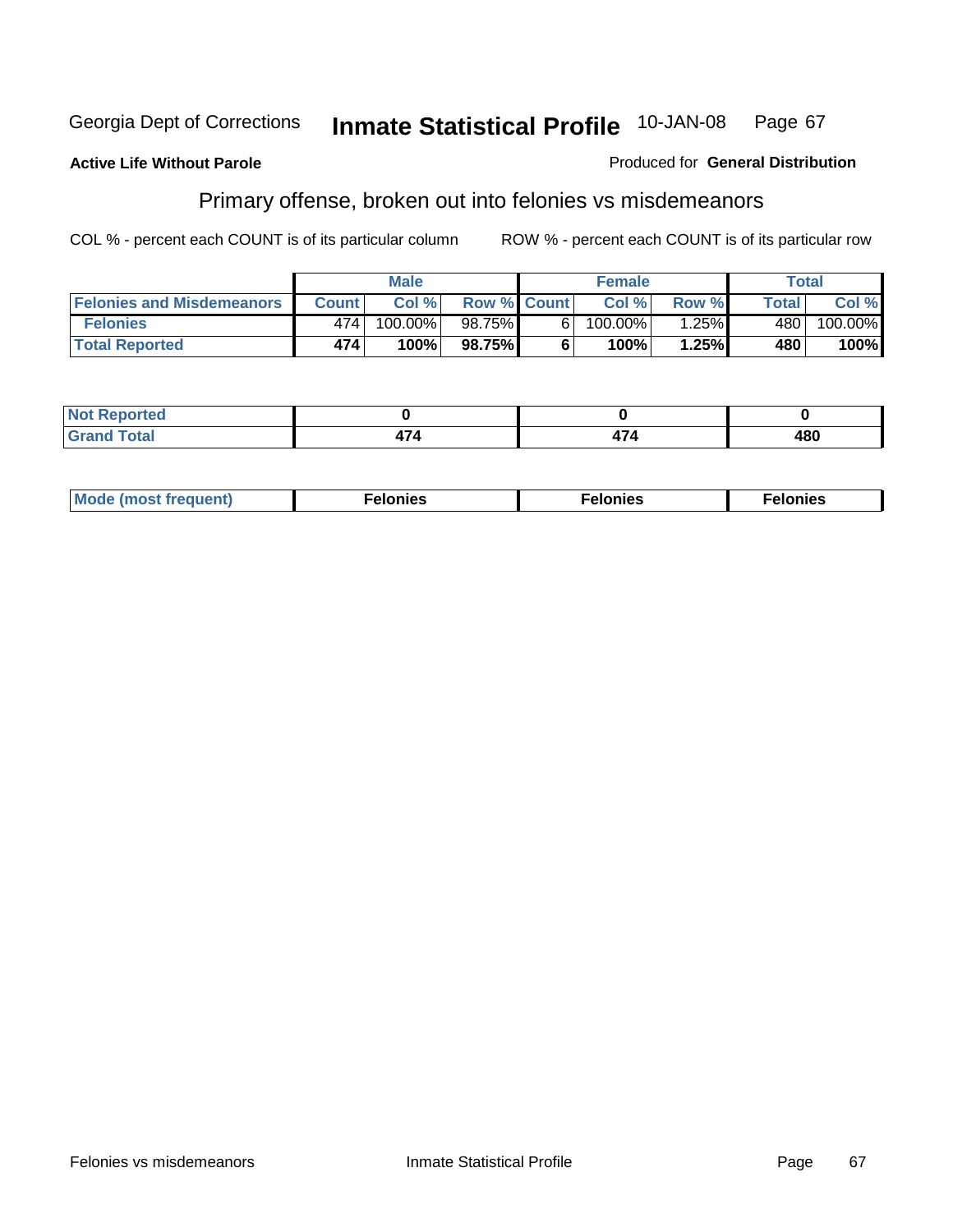#### **Active Life Without Parole**

#### Produced for **General Distribution**

# Primary offense, broken out into felonies vs misdemeanors

|                                  | <b>Male</b>  |         |                    | <b>Female</b> |         |          | Total        |            |
|----------------------------------|--------------|---------|--------------------|---------------|---------|----------|--------------|------------|
| <b>Felonies and Misdemeanors</b> | <b>Count</b> | Col%    | <b>Row % Count</b> |               | Col%    | Row %    | <b>Total</b> | Col %      |
| <b>Felonies</b>                  | 474          | 100.00% | 98.75%I            | 61            | 100.00% | $1.25\%$ | 480          | $100.00\%$ |
| <b>Total Reported</b>            | 474          | 100%    | 98.75%1            |               | 100%    | 1.25%    | 480          | 100%       |

| rted.<br>מ מ<br>$\sim$ |  |     |
|------------------------|--|-----|
| --                     |  | 480 |

| M <sub>0</sub><br>. | צאור<br>. | . |
|---------------------|-----------|---|
|---------------------|-----------|---|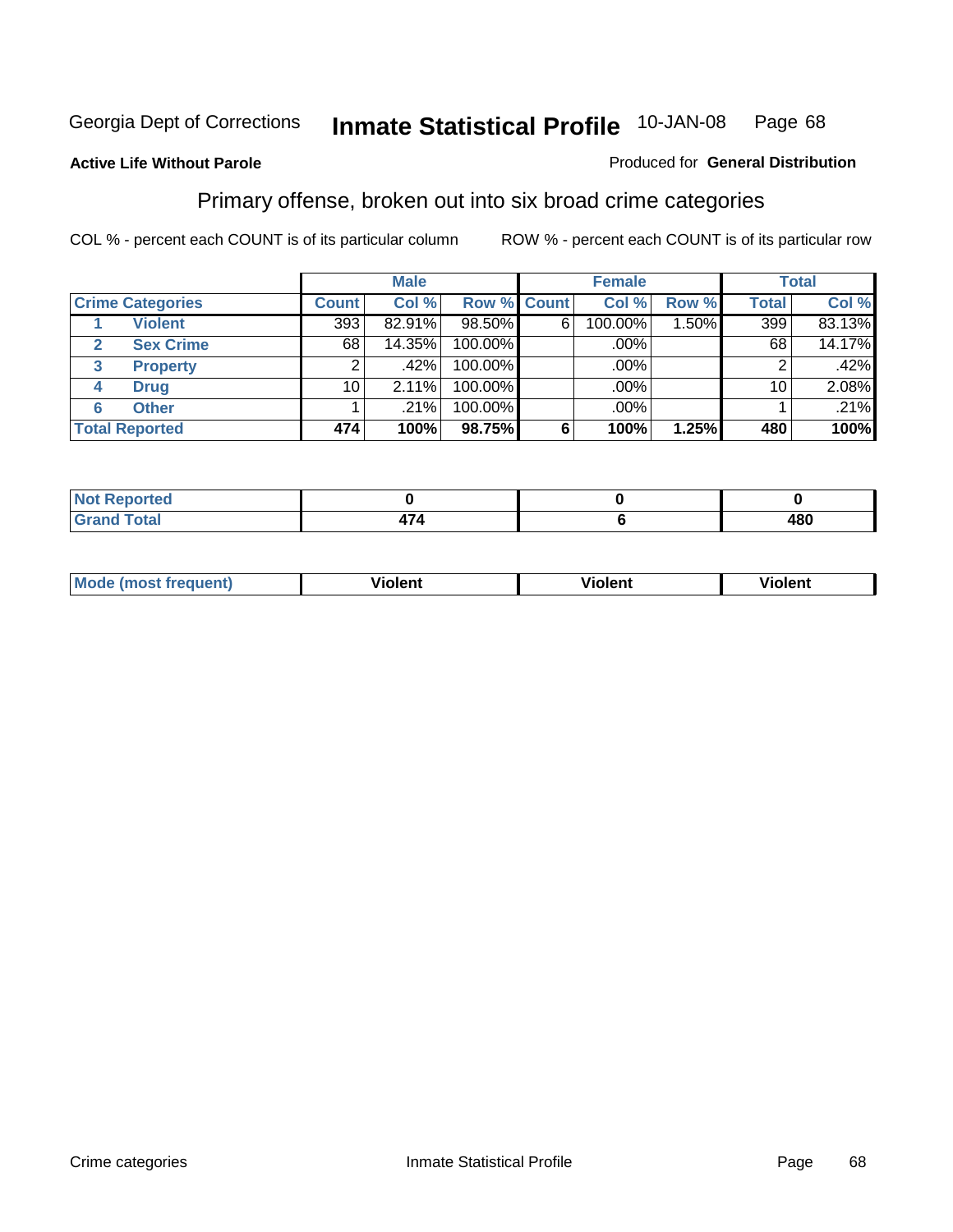**Active Life Without Parole** 

#### Produced for **General Distribution**

### Primary offense, broken out into six broad crime categories

|                                  | <b>Male</b>  |          |             | <b>Female</b> |             |       | <b>Total</b> |        |
|----------------------------------|--------------|----------|-------------|---------------|-------------|-------|--------------|--------|
| <b>Crime Categories</b>          | <b>Count</b> | Col %    | Row % Count |               | Col %       | Row % | <b>Total</b> | Col %  |
| <b>Violent</b>                   | 393          | 82.91%   | 98.50%      | 6             | 100.00%     | 1.50% | 399          | 83.13% |
| <b>Sex Crime</b><br>$\mathbf{2}$ | 68           | 14.35%   | 100.00%     |               | .00%        |       | 68           | 14.17% |
| <b>Property</b><br>3             | 2            | $.42\%$  | 100.00%     |               | .00%        |       | 2            | .42%   |
| <b>Drug</b><br>4                 | 10           | $2.11\%$ | 100.00%     |               | .00%        |       | 10           | 2.08%  |
| <b>Other</b><br>6                |              | .21%     | 100.00%     |               | $.00\%$ $ $ |       |              | .21%   |
| <b>Total Reported</b>            | 474          | 100%     | 98.75%      | 6             | 100%        | 1.25% | 480          | 100%   |

| المناصر فالمراجع المراد<br>Not Reported |  |     |
|-----------------------------------------|--|-----|
| <b>Total</b>                            |  | 480 |

| Mo | n n | winlor" | ılen' |
|----|-----|---------|-------|
|    |     |         |       |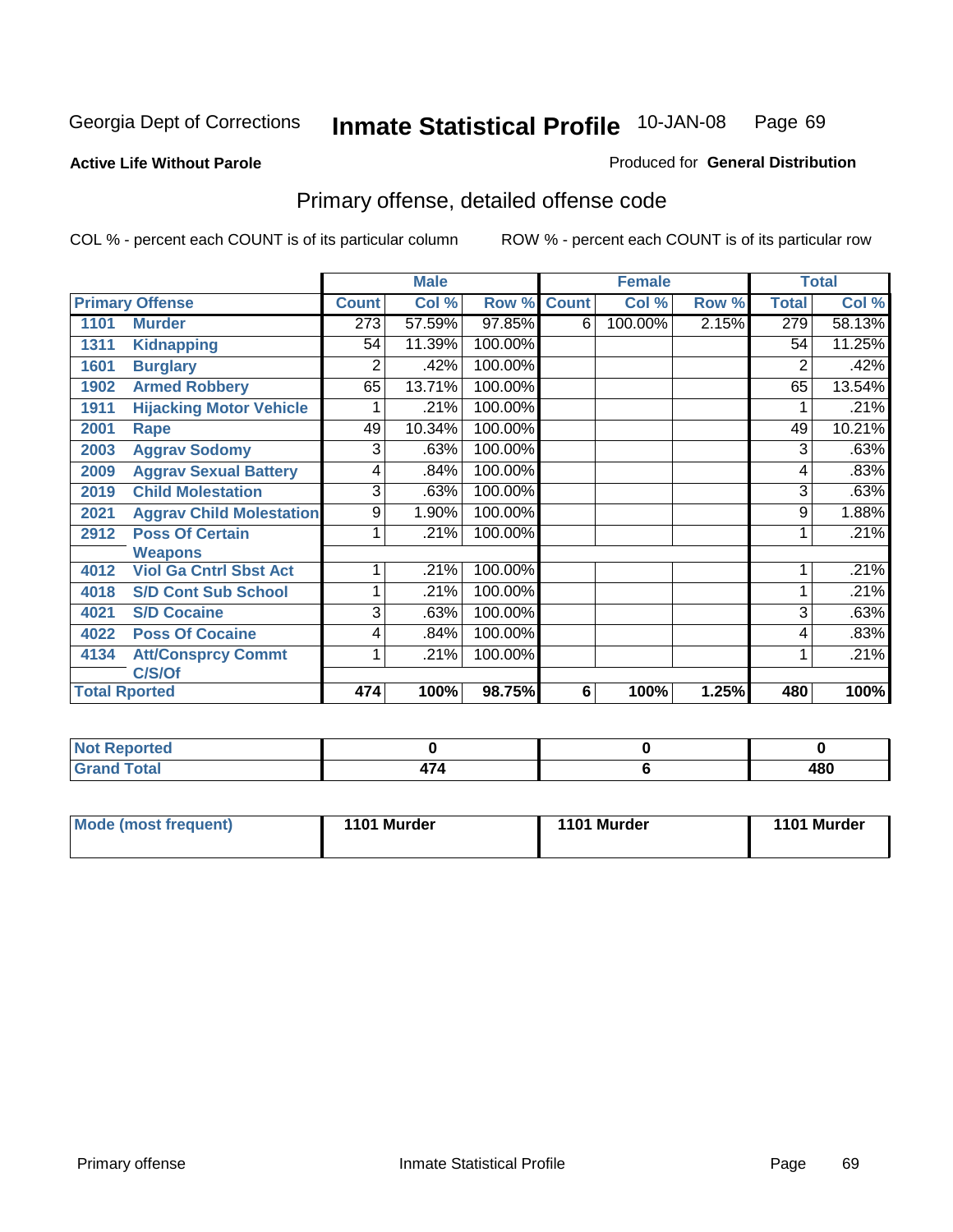#### **Active Life Without Parole**

#### Produced for **General Distribution**

# Primary offense, detailed offense code

|      |                                 |              | <b>Male</b> |             |   | <b>Female</b> |       |              | <b>Total</b> |
|------|---------------------------------|--------------|-------------|-------------|---|---------------|-------|--------------|--------------|
|      | <b>Primary Offense</b>          | <b>Count</b> | Col %       | Row % Count |   | Col %         | Row % | <b>Total</b> | Col %        |
| 1101 | <b>Murder</b>                   | 273          | 57.59%      | 97.85%      | 6 | 100.00%       | 2.15% | 279          | 58.13%       |
| 1311 | <b>Kidnapping</b>               | 54           | 11.39%      | 100.00%     |   |               |       | 54           | 11.25%       |
| 1601 | <b>Burglary</b>                 | 2            | .42%        | 100.00%     |   |               |       | 2            | .42%         |
| 1902 | <b>Armed Robbery</b>            | 65           | 13.71%      | 100.00%     |   |               |       | 65           | 13.54%       |
| 1911 | <b>Hijacking Motor Vehicle</b>  |              | .21%        | 100.00%     |   |               |       |              | .21%         |
| 2001 | Rape                            | 49           | 10.34%      | 100.00%     |   |               |       | 49           | 10.21%       |
| 2003 | <b>Aggrav Sodomy</b>            | 3            | .63%        | 100.00%     |   |               |       | 3            | .63%         |
| 2009 | <b>Aggrav Sexual Battery</b>    | 4            | .84%        | 100.00%     |   |               |       | 4            | .83%         |
| 2019 | <b>Child Molestation</b>        | 3            | .63%        | 100.00%     |   |               |       | 3            | .63%         |
| 2021 | <b>Aggrav Child Molestation</b> | 9            | 1.90%       | 100.00%     |   |               |       | 9            | 1.88%        |
| 2912 | <b>Poss Of Certain</b>          |              | .21%        | 100.00%     |   |               |       |              | .21%         |
|      | <b>Weapons</b>                  |              |             |             |   |               |       |              |              |
| 4012 | <b>Viol Ga Cntrl Sbst Act</b>   |              | .21%        | 100.00%     |   |               |       |              | .21%         |
| 4018 | <b>S/D Cont Sub School</b>      | 1            | .21%        | 100.00%     |   |               |       |              | .21%         |
| 4021 | <b>S/D Cocaine</b>              | 3            | .63%        | 100.00%     |   |               |       | 3            | .63%         |
| 4022 | <b>Poss Of Cocaine</b>          | 4            | .84%        | 100.00%     |   |               |       | 4            | .83%         |
| 4134 | <b>Att/Consprcy Commt</b>       | 1            | .21%        | 100.00%     |   |               |       | 1            | .21%         |
|      | C/S/Of                          |              |             |             |   |               |       |              |              |
|      | <b>Total Rported</b>            | 474          | 100%        | 98.75%      | 6 | 100%          | 1.25% | 480          | 100%         |

| <b>Not</b><br>Reported           |  |     |
|----------------------------------|--|-----|
| <b>Total</b><br>$\mathbf{v}$ and |  | 480 |

| Mode (most frequent) | 1101 Murder | 1101 Murder | 1101 Murder |
|----------------------|-------------|-------------|-------------|
|----------------------|-------------|-------------|-------------|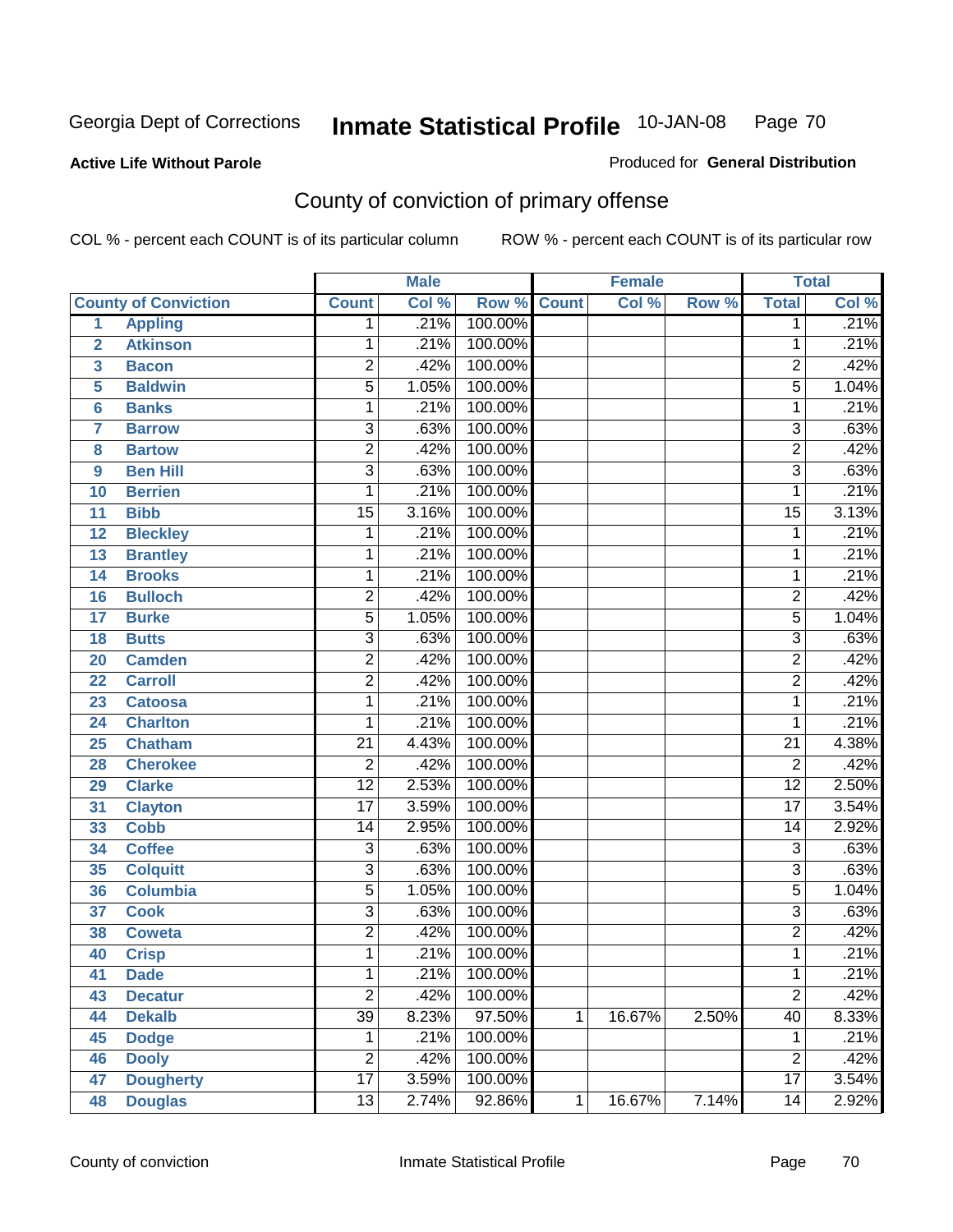#### **Active Life Without Parole**

### Produced for **General Distribution**

# County of conviction of primary offense

|                |                             |                 | <b>Male</b> |         |              | <b>Female</b> |       |                 | <b>Total</b> |
|----------------|-----------------------------|-----------------|-------------|---------|--------------|---------------|-------|-----------------|--------------|
|                | <b>County of Conviction</b> | <b>Count</b>    | Col %       | Row %   | <b>Count</b> | Col %         | Row % | <b>Total</b>    | Col %        |
| 1              | <b>Appling</b>              | 1               | .21%        | 100.00% |              |               |       | 1               | .21%         |
| $\overline{2}$ | <b>Atkinson</b>             | 1               | .21%        | 100.00% |              |               |       | 1               | .21%         |
| 3              | <b>Bacon</b>                | $\overline{2}$  | .42%        | 100.00% |              |               |       | $\overline{2}$  | .42%         |
| 5              | <b>Baldwin</b>              | $\overline{5}$  | 1.05%       | 100.00% |              |               |       | $\overline{5}$  | 1.04%        |
| 6              | <b>Banks</b>                | 1               | .21%        | 100.00% |              |               |       | 1               | .21%         |
| $\overline{7}$ | <b>Barrow</b>               | $\overline{3}$  | .63%        | 100.00% |              |               |       | $\overline{3}$  | .63%         |
| 8              | <b>Bartow</b>               | $\overline{2}$  | .42%        | 100.00% |              |               |       | $\overline{2}$  | .42%         |
| 9              | <b>Ben Hill</b>             | $\overline{3}$  | .63%        | 100.00% |              |               |       | $\overline{3}$  | .63%         |
| 10             | <b>Berrien</b>              | 1               | .21%        | 100.00% |              |               |       | $\mathbf{1}$    | .21%         |
| 11             | <b>Bibb</b>                 | $\overline{15}$ | 3.16%       | 100.00% |              |               |       | $\overline{15}$ | 3.13%        |
| 12             | <b>Bleckley</b>             | 1               | .21%        | 100.00% |              |               |       | 1               | .21%         |
| 13             | <b>Brantley</b>             | 1               | .21%        | 100.00% |              |               |       | 1               | .21%         |
| 14             | <b>Brooks</b>               | 1               | .21%        | 100.00% |              |               |       | $\mathbf{1}$    | .21%         |
| 16             | <b>Bulloch</b>              | $\overline{2}$  | .42%        | 100.00% |              |               |       | $\overline{2}$  | .42%         |
| 17             | <b>Burke</b>                | $\overline{5}$  | 1.05%       | 100.00% |              |               |       | $\overline{5}$  | 1.04%        |
| 18             | <b>Butts</b>                | $\overline{3}$  | .63%        | 100.00% |              |               |       | $\overline{3}$  | .63%         |
| 20             | <b>Camden</b>               | $\overline{2}$  | .42%        | 100.00% |              |               |       | $\overline{2}$  | .42%         |
| 22             | <b>Carroll</b>              | $\overline{2}$  | .42%        | 100.00% |              |               |       | $\overline{2}$  | .42%         |
| 23             | <b>Catoosa</b>              | 1               | .21%        | 100.00% |              |               |       | 1               | .21%         |
| 24             | <b>Charlton</b>             | 1               | .21%        | 100.00% |              |               |       | 1               | .21%         |
| 25             | <b>Chatham</b>              | $\overline{21}$ | 4.43%       | 100.00% |              |               |       | $\overline{21}$ | 4.38%        |
| 28             | <b>Cherokee</b>             | $\overline{2}$  | .42%        | 100.00% |              |               |       | $\overline{2}$  | .42%         |
| 29             | <b>Clarke</b>               | $\overline{12}$ | 2.53%       | 100.00% |              |               |       | $\overline{12}$ | 2.50%        |
| 31             | <b>Clayton</b>              | $\overline{17}$ | 3.59%       | 100.00% |              |               |       | $\overline{17}$ | 3.54%        |
| 33             | <b>Cobb</b>                 | 14              | 2.95%       | 100.00% |              |               |       | 14              | 2.92%        |
| 34             | <b>Coffee</b>               | $\overline{3}$  | .63%        | 100.00% |              |               |       | $\overline{3}$  | .63%         |
| 35             | <b>Colquitt</b>             | $\overline{3}$  | .63%        | 100.00% |              |               |       | $\overline{3}$  | .63%         |
| 36             | <b>Columbia</b>             | $\overline{5}$  | 1.05%       | 100.00% |              |               |       | $\overline{5}$  | 1.04%        |
| 37             | <b>Cook</b>                 | $\overline{3}$  | .63%        | 100.00% |              |               |       | $\overline{3}$  | .63%         |
| 38             | <b>Coweta</b>               | $\overline{2}$  | .42%        | 100.00% |              |               |       | $\overline{2}$  | .42%         |
| 40             | <b>Crisp</b>                | 1               | .21%        | 100.00% |              |               |       | 1               | .21%         |
| 41             | <b>Dade</b>                 | 1               | .21%        | 100.00% |              |               |       | 1               | .21%         |
| 43             | <b>Decatur</b>              | $\overline{2}$  | .42%        | 100.00% |              |               |       | $\overline{2}$  | .42%         |
| 44             | <b>Dekalb</b>               | $\overline{39}$ | 8.23%       | 97.50%  | 1            | 16.67%        | 2.50% | 40              | 8.33%        |
| 45             | <b>Dodge</b>                | 1               | .21%        | 100.00% |              |               |       | 1               | .21%         |
| 46             | <b>Dooly</b>                | $\overline{2}$  | .42%        | 100.00% |              |               |       | $\overline{2}$  | .42%         |
| 47             | <b>Dougherty</b>            | $\overline{17}$ | 3.59%       | 100.00% |              |               |       | $\overline{17}$ | 3.54%        |
| 48             | <b>Douglas</b>              | $\overline{13}$ | 2.74%       | 92.86%  | $\mathbf{1}$ | 16.67%        | 7.14% | $\overline{14}$ | 2.92%        |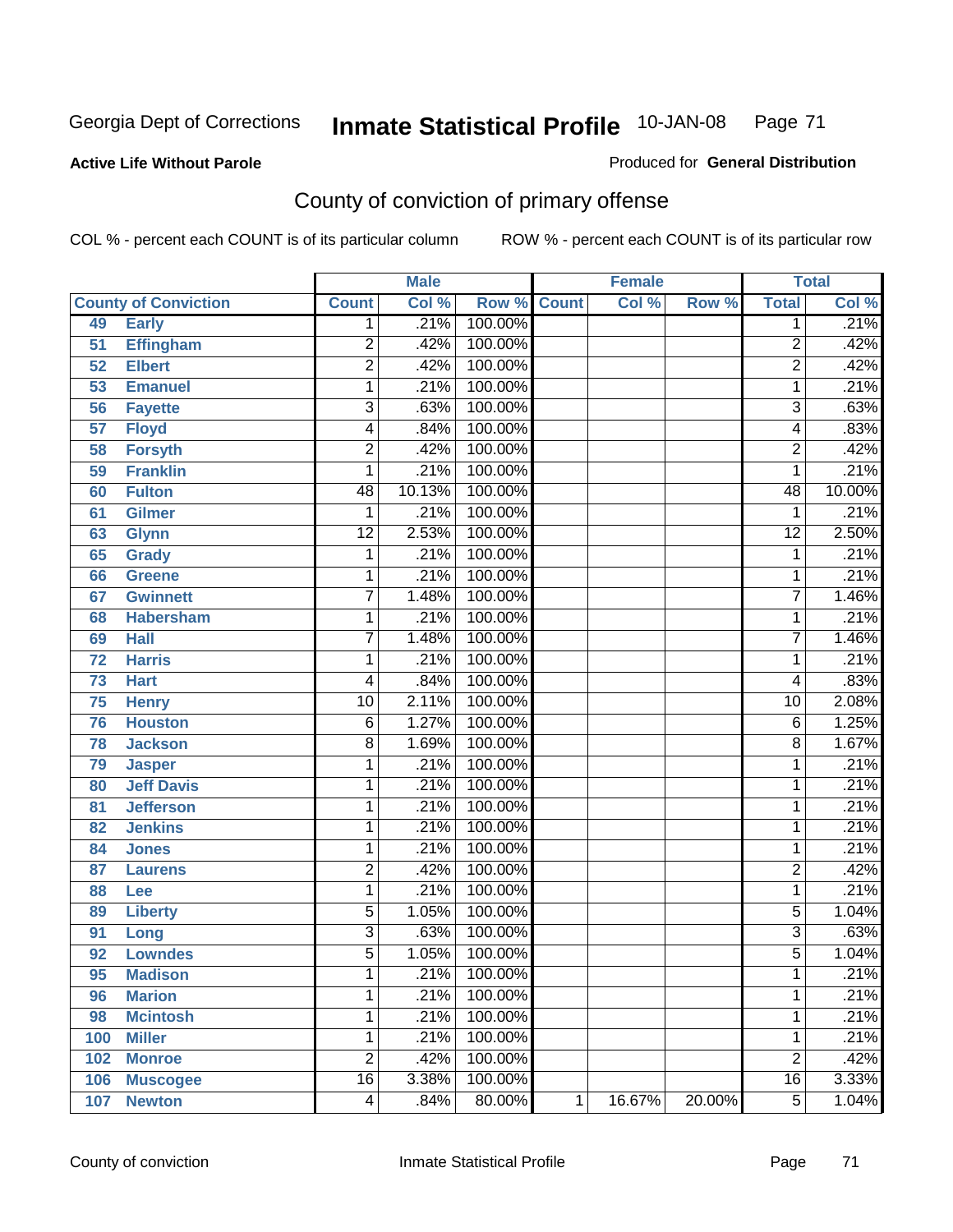#### **Active Life Without Parole**

### Produced for **General Distribution**

# County of conviction of primary offense

|                 |                             |                 | <b>Male</b> |                    |   | <b>Female</b> |        |                 | <b>Total</b> |
|-----------------|-----------------------------|-----------------|-------------|--------------------|---|---------------|--------|-----------------|--------------|
|                 | <b>County of Conviction</b> | <b>Count</b>    | Col %       | <b>Row % Count</b> |   | Col %         | Row %  | <b>Total</b>    | Col %        |
| 49              | <b>Early</b>                | 1               | .21%        | 100.00%            |   |               |        | 1               | .21%         |
| 51              | <b>Effingham</b>            | 2               | .42%        | 100.00%            |   |               |        | $\overline{2}$  | .42%         |
| 52              | <b>Elbert</b>               | $\overline{2}$  | .42%        | 100.00%            |   |               |        | $\overline{2}$  | .42%         |
| 53              | <b>Emanuel</b>              | 1               | .21%        | 100.00%            |   |               |        | 1               | .21%         |
| 56              | <b>Fayette</b>              | 3               | .63%        | 100.00%            |   |               |        | $\overline{3}$  | .63%         |
| $\overline{57}$ | <b>Floyd</b>                | 4               | .84%        | 100.00%            |   |               |        | 4               | .83%         |
| 58              | <b>Forsyth</b>              | $\overline{2}$  | .42%        | 100.00%            |   |               |        | $\overline{2}$  | .42%         |
| 59              | <b>Franklin</b>             | 1               | .21%        | 100.00%            |   |               |        | 1               | .21%         |
| 60              | <b>Fulton</b>               | 48              | 10.13%      | 100.00%            |   |               |        | 48              | 10.00%       |
| 61              | Gilmer                      | 1               | .21%        | 100.00%            |   |               |        | 1               | .21%         |
| 63              | <b>Glynn</b>                | $\overline{12}$ | 2.53%       | 100.00%            |   |               |        | $\overline{12}$ | 2.50%        |
| 65              | <b>Grady</b>                | 1               | .21%        | 100.00%            |   |               |        | 1               | .21%         |
| 66              | <b>Greene</b>               | 1               | .21%        | 100.00%            |   |               |        | 1               | .21%         |
| 67              | <b>Gwinnett</b>             | 7               | 1.48%       | 100.00%            |   |               |        | $\overline{7}$  | 1.46%        |
| 68              | <b>Habersham</b>            | 1               | .21%        | 100.00%            |   |               |        | 1               | .21%         |
| 69              | <b>Hall</b>                 | 7               | 1.48%       | 100.00%            |   |               |        | $\overline{7}$  | 1.46%        |
| 72              | <b>Harris</b>               | 1               | .21%        | 100.00%            |   |               |        | 1               | .21%         |
| 73              | <b>Hart</b>                 | 4               | .84%        | 100.00%            |   |               |        | 4               | .83%         |
| 75              | <b>Henry</b>                | $\overline{10}$ | 2.11%       | 100.00%            |   |               |        | 10              | 2.08%        |
| 76              | <b>Houston</b>              | 6               | 1.27%       | 100.00%            |   |               |        | 6               | 1.25%        |
| 78              | <b>Jackson</b>              | 8               | 1.69%       | 100.00%            |   |               |        | 8               | 1.67%        |
| 79              | <b>Jasper</b>               | 1               | .21%        | 100.00%            |   |               |        | 1               | .21%         |
| 80              | <b>Jeff Davis</b>           | 1               | .21%        | 100.00%            |   |               |        | 1               | .21%         |
| 81              | <b>Jefferson</b>            | 1               | .21%        | 100.00%            |   |               |        | 1               | .21%         |
| 82              | <b>Jenkins</b>              | 1               | .21%        | 100.00%            |   |               |        | 1               | .21%         |
| 84              | <b>Jones</b>                | 1               | .21%        | 100.00%            |   |               |        | 1               | .21%         |
| 87              | <b>Laurens</b>              | $\overline{2}$  | .42%        | 100.00%            |   |               |        | $\overline{2}$  | .42%         |
| 88              | Lee                         | 1               | .21%        | 100.00%            |   |               |        | 1               | .21%         |
| 89              | <b>Liberty</b>              | 5               | 1.05%       | 100.00%            |   |               |        | 5               | 1.04%        |
| 91              | Long                        | $\overline{3}$  | .63%        | 100.00%            |   |               |        | $\overline{3}$  | .63%         |
| 92              | <b>Lowndes</b>              | $\overline{5}$  | 1.05%       | 100.00%            |   |               |        | 5               | 1.04%        |
| 95              | <b>Madison</b>              | 1               | .21%        | 100.00%            |   |               |        | 1               | .21%         |
| 96              | <b>Marion</b>               | 1               | .21%        | 100.00%            |   |               |        | 1               | .21%         |
| 98              | <b>Mcintosh</b>             | 1               | .21%        | 100.00%            |   |               |        | 1               | .21%         |
| 100             | <b>Miller</b>               | 1               | .21%        | 100.00%            |   |               |        | 1               | .21%         |
| 102             | <b>Monroe</b>               | $\overline{2}$  | .42%        | 100.00%            |   |               |        | $\overline{2}$  | .42%         |
| 106             | <b>Muscogee</b>             | $\overline{16}$ | 3.38%       | 100.00%            |   |               |        | 16              | 3.33%        |
| 107             | <b>Newton</b>               | $\overline{4}$  | .84%        | 80.00%             | 1 | 16.67%        | 20.00% | $\overline{5}$  | 1.04%        |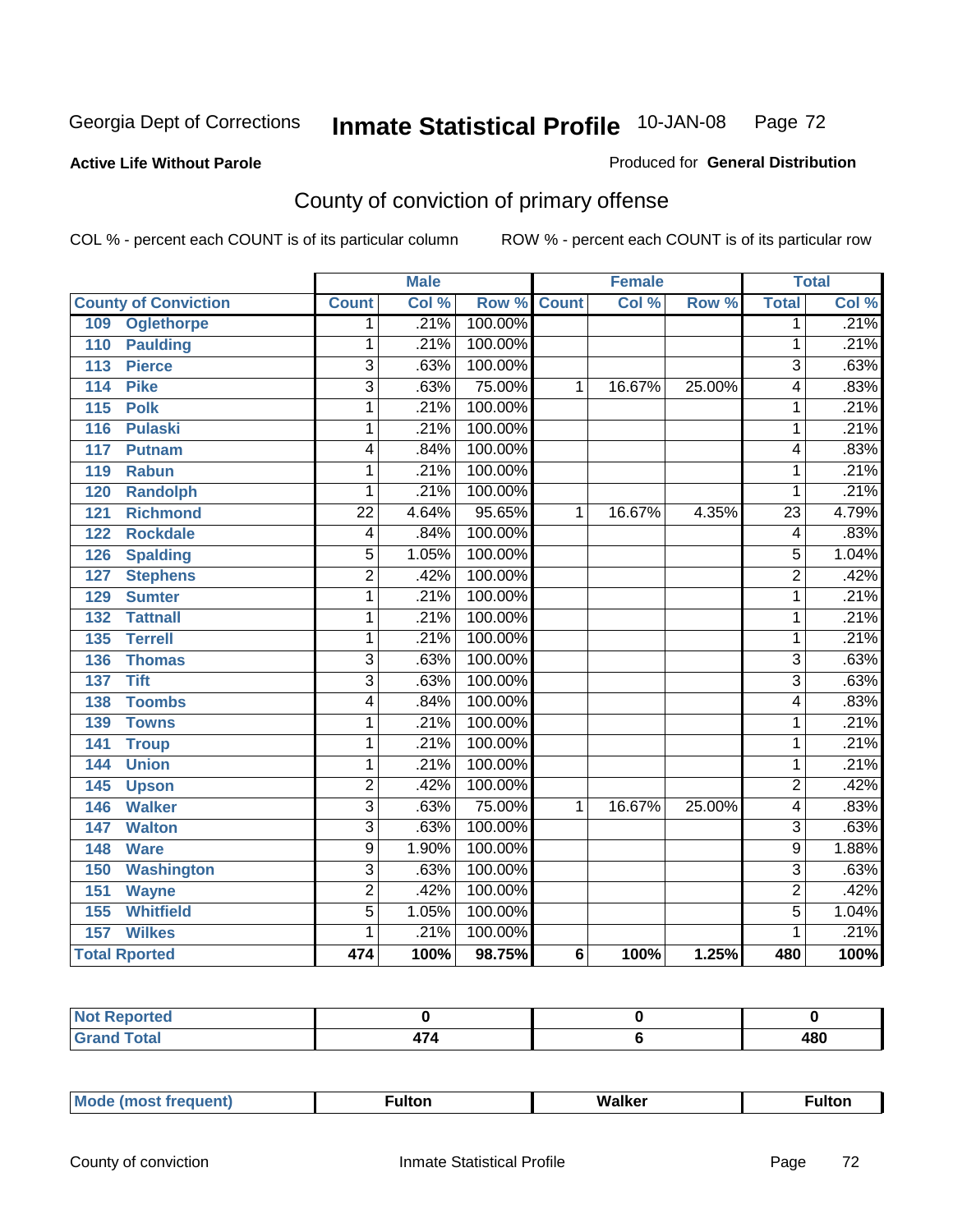#### **Active Life Without Parole**

#### Produced for **General Distribution**

# County of conviction of primary offense

|                                     |                 | <b>Male</b> |                    |                | <b>Female</b> |        |                | <b>Total</b> |
|-------------------------------------|-----------------|-------------|--------------------|----------------|---------------|--------|----------------|--------------|
| <b>County of Conviction</b>         | <b>Count</b>    | Col %       | <b>Row % Count</b> |                | Col %         | Row %  | <b>Total</b>   | Col %        |
| <b>Oglethorpe</b><br>109            | 1               | .21%        | 100.00%            |                |               |        | $\overline{1}$ | .21%         |
| <b>Paulding</b><br>110              | 1               | .21%        | 100.00%            |                |               |        | 1              | .21%         |
| <b>Pierce</b><br>113                | $\overline{3}$  | .63%        | 100.00%            |                |               |        | 3              | .63%         |
| <b>Pike</b><br>114                  | $\overline{3}$  | .63%        | 75.00%             | 1              | 16.67%        | 25.00% | 4              | .83%         |
| $\overline{115}$<br><b>Polk</b>     | 1               | .21%        | 100.00%            |                |               |        | 1              | .21%         |
| 116<br><b>Pulaski</b>               | 1               | .21%        | 100.00%            |                |               |        | $\mathbf{1}$   | .21%         |
| 117<br>Putnam                       | 4               | .84%        | 100.00%            |                |               |        | 4              | .83%         |
| <b>Rabun</b><br>119                 | 1               | .21%        | 100.00%            |                |               |        | 1              | .21%         |
| <b>Randolph</b><br>120              | 1               | .21%        | 100.00%            |                |               |        | $\mathbf{1}$   | .21%         |
| <b>Richmond</b><br>121              | $\overline{22}$ | 4.64%       | 95.65%             | 1              | 16.67%        | 4.35%  | 23             | 4.79%        |
| <b>Rockdale</b><br>122              | 4               | .84%        | 100.00%            |                |               |        | 4              | .83%         |
| <b>Spalding</b><br>126              | 5               | 1.05%       | 100.00%            |                |               |        | 5              | 1.04%        |
| $\overline{127}$<br><b>Stephens</b> | $\overline{2}$  | .42%        | 100.00%            |                |               |        | $\overline{2}$ | .42%         |
| 129<br><b>Sumter</b>                | 1               | .21%        | 100.00%            |                |               |        | 1              | .21%         |
| 132<br><b>Tattnall</b>              | 1               | .21%        | 100.00%            |                |               |        | 1              | .21%         |
| <b>Terrell</b><br>135               | 1               | .21%        | 100.00%            |                |               |        | 1              | .21%         |
| 136<br><b>Thomas</b>                | $\overline{3}$  | .63%        | 100.00%            |                |               |        | 3              | .63%         |
| <b>Tift</b><br>137                  | $\overline{3}$  | .63%        | 100.00%            |                |               |        | $\overline{3}$ | .63%         |
| <b>Toombs</b><br>138                | 4               | .84%        | 100.00%            |                |               |        | 4              | .83%         |
| 139<br><b>Towns</b>                 | 1               | .21%        | 100.00%            |                |               |        | 1              | .21%         |
| 141<br><b>Troup</b>                 | 1               | .21%        | 100.00%            |                |               |        | $\mathbf{1}$   | .21%         |
| <b>Union</b><br>144                 | 1               | .21%        | 100.00%            |                |               |        | $\mathbf{1}$   | .21%         |
| 145<br><b>Upson</b>                 | $\overline{2}$  | .42%        | 100.00%            |                |               |        | $\overline{2}$ | .42%         |
| <b>Walker</b><br>146                | 3               | .63%        | 75.00%             | 1              | 16.67%        | 25.00% | 4              | .83%         |
| <b>Walton</b><br>147                | 3               | .63%        | 100.00%            |                |               |        | $\overline{3}$ | .63%         |
| <b>Ware</b><br>148                  | $\overline{9}$  | 1.90%       | 100.00%            |                |               |        | $\overline{9}$ | 1.88%        |
| 150<br><b>Washington</b>            | $\overline{3}$  | .63%        | 100.00%            |                |               |        | $\overline{3}$ | .63%         |
| 151<br><b>Wayne</b>                 | $\overline{2}$  | .42%        | 100.00%            |                |               |        | $\overline{2}$ | .42%         |
| 155<br><b>Whitfield</b>             | $\overline{5}$  | 1.05%       | 100.00%            |                |               |        | $\overline{5}$ | 1.04%        |
| <b>Wilkes</b><br>157                | 1               | .21%        | 100.00%            |                |               |        | 1              | .21%         |
| <b>Total Rported</b>                | 474             | 100%        | 98.75%             | $6\phantom{1}$ | 100%          | 1.25%  | 480            | 100%         |

| Reported<br>NOT<br>. |               |     |
|----------------------|---------------|-----|
| <b>Total</b><br>r va | $\rightarrow$ | 480 |

| _____ |  | $M$ | - - -<br>uitor | <b>Walker</b> | <sup>≂</sup> ultoı. |
|-------|--|-----|----------------|---------------|---------------------|
|-------|--|-----|----------------|---------------|---------------------|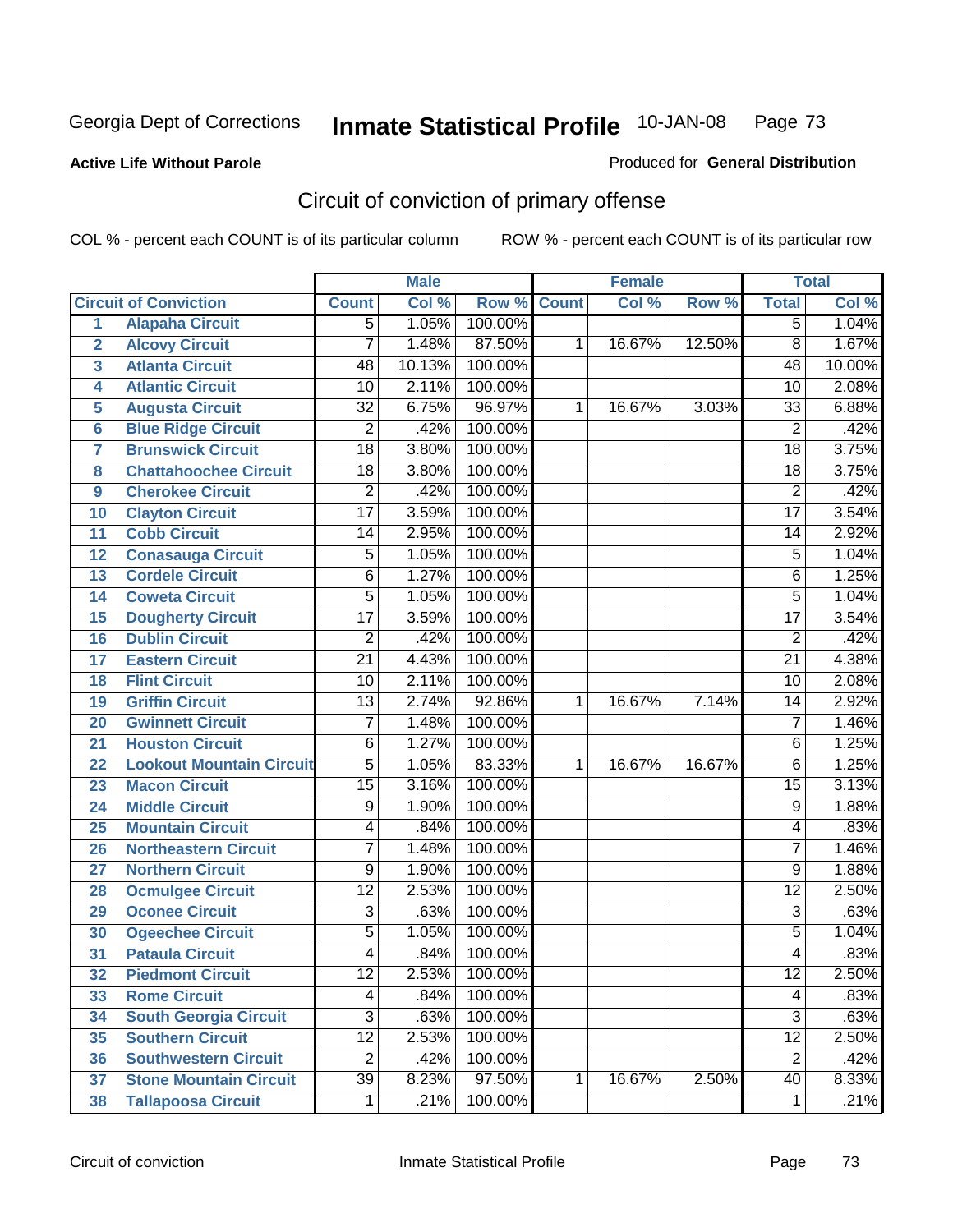#### **Active Life Without Parole**

#### Produced for **General Distribution**

# Circuit of conviction of primary offense

|                         |                                 |                 | <b>Male</b> |                    |   | <b>Female</b> |        |                 | <b>Total</b> |
|-------------------------|---------------------------------|-----------------|-------------|--------------------|---|---------------|--------|-----------------|--------------|
|                         | <b>Circuit of Conviction</b>    | <b>Count</b>    | Col %       | <b>Row % Count</b> |   | Col %         | Row %  | <b>Total</b>    | Col %        |
| 1                       | <b>Alapaha Circuit</b>          | 5               | 1.05%       | 100.00%            |   |               |        | $\overline{5}$  | 1.04%        |
| $\overline{2}$          | <b>Alcovy Circuit</b>           | $\overline{7}$  | 1.48%       | 87.50%             | 1 | 16.67%        | 12.50% | $\overline{8}$  | 1.67%        |
| $\overline{\mathbf{3}}$ | <b>Atlanta Circuit</b>          | $\overline{48}$ | 10.13%      | 100.00%            |   |               |        | $\overline{48}$ | 10.00%       |
| 4                       | <b>Atlantic Circuit</b>         | $\overline{10}$ | 2.11%       | 100.00%            |   |               |        | 10              | 2.08%        |
| 5                       | <b>Augusta Circuit</b>          | $\overline{32}$ | 6.75%       | 96.97%             | 1 | 16.67%        | 3.03%  | $\overline{33}$ | 6.88%        |
| $6\phantom{a}$          | <b>Blue Ridge Circuit</b>       | $\overline{2}$  | .42%        | 100.00%            |   |               |        | $\overline{2}$  | .42%         |
| $\overline{\mathbf{7}}$ | <b>Brunswick Circuit</b>        | $\overline{18}$ | 3.80%       | 100.00%            |   |               |        | $\overline{18}$ | 3.75%        |
| 8                       | <b>Chattahoochee Circuit</b>    | $\overline{18}$ | 3.80%       | 100.00%            |   |               |        | 18              | 3.75%        |
| 9                       | <b>Cherokee Circuit</b>         | $\overline{2}$  | .42%        | 100.00%            |   |               |        | $\overline{2}$  | .42%         |
| 10                      | <b>Clayton Circuit</b>          | $\overline{17}$ | 3.59%       | 100.00%            |   |               |        | $\overline{17}$ | 3.54%        |
| 11                      | <b>Cobb Circuit</b>             | 14              | 2.95%       | 100.00%            |   |               |        | 14              | 2.92%        |
| 12                      | <b>Conasauga Circuit</b>        | $\overline{5}$  | 1.05%       | 100.00%            |   |               |        | $\overline{5}$  | 1.04%        |
| 13                      | <b>Cordele Circuit</b>          | $\overline{6}$  | 1.27%       | 100.00%            |   |               |        | 6               | 1.25%        |
| 14                      | <b>Coweta Circuit</b>           | $\overline{5}$  | 1.05%       | 100.00%            |   |               |        | $\overline{5}$  | 1.04%        |
| 15                      | <b>Dougherty Circuit</b>        | $\overline{17}$ | 3.59%       | 100.00%            |   |               |        | $\overline{17}$ | 3.54%        |
| 16                      | <b>Dublin Circuit</b>           | $\overline{2}$  | .42%        | 100.00%            |   |               |        | $\overline{2}$  | .42%         |
| 17                      | <b>Eastern Circuit</b>          | $\overline{21}$ | 4.43%       | 100.00%            |   |               |        | $\overline{21}$ | 4.38%        |
| 18                      | <b>Flint Circuit</b>            | $\overline{10}$ | 2.11%       | 100.00%            |   |               |        | 10              | 2.08%        |
| 19                      | <b>Griffin Circuit</b>          | $\overline{13}$ | 2.74%       | 92.86%             | 1 | 16.67%        | 7.14%  | 14              | 2.92%        |
| 20                      | <b>Gwinnett Circuit</b>         | 7               | 1.48%       | 100.00%            |   |               |        | $\overline{7}$  | 1.46%        |
| 21                      | <b>Houston Circuit</b>          | 6               | 1.27%       | 100.00%            |   |               |        | 6               | 1.25%        |
| 22                      | <b>Lookout Mountain Circuit</b> | $\overline{5}$  | 1.05%       | 83.33%             | 1 | 16.67%        | 16.67% | 6               | 1.25%        |
| 23                      | <b>Macon Circuit</b>            | $\overline{15}$ | 3.16%       | 100.00%            |   |               |        | $\overline{15}$ | 3.13%        |
| 24                      | <b>Middle Circuit</b>           | $\overline{9}$  | 1.90%       | 100.00%            |   |               |        | $\overline{9}$  | 1.88%        |
| 25                      | <b>Mountain Circuit</b>         | 4               | .84%        | 100.00%            |   |               |        | 4               | .83%         |
| 26                      | <b>Northeastern Circuit</b>     | $\overline{7}$  | 1.48%       | 100.00%            |   |               |        | $\overline{7}$  | 1.46%        |
| 27                      | <b>Northern Circuit</b>         | $\overline{9}$  | 1.90%       | 100.00%            |   |               |        | $\overline{9}$  | 1.88%        |
| 28                      | <b>Ocmulgee Circuit</b>         | $\overline{12}$ | 2.53%       | 100.00%            |   |               |        | $\overline{12}$ | 2.50%        |
| 29                      | <b>Oconee Circuit</b>           | $\overline{3}$  | .63%        | 100.00%            |   |               |        | $\overline{3}$  | .63%         |
| 30                      | <b>Ogeechee Circuit</b>         | $\overline{5}$  | 1.05%       | 100.00%            |   |               |        | $\overline{5}$  | 1.04%        |
| $\overline{31}$         | <b>Pataula Circuit</b>          | 4               | .84%        | 100.00%            |   |               |        | 4               | .83%         |
| 32                      | <b>Piedmont Circuit</b>         | 12              | 2.53%       | 100.00%            |   |               |        | 12              | 2.50%        |
| 33                      | <b>Rome Circuit</b>             | $\overline{4}$  | .84%        | 100.00%            |   |               |        | 4               | .83%         |
| 34                      | <b>South Georgia Circuit</b>    | $\overline{3}$  | .63%        | 100.00%            |   |               |        | $\overline{3}$  | .63%         |
| 35                      | <b>Southern Circuit</b>         | $\overline{12}$ | 2.53%       | 100.00%            |   |               |        | $\overline{12}$ | 2.50%        |
| 36                      | <b>Southwestern Circuit</b>     | $\overline{2}$  | .42%        | 100.00%            |   |               |        | $\overline{2}$  | .42%         |
| 37                      | <b>Stone Mountain Circuit</b>   | $\overline{39}$ | 8.23%       | 97.50%             | 1 | 16.67%        | 2.50%  | 40              | 8.33%        |
| 38                      | <b>Tallapoosa Circuit</b>       | $\mathbf 1$     | .21%        | 100.00%            |   |               |        | $\mathbf{1}$    | .21%         |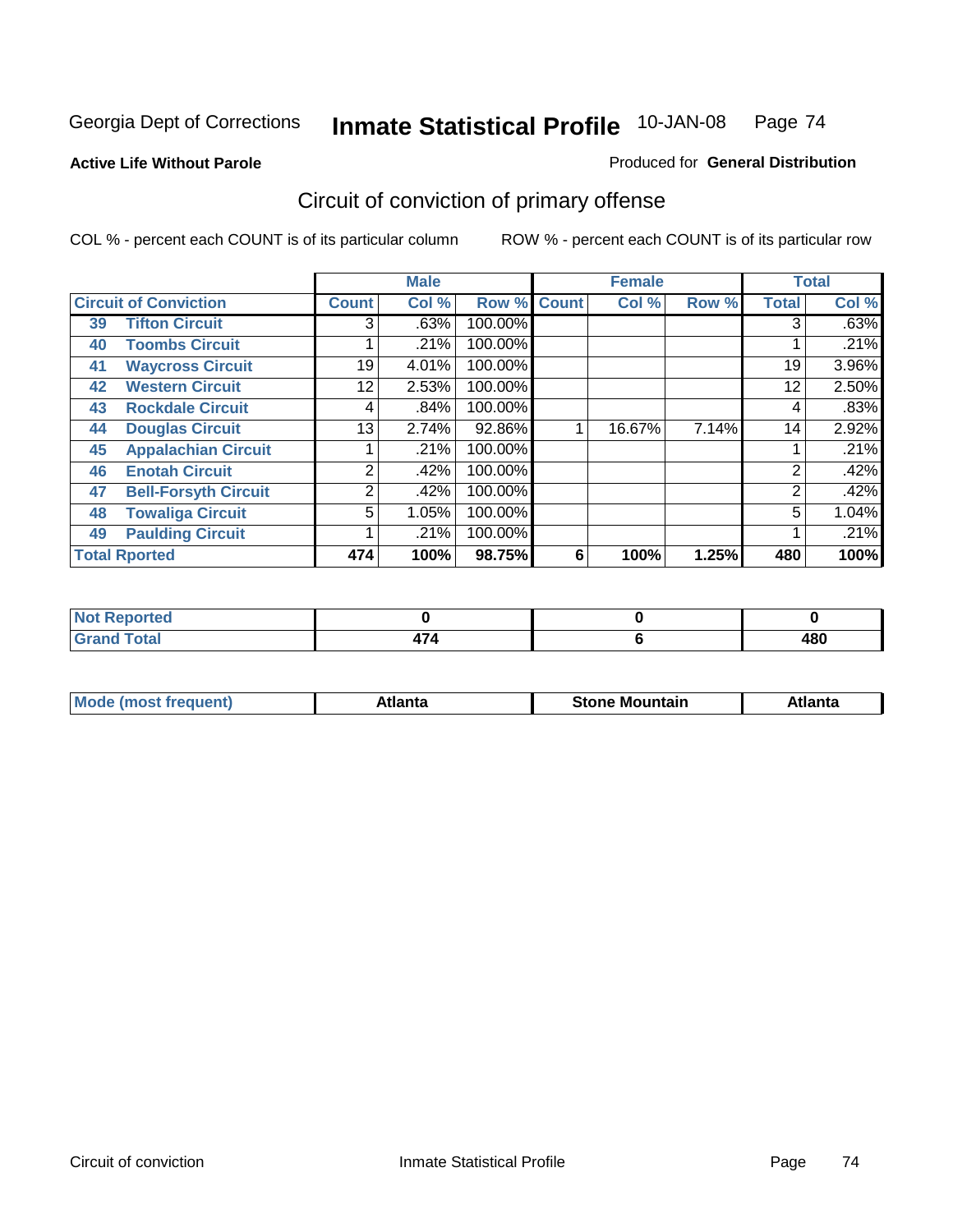**Active Life Without Parole** 

Produced for **General Distribution**

# Circuit of conviction of primary offense

|    |                              |              | <b>Male</b> |             |   | <b>Female</b> |       |                | <b>Total</b> |
|----|------------------------------|--------------|-------------|-------------|---|---------------|-------|----------------|--------------|
|    | <b>Circuit of Conviction</b> | <b>Count</b> | Col %       | Row % Count |   | Col %         | Row % | <b>Total</b>   | Col %        |
| 39 | <b>Tifton Circuit</b>        | 3            | .63%        | 100.00%     |   |               |       | 3              | .63%         |
| 40 | <b>Toombs Circuit</b>        |              | .21%        | 100.00%     |   |               |       |                | .21%         |
| 41 | <b>Waycross Circuit</b>      | 19           | 4.01%       | 100.00%     |   |               |       | 19             | 3.96%        |
| 42 | <b>Western Circuit</b>       | 12           | 2.53%       | 100.00%     |   |               |       | 12             | 2.50%        |
| 43 | <b>Rockdale Circuit</b>      | 4            | .84%        | 100.00%     |   |               |       | 4              | .83%         |
| 44 | <b>Douglas Circuit</b>       | 13           | 2.74%       | 92.86%      |   | 16.67%        | 7.14% | 14             | 2.92%        |
| 45 | <b>Appalachian Circuit</b>   |              | .21%        | 100.00%     |   |               |       |                | .21%         |
| 46 | <b>Enotah Circuit</b>        | 2            | .42%        | 100.00%     |   |               |       | 2              | .42%         |
| 47 | <b>Bell-Forsyth Circuit</b>  | 2            | .42%        | 100.00%     |   |               |       | $\overline{2}$ | .42%         |
| 48 | <b>Towaliga Circuit</b>      | 5            | 1.05%       | 100.00%     |   |               |       | 5              | 1.04%        |
| 49 | <b>Paulding Circuit</b>      |              | .21%        | 100.00%     |   |               |       |                | .21%         |
|    | <b>Total Rported</b>         | 474          | 100%        | 98.75%      | 6 | 100%          | 1.25% | 480            | 100%         |

| المستعمد<br>orted<br>.       |      |                   |
|------------------------------|------|-------------------|
| <b>Total</b><br><b></b><br>- | $-1$ | <b>120</b><br>40u |

| īМ<br>----<br>taın<br>----<br>514<br>MOL<br>нс |
|------------------------------------------------|
|------------------------------------------------|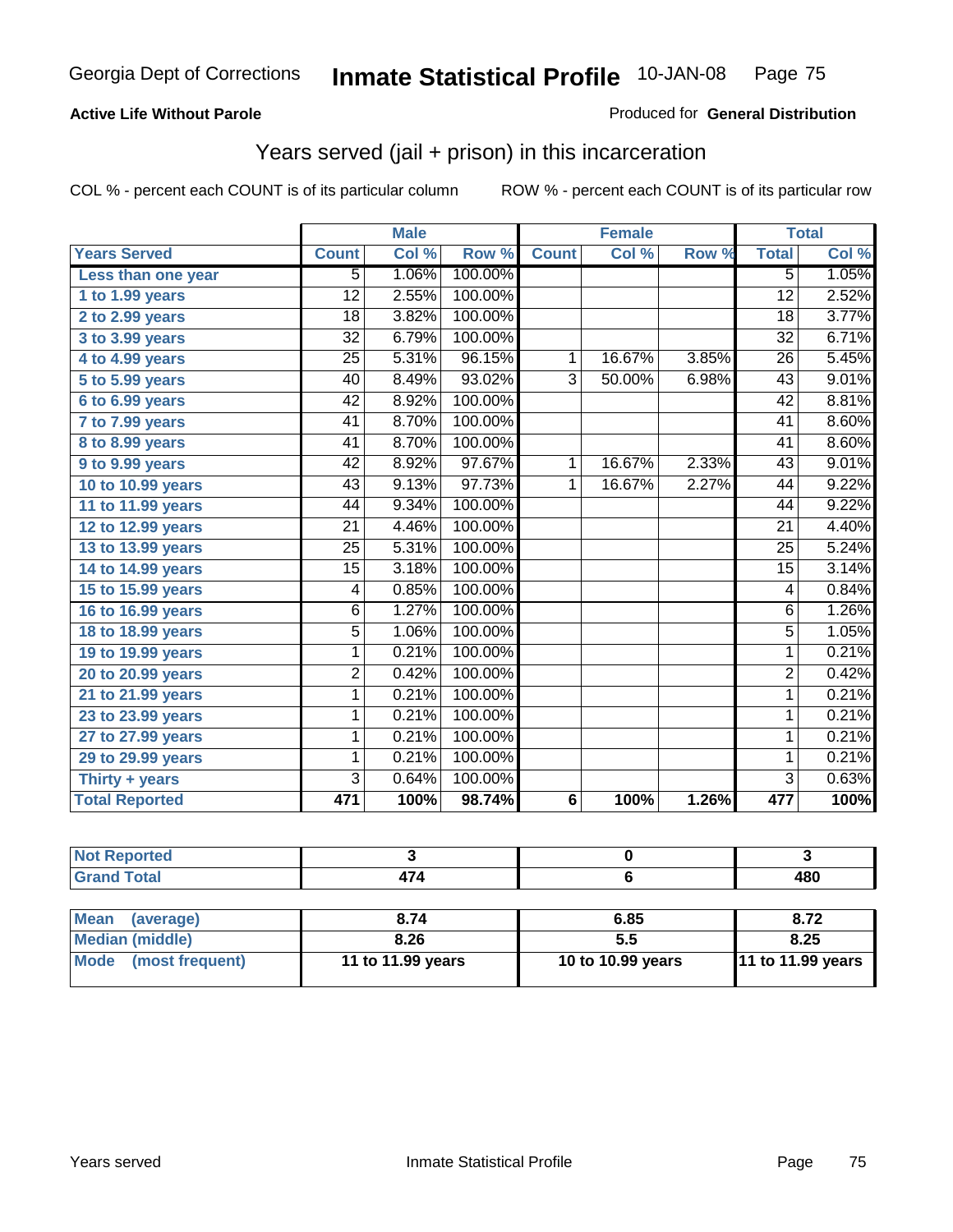#### **Active Life Without Parole**

#### Produced for **General Distribution**

## Years served (jail + prison) in this incarceration

|                       |                 | <b>Male</b> |         |                 | <b>Female</b> |       |                 | <b>Total</b> |
|-----------------------|-----------------|-------------|---------|-----------------|---------------|-------|-----------------|--------------|
| <b>Years Served</b>   | <b>Count</b>    | Col %       | Row %   | <b>Count</b>    | Col %         | Row % | <b>Total</b>    | Col %        |
| Less than one year    | 5               | 1.06%       | 100.00% |                 |               |       | 5               | 1.05%        |
| 1 to 1.99 years       | 12              | 2.55%       | 100.00% |                 |               |       | $\overline{12}$ | 2.52%        |
| 2 to 2.99 years       | $\overline{18}$ | 3.82%       | 100.00% |                 |               |       | $\overline{18}$ | 3.77%        |
| 3 to 3.99 years       | $\overline{32}$ | 6.79%       | 100.00% |                 |               |       | $\overline{32}$ | 6.71%        |
| 4 to 4.99 years       | 25              | 5.31%       | 96.15%  | 1               | 16.67%        | 3.85% | 26              | 5.45%        |
| 5 to 5.99 years       | 40              | 8.49%       | 93.02%  | $\overline{3}$  | 50.00%        | 6.98% | $\overline{43}$ | 9.01%        |
| 6 to 6.99 years       | 42              | 8.92%       | 100.00% |                 |               |       | 42              | 8.81%        |
| 7 to 7.99 years       | 41              | 8.70%       | 100.00% |                 |               |       | 41              | 8.60%        |
| 8 to 8.99 years       | $\overline{41}$ | 8.70%       | 100.00% |                 |               |       | $\overline{41}$ | 8.60%        |
| 9 to 9.99 years       | 42              | 8.92%       | 97.67%  | 1               | 16.67%        | 2.33% | 43              | 9.01%        |
| 10 to 10.99 years     | 43              | 9.13%       | 97.73%  | 1               | 16.67%        | 2.27% | 44              | 9.22%        |
| 11 to 11.99 years     | 44              | 9.34%       | 100.00% |                 |               |       | 44              | 9.22%        |
| 12 to 12.99 years     | 21              | 4.46%       | 100.00% |                 |               |       | 21              | 4.40%        |
| 13 to 13.99 years     | $\overline{25}$ | 5.31%       | 100.00% |                 |               |       | 25              | 5.24%        |
| 14 to 14.99 years     | $\overline{15}$ | 3.18%       | 100.00% |                 |               |       | $\overline{15}$ | 3.14%        |
| 15 to 15.99 years     | 4               | 0.85%       | 100.00% |                 |               |       | $\overline{4}$  | 0.84%        |
| 16 to 16.99 years     | $\overline{6}$  | 1.27%       | 100.00% |                 |               |       | $\overline{6}$  | 1.26%        |
| 18 to 18.99 years     | $\overline{5}$  | 1.06%       | 100.00% |                 |               |       | $\overline{5}$  | 1.05%        |
| 19 to 19.99 years     | 1               | 0.21%       | 100.00% |                 |               |       | 1               | 0.21%        |
| 20 to 20.99 years     | 2               | 0.42%       | 100.00% |                 |               |       | $\overline{2}$  | 0.42%        |
| 21 to 21.99 years     | 1               | 0.21%       | 100.00% |                 |               |       | $\mathbf{1}$    | 0.21%        |
| 23 to 23.99 years     | 1               | 0.21%       | 100.00% |                 |               |       | 1               | 0.21%        |
| 27 to 27.99 years     | 1               | 0.21%       | 100.00% |                 |               |       | 1               | 0.21%        |
| 29 to 29.99 years     | 1               | 0.21%       | 100.00% |                 |               |       | 1               | 0.21%        |
| Thirty + years        | 3               | 0.64%       | 100.00% |                 |               |       | $\overline{3}$  | 0.63%        |
| <b>Total Reported</b> | 471             | 100%        | 98.74%  | $6\phantom{1}6$ | 100%          | 1.26% | 477             | 100%         |

| <b>Not Reported</b>            |                   |                   |                   |
|--------------------------------|-------------------|-------------------|-------------------|
| <b>Grand Total</b>             | 474               |                   | 480               |
|                                |                   |                   |                   |
| <b>Mean</b><br>(average)       | 8.74              | 6.85              | 8.72              |
| <b>Median (middle)</b>         | 8.26              | 5.5               | 8.25              |
| <b>Mode</b><br>(most frequent) | 11 to 11.99 years | 10 to 10.99 years | 11 to 11.99 years |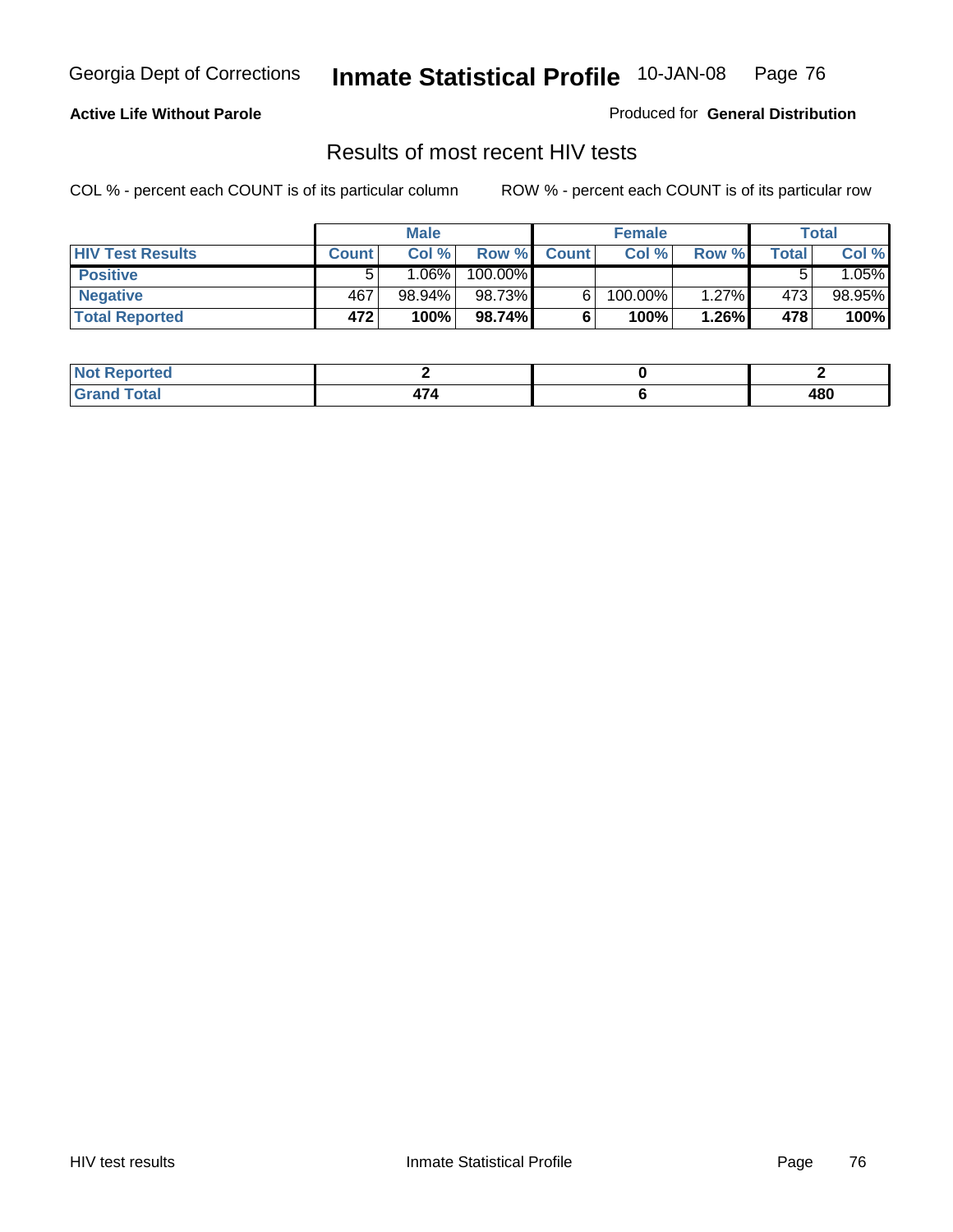#### **Active Life Without Parole**

Produced for **General Distribution**

### Results of most recent HIV tests

|                         |              | <b>Male</b> |         |              | <b>Female</b> |       |       | Total   |
|-------------------------|--------------|-------------|---------|--------------|---------------|-------|-------|---------|
| <b>HIV Test Results</b> | <b>Count</b> | Col %       | Row %   | <b>Count</b> | Col %         | Row % | Total | Col %   |
| <b>Positive</b>         | 5            | ا %1.06.    | 100.00% |              |               |       |       | $.05\%$ |
| <b>Negative</b>         | 467          | 98.94%      | 98.73%  |              | 100.00%       | 1.27% | 473   | 98.95%  |
| <b>Total Reported</b>   | 472          | 100%        | 98.74%  |              | 100%          | 1.26% | 478   | 100%    |

| <b>Not Reported</b> |  |     |
|---------------------|--|-----|
| <b>Grand Total</b>  |  | 480 |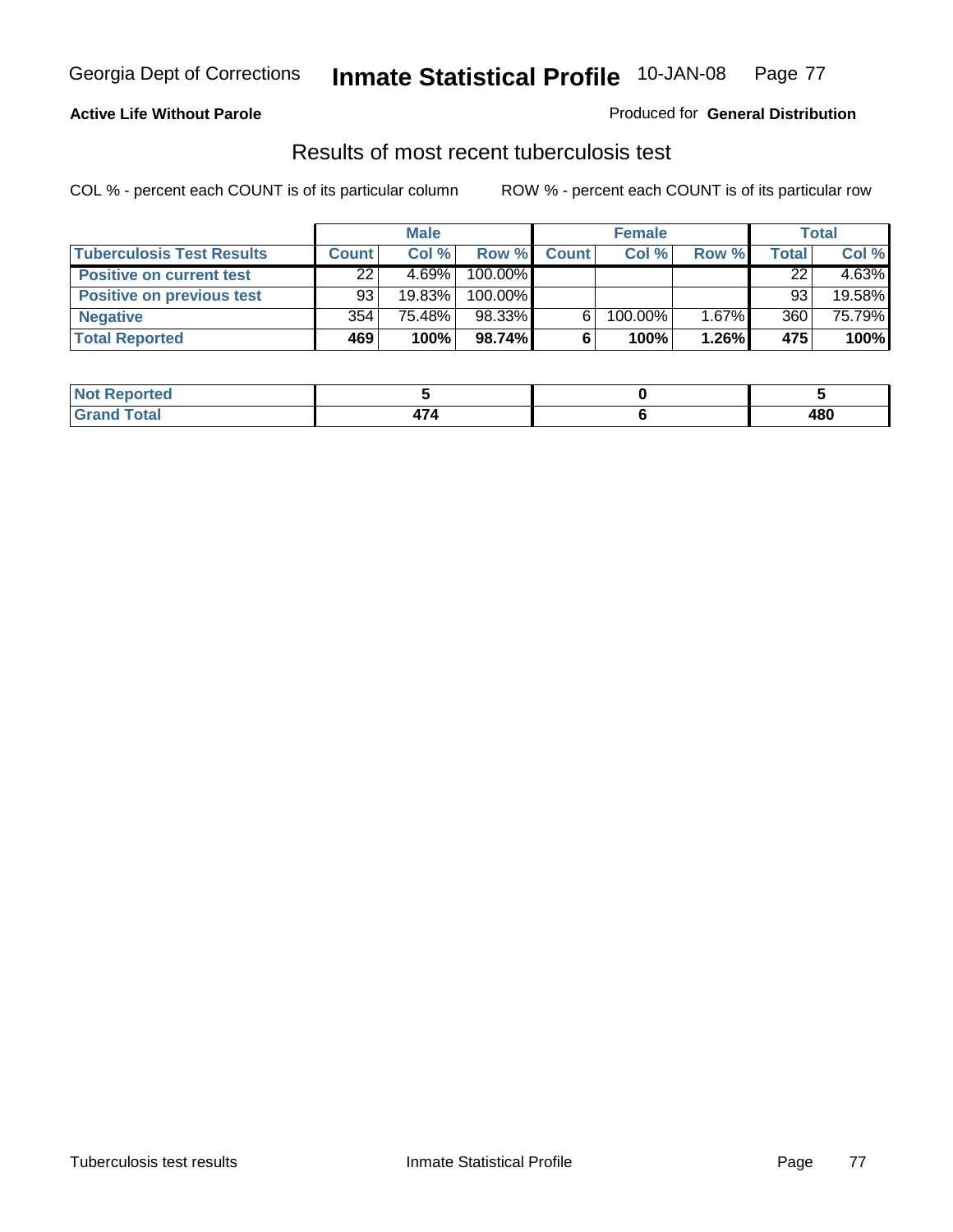### **Active Life Without Parole**

#### Produced for **General Distribution**

## Results of most recent tuberculosis test

|                                  |              | <b>Male</b> |         |              | <b>Female</b> |       |       | Total    |
|----------------------------------|--------------|-------------|---------|--------------|---------------|-------|-------|----------|
| <b>Tuberculosis Test Results</b> | <b>Count</b> | Col%        | Row %   | <b>Count</b> | Col%          | Row % | Total | Col %    |
| <b>Positive on current test</b>  | 22           | 4.69%       | 100.00% |              |               |       | 22    | $4.63\%$ |
| <b>Positive on previous test</b> | 93           | 19.83%      | 100.00% |              |               |       | 93    | 19.58%   |
| <b>Negative</b>                  | 354          | 75.48%      | 98.33%  | 6.           | 100.00%       | 1.67% | 360   | 75.79%   |
| <b>Total Reported</b>            | 469          | 100%        | 98.74%  | 6            | 100%          | 1.26% | 475   | 100%     |

| . Reported<br><b>NOT</b> |  |     |
|--------------------------|--|-----|
| <b>Total</b>             |  | 480 |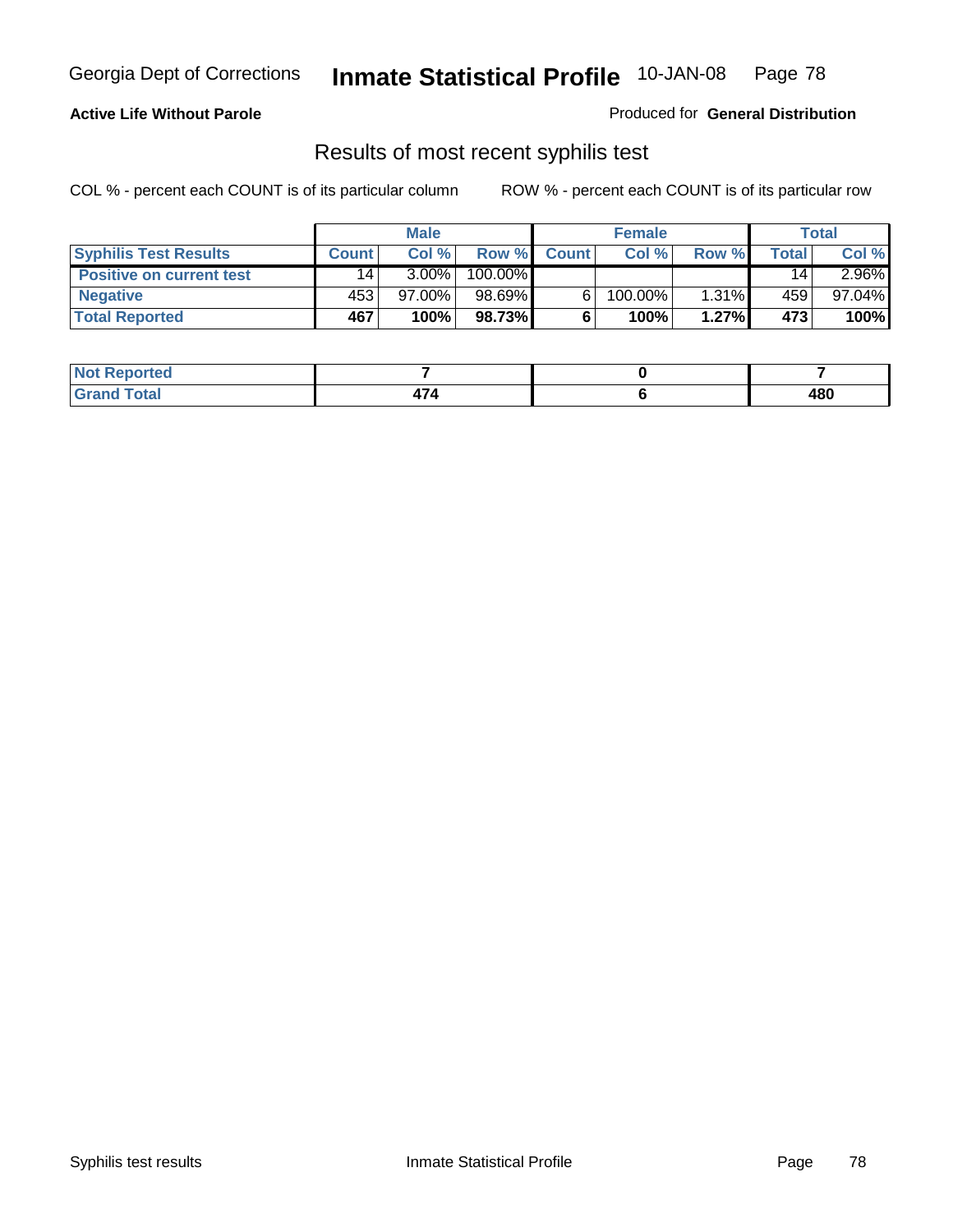#### **Active Life Without Parole**

Produced for **General Distribution**

## Results of most recent syphilis test

|                                 |                 | <b>Male</b> |         |              | <b>Female</b> |       |       | Total     |
|---------------------------------|-----------------|-------------|---------|--------------|---------------|-------|-------|-----------|
| <b>Syphilis Test Results</b>    | <b>Count</b>    | Col%        | Row %   | <b>Count</b> | Col%          | Row % | Total | Col %     |
| <b>Positive on current test</b> | 14 <sub>1</sub> | $3.00\%$    | 100.00% |              |               |       | 14    | $2.96\%$  |
| <b>Negative</b>                 | 453             | 97.00%      | 98.69%  |              | $100.00\%$    | 1.31% | 459   | $97.04\%$ |
| <b>Total Reported</b>           | 467             | 100%        | 98.73%  |              | 100%          | 1.27% | 473   | 100%      |

| <b>Not Reported</b> |  |     |
|---------------------|--|-----|
| <b>Total</b>        |  | 480 |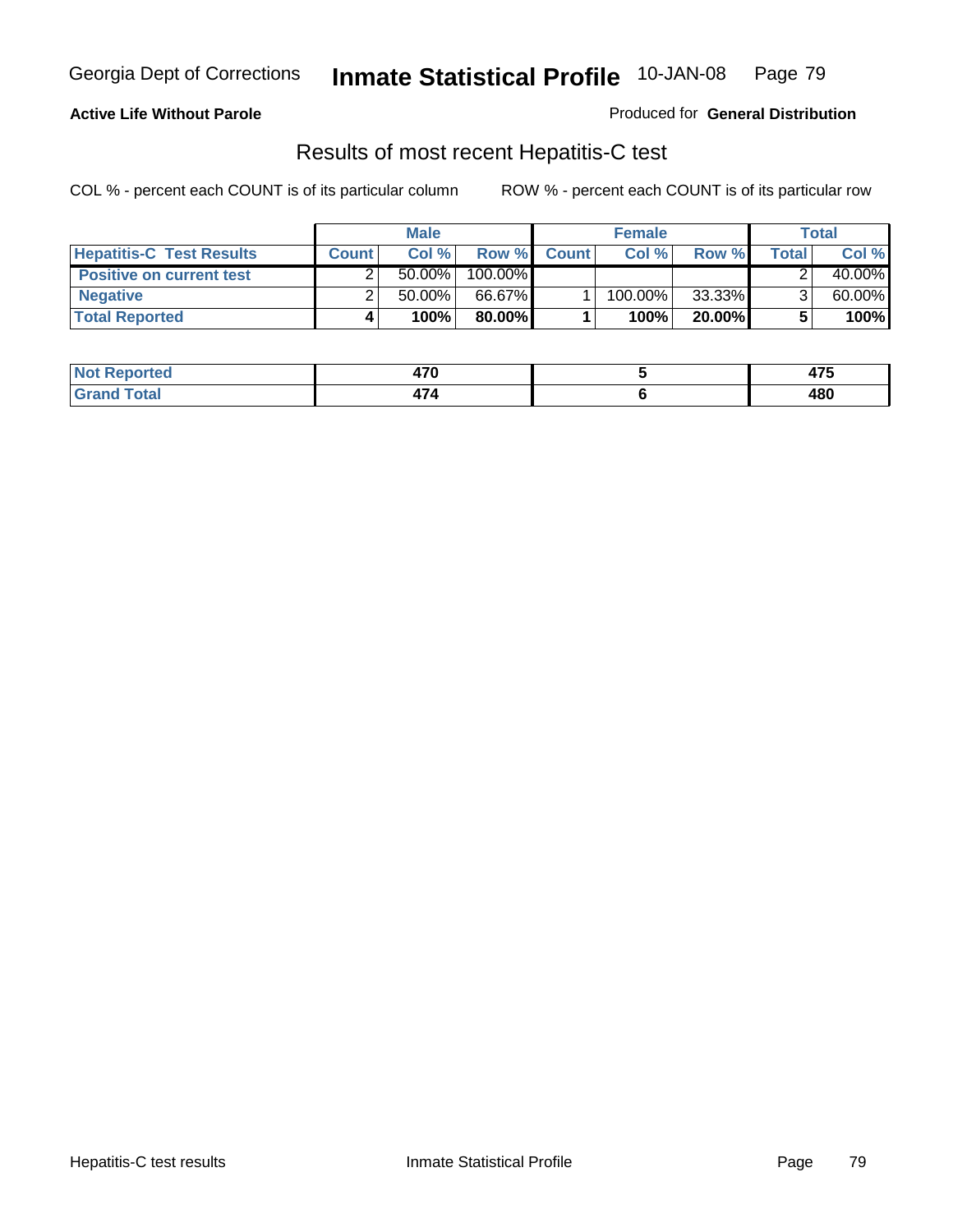### **Active Life Without Parole**

Produced for **General Distribution**

## Results of most recent Hepatitis-C test

|                                 | <b>Male</b>  |           |         | <b>Female</b> |         |           | Total |        |
|---------------------------------|--------------|-----------|---------|---------------|---------|-----------|-------|--------|
| <b>Hepatitis-C Test Results</b> | <b>Count</b> | Col %     | Row %   | <b>Count</b>  | Col %   | Row %     | Total | Col %  |
| <b>Positive on current test</b> |              | $50.00\%$ | 100.00% |               |         |           |       | 40.00% |
| <b>Negative</b>                 |              | $50.00\%$ | 66.67%  |               | 100.00% | 33.33%    |       | 60.00% |
| <b>Total Reported</b>           |              | 100%      | 80.00%I |               | 100%    | $20.00\%$ |       | 100%   |

| Not F<br>Reported   | יי | $\rightarrow -$ |
|---------------------|----|-----------------|
| <b>Total</b><br>Grr | .  | 480             |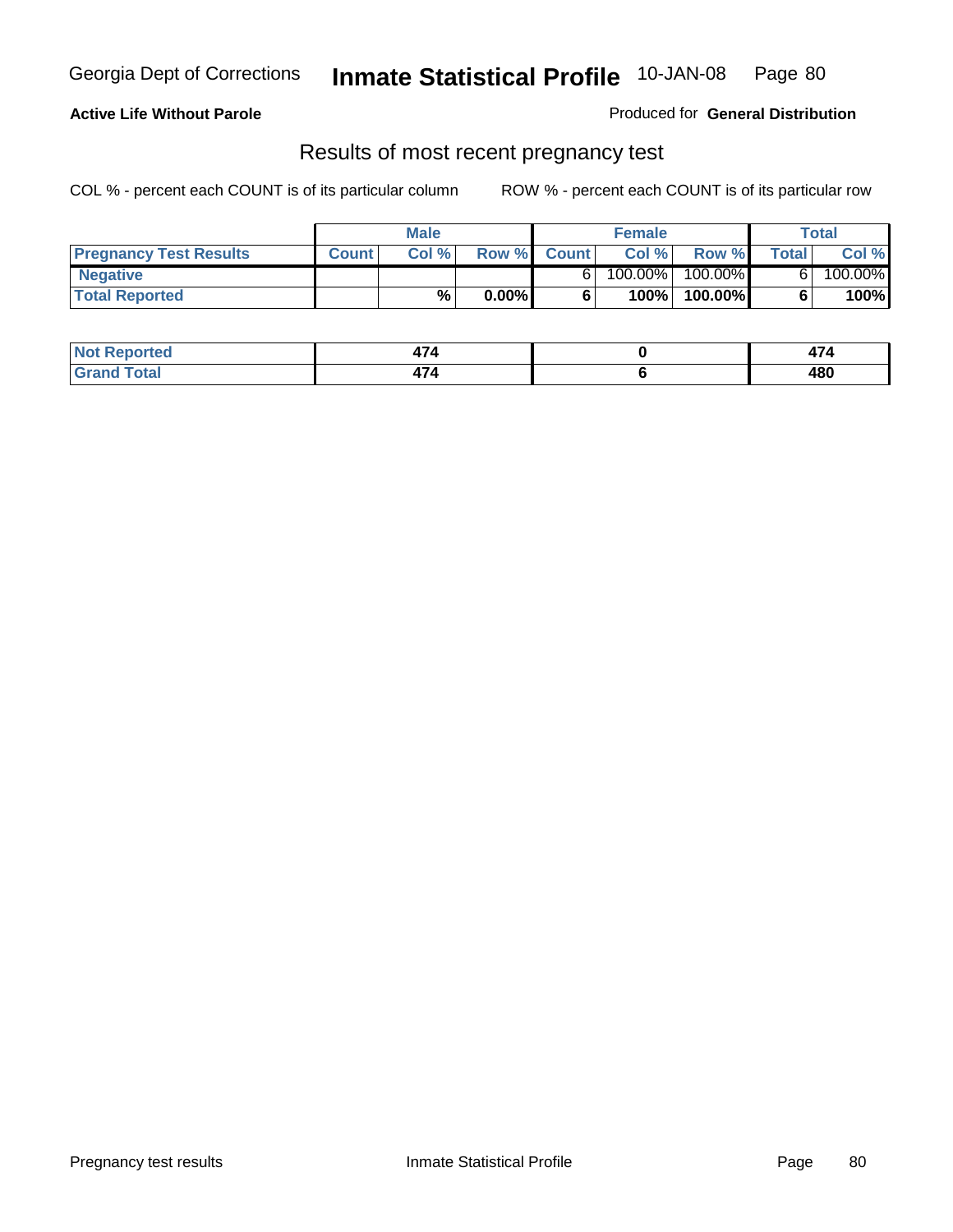### **Active Life Without Parole**

Produced for **General Distribution**

### Results of most recent pregnancy test

|                               | <b>Male</b>  |      |          | <b>Female</b> |         |         | <b>Total</b> |         |
|-------------------------------|--------------|------|----------|---------------|---------|---------|--------------|---------|
| <b>Pregnancy Test Results</b> | <b>Count</b> | Col% | Row %    | <b>Count</b>  | Col %   | Row %   | <b>Total</b> | Col %   |
| <b>Negative</b>               |              |      |          |               | 100.00% | 100.00% |              | 100.00% |
| <b>Total Reported</b>         |              | %    | $0.00\%$ |               | 100%    | 100.00% |              | 100%    |

| orted          | .<br>-15 |     |
|----------------|----------|-----|
| 'otal<br>_____ | .<br>414 | 480 |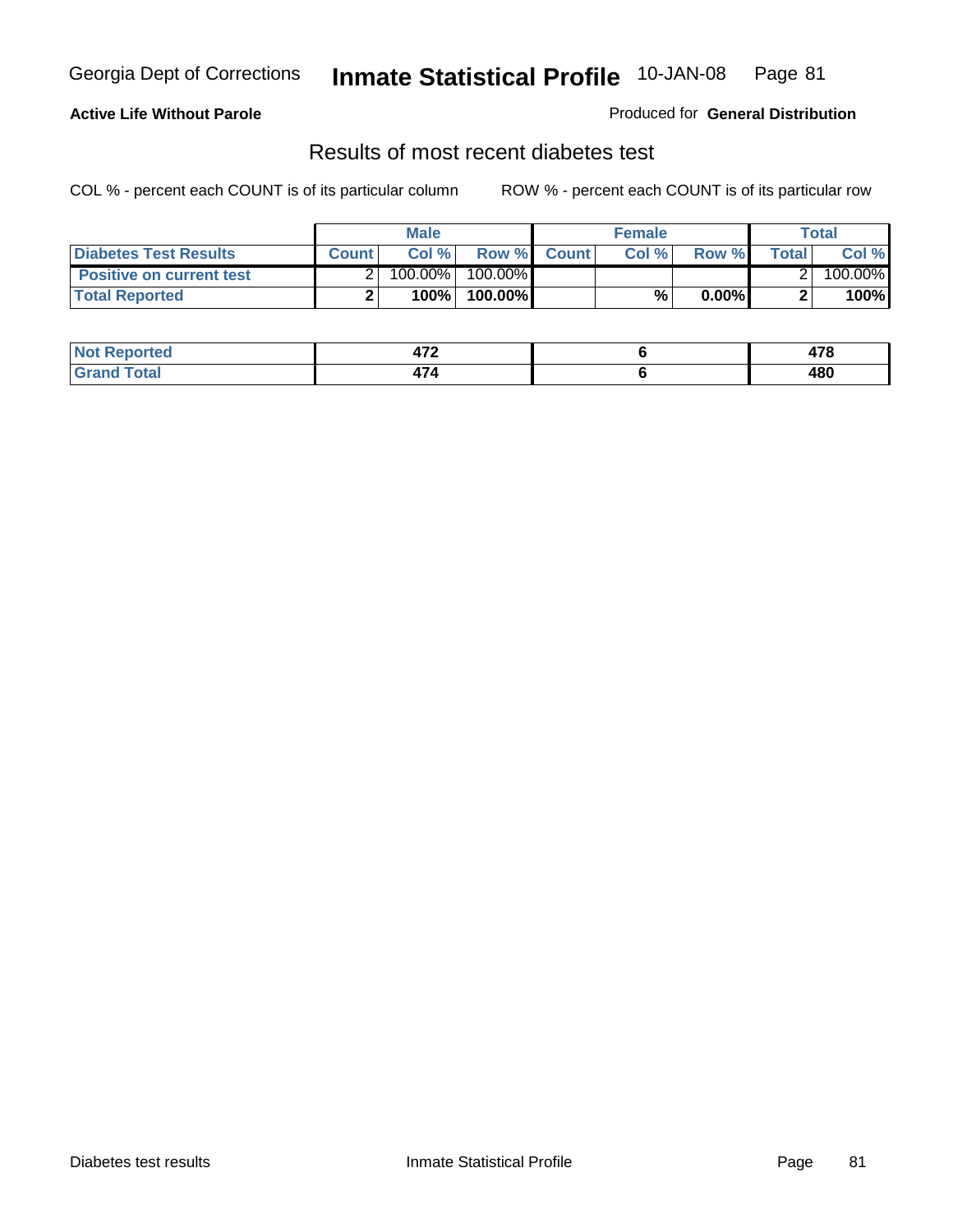### **Active Life Without Parole**

#### Produced for **General Distribution**

### Results of most recent diabetes test

|                                 |              | <b>Male</b> |            |             | <b>Female</b> |          |        | Total   |
|---------------------------------|--------------|-------------|------------|-------------|---------------|----------|--------|---------|
| <b>Diabetes Test Results</b>    | <b>Count</b> | Col %       |            | Row % Count | Col%          | Row %    | Totall | Col %   |
| <b>Positive on current test</b> |              | 100.00%     | $100.00\%$ |             |               |          |        | 100.00% |
| <b>Total Reported</b>           |              | 100%        | 100.00%    |             | %.            | $0.00\%$ |        | 100%    |

| orted      | יי<br>71 L | 470<br>71 V |
|------------|------------|-------------|
| <b>ota</b> | ,,,        | 480         |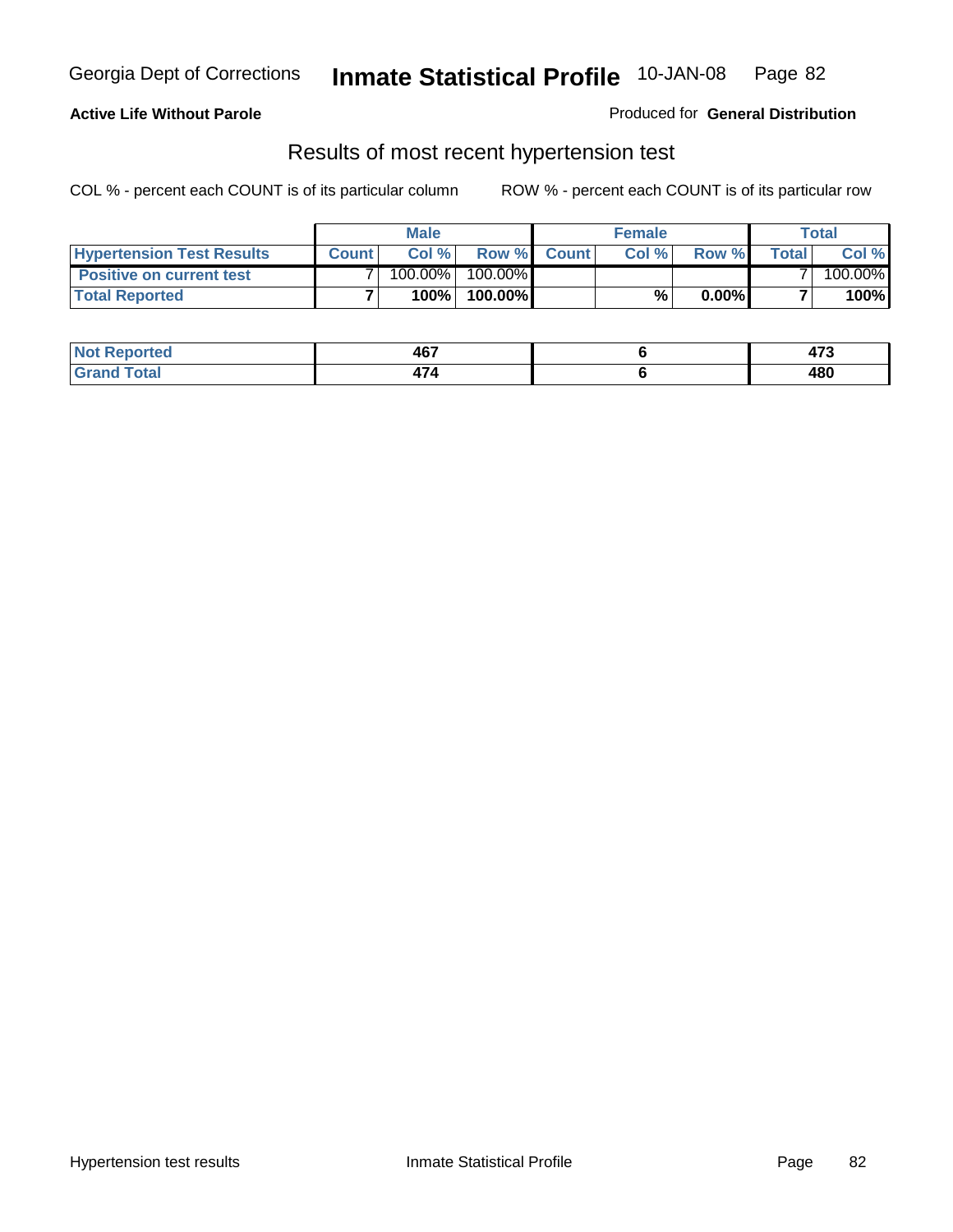### **Active Life Without Parole**

#### Produced for **General Distribution**

### Results of most recent hypertension test

|                                  | <b>Male</b>  |         |            | <b>Female</b> |      |          | Total  |         |
|----------------------------------|--------------|---------|------------|---------------|------|----------|--------|---------|
| <b>Hypertension Test Results</b> | <b>Count</b> | Col %   |            | Row % Count   | Col% | Row %    | Totall | Col %   |
| <b>Positive on current test</b>  |              | 100.00% | $100.00\%$ |               |      |          |        | 100.00% |
| <b>Total Reported</b>            |              | 100%    | 100.00%    |               | %,   | $0.00\%$ |        | 100%    |

| <b>Reported</b>      | 467        | $\rightarrow$ |
|----------------------|------------|---------------|
| <b>otal</b><br>_____ | . .<br>474 | 480           |